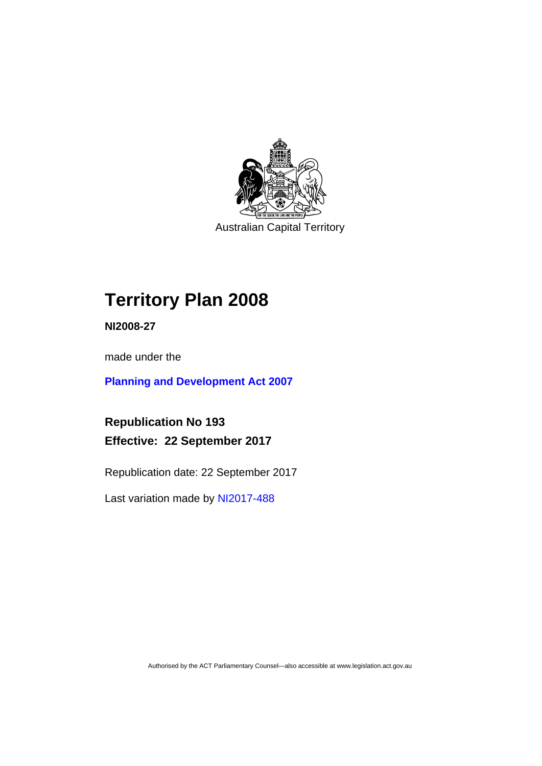

Australian Capital Territory

# **Territory Plan 2008**

**NI2008-27** 

made under the

**[Planning and Development Act 2007](http://www.legislation.act.gov.au/a/2007-24/default.asp)**

**Republication No 193 Effective: 22 September 2017** 

Republication date: 22 September 2017

Last variation made by [NI2017-488](http://www.legislation.act.gov.au/ni/2017-488/default.asp)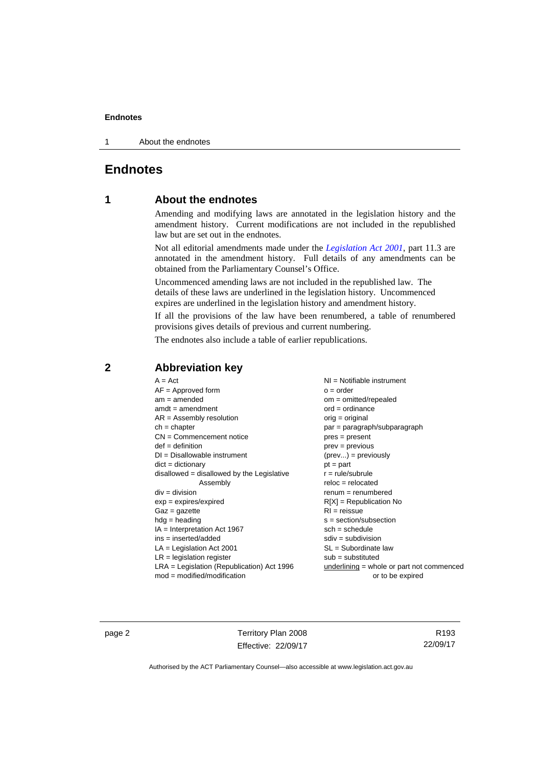1 About the endnotes

# **Endnotes**

# **1 About the endnotes**

Amending and modifying laws are annotated in the legislation history and the amendment history. Current modifications are not included in the republished law but are set out in the endnotes.

Not all editorial amendments made under the *[Legislation Act 2001](http://www.legislation.act.gov.au/a/2001-14/default.asp)*, part 11.3 are annotated in the amendment history. Full details of any amendments can be obtained from the Parliamentary Counsel's Office.

Uncommenced amending laws are not included in the republished law. The details of these laws are underlined in the legislation history. Uncommenced expires are underlined in the legislation history and amendment history.

If all the provisions of the law have been renumbered, a table of renumbered provisions gives details of previous and current numbering.

The endnotes also include a table of earlier republications.

| $A = Act$                                    | $NI =$ Notifiable instrument              |
|----------------------------------------------|-------------------------------------------|
| $AF =$ Approved form                         | $o = order$                               |
| $am = amended$                               | $om = omitted/repealed$                   |
| $amdt = amendment$                           | $ord = ordinance$                         |
| $AR = Assembly resolution$                   | $orig = original$                         |
| $ch = chapter$                               | par = paragraph/subparagraph              |
| $CN =$ Commencement notice                   | $pres = present$                          |
| $def = definition$                           | prev = previous                           |
| $DI = Disallowable instrument$               | $(\text{prev}) = \text{previously}$       |
| $dict = dictionary$                          | $pt = part$                               |
| disallowed = disallowed by the Legislative   | $r = rule/subrule$                        |
| Assembly                                     | $reloc = relocated$                       |
| $div = division$                             | $remum = renumbered$                      |
| $exp = expires/expired$                      | $R[X]$ = Republication No                 |
| $Gaz = gazette$                              | $RI =$ reissue                            |
| $h dq =$ heading                             | $s = section/subsection$                  |
| $IA = Interpretation Act 1967$               | $sch = schedule$                          |
| $ins = inserted/added$                       | $sdiv = subdivision$                      |
| $LA =$ Legislation Act 2001                  | $SL = Subordinate$ law                    |
| $LR =$ legislation register                  | $sub =$ substituted                       |
| $LRA =$ Legislation (Republication) Act 1996 | underlining = whole or part not commenced |
| $mod = modified/modification$                | or to be expired                          |
|                                              |                                           |

# **2 Abbreviation key**

page 2 Territory Plan 2008 Effective: 22/09/17

R193 22/09/17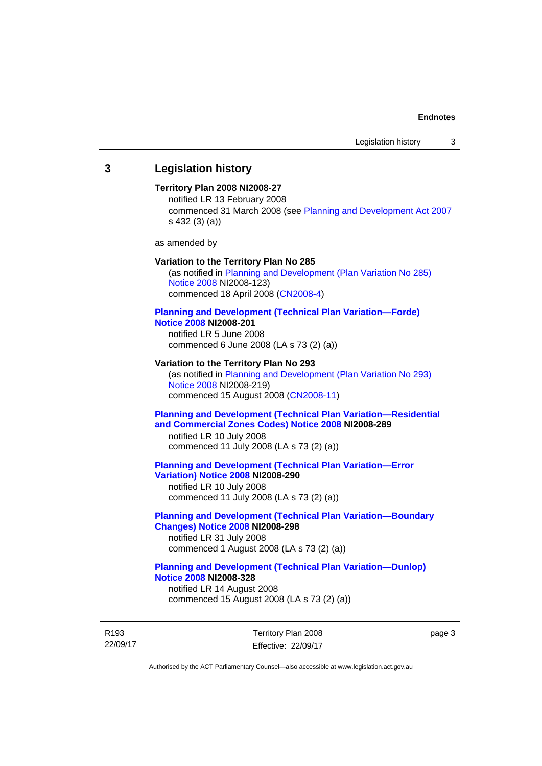## **3 Legislation history**

### **Territory Plan 2008 NI2008-27**

notified LR 13 February 2008 commenced 31 March 2008 (see [Planning and Development Act 2007](http://www.legislation.act.gov.au/a/2007-24/default.asp) s 432 (3) (a))

as amended by

### **Variation to the Territory Plan No 285**

(as notified in [Planning and Development \(Plan Variation No 285\)](http://www.legislation.act.gov.au/ni/2008-123/)  [Notice 2008](http://www.legislation.act.gov.au/ni/2008-123/) NI2008-123) commenced 18 April 2008 [\(CN2008-4\)](http://www.legislation.act.gov.au/cn/2008-4/)

### **[Planning and Development \(Technical Plan Variation—Forde\)](http://www.legislation.act.gov.au/ni/2008-201/)  [Notice 2008](http://www.legislation.act.gov.au/ni/2008-201/) NI2008-201**

notified LR 5 June 2008 commenced 6 June 2008 (LA s 73 (2) (a))

### **Variation to the Territory Plan No 293**

(as notified in [Planning and Development \(Plan Variation No 293\)](http://www.legislation.act.gov.au/ni/2008-219/)  [Notice 2008](http://www.legislation.act.gov.au/ni/2008-219/) NI2008-219) commenced 15 August 2008 [\(CN2008-11\)](http://www.legislation.act.gov.au/cn/2008-11/)

## **[Planning and Development \(Technical Plan Variation—Residential](http://www.legislation.act.gov.au/ni/2008-289/)  [and Commercial Zones Codes\) Notice 2008](http://www.legislation.act.gov.au/ni/2008-289/) NI2008-289**

notified LR 10 July 2008 commenced 11 July 2008 (LA s 73 (2) (a))

### **[Planning and Development \(Technical Plan Variation—Error](http://www.legislation.act.gov.au/ni/2008-290/)  [Variation\) Notice 2008](http://www.legislation.act.gov.au/ni/2008-290/) NI2008-290**

notified LR 10 July 2008 commenced 11 July 2008 (LA s 73 (2) (a))

## **[Planning and Development \(Technical Plan Variation—Boundary](http://www.legislation.act.gov.au/ni/2008-298/)  [Changes\) Notice 2008](http://www.legislation.act.gov.au/ni/2008-298/) NI2008-298**  notified LR 31 July 2008

commenced 1 August 2008 (LA s 73 (2) (a))

## **[Planning and Development \(Technical Plan Variation—Dunlop\)](http://www.legislation.act.gov.au/ni/2008-328/)  [Notice 2008](http://www.legislation.act.gov.au/ni/2008-328/) NI2008-328**

notified LR 14 August 2008 commenced 15 August 2008 (LA s 73 (2) (a))

R193 22/09/17 Territory Plan 2008 Effective: 22/09/17 page 3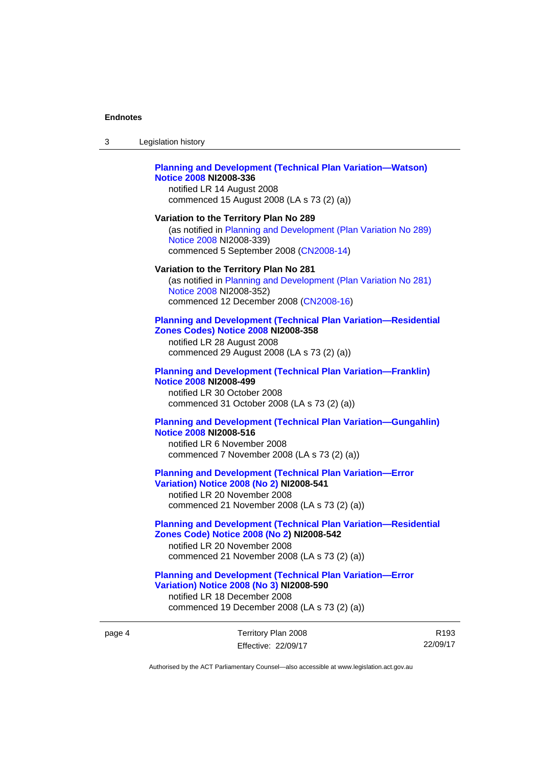| 3      | Legislation history                                                                                                                                                                                |
|--------|----------------------------------------------------------------------------------------------------------------------------------------------------------------------------------------------------|
|        | <b>Planning and Development (Technical Plan Variation-Watson)</b><br><b>Notice 2008 NI2008-336</b><br>notified LR 14 August 2008<br>commenced 15 August 2008 (LA s 73 (2) (a))                     |
|        | Variation to the Territory Plan No 289<br>(as notified in Planning and Development (Plan Variation No 289)<br>Notice 2008 NI2008-339)<br>commenced 5 September 2008 (CN2008-14)                    |
|        | Variation to the Territory Plan No 281<br>(as notified in Planning and Development (Plan Variation No 281)<br>Notice 2008 NI2008-352)<br>commenced 12 December 2008 (CN2008-16)                    |
|        | <b>Planning and Development (Technical Plan Variation-Residential</b><br>Zones Codes) Notice 2008 NI2008-358<br>notified LR 28 August 2008<br>commenced 29 August 2008 (LA s 73 (2) (a))           |
|        | <b>Planning and Development (Technical Plan Variation-Franklin)</b><br><b>Notice 2008 NI2008-499</b><br>notified LR 30 October 2008<br>commenced 31 October 2008 (LA s 73 (2) (a))                 |
|        | <b>Planning and Development (Technical Plan Variation-Gungahlin)</b><br><b>Notice 2008 NI2008-516</b><br>notified LR 6 November 2008<br>commenced 7 November 2008 (LA s 73 (2) (a))                |
|        | <b>Planning and Development (Technical Plan Variation-Error</b><br><b>Variation) Notice 2008 (No 2) NI2008-541</b><br>notified LR 20 November 2008<br>commenced 21 November 2008 (LA s 73 (2) (a)) |
|        | <b>Planning and Development (Technical Plan Variation-Residential</b><br>Zones Code) Notice 2008 (No 2) NI2008-542<br>notified LR 20 November 2008<br>commenced 21 November 2008 (LA s 73 (2) (a)) |
|        | <b>Planning and Development (Technical Plan Variation-Error</b><br>Variation) Notice 2008 (No 3) NI2008-590<br>notified LR 18 December 2008<br>commenced 19 December 2008 (LA s 73 (2) (a))        |
| page 4 | Territory Plan 2008<br>R                                                                                                                                                                           |

R193 22/09/17

Authorised by the ACT Parliamentary Counsel—also accessible at www.legislation.act.gov.au

Effective: 22/09/17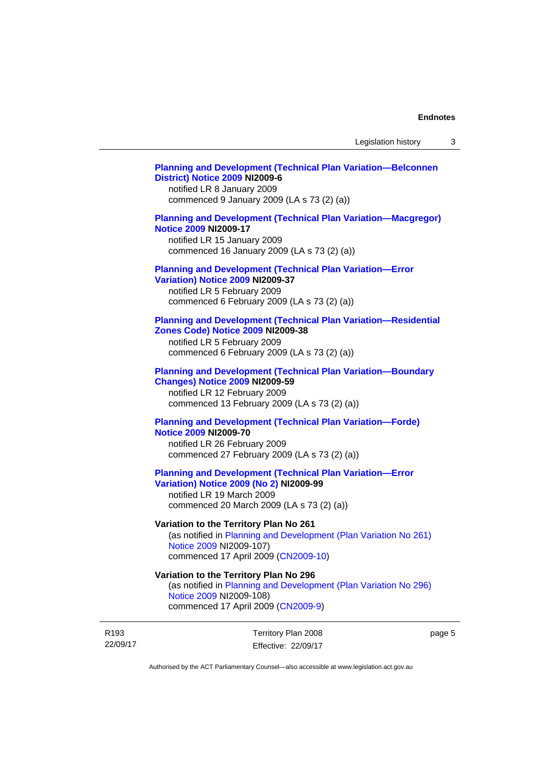### **[Planning and Development \(Technical Plan Variation—Belconnen](http://www.legislation.act.gov.au/ni/2009-6/)  [District\) Notice 2009](http://www.legislation.act.gov.au/ni/2009-6/) NI2009-6**

notified LR 8 January 2009 commenced 9 January 2009 (LA s 73 (2) (a))

## **[Planning and Development \(Technical Plan Variation—Macgregor\)](http://www.legislation.act.gov.au/ni/2009-17/)  [Notice 2009](http://www.legislation.act.gov.au/ni/2009-17/) NI2009-17**

notified LR 15 January 2009 commenced 16 January 2009 (LA s 73 (2) (a))

# **[Planning and Development \(Technical Plan Variation—Error](http://www.legislation.act.gov.au/ni/2009-37/)**

**[Variation\) Notice 2009](http://www.legislation.act.gov.au/ni/2009-37/) NI2009-37** 

notified LR 5 February 2009 commenced 6 February 2009 (LA s 73 (2) (a))

### **[Planning and Development \(Technical Plan Variation—Residential](http://www.legislation.act.gov.au/ni/2009-38/)  [Zones Code\) Notice 2009](http://www.legislation.act.gov.au/ni/2009-38/) NI2009-38**

notified LR 5 February 2009 commenced 6 February 2009 (LA s 73 (2) (a))

### **[Planning and Development \(Technical Plan Variation—Boundary](http://www.legislation.act.gov.au/ni/2009-59/)  [Changes\) Notice 2009](http://www.legislation.act.gov.au/ni/2009-59/) NI2009-59**

notified LR 12 February 2009 commenced 13 February 2009 (LA s 73 (2) (a))

## **[Planning and Development \(Technical Plan Variation—Forde\)](http://www.legislation.act.gov.au/ni/2009-70/)  [Notice 2009](http://www.legislation.act.gov.au/ni/2009-70/) NI2009-70**

notified LR 26 February 2009 commenced 27 February 2009 (LA s 73 (2) (a))

## **[Planning and Development \(Technical Plan Variation—Error](http://www.legislation.act.gov.au/ni/2009-99/)  [Variation\) Notice 2009 \(No 2\)](http://www.legislation.act.gov.au/ni/2009-99/) NI2009-99**

notified LR 19 March 2009 commenced 20 March 2009 (LA s 73 (2) (a))

## **Variation to the Territory Plan No 261**

(as notified in [Planning and Development \(Plan Variation No 261\)](http://www.legislation.act.gov.au/ni/2009-107/)  [Notice 2009](http://www.legislation.act.gov.au/ni/2009-107/) NI2009-107) commenced 17 April 2009 [\(CN2009-10\)](http://www.legislation.act.gov.au/cn/2009-10/)

## **Variation to the Territory Plan No 296**

(as notified in [Planning and Development \(Plan Variation No 296\)](http://www.legislation.act.gov.au/ni/2009-108/)  [Notice 2009](http://www.legislation.act.gov.au/ni/2009-108/) NI2009-108) commenced 17 April 2009 [\(CN2009-9\)](http://www.legislation.act.gov.au/cn/2009-9/)

R193 22/09/17 Territory Plan 2008 Effective: 22/09/17 page 5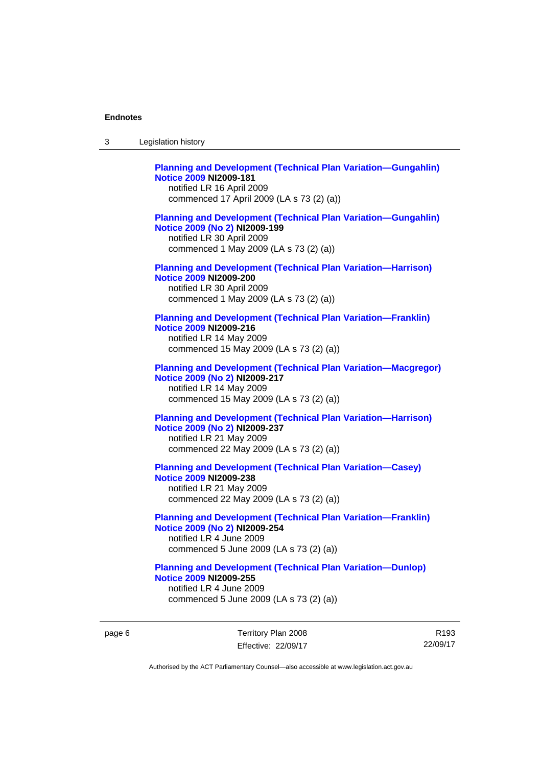| 3 | Legislation history                                                                                                                                                             |
|---|---------------------------------------------------------------------------------------------------------------------------------------------------------------------------------|
|   | <b>Planning and Development (Technical Plan Variation-Gungahlin)</b><br><b>Notice 2009 NI2009-181</b><br>notified LR 16 April 2009<br>commenced 17 April 2009 (LA s 73 (2) (a)) |
|   | <b>Planning and Development (Technical Plan Variation-Gungahlin)</b><br>Notice 2009 (No 2) NI2009-199<br>notified LR 30 April 2009<br>commenced 1 May 2009 (LA s 73 (2) (a))    |
|   | <b>Planning and Development (Technical Plan Variation-Harrison)</b><br><b>Notice 2009 NI2009-200</b><br>notified LR 30 April 2009<br>commenced 1 May 2009 (LA s 73 (2) (a))     |
|   | <b>Planning and Development (Technical Plan Variation-Franklin)</b><br>Notice 2009 NI2009-216<br>notified LR 14 May 2009<br>commenced 15 May 2009 (LA s 73 (2) (a))             |
|   | <b>Planning and Development (Technical Plan Variation-Macgregor)</b><br>Notice 2009 (No 2) NI2009-217<br>notified LR 14 May 2009<br>commenced 15 May 2009 (LA s 73 (2) (a))     |
|   | <b>Planning and Development (Technical Plan Variation-Harrison)</b><br>Notice 2009 (No 2) NI2009-237<br>notified LR 21 May 2009<br>commenced 22 May 2009 (LA s 73 (2) (a))      |
|   | <b>Planning and Development (Technical Plan Variation-Casey)</b><br><b>Notice 2009 NI2009-238</b><br>notified LR 21 May 2009<br>commenced 22 May 2009 (LA s 73 (2) (a))         |
|   | <b>Planning and Development (Technical Plan Variation-Franklin)</b><br>Notice 2009 (No 2) NI2009-254<br>notified LR 4 June 2009<br>commenced 5 June 2009 (LA s 73 (2) (a))      |
|   | <b>Planning and Development (Technical Plan Variation-Dunlop)</b><br><b>Notice 2009 NI2009-255</b><br>notified LR 4 June 2009<br>commenced 5 June 2009 (LA s 73 (2) (a))        |

page 6 Territory Plan 2008 Effective: 22/09/17

R193 22/09/17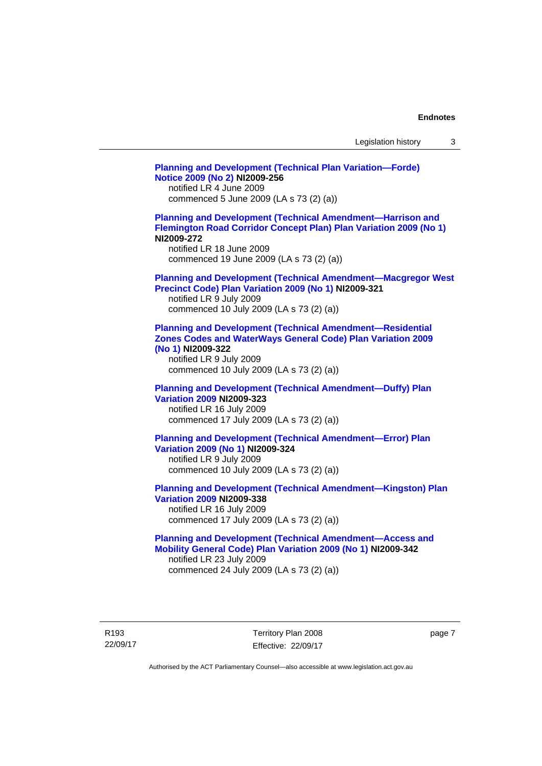| Legislation history |  |  |
|---------------------|--|--|
|---------------------|--|--|

**[Planning and Development \(Technical Plan Variation—Forde\)](http://www.legislation.act.gov.au/ni/2009-256/)  [Notice 2009 \(No 2\)](http://www.legislation.act.gov.au/ni/2009-256/) NI2009-256**  notified LR 4 June 2009 commenced 5 June 2009 (LA s 73 (2) (a)) **[Planning and Development \(Technical Amendment—Harrison and](http://www.legislation.act.gov.au/ni/2009-272/)  [Flemington Road Corridor Concept Plan\) Plan Variation 2009 \(No 1\)](http://www.legislation.act.gov.au/ni/2009-272/) NI2009-272**  notified LR 18 June 2009 commenced 19 June 2009 (LA s 73 (2) (a)) **[Planning and Development \(Technical Amendment—Macgregor West](http://www.legislation.act.gov.au/ni/2009-321/)  [Precinct Code\) Plan Variation 2009 \(No 1\)](http://www.legislation.act.gov.au/ni/2009-321/) NI2009-321**  notified LR 9 July 2009 commenced 10 July 2009 (LA s 73 (2) (a)) **[Planning and Development \(Technical Amendment—Residential](http://www.legislation.act.gov.au/ni/2009-322/)  [Zones Codes and WaterWays General Code\) Plan Variation 2009](http://www.legislation.act.gov.au/ni/2009-322/)  [\(No 1\)](http://www.legislation.act.gov.au/ni/2009-322/) NI2009-322**  notified LR 9 July 2009 commenced 10 July 2009 (LA s 73 (2) (a)) **[Planning and Development \(Technical Amendment—Duffy\) Plan](http://www.legislation.act.gov.au/ni/2009-323/)  [Variation 2009](http://www.legislation.act.gov.au/ni/2009-323/) NI2009-323**  notified LR 16 July 2009 commenced 17 July 2009 (LA s 73 (2) (a)) **[Planning and Development \(Technical Amendment—Error\) Plan](http://www.legislation.act.gov.au/ni/2009-324/)  [Variation 2009 \(No 1\)](http://www.legislation.act.gov.au/ni/2009-324/) NI2009-324**  notified LR 9 July 2009 commenced 10 July 2009 (LA s 73 (2) (a)) **[Planning and Development \(Technical Amendment—Kingston\) Plan](http://www.legislation.act.gov.au/ni/2009-338/)  [Variation 2009](http://www.legislation.act.gov.au/ni/2009-338/) NI2009-338**  notified LR 16 July 2009 commenced 17 July 2009 (LA s 73 (2) (a)) **[Planning and Development \(Technical Amendment—Access and](http://www.legislation.act.gov.au/ni/2009-342/)  [Mobility General Code\) Plan Variation 2009 \(No 1\)](http://www.legislation.act.gov.au/ni/2009-342/) NI2009-342**  notified LR 23 July 2009 commenced 24 July 2009 (LA s 73 (2) (a))

R193 22/09/17 Territory Plan 2008 Effective: 22/09/17 page 7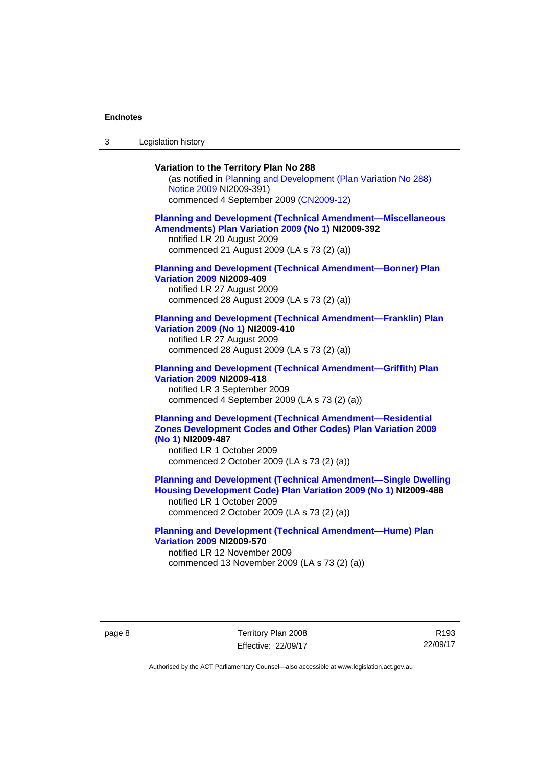3 Legislation history

## **Variation to the Territory Plan No 288**

(as notified in [Planning and Development \(Plan Variation No 288\)](http://www.legislation.act.gov.au/ni/2009-391/)  [Notice 2009](http://www.legislation.act.gov.au/ni/2009-391/) NI2009-391) commenced 4 September 2009 ([CN2009-12\)](http://www.legislation.act.gov.au/cn/2009-12/)

### **[Planning and Development \(Technical Amendment—Miscellaneous](http://www.legislation.act.gov.au/ni/2009-392/)  [Amendments\) Plan Variation 2009 \(No 1\)](http://www.legislation.act.gov.au/ni/2009-392/) NI2009-392**  notified LR 20 August 2009

commenced 21 August 2009 (LA s 73 (2) (a))

## **[Planning and Development \(Technical Amendment—Bonner\) Plan](http://www.legislation.act.gov.au/ni/2009-409/)  [Variation 2009](http://www.legislation.act.gov.au/ni/2009-409/) NI2009-409**

notified LR 27 August 2009 commenced 28 August 2009 (LA s 73 (2) (a))

### **[Planning and Development \(Technical Amendment—Franklin\) Plan](http://www.legislation.act.gov.au/ni/2009-410/)  [Variation 2009 \(No 1\)](http://www.legislation.act.gov.au/ni/2009-410/) NI2009-410**

notified LR 27 August 2009 commenced 28 August 2009 (LA s 73 (2) (a))

### **[Planning and Development \(Technical Amendment—Griffith\) Plan](http://www.legislation.act.gov.au/ni/2009-418/)  [Variation 2009](http://www.legislation.act.gov.au/ni/2009-418/) NI2009-418**  notified LR 3 September 2009

commenced 4 September 2009 (LA s 73 (2) (a))

## **[Planning and Development \(Technical Amendment—Residential](http://www.legislation.act.gov.au/ni/2009-487/)  [Zones Development Codes and Other Codes\) Plan Variation 2009](http://www.legislation.act.gov.au/ni/2009-487/)  [\(No 1\)](http://www.legislation.act.gov.au/ni/2009-487/) NI2009-487**

notified LR 1 October 2009 commenced 2 October 2009 (LA s 73 (2) (a))

**[Planning and Development \(Technical Amendment—Single Dwelling](http://www.legislation.act.gov.au/ni/2009-488/)  [Housing Development Code\) Plan Variation 2009 \(No 1\)](http://www.legislation.act.gov.au/ni/2009-488/) NI2009-488** 

notified LR 1 October 2009 commenced 2 October 2009 (LA s 73 (2) (a))

## **[Planning and Development \(Technical Amendment—Hume\) Plan](http://www.legislation.act.gov.au/ni/2009-570/)  [Variation 2009](http://www.legislation.act.gov.au/ni/2009-570/) NI2009-570**

notified LR 12 November 2009 commenced 13 November 2009 (LA s 73 (2) (a))

R193 22/09/17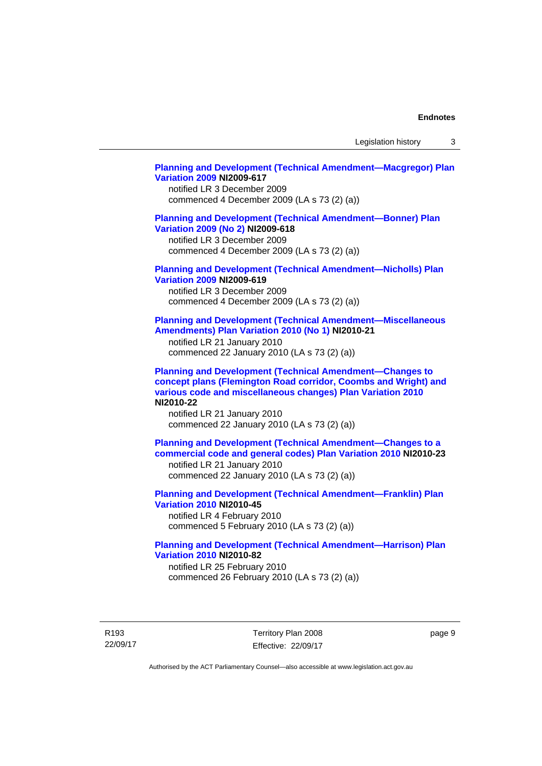Legislation history 3

### **[Planning and Development \(Technical Amendment—Macgregor\) Plan](http://www.legislation.act.gov.au/ni/2009-617/)  [Variation 2009](http://www.legislation.act.gov.au/ni/2009-617/) NI2009-617**

notified LR 3 December 2009 commenced 4 December 2009 (LA s 73 (2) (a))

## **[Planning and Development \(Technical Amendment—Bonner\) Plan](http://www.legislation.act.gov.au/ni/2009-618/)  [Variation 2009 \(No 2\)](http://www.legislation.act.gov.au/ni/2009-618/) NI2009-618**

notified LR 3 December 2009 commenced 4 December 2009 (LA s 73 (2) (a))

## **[Planning and Development \(Technical Amendment—Nicholls\) Plan](http://www.legislation.act.gov.au/ni/2009-619/)  [Variation 2009](http://www.legislation.act.gov.au/ni/2009-619/) NI2009-619**

notified LR 3 December 2009 commenced 4 December 2009 (LA s 73 (2) (a))

### **[Planning and Development \(Technical Amendment—Miscellaneous](http://www.legislation.act.gov.au/ni/2010-21/)  [Amendments\) Plan Variation 2010 \(No 1\)](http://www.legislation.act.gov.au/ni/2010-21/) NI2010-21**

notified LR 21 January 2010 commenced 22 January 2010 (LA s 73 (2) (a))

**[Planning and Development \(Technical Amendment—Changes to](http://www.legislation.act.gov.au/ni/2010-22/)  [concept plans \(Flemington Road corridor, Coombs and Wright\) and](http://www.legislation.act.gov.au/ni/2010-22/)  [various code and miscellaneous changes\) Plan Variation 2010](http://www.legislation.act.gov.au/ni/2010-22/) NI2010-22** 

notified LR 21 January 2010 commenced 22 January 2010 (LA s 73 (2) (a))

**[Planning and Development \(Technical Amendment—Changes to a](http://www.legislation.act.gov.au/ni/2010-23/)  [commercial code and general codes\) Plan Variation 2010](http://www.legislation.act.gov.au/ni/2010-23/) NI2010-23**  notified LR 21 January 2010

commenced 22 January 2010 (LA s 73 (2) (a))

**[Planning and Development \(Technical Amendment—Franklin\) Plan](http://www.legislation.act.gov.au/ni/2010-45/)  [Variation 2010](http://www.legislation.act.gov.au/ni/2010-45/) NI2010-45**  notified LR 4 February 2010 commenced 5 February 2010 (LA s 73 (2) (a))

## **[Planning and Development \(Technical Amendment—Harrison\) Plan](http://www.legislation.act.gov.au/ni/2010-82/)  [Variation 2010](http://www.legislation.act.gov.au/ni/2010-82/) NI2010-82**

notified LR 25 February 2010 commenced 26 February 2010 (LA s 73 (2) (a))

R193 22/09/17 Territory Plan 2008 Effective: 22/09/17 page 9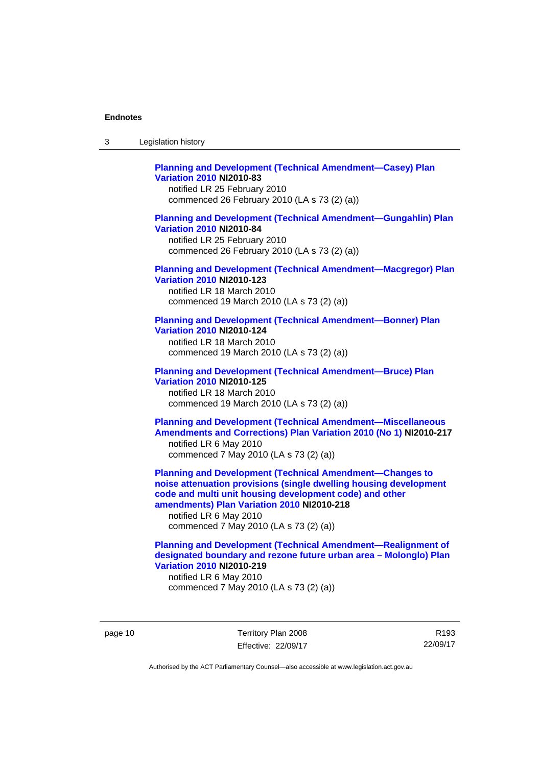| 3 | Legislation history |  |
|---|---------------------|--|
|---|---------------------|--|

## **[Planning and Development \(Technical Amendment—Casey\) Plan](http://www.legislation.act.gov.au/ni/2010-83/)  [Variation 2010](http://www.legislation.act.gov.au/ni/2010-83/) NI2010-83**

notified LR 25 February 2010 commenced 26 February 2010 (LA s 73 (2) (a))

## **[Planning and Development \(Technical Amendment—Gungahlin\) Plan](http://www.legislation.act.gov.au/ni/2010-84/)  [Variation 2010](http://www.legislation.act.gov.au/ni/2010-84/) NI2010-84**

notified LR 25 February 2010 commenced 26 February 2010 (LA s 73 (2) (a))

### **[Planning and Development \(Technical Amendment—Macgregor\) Plan](http://www.legislation.act.gov.au/ni/2010-123/)  [Variation 2010](http://www.legislation.act.gov.au/ni/2010-123/) NI2010-123**

notified LR 18 March 2010 commenced 19 March 2010 (LA s 73 (2) (a))

# **[Planning and Development \(Technical Amendment—Bonner\) Plan](http://www.legislation.act.gov.au/ni/2010-124/)**

**[Variation 2010](http://www.legislation.act.gov.au/ni/2010-124/) NI2010-124**  notified LR 18 March 2010 commenced 19 March 2010 (LA s 73 (2) (a))

### **[Planning and Development \(Technical Amendment—Bruce\) Plan](http://www.legislation.act.gov.au/ni/2010-125/)  [Variation 2010](http://www.legislation.act.gov.au/ni/2010-125/) NI2010-125**

notified LR 18 March 2010 commenced 19 March 2010 (LA s 73 (2) (a))

## **[Planning and Development \(Technical Amendment—Miscellaneous](http://www.legislation.act.gov.au/ni/2010-217/)  [Amendments and Corrections\) Plan Variation 2010 \(No 1\)](http://www.legislation.act.gov.au/ni/2010-217/) NI2010-217**  notified LR 6 May 2010 commenced 7 May 2010 (LA s 73 (2) (a))

**[Planning and Development \(Technical Amendment—Changes to](http://www.legislation.act.gov.au/ni/2010-218/)  [noise attenuation provisions \(single dwelling housing development](http://www.legislation.act.gov.au/ni/2010-218/)  [code and multi unit housing development code\) and other](http://www.legislation.act.gov.au/ni/2010-218/)  [amendments\) Plan Variation 2010](http://www.legislation.act.gov.au/ni/2010-218/) NI2010-218** 

notified LR 6 May 2010 commenced 7 May 2010 (LA s 73 (2) (a))

## **[Planning and Development \(Technical Amendment—Realignment of](http://www.legislation.act.gov.au/ni/2010-219/)  [designated boundary and rezone future urban area – Molonglo\) Plan](http://www.legislation.act.gov.au/ni/2010-219/)  [Variation 2010](http://www.legislation.act.gov.au/ni/2010-219/) NI2010-219**

notified LR 6 May 2010 commenced 7 May 2010 (LA s 73 (2) (a))

page 10 Territory Plan 2008 Effective: 22/09/17

R193 22/09/17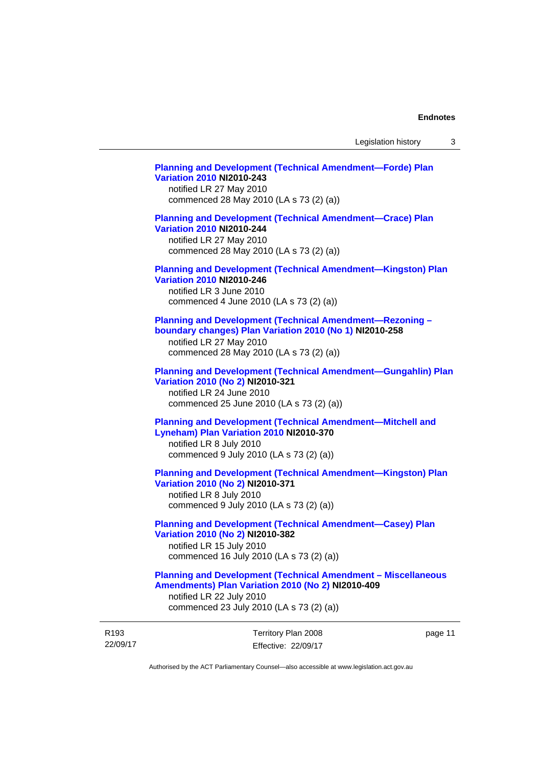# **[Planning and Development \(Technical Amendment—Forde\) Plan](http://www.legislation.act.gov.au/ni/2010-243/)  [Variation 2010](http://www.legislation.act.gov.au/ni/2010-243/) NI2010-243**  notified LR 27 May 2010 commenced 28 May 2010 (LA s 73 (2) (a)) **[Planning and Development \(Technical Amendment—Crace\) Plan](http://www.legislation.act.gov.au/ni/2010-244/)  [Variation 2010](http://www.legislation.act.gov.au/ni/2010-244/) NI2010-244**  notified LR 27 May 2010

commenced 28 May 2010 (LA s 73 (2) (a))

## **[Planning and Development \(Technical Amendment—Kingston\) Plan](http://www.legislation.act.gov.au/ni/2010-246/)  [Variation 2010](http://www.legislation.act.gov.au/ni/2010-246/) NI2010-246**

notified LR 3 June 2010 commenced 4 June 2010 (LA s 73 (2) (a))

### **[Planning and Development \(Technical Amendment—Rezoning –](http://www.legislation.act.gov.au/ni/2010-258/)  [boundary changes\) Plan Variation 2010 \(No 1\)](http://www.legislation.act.gov.au/ni/2010-258/) NI2010-258**

notified LR 27 May 2010 commenced 28 May 2010 (LA s 73 (2) (a))

### **[Planning and Development \(Technical Amendment—Gungahlin\) Plan](http://www.legislation.act.gov.au/ni/2010-321/)  [Variation 2010 \(No 2\)](http://www.legislation.act.gov.au/ni/2010-321/) NI2010-321**

notified LR 24 June 2010 commenced 25 June 2010 (LA s 73 (2) (a))

## **[Planning and Development \(Technical Amendment—Mitchell and](http://www.legislation.act.gov.au/ni/2010-370/)  [Lyneham\) Plan Variation 2010](http://www.legislation.act.gov.au/ni/2010-370/) NI2010-370**

notified LR 8 July 2010 commenced 9 July 2010 (LA s 73 (2) (a))

## **[Planning and Development \(Technical Amendment—Kingston\) Plan](http://www.legislation.act.gov.au/ni/2010-371/)  [Variation 2010 \(No 2\)](http://www.legislation.act.gov.au/ni/2010-371/) NI2010-371**

notified LR 8 July 2010 commenced 9 July 2010 (LA s 73 (2) (a))

# **[Planning and Development \(Technical Amendment—Casey\) Plan](http://www.legislation.act.gov.au/ni/2010-382/)  [Variation 2010 \(No 2\)](http://www.legislation.act.gov.au/ni/2010-382/) NI2010-382**

notified LR 15 July 2010 commenced 16 July 2010 (LA s 73 (2) (a))

### **[Planning and Development \(Technical Amendment – Miscellaneous](http://www.legislation.act.gov.au/ni/2010-409/)  [Amendments\) Plan Variation 2010 \(No 2\)](http://www.legislation.act.gov.au/ni/2010-409/) NI2010-409**

notified LR 22 July 2010 commenced 23 July 2010 (LA s 73 (2) (a))

| R <sub>193</sub> | Territory Plan 2008 | page 11 |
|------------------|---------------------|---------|
| 22/09/17         | Effective: 22/09/17 |         |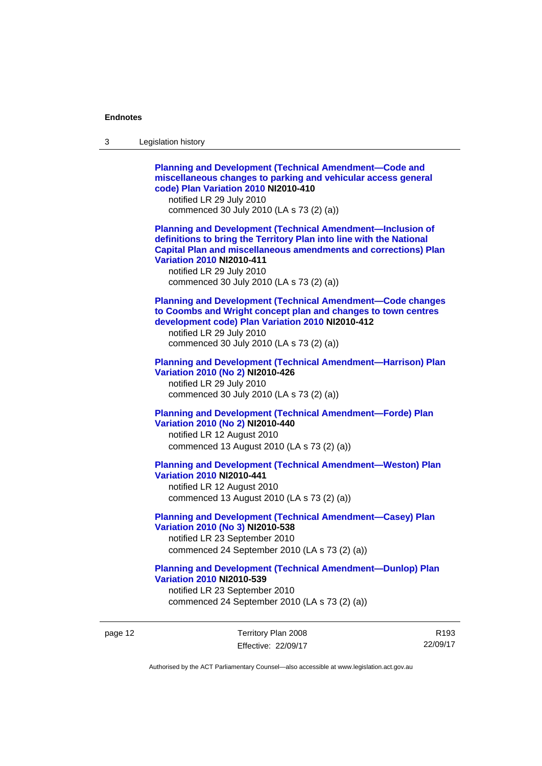| 3 | Legislation history                                                                                                                                                                                                                                                                                                            |
|---|--------------------------------------------------------------------------------------------------------------------------------------------------------------------------------------------------------------------------------------------------------------------------------------------------------------------------------|
|   | <b>Planning and Development (Technical Amendment-Code and</b><br>miscellaneous changes to parking and vehicular access general<br>code) Plan Variation 2010 NI2010-410<br>notified LR 29 July 2010<br>commenced 30 July 2010 (LA s 73 (2) (a))                                                                                 |
|   | <b>Planning and Development (Technical Amendment-Inclusion of</b><br>definitions to bring the Territory Plan into line with the National<br><b>Capital Plan and miscellaneous amendments and corrections) Plan</b><br><b>Variation 2010 NI2010-411</b><br>notified LR 29 July 2010<br>commenced 30 July 2010 (LA s 73 (2) (a)) |
|   | <b>Planning and Development (Technical Amendment-Code changes</b><br>to Coombs and Wright concept plan and changes to town centres<br>development code) Plan Variation 2010 NI2010-412<br>notified LR 29 July 2010<br>commenced 30 July 2010 (LA s 73 (2) (a))                                                                 |
|   | <b>Planning and Development (Technical Amendment-Harrison) Plan</b><br>Variation 2010 (No 2) NI2010-426<br>notified LR 29 July 2010<br>commenced 30 July 2010 (LA s 73 (2) (a))                                                                                                                                                |
|   | <b>Planning and Development (Technical Amendment-Forde) Plan</b><br>Variation 2010 (No 2) NI2010-440<br>notified LR 12 August 2010<br>commenced 13 August 2010 (LA s 73 (2) (a))                                                                                                                                               |
|   | <b>Planning and Development (Technical Amendment-Weston) Plan</b><br><b>Variation 2010 NI2010-441</b><br>notified LR 12 August 2010<br>commenced 13 August 2010 (LA s 73 (2) (a))                                                                                                                                              |
|   | <b>Planning and Development (Technical Amendment-Casey) Plan</b><br>Variation 2010 (No 3) NI2010-538<br>notified LR 23 September 2010<br>commenced 24 September 2010 (LA s 73 (2) (a))                                                                                                                                         |
|   | <b>Planning and Development (Technical Amendment-Dunlop) Plan</b><br><b>Variation 2010 NI2010-539</b><br>notified LR 23 September 2010<br>commenced 24 September 2010 (LA s 73 (2) (a))                                                                                                                                        |

page 12 Territory Plan 2008 Effective: 22/09/17

R193 22/09/17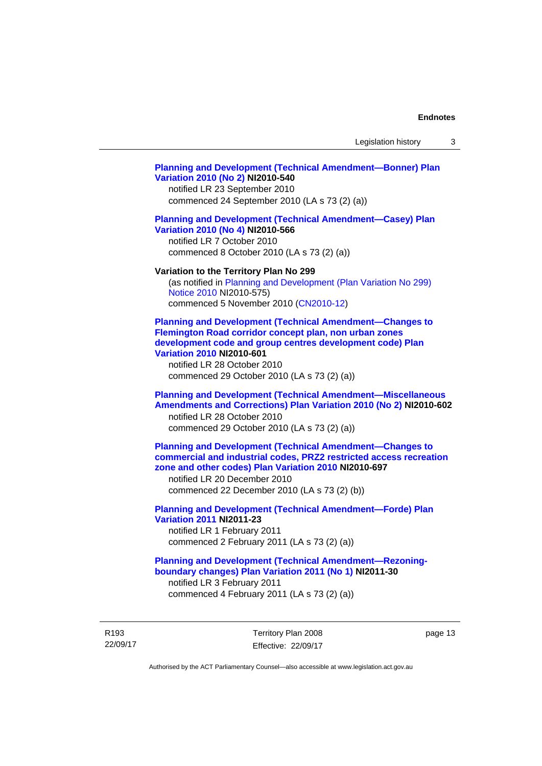### **[Planning and Development \(Technical Amendment—Bonner\) Plan](http://www.legislation.act.gov.au/ni/2010-540/)  [Variation 2010 \(No 2\)](http://www.legislation.act.gov.au/ni/2010-540/) NI2010-540**

notified LR 23 September 2010 commenced 24 September 2010 (LA s 73 (2) (a))

### **[Planning and Development \(Technical Amendment—Casey\) Plan](http://www.legislation.act.gov.au/ni/2010-566/)  [Variation 2010 \(No 4\)](http://www.legislation.act.gov.au/ni/2010-566/) NI2010-566**

notified LR 7 October 2010 commenced 8 October 2010 (LA s 73 (2) (a))

### **Variation to the Territory Plan No 299**

(as notified in [Planning and Development \(Plan Variation No 299\)](http://www.legislation.act.gov.au/ni/2010-575/)  [Notice 2010](http://www.legislation.act.gov.au/ni/2010-575/) NI2010-575) commenced 5 November 2010 ([CN2010-12](http://www.legislation.act.gov.au/cn/2010-12/))

**[Planning and Development \(Technical Amendment—Changes to](http://www.legislation.act.gov.au/ni/2010-601/)  [Flemington Road corridor concept plan, non urban zones](http://www.legislation.act.gov.au/ni/2010-601/)  [development code and group centres development code\) Plan](http://www.legislation.act.gov.au/ni/2010-601/)  [Variation 2010](http://www.legislation.act.gov.au/ni/2010-601/) NI2010-601** 

notified LR 28 October 2010 commenced 29 October 2010 (LA s 73 (2) (a))

## **[Planning and Development \(Technical Amendment—Miscellaneous](http://www.legislation.act.gov.au/ni/2010-602/)  [Amendments and Corrections\) Plan Variation 2010 \(No 2\)](http://www.legislation.act.gov.au/ni/2010-602/) NI2010-602**

notified LR 28 October 2010 commenced 29 October 2010 (LA s 73 (2) (a))

## **[Planning and Development \(Technical Amendment—Changes to](http://www.legislation.act.gov.au/ni/2010-697/)  [commercial and industrial codes, PRZ2 restricted access recreation](http://www.legislation.act.gov.au/ni/2010-697/)  [zone and other codes\) Plan Variation 2010](http://www.legislation.act.gov.au/ni/2010-697/) NI2010-697**

notified LR 20 December 2010 commenced 22 December 2010 (LA s 73 (2) (b))

# **[Planning and Development \(Technical Amendment—Forde\) Plan](http://www.legislation.act.gov.au/ni/2011-23/)  [Variation 2011](http://www.legislation.act.gov.au/ni/2011-23/) NI2011-23**  notified LR 1 February 2011

commenced 2 February 2011 (LA s 73 (2) (a))

## **[Planning and Development \(Technical Amendment—Rezoning](http://www.legislation.act.gov.au/ni/2011-30/)[boundary changes\) Plan Variation 2011 \(No 1\)](http://www.legislation.act.gov.au/ni/2011-30/) NI2011-30**  notified LR 3 February 2011

commenced 4 February 2011 (LA s 73 (2) (a))

R193 22/09/17 Territory Plan 2008 Effective: 22/09/17 page 13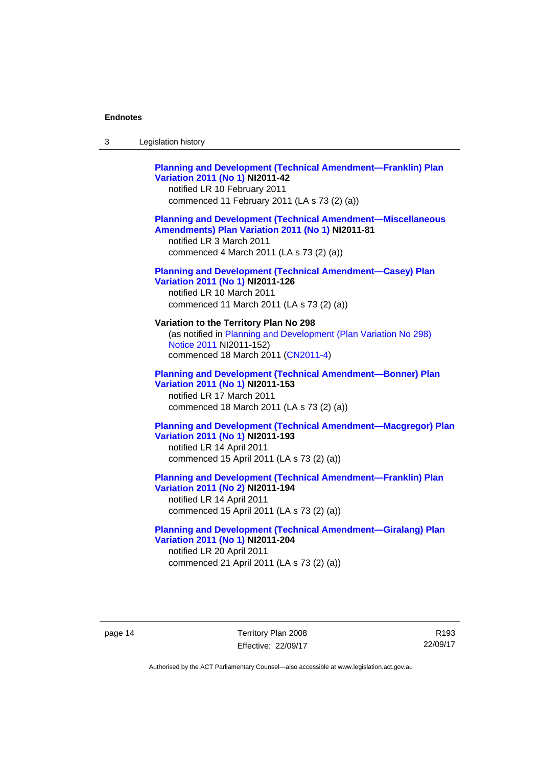| Legislation history<br>3 |  |
|--------------------------|--|
|--------------------------|--|

# **[Planning and Development \(Technical Amendment—Franklin\) Plan](http://www.legislation.act.gov.au/ni/2011-42/)  [Variation 2011 \(No 1\)](http://www.legislation.act.gov.au/ni/2011-42/) NI2011-42**  notified LR 10 February 2011 commenced 11 February 2011 (LA s 73 (2) (a)) **[Planning and Development \(Technical Amendment—Miscellaneous](http://www.legislation.act.gov.au/ni/2011-81/)  [Amendments\) Plan Variation 2011 \(No 1\)](http://www.legislation.act.gov.au/ni/2011-81/) NI2011-81**  notified LR 3 March 2011 commenced 4 March 2011 (LA s 73 (2) (a)) **[Planning and Development \(Technical Amendment—Casey\) Plan](http://www.legislation.act.gov.au/ni/2011-126/)  [Variation 2011 \(No 1\)](http://www.legislation.act.gov.au/ni/2011-126/) NI2011-126**  notified LR 10 March 2011 commenced 11 March 2011 (LA s 73 (2) (a)) **Variation to the Territory Plan No 298**  (as notified in [Planning and Development \(Plan Variation No 298\)](http://www.legislation.act.gov.au/ni/2011-152/)

[Notice 2011](http://www.legislation.act.gov.au/ni/2011-152/) NI2011-152) commenced 18 March 2011 [\(CN2011-4\)](http://www.legislation.act.gov.au/cn/2011-4/)

## **[Planning and Development \(Technical Amendment—Bonner\) Plan](http://www.legislation.act.gov.au/ni/2011-153/)  [Variation 2011 \(No 1\)](http://www.legislation.act.gov.au/ni/2011-153/) NI2011-153**  notified LR 17 March 2011

commenced 18 March 2011 (LA s 73 (2) (a))

## **[Planning and Development \(Technical Amendment—Macgregor\) Plan](http://www.legislation.act.gov.au/ni/2011-193/)  [Variation 2011 \(No 1\)](http://www.legislation.act.gov.au/ni/2011-193/) NI2011-193**

notified LR 14 April 2011 commenced 15 April 2011 (LA s 73 (2) (a))

## **[Planning and Development \(Technical Amendment—Franklin\) Plan](http://www.legislation.act.gov.au/ni/2011-194/)  [Variation 2011 \(No 2\)](http://www.legislation.act.gov.au/ni/2011-194/) NI2011-194**

notified LR 14 April 2011 commenced 15 April 2011 (LA s 73 (2) (a))

### **[Planning and Development \(Technical Amendment—Giralang\) Plan](http://www.legislation.act.gov.au/ni/2011-204/)  [Variation 2011 \(No 1\)](http://www.legislation.act.gov.au/ni/2011-204/) NI2011-204**  notified LR 20 April 2011

commenced 21 April 2011 (LA s 73 (2) (a))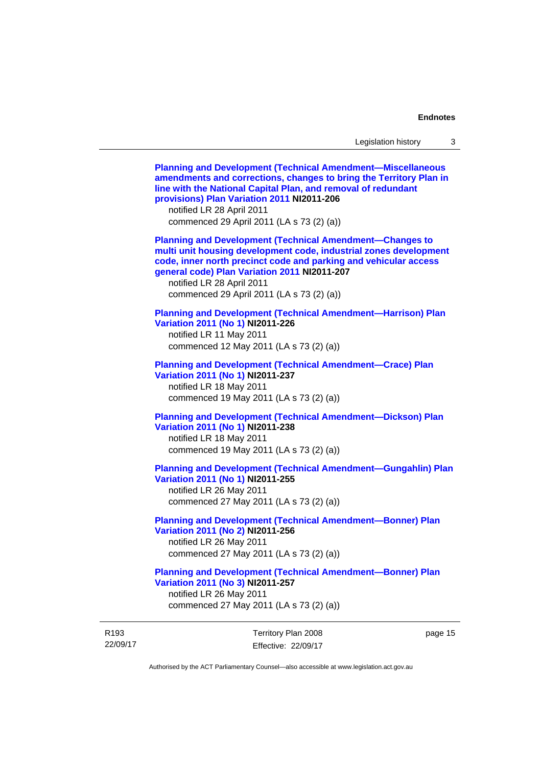22/09/17 Territory Plan 2008 Effective: 22/09/17 page 15 **[Planning and Development \(Technical Amendment—Miscellaneous](http://www.legislation.act.gov.au/ni/2011-206/)  [amendments and corrections, changes to bring the Territory Plan in](http://www.legislation.act.gov.au/ni/2011-206/)  [line with the National Capital Plan, and removal of redundant](http://www.legislation.act.gov.au/ni/2011-206/)  [provisions\) Plan Variation 2011](http://www.legislation.act.gov.au/ni/2011-206/) NI2011-206**  notified LR 28 April 2011 commenced 29 April 2011 (LA s 73 (2) (a)) **[Planning and Development \(Technical Amendment—Changes to](http://www.legislation.act.gov.au/ni/2011-207/)  [multi unit housing development code, industrial zones development](http://www.legislation.act.gov.au/ni/2011-207/)  [code, inner north precinct code and parking and vehicular access](http://www.legislation.act.gov.au/ni/2011-207/)  [general code\) Plan Variation 2011](http://www.legislation.act.gov.au/ni/2011-207/) NI2011-207**  notified LR 28 April 2011 commenced 29 April 2011 (LA s 73 (2) (a)) **[Planning and Development \(Technical Amendment—Harrison\) Plan](http://www.legislation.act.gov.au/ni/2011-226/)  [Variation 2011 \(No 1\)](http://www.legislation.act.gov.au/ni/2011-226/) NI2011-226**  notified LR 11 May 2011 commenced 12 May 2011 (LA s 73 (2) (a)) **[Planning and Development \(Technical Amendment—Crace\) Plan](http://www.legislation.act.gov.au/ni/2011-237/)  [Variation 2011 \(No 1\)](http://www.legislation.act.gov.au/ni/2011-237/) NI2011-237**  notified LR 18 May 2011 commenced 19 May 2011 (LA s 73 (2) (a)) **[Planning and Development \(Technical Amendment—Dickson\) Plan](http://www.legislation.act.gov.au/ni/2011-238/)  [Variation 2011 \(No 1\)](http://www.legislation.act.gov.au/ni/2011-238/) NI2011-238**  notified LR 18 May 2011 commenced 19 May 2011 (LA s 73 (2) (a)) **[Planning and Development \(Technical Amendment—Gungahlin\) Plan](http://www.legislation.act.gov.au/ni/2011-255/)  [Variation 2011 \(No 1\)](http://www.legislation.act.gov.au/ni/2011-255/) NI2011-255**  notified LR 26 May 2011 commenced 27 May 2011 (LA s 73 (2) (a)) **[Planning and Development \(Technical Amendment—Bonner\) Plan](http://www.legislation.act.gov.au/ni/2011-256/)  [Variation 2011 \(No 2\)](http://www.legislation.act.gov.au/ni/2011-256/) NI2011-256**  notified LR 26 May 2011 commenced 27 May 2011 (LA s 73 (2) (a)) **[Planning and Development \(Technical Amendment—Bonner\) Plan](http://www.legislation.act.gov.au/ni/2011-257/)  [Variation 2011 \(No 3\)](http://www.legislation.act.gov.au/ni/2011-257/) NI2011-257**  notified LR 26 May 2011 commenced 27 May 2011 (LA s 73 (2) (a))

Authorised by the ACT Parliamentary Counsel—also accessible at www.legislation.act.gov.au

R193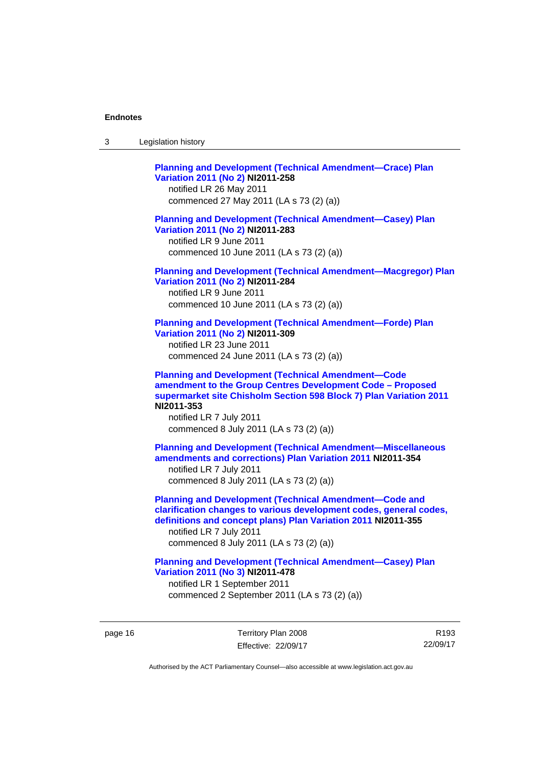| ົ<br>- 3 | Legislation history |
|----------|---------------------|
|----------|---------------------|

**[Planning and Development \(Technical Amendment—Crace\) Plan](http://www.legislation.act.gov.au/ni/2011-258/)  [Variation 2011 \(No 2\)](http://www.legislation.act.gov.au/ni/2011-258/) NI2011-258**  notified LR 26 May 2011 commenced 27 May 2011 (LA s 73 (2) (a)) **[Planning and Development \(Technical Amendment—Casey\) Plan](http://www.legislation.act.gov.au/ni/2011-283/)  [Variation 2011 \(No 2\)](http://www.legislation.act.gov.au/ni/2011-283/) NI2011-283**  notified LR 9 June 2011 commenced 10 June 2011 (LA s 73 (2) (a)) **[Planning and Development \(Technical Amendment—Macgregor\) Plan](http://www.legislation.act.gov.au/ni/2011-284/)  [Variation 2011 \(No 2\)](http://www.legislation.act.gov.au/ni/2011-284/) NI2011-284**  notified LR 9 June 2011 commenced 10 June 2011 (LA s 73 (2) (a)) **[Planning and Development \(Technical Amendment—Forde\) Plan](http://www.legislation.act.gov.au/ni/2011-309/)  [Variation 2011 \(No 2\)](http://www.legislation.act.gov.au/ni/2011-309/) NI2011-309**  notified LR 23 June 2011 commenced 24 June 2011 (LA s 73 (2) (a)) **[Planning and Development \(Technical Amendment—Code](http://www.legislation.act.gov.au/ni/2011-353/)  [amendment to the Group Centres Development Code – Proposed](http://www.legislation.act.gov.au/ni/2011-353/)  [supermarket site Chisholm Section 598 Block 7\) Plan Variation 2011](http://www.legislation.act.gov.au/ni/2011-353/) NI2011-353**  notified LR 7 July 2011 commenced 8 July 2011 (LA s 73 (2) (a)) **[Planning and Development \(Technical Amendment—Miscellaneous](http://www.legislation.act.gov.au/ni/2011-354/)  [amendments and corrections\) Plan Variation 2011](http://www.legislation.act.gov.au/ni/2011-354/) NI2011-354**  notified LR 7 July 2011 commenced 8 July 2011 (LA s 73 (2) (a)) **[Planning and Development \(Technical Amendment—Code and](http://www.legislation.act.gov.au/ni/2011-355/)  [clarification changes to various development codes, general codes,](http://www.legislation.act.gov.au/ni/2011-355/)  [definitions and concept plans\) Plan Variation 2011](http://www.legislation.act.gov.au/ni/2011-355/) NI2011-355**  notified LR 7 July 2011 commenced 8 July 2011 (LA s 73 (2) (a)) **[Planning and Development \(Technical Amendment—Casey\) Plan](http://www.legislation.act.gov.au/ni/2011-478/)  [Variation 2011 \(No 3\)](http://www.legislation.act.gov.au/ni/2011-478/) NI2011-478** 

notified LR 1 September 2011 commenced 2 September 2011 (LA s 73 (2) (a))

page 16 Territory Plan 2008 Effective: 22/09/17

R193 22/09/17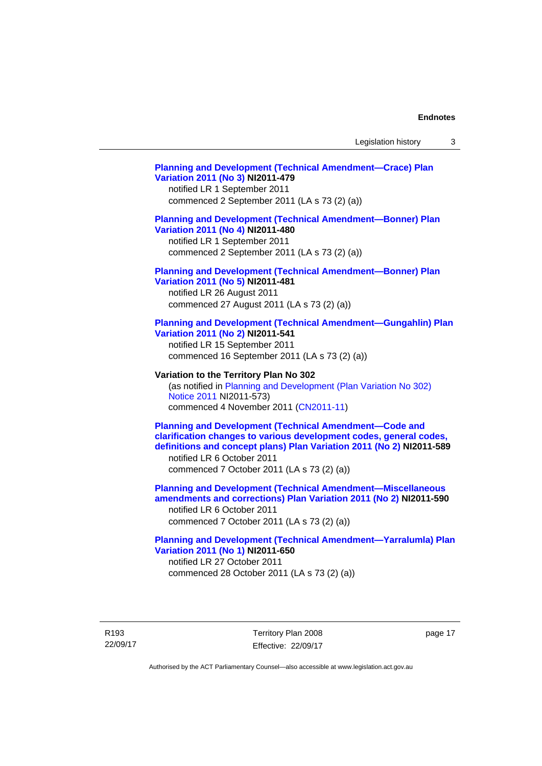# **[Planning and Development \(Technical Amendment—Crace\) Plan](http://www.legislation.act.gov.au/ni/2011-479/)  [Variation 2011 \(No 3\)](http://www.legislation.act.gov.au/ni/2011-479/) NI2011-479**  notified LR 1 September 2011 commenced 2 September 2011 (LA s 73 (2) (a)) **[Planning and Development \(Technical Amendment—Bonner\) Plan](http://www.legislation.act.gov.au/ni/2011-480/)  [Variation 2011 \(No 4\)](http://www.legislation.act.gov.au/ni/2011-480/) NI2011-480**  notified LR 1 September 2011 commenced 2 September 2011 (LA s 73 (2) (a)) **[Planning and Development \(Technical Amendment—Bonner\) Plan](http://www.legislation.act.gov.au/ni/2011-481/)  [Variation 2011 \(No 5\)](http://www.legislation.act.gov.au/ni/2011-481/) NI2011-481**  notified LR 26 August 2011 commenced 27 August 2011 (LA s 73 (2) (a)) **[Planning and Development \(Technical Amendment—Gungahlin\) Plan](http://www.legislation.act.gov.au/ni/2011-541/)  [Variation 2011 \(No 2\)](http://www.legislation.act.gov.au/ni/2011-541/) NI2011-541**  notified LR 15 September 2011 commenced 16 September 2011 (LA s 73 (2) (a)) **Variation to the Territory Plan No 302**  (as notified in [Planning and Development \(Plan Variation No 302\)](http://www.legislation.act.gov.au/ni/2011-573/)  [Notice 2011](http://www.legislation.act.gov.au/ni/2011-573/) NI2011-573) commenced 4 November 2011 ([CN2011-11](http://www.legislation.act.gov.au/cn/2011-11/)) **[Planning and Development \(Technical Amendment—Code and](http://www.legislation.act.gov.au/ni/2011-589/)  [clarification changes to various development codes, general codes,](http://www.legislation.act.gov.au/ni/2011-589/)  [definitions and concept plans\) Plan Variation 2011 \(No 2\)](http://www.legislation.act.gov.au/ni/2011-589/) NI2011-589**  notified LR 6 October 2011 commenced 7 October 2011 (LA s 73 (2) (a)) **[Planning and Development \(Technical Amendment—Miscellaneous](http://www.legislation.act.gov.au/ni/2011-590/)  [amendments and corrections\) Plan Variation 2011 \(No 2\)](http://www.legislation.act.gov.au/ni/2011-590/) NI2011-590**  notified LR 6 October 2011 commenced 7 October 2011 (LA s 73 (2) (a)) **[Planning and Development \(Technical Amendment—Yarralumla\) Plan](http://www.legislation.act.gov.au/ni/2011-650/)  [Variation 2011 \(No 1\)](http://www.legislation.act.gov.au/ni/2011-650/) NI2011-650**

notified LR 27 October 2011 commenced 28 October 2011 (LA s 73 (2) (a))

R193 22/09/17 Territory Plan 2008 Effective: 22/09/17 page 17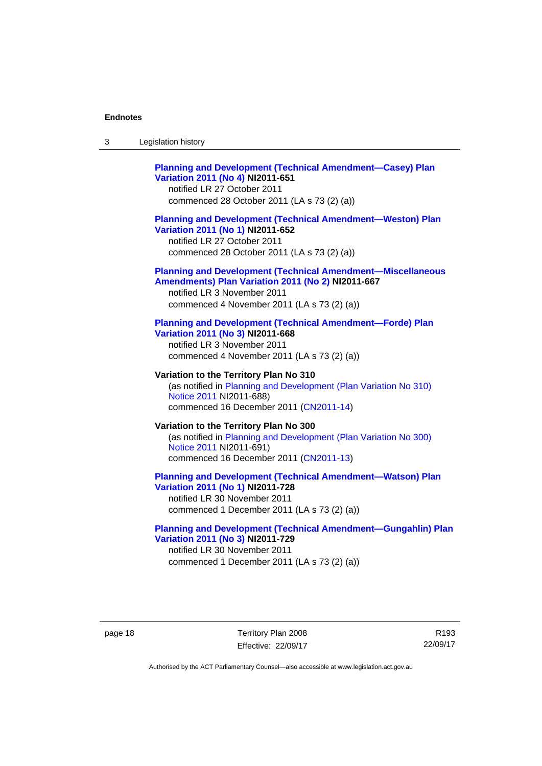| -3 | Legislation history |  |
|----|---------------------|--|
|----|---------------------|--|

# **[Planning and Development \(Technical Amendment—Casey\) Plan](http://www.legislation.act.gov.au/ni/2011-651/)  [Variation 2011 \(No 4\)](http://www.legislation.act.gov.au/ni/2011-651/) NI2011-651**

notified LR 27 October 2011 commenced 28 October 2011 (LA s 73 (2) (a))

### **[Planning and Development \(Technical Amendment—Weston\) Plan](http://www.legislation.act.gov.au/ni/2011-652/)  [Variation 2011 \(No 1\)](http://www.legislation.act.gov.au/ni/2011-652/) NI2011-652**

notified LR 27 October 2011 commenced 28 October 2011 (LA s 73 (2) (a))

### **[Planning and Development \(Technical Amendment—Miscellaneous](http://www.legislation.act.gov.au/ni/2011-667/)  [Amendments\) Plan Variation 2011 \(No 2\)](http://www.legislation.act.gov.au/ni/2011-667/) NI2011-667**

notified LR 3 November 2011 commenced 4 November 2011 (LA s 73 (2) (a))

### **[Planning and Development \(Technical Amendment—Forde\) Plan](http://www.legislation.act.gov.au/ni/2011-668/)  [Variation 2011 \(No 3\)](http://www.legislation.act.gov.au/ni/2011-668/) NI2011-668**

notified LR 3 November 2011 commenced 4 November 2011 (LA s 73 (2) (a))

**Variation to the Territory Plan No 310**  (as notified in [Planning and Development \(Plan Variation No 310\)](http://www.legislation.act.gov.au/ni/2011-688/)  [Notice 2011](http://www.legislation.act.gov.au/ni/2011-688/) NI2011-688) commenced 16 December 2011 [\(CN2011-14\)](http://www.legislation.act.gov.au/cn/2011-14/)

### **Variation to the Territory Plan No 300**  (as notified in [Planning and Development \(Plan Variation No 300\)](http://www.legislation.act.gov.au/ni/2011-691/)  [Notice 2011](http://www.legislation.act.gov.au/ni/2011-691/) NI2011-691) commenced 16 December 2011 [\(CN2011-13\)](http://www.legislation.act.gov.au/cn/2011-13/)

### **[Planning and Development \(Technical Amendment—Watson\) Plan](http://www.legislation.act.gov.au/ni/2011-728/)  [Variation 2011 \(No 1\)](http://www.legislation.act.gov.au/ni/2011-728/) NI2011-728**

notified LR 30 November 2011 commenced 1 December 2011 (LA s 73 (2) (a))

## **[Planning and Development \(Technical Amendment—Gungahlin\) Plan](http://www.legislation.act.gov.au/ni/2011-729/)  [Variation 2011 \(No 3\)](http://www.legislation.act.gov.au/ni/2011-729/) NI2011-729**

notified LR 30 November 2011 commenced 1 December 2011 (LA s 73 (2) (a))

page 18 Territory Plan 2008 Effective: 22/09/17

R193 22/09/17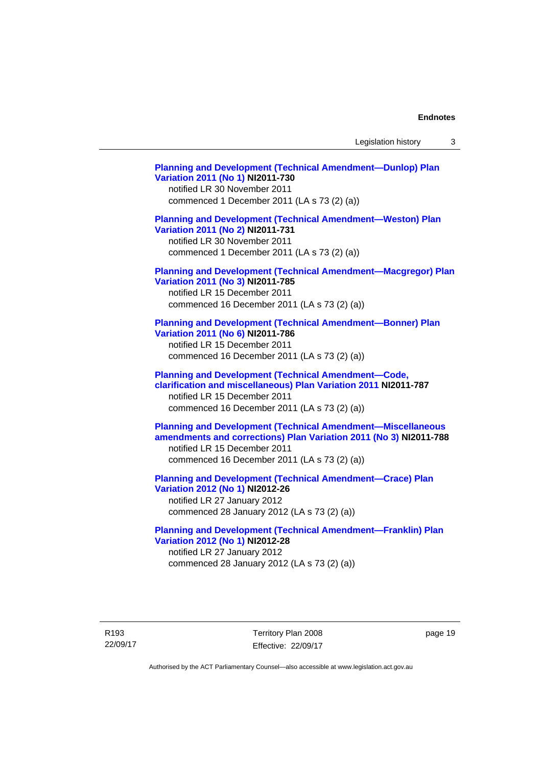Legislation history 3

**[Planning and Development \(Technical Amendment—Dunlop\) Plan](http://www.legislation.act.gov.au/ni/2011-730/)  [Variation 2011 \(No 1\)](http://www.legislation.act.gov.au/ni/2011-730/) NI2011-730**  notified LR 30 November 2011 commenced 1 December 2011 (LA s 73 (2) (a)) **[Planning and Development \(Technical Amendment—Weston\) Plan](http://www.legislation.act.gov.au/ni/2011-731/)  [Variation 2011 \(No 2\)](http://www.legislation.act.gov.au/ni/2011-731/) NI2011-731**  notified LR 30 November 2011 commenced 1 December 2011 (LA s 73 (2) (a)) **[Planning and Development \(Technical Amendment—Macgregor\) Plan](http://www.legislation.act.gov.au/ni/2011-785/)  [Variation 2011 \(No 3\)](http://www.legislation.act.gov.au/ni/2011-785/) NI2011-785**  notified LR 15 December 2011 commenced 16 December 2011 (LA s 73 (2) (a)) **[Planning and Development \(Technical Amendment—Bonner\) Plan](http://www.legislation.act.gov.au/ni/2011-786/)  [Variation 2011 \(No 6\)](http://www.legislation.act.gov.au/ni/2011-786/) NI2011-786**  notified LR 15 December 2011 commenced 16 December 2011 (LA s 73 (2) (a)) **[Planning and Development \(Technical Amendment—Code,](http://www.legislation.act.gov.au/ni/2011-787/)  [clarification and miscellaneous\) Plan Variation 2011](http://www.legislation.act.gov.au/ni/2011-787/) NI2011-787**  notified LR 15 December 2011 commenced 16 December 2011 (LA s 73 (2) (a)) **[Planning and Development \(Technical Amendment—Miscellaneous](http://www.legislation.act.gov.au/ni/2011-788/)  [amendments and corrections\) Plan Variation 2011 \(No 3\)](http://www.legislation.act.gov.au/ni/2011-788/) NI2011-788**  notified LR 15 December 2011 commenced 16 December 2011 (LA s 73 (2) (a)) **[Planning and Development \(Technical Amendment—Crace\) Plan](http://www.legislation.act.gov.au/ni/2012-26/)  [Variation 2012 \(No 1\)](http://www.legislation.act.gov.au/ni/2012-26/) NI2012-26**  notified LR 27 January 2012 commenced 28 January 2012 (LA s 73 (2) (a)) **[Planning and Development \(Technical Amendment—Franklin\) Plan](http://www.legislation.act.gov.au/ni/2012-28/)  [Variation 2012 \(No 1\)](http://www.legislation.act.gov.au/ni/2012-28/) NI2012-28**  notified LR 27 January 2012

commenced 28 January 2012 (LA s 73 (2) (a))

R193 22/09/17 Territory Plan 2008 Effective: 22/09/17 page 19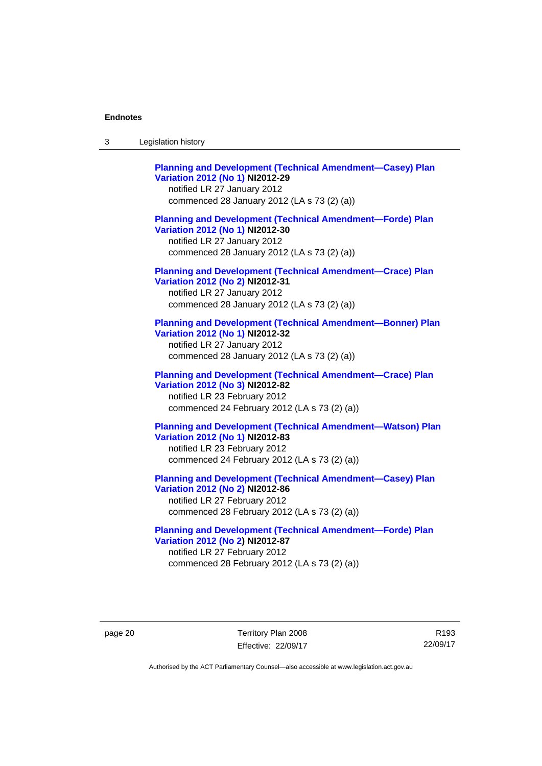| Legislation history<br>3 |  |
|--------------------------|--|
|--------------------------|--|

**[Planning and Development \(Technical Amendment—Casey\) Plan](http://www.legislation.act.gov.au/ni/2012-29/)  [Variation 2012 \(No 1\)](http://www.legislation.act.gov.au/ni/2012-29/) NI2012-29**  notified LR 27 January 2012 commenced 28 January 2012 (LA s 73 (2) (a)) **[Planning and Development \(Technical Amendment—Forde\) Plan](http://www.legislation.act.gov.au/ni/2012-30/)  [Variation 2012 \(No 1\)](http://www.legislation.act.gov.au/ni/2012-30/) NI2012-30**  notified LR 27 January 2012 commenced 28 January 2012 (LA s 73 (2) (a)) **[Planning and Development \(Technical Amendment—Crace\) Plan](http://www.legislation.act.gov.au/ni/2012-31/)  [Variation 2012 \(No 2\)](http://www.legislation.act.gov.au/ni/2012-31/) NI2012-31**  notified LR 27 January 2012 commenced 28 January 2012 (LA s 73 (2) (a)) **[Planning and Development \(Technical Amendment—Bonner\) Plan](http://www.legislation.act.gov.au/ni/2012-32/)  [Variation 2012 \(No 1\)](http://www.legislation.act.gov.au/ni/2012-32/) NI2012-32**  notified LR 27 January 2012 commenced 28 January 2012 (LA s 73 (2) (a)) **[Planning and Development \(Technical Amendment—Crace\) Plan](http://www.legislation.act.gov.au/ni/2012-82/)  [Variation 2012 \(No 3\)](http://www.legislation.act.gov.au/ni/2012-82/) NI2012-82**  notified LR 23 February 2012 commenced 24 February 2012 (LA s 73 (2) (a)) **[Planning and Development \(Technical Amendment—Watson\) Plan](http://www.legislation.act.gov.au/ni/2012-83/)  [Variation 2012 \(No 1\)](http://www.legislation.act.gov.au/ni/2012-83/) NI2012-83**  notified LR 23 February 2012 commenced 24 February 2012 (LA s 73 (2) (a)) **[Planning and Development \(Technical Amendment—Casey\) Plan](http://www.legislation.act.gov.au/ni/2012-86/)  [Variation 2012 \(No 2\)](http://www.legislation.act.gov.au/ni/2012-86/) NI2012-86**  notified LR 27 February 2012

commenced 28 February 2012 (LA s 73 (2) (a))

**[Planning and Development \(Technical Amendment—Forde\) Plan](http://www.legislation.act.gov.au/ni/2012-87/)  [Variation 2012 \(No 2\)](http://www.legislation.act.gov.au/ni/2012-87/) NI2012-87**  notified LR 27 February 2012 commenced 28 February 2012 (LA s 73 (2) (a))

page 20 Territory Plan 2008 Effective: 22/09/17

R193 22/09/17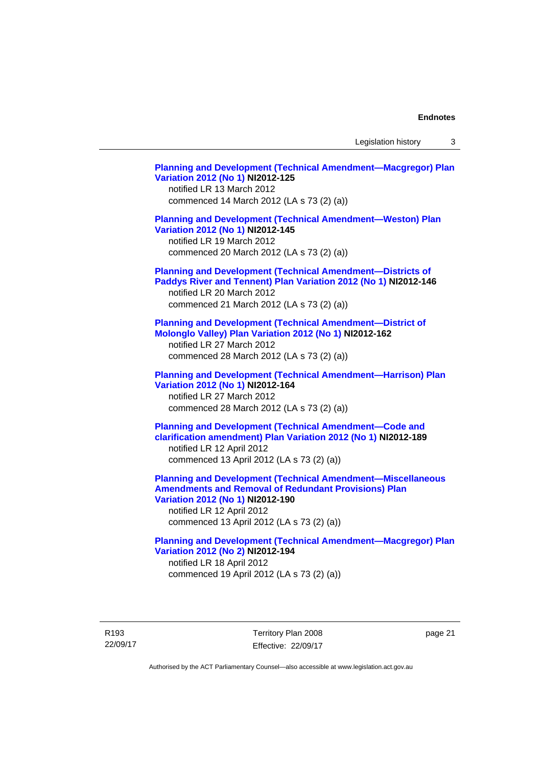Legislation history 3

**[Planning and Development \(Technical Amendment—Macgregor\) Plan](http://www.legislation.act.gov.au/ni/2012-125/)  [Variation 2012 \(No 1\)](http://www.legislation.act.gov.au/ni/2012-125/) NI2012-125**  notified LR 13 March 2012 commenced 14 March 2012 (LA s 73 (2) (a)) **[Planning and Development \(Technical Amendment—Weston\) Plan](http://www.legislation.act.gov.au/ni/2012-145/)  [Variation 2012 \(No 1\)](http://www.legislation.act.gov.au/ni/2012-145/) NI2012-145**  notified LR 19 March 2012 commenced 20 March 2012 (LA s 73 (2) (a)) **[Planning and Development \(Technical Amendment—Districts of](http://www.legislation.act.gov.au/ni/2012-146/)  [Paddys River and Tennent\) Plan Variation 2012 \(No 1\)](http://www.legislation.act.gov.au/ni/2012-146/) NI2012-146**  notified LR 20 March 2012 commenced 21 March 2012 (LA s 73 (2) (a)) **[Planning and Development \(Technical Amendment—District of](http://www.legislation.act.gov.au/ni/2012-162/)  [Molonglo Valley\) Plan Variation 2012 \(No 1\)](http://www.legislation.act.gov.au/ni/2012-162/) NI2012-162**  notified LR 27 March 2012 commenced 28 March 2012 (LA s 73 (2) (a)) **[Planning and Development \(Technical Amendment—Harrison\) Plan](http://www.legislation.act.gov.au/ni/2012-164/)  [Variation 2012 \(No 1\)](http://www.legislation.act.gov.au/ni/2012-164/) NI2012-164**  notified LR 27 March 2012 commenced 28 March 2012 (LA s 73 (2) (a)) **[Planning and Development \(Technical Amendment—Code and](http://www.legislation.act.gov.au/ni/2012-189/)  [clarification amendment\) Plan Variation 2012 \(No 1\)](http://www.legislation.act.gov.au/ni/2012-189/) NI2012-189**  notified LR 12 April 2012 commenced 13 April 2012 (LA s 73 (2) (a)) **[Planning and Development \(Technical Amendment—Miscellaneous](http://www.legislation.act.gov.au/ni/2012-190/)  [Amendments and Removal of Redundant Provisions\) Plan](http://www.legislation.act.gov.au/ni/2012-190/)  [Variation 2012 \(No 1\)](http://www.legislation.act.gov.au/ni/2012-190/) NI2012-190**  notified LR 12 April 2012 commenced 13 April 2012 (LA s 73 (2) (a)) **[Planning and Development \(Technical Amendment—Macgregor\) Plan](http://www.legislation.act.gov.au/ni/2012-194/)  [Variation 2012 \(No 2\)](http://www.legislation.act.gov.au/ni/2012-194/) NI2012-194**  notified LR 18 April 2012 commenced 19 April 2012 (LA s 73 (2) (a))

R193 22/09/17 Territory Plan 2008 Effective: 22/09/17 page 21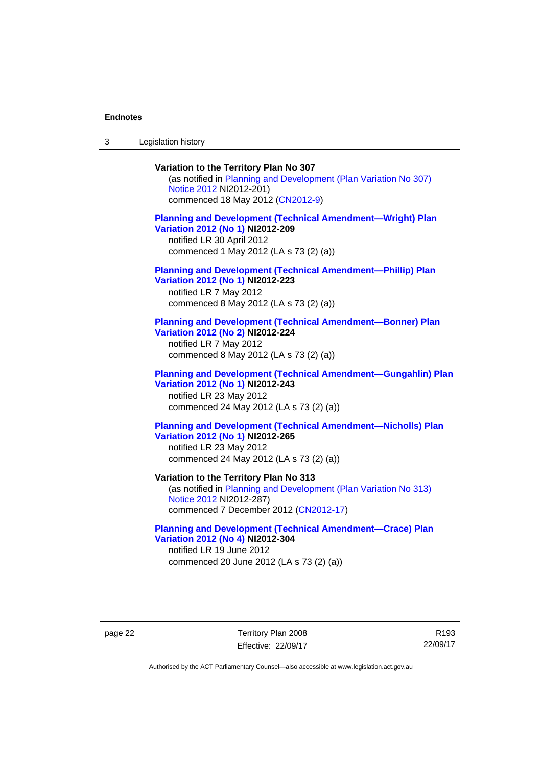3 Legislation history

# **Variation to the Territory Plan No 307**

(as notified in [Planning and Development \(Plan Variation No 307\)](http://www.legislation.act.gov.au/ni/2012-201/)  [Notice 2012](http://www.legislation.act.gov.au/ni/2012-201/) NI2012-201) commenced 18 May 2012 [\(CN2012-9\)](http://www.legislation.act.gov.au/cn/2012-9/)

## **[Planning and Development \(Technical Amendment—Wright\) Plan](http://www.legislation.act.gov.au/ni/2012-209/)  [Variation 2012 \(No 1\)](http://www.legislation.act.gov.au/ni/2012-209/) NI2012-209**

notified LR 30 April 2012 commenced 1 May 2012 (LA s 73 (2) (a))

### **[Planning and Development \(Technical Amendment—Phillip\) Plan](http://www.legislation.act.gov.au/ni/2012-223/)  [Variation 2012 \(No 1\)](http://www.legislation.act.gov.au/ni/2012-223/) NI2012-223**

notified LR 7 May 2012 commenced 8 May 2012 (LA s 73 (2) (a))

### **[Planning and Development \(Technical Amendment—Bonner\) Plan](http://www.legislation.act.gov.au/ni/2012-224/)  [Variation 2012 \(No 2\)](http://www.legislation.act.gov.au/ni/2012-224/) NI2012-224**

notified LR 7 May 2012 commenced 8 May 2012 (LA s 73 (2) (a))

## **[Planning and Development \(Technical Amendment—Gungahlin\) Plan](http://www.legislation.act.gov.au/ni/2012-243/)  [Variation 2012 \(No 1\)](http://www.legislation.act.gov.au/ni/2012-243/) NI2012-243**  notified LR 23 May 2012

commenced 24 May 2012 (LA s 73 (2) (a))

## **[Planning and Development \(Technical Amendment—Nicholls\) Plan](http://www.legislation.act.gov.au/ni/2012-265/)  [Variation 2012 \(No 1\)](http://www.legislation.act.gov.au/ni/2012-265/) NI2012-265**

notified LR 23 May 2012 commenced 24 May 2012 (LA s 73 (2) (a))

### **Variation to the Territory Plan No 313**

(as notified in [Planning and Development \(Plan Variation No 313\)](http://www.legislation.act.gov.au/ni/2012-287/default.asp)  [Notice 2012](http://www.legislation.act.gov.au/ni/2012-287/default.asp) NI2012-287) commenced 7 December 2012 ([CN2012-17](http://www.legislation.act.gov.au/cn/2012-17/default.asp))

### **[Planning and Development \(Technical Amendment—Crace\) Plan](http://www.legislation.act.gov.au/ni/2012-304/)  [Variation 2012 \(No 4\)](http://www.legislation.act.gov.au/ni/2012-304/) NI2012-304**

notified LR 19 June 2012 commenced 20 June 2012 (LA s 73 (2) (a))

page 22 Territory Plan 2008 Effective: 22/09/17

R193 22/09/17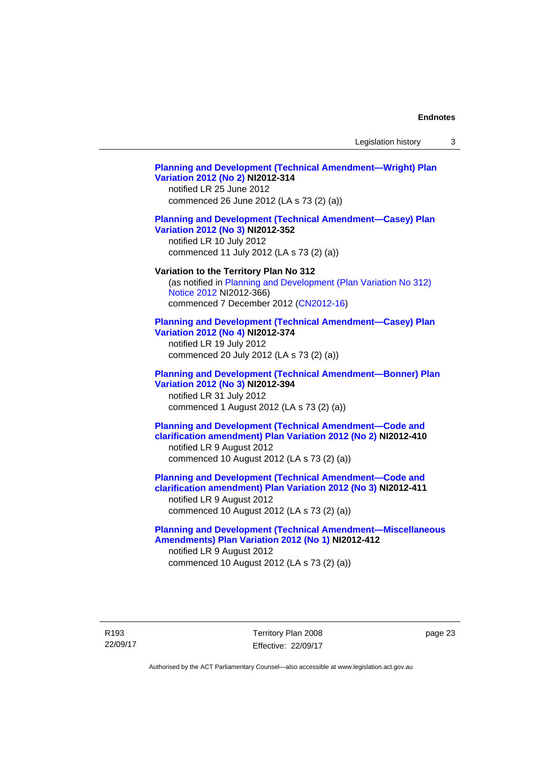Legislation history 3

# **[Planning and Development \(Technical Amendment—Wright\) Plan](http://www.legislation.act.gov.au/ni/2012-314/)  [Variation 2012 \(No 2\)](http://www.legislation.act.gov.au/ni/2012-314/) NI2012-314**  notified LR 25 June 2012 commenced 26 June 2012 (LA s 73 (2) (a)) **[Planning and Development \(Technical Amendment—Casey\) Plan](http://www.legislation.act.gov.au/ni/2012-352/)  [Variation 2012 \(No 3\)](http://www.legislation.act.gov.au/ni/2012-352/) NI2012-352**  notified LR 10 July 2012 commenced 11 July 2012 (LA s 73 (2) (a)) **Variation to the Territory Plan No 312**  (as notified in [Planning and Development \(Plan Variation No 312\)](http://www.legislation.act.gov.au/ni/2012-366/default.asp)  [Notice 2012](http://www.legislation.act.gov.au/ni/2012-366/default.asp) NI2012-366) commenced 7 December 2012 ([CN2012-16](http://www.legislation.act.gov.au/cn/2012-16/default.asp)) **[Planning and Development \(Technical Amendment—Casey\) Plan](http://www.legislation.act.gov.au/ni/2012-374/)  [Variation 2012 \(No 4\)](http://www.legislation.act.gov.au/ni/2012-374/) NI2012-374**  notified LR 19 July 2012 commenced 20 July 2012 (LA s 73 (2) (a)) **[Planning and Development \(Technical Amendment—Bonner\) Plan](http://www.legislation.act.gov.au/ni/2012-394/)  [Variation 2012 \(No 3\)](http://www.legislation.act.gov.au/ni/2012-394/) NI2012-394**  notified LR 31 July 2012 commenced 1 August 2012 (LA s 73 (2) (a)) **[Planning and Development \(Technical Amendment—Code and](http://www.legislation.act.gov.au/ni/2012-410/)  [clarification amendment\) Plan Variation 2012 \(No 2\)](http://www.legislation.act.gov.au/ni/2012-410/) NI2012-410**  notified LR 9 August 2012 commenced 10 August 2012 (LA s 73 (2) (a)) **[Planning and Development \(Technical Amendment—Code and](http://www.legislation.act.gov.au/ni/2012-411/)  [clarification amendment\) Plan Variation 2012 \(No 3\)](http://www.legislation.act.gov.au/ni/2012-411/) NI2012-411**  notified LR 9 August 2012 commenced 10 August 2012 (LA s 73 (2) (a)) **[Planning and Development \(Technical Amendment—Miscellaneous](http://www.legislation.act.gov.au/ni/2012-412/)  [Amendments\) Plan Variation 2012 \(No 1\)](http://www.legislation.act.gov.au/ni/2012-412/) NI2012-412**  notified LR 9 August 2012 commenced 10 August 2012 (LA s 73 (2) (a))

page 23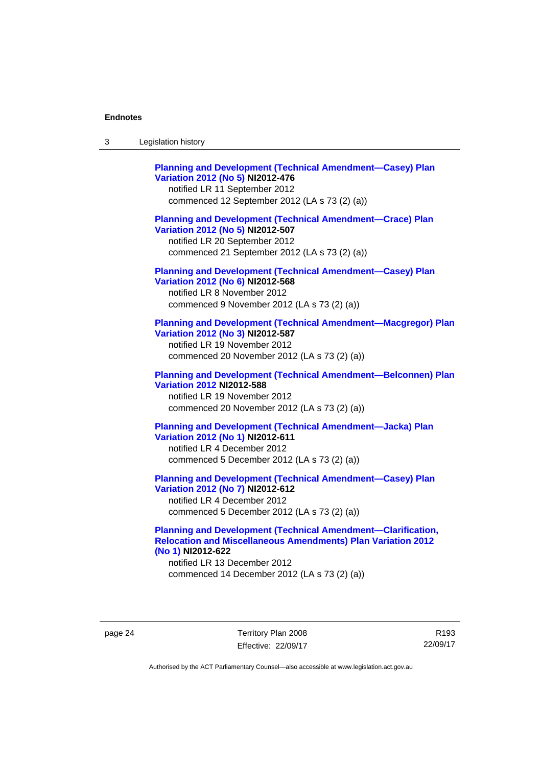| Legislation history<br>-3 |  |
|---------------------------|--|
|---------------------------|--|

| <b>Planning and Development (Technical Amendment-Casey) Plan</b><br>Variation 2012 (No 5) NI2012-476<br>notified LR 11 September 2012<br>commenced 12 September 2012 (LA s 73 (2) (a))   |
|------------------------------------------------------------------------------------------------------------------------------------------------------------------------------------------|
| <b>Planning and Development (Technical Amendment-Crace) Plan</b><br>Variation 2012 (No 5) NI2012-507<br>notified LR 20 September 2012<br>commenced 21 September 2012 (LA s 73 (2) (a))   |
| <b>Planning and Development (Technical Amendment-Casey) Plan</b><br>Variation 2012 (No 6) NI2012-568<br>notified LR 8 November 2012<br>commenced 9 November 2012 (LA s 73 (2) (a))       |
| <b>Planning and Development (Technical Amendment-Macgregor) Plan</b><br>Variation 2012 (No 3) NI2012-587<br>notified LR 19 November 2012<br>commenced 20 November 2012 (LA s 73 (2) (a)) |
| <b>Planning and Development (Technical Amendment-Belconnen) Plan</b><br><b>Variation 2012 NI2012-588</b><br>notified LR 19 November 2012<br>commenced 20 November 2012 (LA s 73 (2) (a)) |
| <b>Planning and Development (Technical Amendment-Jacka) Plan</b><br>Variation 2012 (No 1) NI2012-611<br>notified LR 4 December 2012<br>commenced 5 December 2012 (LA s 73 (2) (a))       |
| <b>Planning and Development (Technical Amendment-Casey) Plan</b><br>Variation 2012 (No 7) NI2012-612<br>notified LR 4 December 2012<br>commenced 5 December 2012 (LA s 73 (2) (a))       |

## **[Planning and Development \(Technical Amendment—Clarification,](http://www.legislation.act.gov.au/ni/2012-622/default.asp)  [Relocation and Miscellaneous Amendments\) Plan Variation 2012](http://www.legislation.act.gov.au/ni/2012-622/default.asp)  [\(No 1\)](http://www.legislation.act.gov.au/ni/2012-622/default.asp) NI2012-622**

notified LR 13 December 2012 commenced 14 December 2012 (LA s 73 (2) (a))

page 24 Territory Plan 2008 Effective: 22/09/17

R193 22/09/17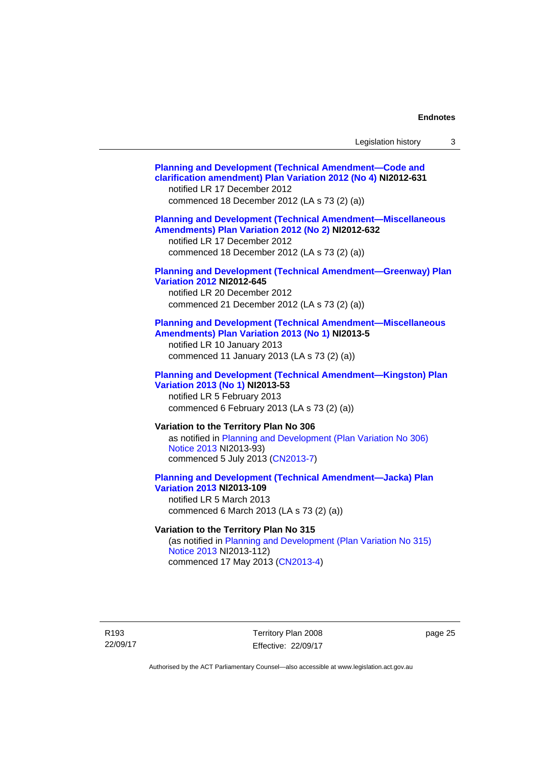| Legislation history |  |
|---------------------|--|
|---------------------|--|

| <b>Planning and Development (Technical Amendment-Code and</b><br>clarification amendment) Plan Variation 2012 (No 4) NI2012-631<br>notified LR 17 December 2012<br>commenced 18 December 2012 (LA s 73 (2) (a)) |
|-----------------------------------------------------------------------------------------------------------------------------------------------------------------------------------------------------------------|
| <b>Planning and Development (Technical Amendment-Miscellaneous</b><br>Amendments) Plan Variation 2012 (No 2) NI2012-632<br>notified LR 17 December 2012<br>commenced 18 December 2012 (LA s 73 (2) (a))         |
| <b>Planning and Development (Technical Amendment-Greenway) Plan</b><br><b>Variation 2012 NI2012-645</b><br>notified LR 20 December 2012<br>commenced 21 December 2012 (LA s 73 (2) (a))                         |
| <b>Planning and Development (Technical Amendment-Miscellaneous</b><br>Amendments) Plan Variation 2013 (No 1) NI2013-5<br>notified LR 10 January 2013<br>commenced 11 January 2013 (LA s 73 (2) (a))             |
| <b>Planning and Development (Technical Amendment-Kingston) Plan</b><br>Variation 2013 (No 1) NI2013-53<br>notified LR 5 February 2013<br>commenced 6 February 2013 (LA s 73 (2) (a))                            |
| Variation to the Territory Plan No 306<br>as notified in Planning and Development (Plan Variation No 306)<br>Notice 2013 NI2013-93)<br>commenced 5 July 2013 (CN2013-7)                                         |
| <b>Planning and Development (Technical Amendment-Jacka) Plan</b><br><b>Variation 2013 NI2013-109</b><br>notified LR 5 March 2013<br>commenced 6 March 2013 (LA s 73 (2) (a))                                    |
| Variation to the Territory Plan No 315<br>(as notified in Planning and Development (Plan Variation No 315)<br>Notice 2013 NI2013-112)                                                                           |
|                                                                                                                                                                                                                 |

commenced 17 May 2013 [\(CN2013-4\)](http://www.legislation.act.gov.au/cn/2013-4/default.asp)

R193 22/09/17

Territory Plan 2008 Effective: 22/09/17 page 25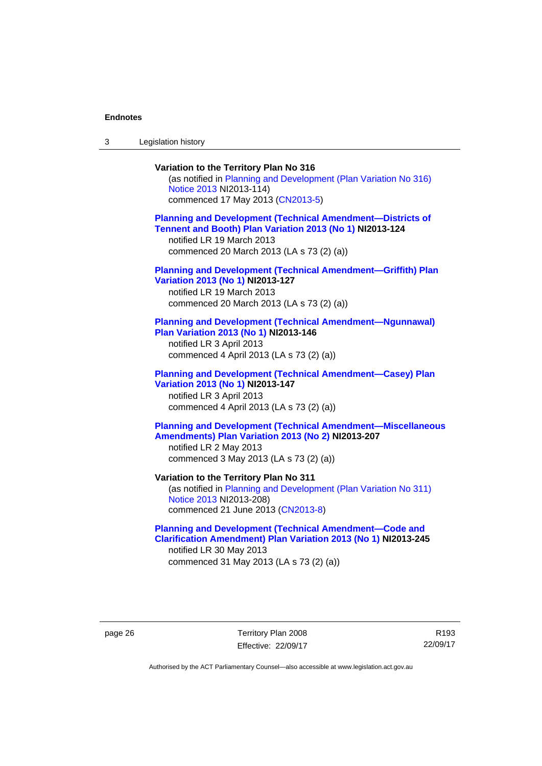3 Legislation history

# **Variation to the Territory Plan No 316**  (as notified in [Planning and Development \(Plan Variation No 316\)](http://www.legislation.act.gov.au/ni/2013-114/default.asp)  [Notice 2013](http://www.legislation.act.gov.au/ni/2013-114/default.asp) NI2013-114) commenced 17 May 2013 [\(CN2013-5\)](http://www.legislation.act.gov.au/cn/2013-5/default.asp) **[Planning and Development \(Technical Amendment—Districts of](http://www.legislation.act.gov.au/ni/2013-124/default.asp)  [Tennent and Booth\) Plan Variation 2013 \(No 1\)](http://www.legislation.act.gov.au/ni/2013-124/default.asp) NI2013-124**  notified LR 19 March 2013 commenced 20 March 2013 (LA s 73 (2) (a)) **[Planning and Development \(Technical Amendment—Griffith\) Plan](http://www.legislation.act.gov.au/ni/2013-127/default.asp)  [Variation 2013 \(No 1\)](http://www.legislation.act.gov.au/ni/2013-127/default.asp) NI2013-127**  notified LR 19 March 2013 commenced 20 March 2013 (LA s 73 (2) (a)) **[Planning and Development \(Technical Amendment—Ngunnawal\)](http://www.legislation.act.gov.au/ni/2013-146/default.asp)  [Plan Variation 2013 \(No 1\)](http://www.legislation.act.gov.au/ni/2013-146/default.asp) NI2013-146**  notified LR 3 April 2013 commenced 4 April 2013 (LA s 73 (2) (a)) **[Planning and Development \(Technical Amendment—Casey\) Plan](http://www.legislation.act.gov.au/ni/2013-147/default.asp)  [Variation 2013 \(No 1\)](http://www.legislation.act.gov.au/ni/2013-147/default.asp) NI2013-147**  notified LR 3 April 2013 commenced 4 April 2013 (LA s 73 (2) (a)) **[Planning and Development \(Technical Amendment—Miscellaneous](http://www.legislation.act.gov.au/ni/2013-207/default.asp)  [Amendments\) Plan Variation 2013 \(No 2\)](http://www.legislation.act.gov.au/ni/2013-207/default.asp) NI2013-207**  notified LR 2 May 2013 commenced 3 May 2013 (LA s 73 (2) (a)) **Variation to the Territory Plan No 311**  (as notified in [Planning and Development \(Plan Variation No 311\)](http://www.legislation.act.gov.au/ni/2013-208/default.asp)  [Notice 2013](http://www.legislation.act.gov.au/ni/2013-208/default.asp) NI2013-208) commenced 21 June 2013 ([CN2013-8\)](http://www.legislation.act.gov.au/cn/2013-8/default.asp) **[Planning and Development \(Technical Amendment—Code and](http://www.legislation.act.gov.au/ni/2013-245/default.asp)  [Clarification Amendment\) Plan Variation 2013 \(No 1\)](http://www.legislation.act.gov.au/ni/2013-245/default.asp) NI2013-245**

notified LR 30 May 2013 commenced 31 May 2013 (LA s 73 (2) (a))

page 26 Territory Plan 2008 Effective: 22/09/17

R193 22/09/17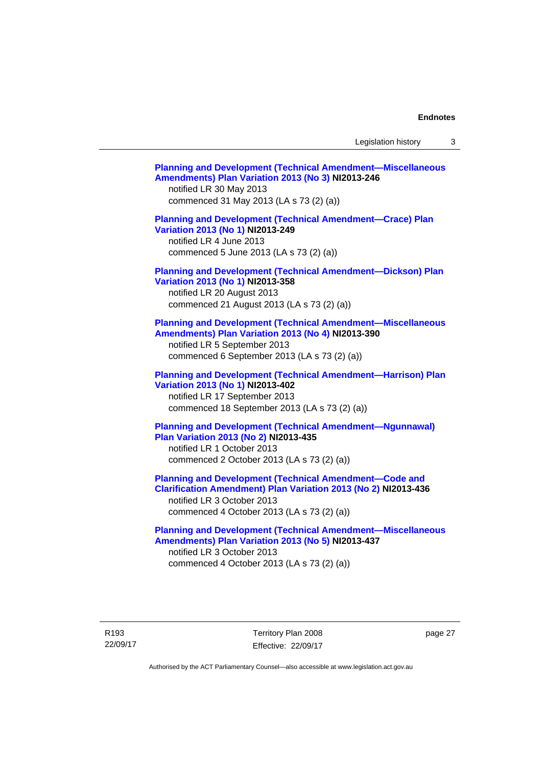Legislation history 3

| <b>Planning and Development (Technical Amendment-Miscellaneous</b><br>Amendments) Plan Variation 2013 (No 3) NI2013-246<br>notified LR 30 May 2013<br>commenced 31 May 2013 (LA s 73 (2) (a))               |  |
|-------------------------------------------------------------------------------------------------------------------------------------------------------------------------------------------------------------|--|
| <b>Planning and Development (Technical Amendment-Crace) Plan</b><br>Variation 2013 (No 1) NI2013-249<br>notified LR 4 June 2013<br>commenced 5 June 2013 (LA s 73 (2) (a))                                  |  |
| <b>Planning and Development (Technical Amendment-Dickson) Plan</b><br>Variation 2013 (No 1) NI2013-358<br>notified LR 20 August 2013<br>commenced 21 August 2013 (LA s 73 (2) (a))                          |  |
| <b>Planning and Development (Technical Amendment-Miscellaneous</b><br>Amendments) Plan Variation 2013 (No 4) NI2013-390<br>notified LR 5 September 2013<br>commenced 6 September 2013 (LA s 73 (2) (a))     |  |
| <b>Planning and Development (Technical Amendment-Harrison) Plan</b><br>Variation 2013 (No 1) NI2013-402<br>notified LR 17 September 2013<br>commenced 18 September 2013 (LA s 73 (2) (a))                   |  |
| <b>Planning and Development (Technical Amendment-Ngunnawal)</b><br><b>Plan Variation 2013 (No 2) NI2013-435</b><br>notified LR 1 October 2013<br>commenced 2 October 2013 (LA s 73 (2) (a))                 |  |
| <b>Planning and Development (Technical Amendment-Code and</b><br>Clarification Amendment) Plan Variation 2013 (No 2) NI2013-436<br>notified LR 3 October 2013<br>commenced 4 October 2013 (LA s 73 (2) (a)) |  |
| <b>Planning and Development (Technical Amendment-Miscellaneous</b><br>Amendments) Plan Variation 2013 (No 5) NI2013-437<br>notified LR 3 October 2013<br>commenced 4 October 2013 (LA s 73 (2) (a))         |  |

R193 22/09/17 Territory Plan 2008 Effective: 22/09/17

page 27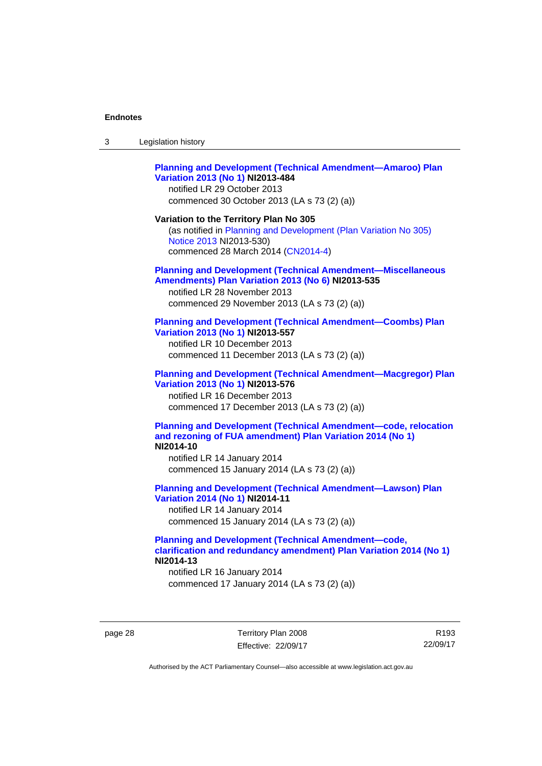| 3 | Legislation history |  |
|---|---------------------|--|
|---|---------------------|--|

## **[Planning and Development \(Technical Amendment—Amaroo\) Plan](http://www.legislation.act.gov.au/ni/2013-484/default.asp)  [Variation 2013 \(No 1\)](http://www.legislation.act.gov.au/ni/2013-484/default.asp) NI2013-484**

notified LR 29 October 2013 commenced 30 October 2013 (LA s 73 (2) (a))

### **Variation to the Territory Plan No 305**

(as notified in [Planning and Development \(Plan Variation No 305\)](http://www.legislation.act.gov.au/ni/2013-530/default.asp)  [Notice 2013](http://www.legislation.act.gov.au/ni/2013-530/default.asp) NI2013-530) commenced 28 March 2014 [\(CN2014-4\)](http://www.legislation.act.gov.au/cn/2014-4/default.asp)

### **[Planning and Development \(Technical Amendment—Miscellaneous](http://www.legislation.act.gov.au/ni/2013-535/default.asp)  [Amendments\) Plan Variation 2013 \(No 6\)](http://www.legislation.act.gov.au/ni/2013-535/default.asp) NI2013-535**

notified LR 28 November 2013 commenced 29 November 2013 (LA s 73 (2) (a))

### **[Planning and Development \(Technical Amendment—Coombs\) Plan](http://www.legislation.act.gov.au/ni/2013-557/default.asp)  [Variation 2013 \(No 1\)](http://www.legislation.act.gov.au/ni/2013-557/default.asp) NI2013-557**

notified LR 10 December 2013 commenced 11 December 2013 (LA s 73 (2) (a))

# **[Planning and Development \(Technical Amendment—Macgregor\) Plan](http://www.legislation.act.gov.au/ni/2013-576/default.asp)  [Variation 2013 \(No 1\)](http://www.legislation.act.gov.au/ni/2013-576/default.asp) NI2013-576**  notified LR 16 December 2013

commenced 17 December 2013 (LA s 73 (2) (a))

### **[Planning and Development \(Technical Amendment—code, relocation](http://www.legislation.act.gov.au/ni/2014-10/default.asp)  [and rezoning of FUA amendment\) Plan Variation 2014 \(No 1\)](http://www.legislation.act.gov.au/ni/2014-10/default.asp) NI2014-10**

notified LR 14 January 2014 commenced 15 January 2014 (LA s 73 (2) (a))

## **[Planning and Development \(Technical Amendment—Lawson\) Plan](http://www.legislation.act.gov.au/ni/2014-11/default.asp)  [Variation 2014 \(No 1\)](http://www.legislation.act.gov.au/ni/2014-11/default.asp) NI2014-11**

notified LR 14 January 2014 commenced 15 January 2014 (LA s 73 (2) (a))

## **[Planning and Development \(Technical Amendment—code,](http://www.legislation.act.gov.au/ni/2014-13/default.asp)  [clarification and redundancy amendment\) Plan Variation 2014 \(No 1\)](http://www.legislation.act.gov.au/ni/2014-13/default.asp) NI2014-13**

notified LR 16 January 2014 commenced 17 January 2014 (LA s 73 (2) (a))

page 28 Territory Plan 2008 Effective: 22/09/17

R193 22/09/17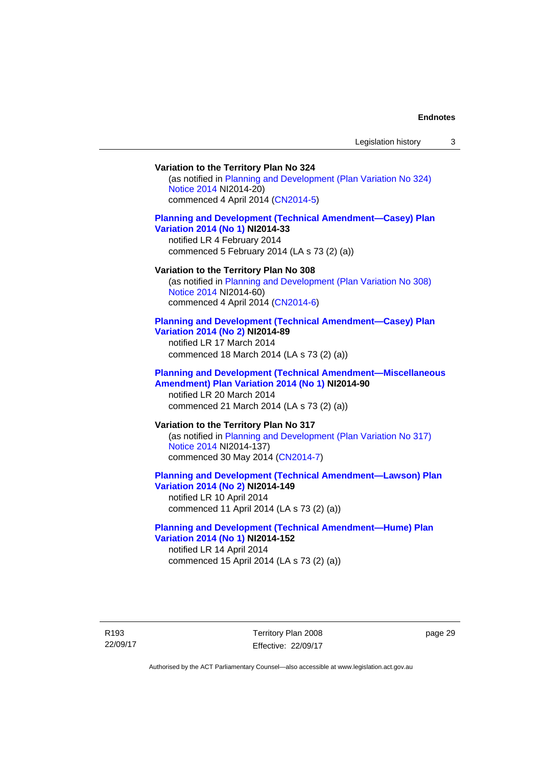## **Variation to the Territory Plan No 324**

(as notified in [Planning and Development \(Plan Variation No 324\)](http://www.legislation.act.gov.au/ni/2014-20/default.asp)  [Notice 2014](http://www.legislation.act.gov.au/ni/2014-20/default.asp) NI2014-20) commenced 4 April 2014 ([CN2014-5](http://www.legislation.act.gov.au/cn/2014-5/default.asp))

## **[Planning and Development \(Technical Amendment—Casey\) Plan](http://www.legislation.act.gov.au/ni/2014-33/default.asp)  [Variation 2014 \(No 1\)](http://www.legislation.act.gov.au/ni/2014-33/default.asp) NI2014-33**

notified LR 4 February 2014 commenced 5 February 2014 (LA s 73 (2) (a))

#### **Variation to the Territory Plan No 308**

(as notified in [Planning and Development \(Plan Variation No 308\)](http://www.legislation.act.gov.au/ni/2014-60/default.asp)  [Notice 2014](http://www.legislation.act.gov.au/ni/2014-60/default.asp) NI2014-60) commenced 4 April 2014 ([CN2014-6](http://www.legislation.act.gov.au/cn/2014-6/default.asp))

### **[Planning and Development \(Technical Amendment—Casey\) Plan](http://www.legislation.act.gov.au/ni/2014-89/default.asp)  [Variation 2014 \(No 2\)](http://www.legislation.act.gov.au/ni/2014-89/default.asp) NI2014-89**

notified LR 17 March 2014 commenced 18 March 2014 (LA s 73 (2) (a))

### **[Planning and Development \(Technical Amendment—Miscellaneous](http://www.legislation.act.gov.au/ni/2014-90/default.asp)  [Amendment\) Plan Variation 2014 \(No 1\)](http://www.legislation.act.gov.au/ni/2014-90/default.asp) NI2014-90**  notified LR 20 March 2014

commenced 21 March 2014 (LA s 73 (2) (a))

## **Variation to the Territory Plan No 317**

(as notified in [Planning and Development \(Plan Variation No 317\)](http://www.legislation.act.gov.au/ni/2014-137/default.asp)  [Notice 2014](http://www.legislation.act.gov.au/ni/2014-137/default.asp) NI2014-137) commenced 30 May 2014 [\(CN2014-7\)](http://www.legislation.act.gov.au/cn/2014-7/default.asp)

# **[Planning and Development \(Technical Amendment—Lawson\) Plan](http://www.legislation.act.gov.au/ni/2014-149/default.asp)  [Variation 2014 \(No 2\)](http://www.legislation.act.gov.au/ni/2014-149/default.asp) NI2014-149**

notified LR 10 April 2014 commenced 11 April 2014 (LA s 73 (2) (a))

## **[Planning and Development \(Technical Amendment—Hume\) Plan](http://www.legislation.act.gov.au/ni/2014-152/default.asp)  [Variation 2014 \(No 1\)](http://www.legislation.act.gov.au/ni/2014-152/default.asp) NI2014-152**

notified LR 14 April 2014 commenced 15 April 2014 (LA s 73 (2) (a))

R193 22/09/17 page 29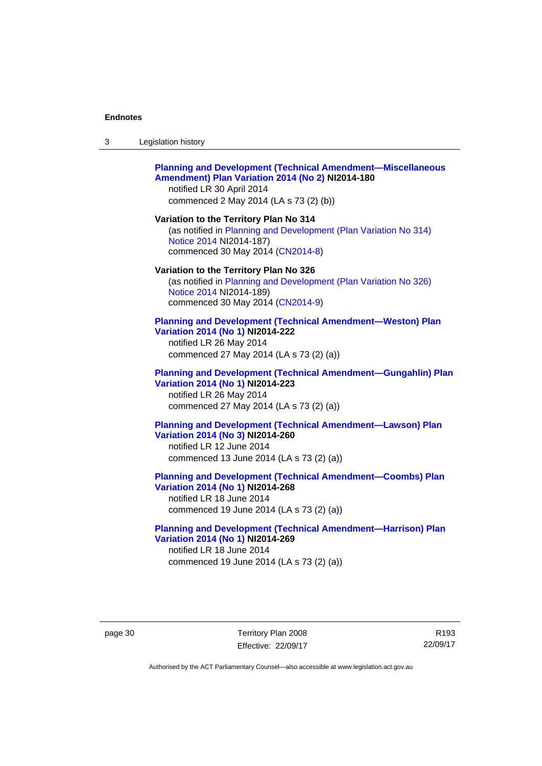| -3 | Legislation history |  |
|----|---------------------|--|
|----|---------------------|--|

### **[Planning and Development \(Technical Amendment—Miscellaneous](http://www.legislation.act.gov.au/ni/2014-180/default.asp)  [Amendment\) Plan Variation 2014 \(No 2\)](http://www.legislation.act.gov.au/ni/2014-180/default.asp) NI2014-180**  notified LR 30 April 2014

commenced 2 May 2014 (LA s 73 (2) (b))

**Variation to the Territory Plan No 314**  (as notified in [Planning and Development \(Plan Variation No 314\)](http://www.legislation.act.gov.au/ni/2014-187/default.asp)  [Notice 2014](http://www.legislation.act.gov.au/ni/2014-187/default.asp) NI2014-187)

commenced 30 May 2014 [\(CN2014-8\)](http://www.legislation.act.gov.au/cn/2014-8/default.asp)

### **Variation to the Territory Plan No 326**

(as notified in [Planning and Development \(Plan Variation No 326\)](http://www.legislation.act.gov.au/ni/2014-189/default.asp)  [Notice 2014](http://www.legislation.act.gov.au/ni/2014-189/default.asp) NI2014-189) commenced 30 May 2014 [\(CN2014-9\)](http://www.legislation.act.gov.au/cn/2014-9/default.asp)

### **[Planning and Development \(Technical Amendment—Weston\) Plan](http://www.legislation.act.gov.au/ni/2014-222/default.asp)  [Variation 2014 \(No 1\)](http://www.legislation.act.gov.au/ni/2014-222/default.asp) NI2014-222**

notified LR 26 May 2014 commenced 27 May 2014 (LA s 73 (2) (a))

## **[Planning and Development \(Technical Amendment—Gungahlin\) Plan](http://www.legislation.act.gov.au/ni/2014-223/default.asp)  [Variation 2014 \(No 1\)](http://www.legislation.act.gov.au/ni/2014-223/default.asp) NI2014-223**  notified LR 26 May 2014

commenced 27 May 2014 (LA s 73 (2) (a))

## **[Planning and Development \(Technical Amendment—Lawson\) Plan](http://www.legislation.act.gov.au/ni/2014-260/default.asp)  [Variation 2014 \(No 3\)](http://www.legislation.act.gov.au/ni/2014-260/default.asp) NI2014-260**

notified LR 12 June 2014 commenced 13 June 2014 (LA s 73 (2) (a))

### **[Planning and Development \(Technical Amendment—Coombs\) Plan](http://www.legislation.act.gov.au/ni/2014-268/default.asp)  [Variation 2014 \(No 1\)](http://www.legislation.act.gov.au/ni/2014-268/default.asp) NI2014-268**

notified LR 18 June 2014 commenced 19 June 2014 (LA s 73 (2) (a))

### **[Planning and Development \(Technical Amendment—Harrison\) Plan](http://www.legislation.act.gov.au/ni/2014-269/default.asp)  [Variation 2014 \(No 1\)](http://www.legislation.act.gov.au/ni/2014-269/default.asp) NI2014-269**  notified LR 18 June 2014

commenced 19 June 2014 (LA s 73 (2) (a))

page 30 Territory Plan 2008 Effective: 22/09/17

R193 22/09/17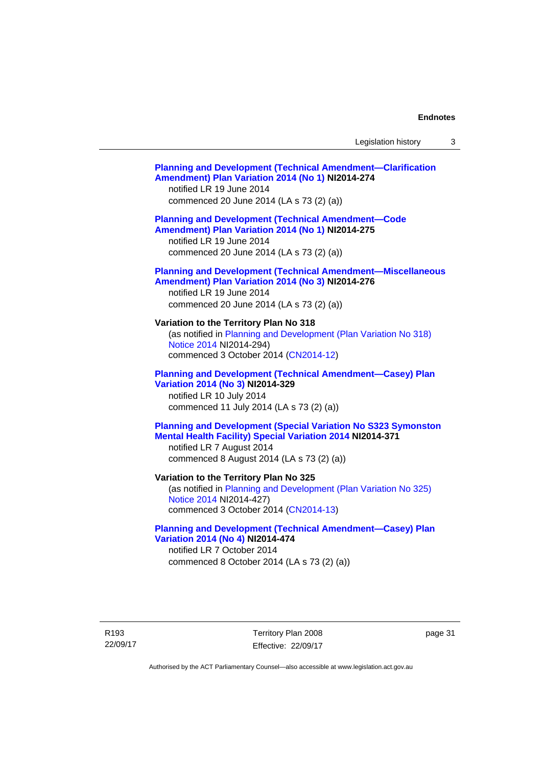# **[Planning and Development \(Technical Amendment—Clarification](http://www.legislation.act.gov.au/ni/2014-274/default.asp)  [Amendment\) Plan Variation 2014 \(No 1\)](http://www.legislation.act.gov.au/ni/2014-274/default.asp) NI2014-274**  notified LR 19 June 2014 commenced 20 June 2014 (LA s 73 (2) (a)) **[Planning and Development \(Technical Amendment—Code](http://www.legislation.act.gov.au/ni/2014-275/default.asp)  [Amendment\) Plan Variation 2014 \(No 1\)](http://www.legislation.act.gov.au/ni/2014-275/default.asp) NI2014-275**  notified LR 19 June 2014 commenced 20 June 2014 (LA s 73 (2) (a)) **[Planning and Development \(Technical Amendment—Miscellaneous](http://www.legislation.act.gov.au/ni/2014-276/default.asp)  [Amendment\) Plan Variation 2014 \(No 3\)](http://www.legislation.act.gov.au/ni/2014-276/default.asp) NI2014-276**  notified LR 19 June 2014 commenced 20 June 2014 (LA s 73 (2) (a)) **Variation to the Territory Plan No 318**  (as notified in [Planning and Development \(Plan Variation No 318\)](http://www.legislation.act.gov.au/ni/2014-294/default.asp)  [Notice 2014](http://www.legislation.act.gov.au/ni/2014-294/default.asp) NI2014-294) commenced 3 October 2014 [\(CN2014-12\)](http://www.legislation.act.gov.au/cn/2014-12/default.asp) **[Planning and Development \(Technical Amendment—Casey\) Plan](http://www.legislation.act.gov.au/ni/2014-329/default.asp)  [Variation 2014 \(No 3\)](http://www.legislation.act.gov.au/ni/2014-329/default.asp) NI2014-329**  notified LR 10 July 2014 commenced 11 July 2014 (LA s 73 (2) (a)) **[Planning and Development \(Special Variation No S323 Symonston](http://www.legislation.act.gov.au/ni/2014-371/default.asp)  [Mental Health Facility\) Special Variation 2014](http://www.legislation.act.gov.au/ni/2014-371/default.asp) NI2014-371**  notified LR 7 August 2014 commenced 8 August 2014 (LA s 73 (2) (a)) **Variation to the Territory Plan No 325**  (as notified in [Planning and Development \(Plan Variation No 325\)](http://www.legislation.act.gov.au/ni/2014-427/default.asp)  [Notice 2014](http://www.legislation.act.gov.au/ni/2014-427/default.asp) NI2014-427) commenced 3 October 2014 [\(CN2014-13\)](http://www.legislation.act.gov.au/cn/2014-13/default.asp) **[Planning and Development \(Technical Amendment—Casey\) Plan](http://www.legislation.act.gov.au/ni/2014-474/default.asp)  [Variation 2014 \(No 4\)](http://www.legislation.act.gov.au/ni/2014-474/default.asp) NI2014-474**  notified LR 7 October 2014 commenced 8 October 2014 (LA s 73 (2) (a))

R193 22/09/17 Territory Plan 2008 Effective: 22/09/17 page 31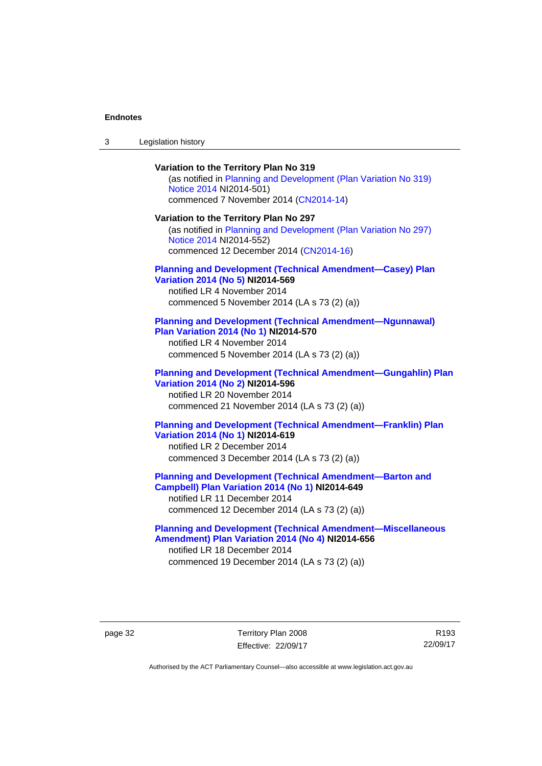| $\sqrt{2}$<br>- 3 | Legislation history |  |
|-------------------|---------------------|--|
|-------------------|---------------------|--|

**Variation to the Territory Plan No 319**  (as notified in [Planning and Development \(Plan Variation No 319\)](http://www.legislation.act.gov.au/ni/2014-501/default.asp)  [Notice 2014](http://www.legislation.act.gov.au/ni/2014-501/default.asp) NI2014-501) commenced 7 November 2014 ([CN2014-14](http://www.legislation.act.gov.au/cn/2014-14/default.asp)) **Variation to the Territory Plan No 297**  (as notified in [Planning and Development \(Plan Variation No 297\)](http://www.legislation.act.gov.au/ni/2014-552/default.asp)  [Notice 2014](http://www.legislation.act.gov.au/ni/2014-552/default.asp) NI2014-552) commenced 12 December 2014 [\(CN2014-16\)](http://www.legislation.act.gov.au/cn/2014-16/default.asp) **[Planning and Development \(Technical Amendment—Casey\) Plan](http://www.legislation.act.gov.au/ni/2014-569/default.asp)  [Variation 2014 \(No 5\)](http://www.legislation.act.gov.au/ni/2014-569/default.asp) NI2014-569**  notified LR 4 November 2014 commenced 5 November 2014 (LA s 73 (2) (a)) **[Planning and Development \(Technical Amendment—Ngunnawal\)](http://www.legislation.act.gov.au/ni/2014-570/default.asp)  [Plan Variation 2014 \(No 1\)](http://www.legislation.act.gov.au/ni/2014-570/default.asp) NI2014-570**  notified LR 4 November 2014 commenced 5 November 2014 (LA s 73 (2) (a)) **[Planning and Development \(Technical Amendment—Gungahlin\) Plan](http://www.legislation.act.gov.au/ni/2014-596/default.asp)  [Variation 2014 \(No 2\)](http://www.legislation.act.gov.au/ni/2014-596/default.asp) NI2014-596**  notified LR 20 November 2014 commenced 21 November 2014 (LA s 73 (2) (a)) **[Planning and Development \(Technical Amendment—Franklin\) Plan](http://www.legislation.act.gov.au/ni/2014-619/default.asp)  [Variation 2014 \(No 1\)](http://www.legislation.act.gov.au/ni/2014-619/default.asp) NI2014-619**  notified LR 2 December 2014 commenced 3 December 2014 (LA s 73 (2) (a)) **[Planning and Development \(Technical Amendment—Barton and](http://www.legislation.act.gov.au/ni/2014-649/default.asp)  [Campbell\) Plan Variation 2014 \(No 1\)](http://www.legislation.act.gov.au/ni/2014-649/default.asp) NI2014-649**  notified LR 11 December 2014 commenced 12 December 2014 (LA s 73 (2) (a))

**[Planning and Development \(Technical Amendment—Miscellaneous](http://www.legislation.act.gov.au/ni/2014-656/default.asp)  [Amendment\) Plan Variation 2014 \(No 4\)](http://www.legislation.act.gov.au/ni/2014-656/default.asp) NI2014-656**  notified LR 18 December 2014 commenced 19 December 2014 (LA s 73 (2) (a))

page 32 Territory Plan 2008 Effective: 22/09/17

R193 22/09/17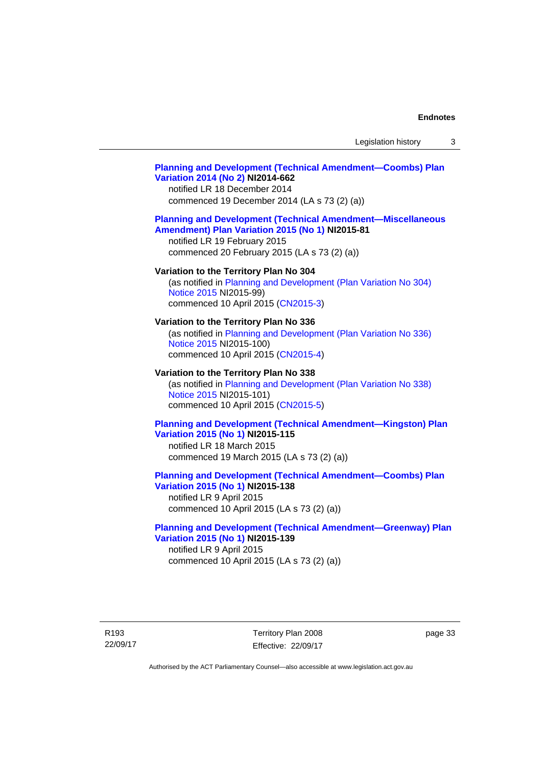## **[Planning and Development \(Technical Amendment—Coombs\) Plan](http://www.legislation.act.gov.au/ni/2014-662/default.asp)  [Variation 2014 \(No 2\)](http://www.legislation.act.gov.au/ni/2014-662/default.asp) NI2014-662**

notified LR 18 December 2014 commenced 19 December 2014 (LA s 73 (2) (a))

### **[Planning and Development \(Technical Amendment—Miscellaneous](http://www.legislation.act.gov.au/ni/2015-81/default.asp)  [Amendment\) Plan Variation 2015 \(No 1\)](http://www.legislation.act.gov.au/ni/2015-81/default.asp) NI2015-81**

notified LR 19 February 2015 commenced 20 February 2015 (LA s 73 (2) (a))

### **Variation to the Territory Plan No 304**

(as notified in [Planning and Development \(Plan Variation No 304\)](http://www.legislation.act.gov.au/ni/2015-99/default.asp)  [Notice 2015](http://www.legislation.act.gov.au/ni/2015-99/default.asp) NI2015-99) commenced 10 April 2015 [\(CN2015-3\)](http://www.legislation.act.gov.au/cn/2015-3/default.asp)

### **Variation to the Territory Plan No 336**

(as notified in [Planning and Development \(Plan Variation No 336\)](http://www.legislation.act.gov.au/ni/2015-100/default.asp)  [Notice 2015](http://www.legislation.act.gov.au/ni/2015-100/default.asp) NI2015-100) commenced 10 April 2015 [\(CN2015-4\)](http://www.legislation.act.gov.au/cn/2015-4/default.asp)

### **Variation to the Territory Plan No 338**

(as notified in [Planning and Development \(Plan Variation No 338\)](http://www.legislation.act.gov.au/ni/2015-101/default.asp)  [Notice 2015](http://www.legislation.act.gov.au/ni/2015-101/default.asp) NI2015-101) commenced 10 April 2015 [\(CN2015-5\)](http://www.legislation.act.gov.au/cn/2015-5/default.asp)

## **[Planning and Development \(Technical Amendment—Kingston\) Plan](http://www.legislation.act.gov.au/ni/2015-115/default.asp)  [Variation 2015 \(No 1\)](http://www.legislation.act.gov.au/ni/2015-115/default.asp) NI2015-115**

notified LR 18 March 2015 commenced 19 March 2015 (LA s 73 (2) (a))

## **[Planning and Development \(Technical Amendment—Coombs\) Plan](http://www.legislation.act.gov.au/ni/2015-138/default.asp)  [Variation 2015 \(No 1\)](http://www.legislation.act.gov.au/ni/2015-138/default.asp) NI2015-138**

notified LR 9 April 2015 commenced 10 April 2015 (LA s 73 (2) (a))

### **[Planning and Development \(Technical Amendment—Greenway\) Plan](http://www.legislation.act.gov.au/ni/2015-139/default.asp)  [Variation 2015 \(No 1\)](http://www.legislation.act.gov.au/ni/2015-139/default.asp) NI2015-139**

notified LR 9 April 2015 commenced 10 April 2015 (LA s 73 (2) (a))

R193 22/09/17 Territory Plan 2008 Effective: 22/09/17 page 33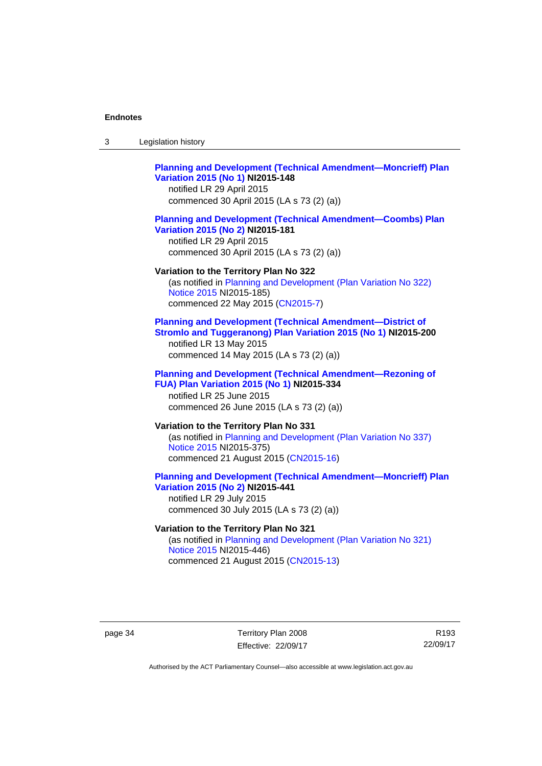| -3 | Legislation history |
|----|---------------------|
|----|---------------------|

# **[Planning and Development \(Technical Amendment—Moncrieff\) Plan](http://www.legislation.act.gov.au/ni/2015-148/default.asp)  [Variation 2015 \(No 1\)](http://www.legislation.act.gov.au/ni/2015-148/default.asp) NI2015-148**

notified LR 29 April 2015 commenced 30 April 2015 (LA s 73 (2) (a))

### **[Planning and Development \(Technical Amendment—Coombs\) Plan](http://www.legislation.act.gov.au/ni/2015-181/default.asp)  [Variation 2015 \(No 2\)](http://www.legislation.act.gov.au/ni/2015-181/default.asp) NI2015-181**

notified LR 29 April 2015 commenced 30 April 2015 (LA s 73 (2) (a))

### **Variation to the Territory Plan No 322**

(as notified in [Planning and Development \(Plan Variation No 322\)](http://www.legislation.act.gov.au/ni/2015-185/default.asp)  [Notice 2015](http://www.legislation.act.gov.au/ni/2015-185/default.asp) NI2015-185) commenced 22 May 2015 [\(CN2015-7\)](http://www.legislation.act.gov.au/cn/2015-7/default.asp)

## **[Planning and Development \(Technical Amendment—District of](http://www.legislation.act.gov.au/ni/2015-200/default.asp)  [Stromlo and Tuggeranong\) Plan Variation 2015 \(No 1\)](http://www.legislation.act.gov.au/ni/2015-200/default.asp) NI2015-200**

notified LR 13 May 2015 commenced 14 May 2015 (LA s 73 (2) (a))

# **[Planning and Development \(Technical Amendment—Rezoning of](http://www.legislation.act.gov.au/ni/2015-334/default.asp)  [FUA\) Plan Variation 2015 \(No 1\)](http://www.legislation.act.gov.au/ni/2015-334/default.asp) NI2015-334**

notified LR 25 June 2015 commenced 26 June 2015 (LA s 73 (2) (a))

# **Variation to the Territory Plan No 331**

(as notified in [Planning and Development \(Plan Variation No 337\)](http://www.legislation.act.gov.au/ni/2015-375/default.asp)  [Notice 2015](http://www.legislation.act.gov.au/ni/2015-375/default.asp) NI2015-375) commenced 21 August 2015 [\(CN2015-16\)](http://www.legislation.act.gov.au/cn/2015-16/default.asp)

## **[Planning and Development \(Technical Amendment—Moncrieff\) Plan](http://www.legislation.act.gov.au/ni/2015-441/default.asp)  [Variation 2015 \(No 2\)](http://www.legislation.act.gov.au/ni/2015-441/default.asp) NI2015-441**

notified LR 29 July 2015 commenced 30 July 2015 (LA s 73 (2) (a))

# **Variation to the Territory Plan No 321**

(as notified in [Planning and Development \(Plan Variation No 321\)](http://www.legislation.act.gov.au/ni/2015-446/default.asp)  [Notice 2015](http://www.legislation.act.gov.au/ni/2015-446/default.asp) NI2015-446) commenced 21 August 2015 [\(CN2015-13\)](http://www.legislation.act.gov.au/cn/2015-13/default.asp)

page 34 Territory Plan 2008 Effective: 22/09/17

R193 22/09/17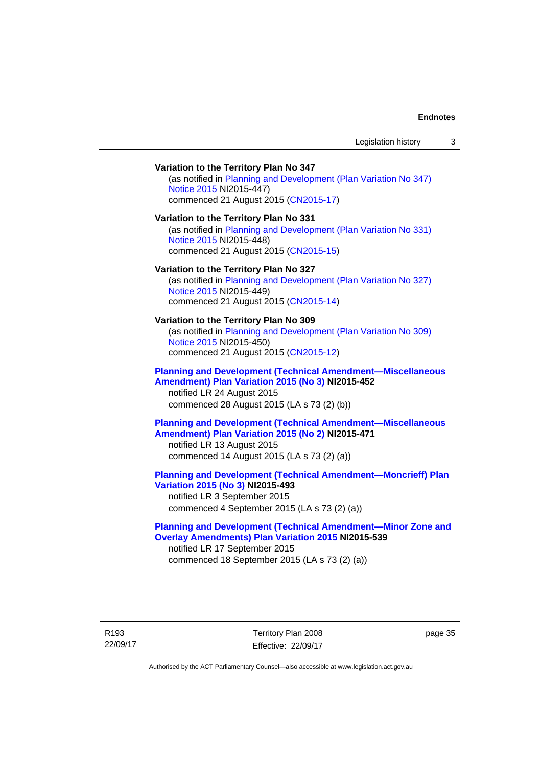# **Variation to the Territory Plan No 347**  (as notified in [Planning and Development \(Plan Variation No 347\)](http://www.legislation.act.gov.au/ni/2015-447/default.asp)  [Notice 2015](http://www.legislation.act.gov.au/ni/2015-447/default.asp) NI2015-447) commenced 21 August 2015 [\(CN2015-17\)](http://www.legislation.act.gov.au/cn/2015-17/default.asp) **Variation to the Territory Plan No 331**  (as notified in [Planning and Development \(Plan Variation No 331\)](http://www.legislation.act.gov.au/ni/2015-448/default.asp)  [Notice 2015](http://www.legislation.act.gov.au/ni/2015-448/default.asp) NI2015-448) commenced 21 August 2015 [\(CN2015-15\)](http://www.legislation.act.gov.au/cn/2015-15/default.asp) **Variation to the Territory Plan No 327**  (as notified in [Planning and Development \(Plan Variation No 327\)](http://www.legislation.act.gov.au/ni/2015-449/default.asp)  [Notice 2015](http://www.legislation.act.gov.au/ni/2015-449/default.asp) NI2015-449) commenced 21 August 2015 [\(CN2015-14\)](http://www.legislation.act.gov.au/cn/2015-14/default.asp) **Variation to the Territory Plan No 309**  (as notified in [Planning and Development \(Plan Variation No 309\)](http://www.legislation.act.gov.au/ni/2015-450/default.asp)  [Notice 2015](http://www.legislation.act.gov.au/ni/2015-450/default.asp) NI2015-450) commenced 21 August 2015 [\(CN2015-12\)](http://www.legislation.act.gov.au/cn/2015-12/default.asp) **[Planning and Development \(Technical Amendment—Miscellaneous](http://www.legislation.act.gov.au/ni/2015-452/default.asp)  [Amendment\) Plan Variation 2015 \(No 3\)](http://www.legislation.act.gov.au/ni/2015-452/default.asp) NI2015-452**  notified LR 24 August 2015 commenced 28 August 2015 (LA s 73 (2) (b)) **[Planning and Development \(Technical Amendment—Miscellaneous](http://www.legislation.act.gov.au/ni/2015-471/default.asp)  [Amendment\) Plan Variation 2015 \(No 2\)](http://www.legislation.act.gov.au/ni/2015-471/default.asp) NI2015-471**  notified LR 13 August 2015 commenced 14 August 2015 (LA s 73 (2) (a)) **[Planning and Development \(Technical Amendment—Moncrieff\) Plan](http://www.legislation.act.gov.au/ni/2015-493/default.asp)  [Variation 2015 \(No 3\)](http://www.legislation.act.gov.au/ni/2015-493/default.asp) NI2015-493**  notified LR 3 September 2015 commenced 4 September 2015 (LA s 73 (2) (a)) **[Planning and Development \(Technical Amendment—Minor Zone and](http://www.legislation.act.gov.au/ni/2015-539/default.asp)**

**[Overlay Amendments\) Plan Variation 2015](http://www.legislation.act.gov.au/ni/2015-539/default.asp) NI2015-539**  notified LR 17 September 2015 commenced 18 September 2015 (LA s 73 (2) (a))

R193 22/09/17 Territory Plan 2008 Effective: 22/09/17 page 35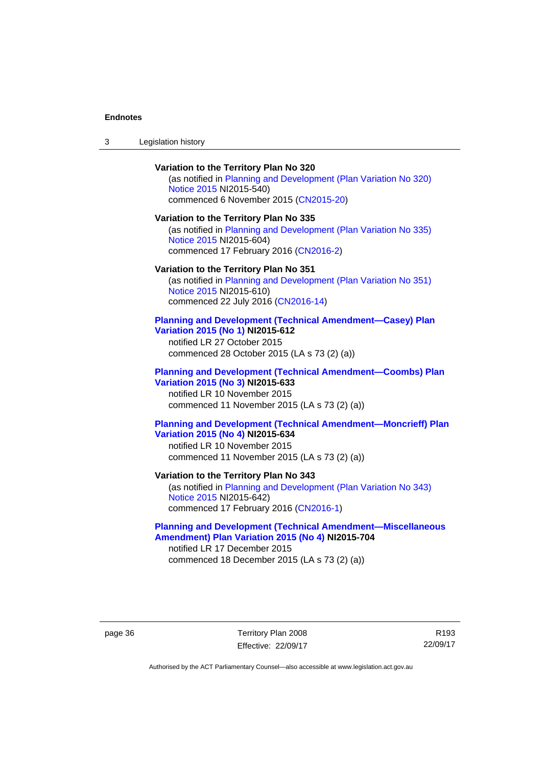# **Variation to the Territory Plan No 320**

(as notified in [Planning and Development \(Plan Variation No 320\)](http://www.legislation.act.gov.au/ni/2015-540/default.asp)  [Notice 2015](http://www.legislation.act.gov.au/ni/2015-540/default.asp) NI2015-540) commenced 6 November 2015 ([CN2015-20](http://www.legislation.act.gov.au/cn/2015-20/default.asp))

### **Variation to the Territory Plan No 335**

(as notified in [Planning and Development \(Plan Variation No 335\)](http://www.legislation.act.gov.au/ni/2015-604/default.asp)  [Notice 2015](http://www.legislation.act.gov.au/ni/2015-604/default.asp) NI2015-604) commenced 17 February 2016 [\(CN2016-2\)](http://www.legislation.act.gov.au/cn/2016-2/default.asp)

### **Variation to the Territory Plan No 351**

(as notified in [Planning and Development \(Plan Variation No 351\)](http://www.legislation.act.gov.au/ni/2015-610/default.asp)  [Notice 2015](http://www.legislation.act.gov.au/ni/2015-610/default.asp) NI2015-610) commenced 22 July 2016 [\(CN2016-14](http://www.legislation.act.gov.au/cn/2016-14/default.asp))

### **[Planning and Development \(Technical Amendment—Casey\) Plan](http://www.legislation.act.gov.au/ni/2015-612/default.asp)  [Variation 2015 \(No 1\)](http://www.legislation.act.gov.au/ni/2015-612/default.asp) NI2015-612**

notified LR 27 October 2015 commenced 28 October 2015 (LA s 73 (2) (a))

### **[Planning and Development \(Technical Amendment—Coombs\) Plan](http://www.legislation.act.gov.au/ni/2015-633/default.asp)  [Variation 2015 \(No 3\)](http://www.legislation.act.gov.au/ni/2015-633/default.asp) NI2015-633**

notified LR 10 November 2015 commenced 11 November 2015 (LA s 73 (2) (a))

## **[Planning and Development \(Technical Amendment—Moncrieff\) Plan](http://www.legislation.act.gov.au/ni/2015-634/default.asp)  [Variation 2015 \(No 4\)](http://www.legislation.act.gov.au/ni/2015-634/default.asp) NI2015-634**

notified LR 10 November 2015 commenced 11 November 2015 (LA s 73 (2) (a))

# **Variation to the Territory Plan No 343**

(as notified in [Planning and Development \(Plan Variation No 343\)](http://www.legislation.act.gov.au/ni/2015-642/default.asp)  [Notice 2015](http://www.legislation.act.gov.au/ni/2015-642/default.asp) NI2015-642) commenced 17 February 2016 [\(CN2016-1\)](http://www.legislation.act.gov.au/cn/2016-1/default.asp)

## **[Planning and Development \(Technical Amendment—Miscellaneous](http://www.legislation.act.gov.au/ni/2015-704/default.asp)  [Amendment\) Plan Variation 2015 \(No 4\)](http://www.legislation.act.gov.au/ni/2015-704/default.asp) NI2015-704**

notified LR 17 December 2015 commenced 18 December 2015 (LA s 73 (2) (a))

page 36 Territory Plan 2008 Effective: 22/09/17

R193 22/09/17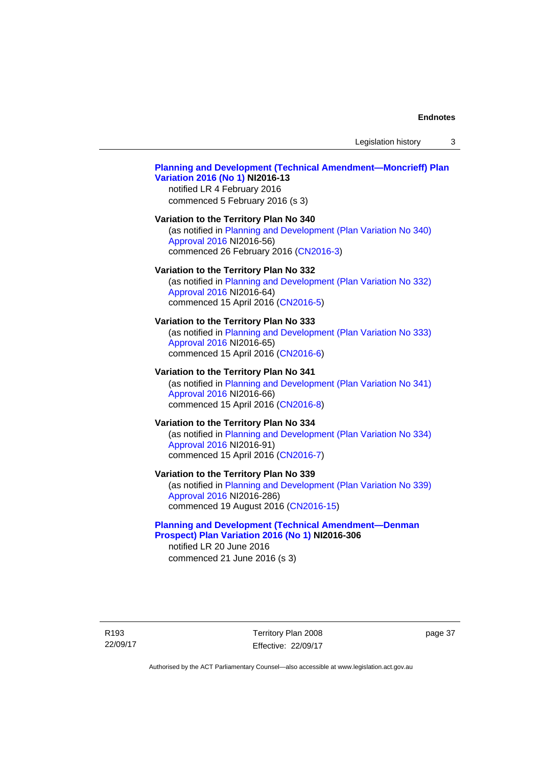Legislation history 3

## **[Planning and Development \(Technical Amendment—Moncrieff\) Plan](http://www.legislation.act.gov.au/ni/2016-13/default.asp)  [Variation 2016 \(No 1\)](http://www.legislation.act.gov.au/ni/2016-13/default.asp) NI2016-13**

notified LR 4 February 2016 commenced 5 February 2016 (s 3)

#### **Variation to the Territory Plan No 340**

(as notified in [Planning and Development \(Plan Variation No 340\)](http://www.legislation.act.gov.au/ni/2016-56/default.asp)  [Approval 2016](http://www.legislation.act.gov.au/ni/2016-56/default.asp) NI2016-56) commenced 26 February 2016 [\(CN2016-3\)](http://www.legislation.act.gov.au/cn/2016-3/default.asp)

#### **Variation to the Territory Plan No 332**

(as notified in [Planning and Development \(Plan Variation No 332\)](http://www.legislation.act.gov.au/ni/2016-64/default.asp)  [Approval 2016](http://www.legislation.act.gov.au/ni/2016-64/default.asp) NI2016-64) commenced 15 April 2016 [\(CN2016-5\)](http://www.legislation.act.gov.au/cn/2016-5/default.asp)

#### **Variation to the Territory Plan No 333**

(as notified in [Planning and Development \(Plan Variation No 333\)](http://www.legislation.act.gov.au/ni/2016-65/default.asp)  [Approval 2016](http://www.legislation.act.gov.au/ni/2016-65/default.asp) NI2016-65) commenced 15 April 2016 [\(CN2016-6\)](http://www.legislation.act.gov.au/cn/2016-6/default.asp)

### **Variation to the Territory Plan No 341**

(as notified in [Planning and Development \(Plan Variation No 341\)](http://www.legislation.act.gov.au/ni/2016-66/default.asp)  [Approval 2016](http://www.legislation.act.gov.au/ni/2016-66/default.asp) NI2016-66) commenced 15 April 2016 [\(CN2016-8\)](http://www.legislation.act.gov.au/cn/2016-8/default.asp)

## **Variation to the Territory Plan No 334**

(as notified in [Planning and Development \(Plan Variation No 334\)](http://www.legislation.act.gov.au/ni/2016-91/default.asp)  [Approval 2016](http://www.legislation.act.gov.au/ni/2016-91/default.asp) NI2016-91) commenced 15 April 2016 [\(CN2016-7\)](http://www.legislation.act.gov.au/cn/2016-7/default.asp)

## **Variation to the Territory Plan No 339**

(as notified in [Planning and Development \(Plan Variation No 339\)](http://www.legislation.act.gov.au/ni/2016-286/default.asp)  [Approval 2016](http://www.legislation.act.gov.au/ni/2016-286/default.asp) NI2016-286) commenced 19 August 2016 [\(CN2016-15\)](http://www.legislation.act.gov.au/cn/2016-15/default.asp)

## **[Planning and Development \(Technical Amendment—Denman](http://www.legislation.act.gov.au/ni/2016-306/default.asp)  [Prospect\) Plan Variation 2016 \(No 1\)](http://www.legislation.act.gov.au/ni/2016-306/default.asp) NI2016-306**

notified LR 20 June 2016 commenced 21 June 2016 (s 3)

R193 22/09/17 Territory Plan 2008 Effective: 22/09/17 page 37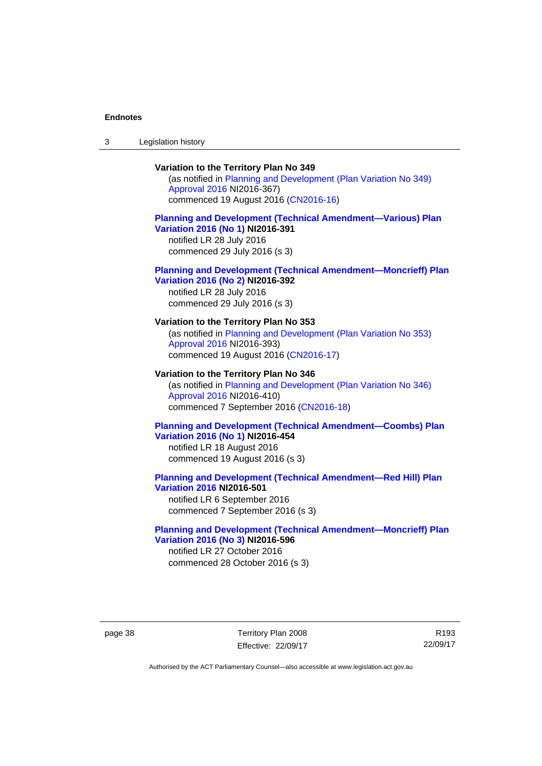3 Legislation history

### **Variation to the Territory Plan No 349**

(as notified in [Planning and Development \(Plan Variation No 349\)](http://www.legislation.act.gov.au/ni/2016-367/default.asp)  [Approval 2016](http://www.legislation.act.gov.au/ni/2016-367/default.asp) NI2016-367) commenced 19 August 2016 [\(CN2016-16\)](http://www.legislation.act.gov.au/cn/2016-16/default.asp)

## **[Planning and Development \(Technical Amendment—Various\) Plan](http://www.legislation.act.gov.au/ni/2016-391/default.asp)  [Variation 2016 \(No 1\)](http://www.legislation.act.gov.au/ni/2016-391/default.asp) NI2016-391**

notified LR 28 July 2016 commenced 29 July 2016 (s 3)

#### **[Planning and Development \(Technical Amendment—Moncrieff\) Plan](http://www.legislation.act.gov.au/ni/2016-392/default.asp)  [Variation 2016 \(No 2\)](http://www.legislation.act.gov.au/ni/2016-392/default.asp) NI2016-392**

notified LR 28 July 2016 commenced 29 July 2016 (s 3)

## **Variation to the Territory Plan No 353**

(as notified in [Planning and Development \(Plan Variation No 353\)](http://www.legislation.act.gov.au/ni/2016-393/default.asp)  [Approval 2016](http://www.legislation.act.gov.au/ni/2016-393/default.asp) NI2016-393) commenced 19 August 2016 [\(CN2016-17\)](http://www.legislation.act.gov.au/cn/2016-17/default.asp)

#### **Variation to the Territory Plan No 346**

(as notified in [Planning and Development \(Plan Variation No 346\)](http://www.legislation.act.gov.au/ni/2016-410/default.asp)  [Approval 2016](http://www.legislation.act.gov.au/ni/2016-410/default.asp) NI2016-410) commenced 7 September 2016 ([CN2016-18\)](http://www.legislation.act.gov.au/cn/2016-18/default.asp)

## **[Planning and Development \(Technical Amendment—Coombs\) Plan](http://www.legislation.act.gov.au/ni/2016-454/default.asp)  [Variation 2016 \(No 1\)](http://www.legislation.act.gov.au/ni/2016-454/default.asp) NI2016-454**

notified LR 18 August 2016 commenced 19 August 2016 (s 3)

#### **[Planning and Development \(Technical Amendment—Red Hill\) Plan](http://www.legislation.act.gov.au/ni/2016-501/default.asp)  [Variation 2016](http://www.legislation.act.gov.au/ni/2016-501/default.asp) NI2016-501**

notified LR 6 September 2016 commenced 7 September 2016 (s 3)

#### **[Planning and Development \(Technical Amendment—Moncrieff\) Plan](http://www.legislation.act.gov.au/ni/2016-596/default.asp)  [Variation 2016 \(No 3\)](http://www.legislation.act.gov.au/ni/2016-596/default.asp) NI2016-596**

notified LR 27 October 2016 commenced 28 October 2016 (s 3)

page 38 Territory Plan 2008 Effective: 22/09/17

R193 22/09/17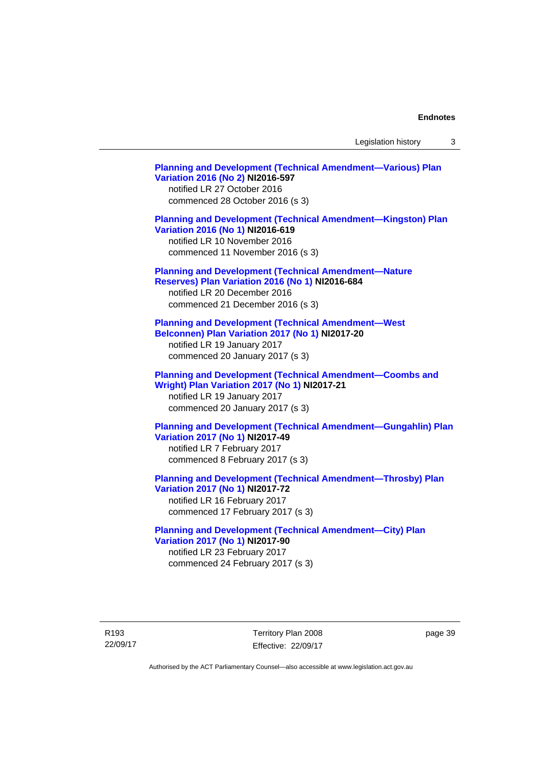Legislation history 3

**[Planning and Development \(Technical Amendment—Various\) Plan](http://www.legislation.act.gov.au/ni/2016-597/default.asp)  [Variation 2016 \(No 2\)](http://www.legislation.act.gov.au/ni/2016-597/default.asp) NI2016-597**  notified LR 27 October 2016 commenced 28 October 2016 (s 3) **[Planning and Development \(Technical Amendment—Kingston\) Plan](http://www.legislation.act.gov.au/ni/2016-619/default.asp)  [Variation 2016 \(No 1\)](http://www.legislation.act.gov.au/ni/2016-619/default.asp) NI2016-619**  notified LR 10 November 2016 commenced 11 November 2016 (s 3) **[Planning and Development \(Technical Amendment—Nature](http://www.legislation.act.gov.au/ni/2016-684/default.asp)  [Reserves\) Plan Variation 2016 \(No 1\)](http://www.legislation.act.gov.au/ni/2016-684/default.asp) NI2016-684**  notified LR 20 December 2016 commenced 21 December 2016 (s 3) **[Planning and Development \(Technical Amendment—West](http://www.legislation.act.gov.au/ni/2017-20/default.asp)  [Belconnen\) Plan Variation 2017 \(No 1\)](http://www.legislation.act.gov.au/ni/2017-20/default.asp) NI2017-20**  notified LR 19 January 2017 commenced 20 January 2017 (s 3) **[Planning and Development \(Technical Amendment—Coombs and](http://www.legislation.act.gov.au/ni/2017-21/default.asp)  [Wright\) Plan Variation 2017 \(No 1\)](http://www.legislation.act.gov.au/ni/2017-21/default.asp) NI2017-21**  notified LR 19 January 2017 commenced 20 January 2017 (s 3) **[Planning and Development \(Technical Amendment—Gungahlin\) Plan](http://www.legislation.act.gov.au/ni/2017-49/default.asp)  [Variation 2017 \(No 1\)](http://www.legislation.act.gov.au/ni/2017-49/default.asp) NI2017-49**  notified LR 7 February 2017 commenced 8 February 2017 (s 3) **[Planning and Development \(Technical Amendment—Throsby\) Plan](http://www.legislation.act.gov.au/ni/2017-72/default.asp)  [Variation 2017 \(No 1\)](http://www.legislation.act.gov.au/ni/2017-72/default.asp) NI2017-72**  notified LR 16 February 2017 commenced 17 February 2017 (s 3) **[Planning and Development \(Technical Amendment—City\) Plan](http://www.legislation.act.gov.au/ni/2017-90/default.asp)  [Variation 2017 \(No 1\)](http://www.legislation.act.gov.au/ni/2017-90/default.asp) NI2017-90**  notified LR 23 February 2017 commenced 24 February 2017 (s 3)

R193 22/09/17 Territory Plan 2008 Effective: 22/09/17 page 39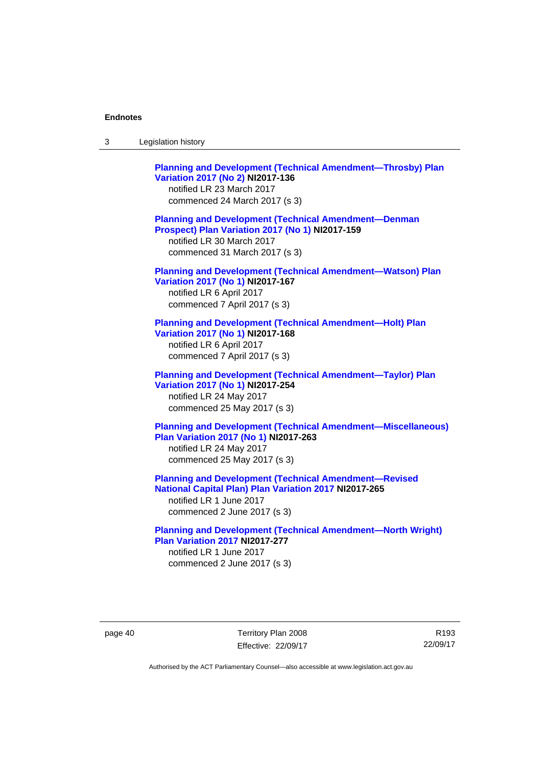| Legislation history<br>-3 |
|---------------------------|
|---------------------------|

**[Planning and Development \(Technical Amendment—Throsby\) Plan](http://www.legislation.act.gov.au/ni/2017-136/default.asp)  [Variation 2017 \(No 2\)](http://www.legislation.act.gov.au/ni/2017-136/default.asp) NI2017-136**  notified LR 23 March 2017 commenced 24 March 2017 (s 3) **[Planning and Development \(Technical Amendment—Denman](http://www.legislation.act.gov.au/ni/2017-159/default.asp)  [Prospect\) Plan Variation 2017 \(No 1\)](http://www.legislation.act.gov.au/ni/2017-159/default.asp) NI2017-159**  notified LR 30 March 2017 commenced 31 March 2017 (s 3) **[Planning and Development \(Technical Amendment—Watson\) Plan](http://www.legislation.act.gov.au/ni/2017-167/default.asp)  [Variation 2017 \(No 1\)](http://www.legislation.act.gov.au/ni/2017-167/default.asp) NI2017-167**  notified LR 6 April 2017 commenced 7 April 2017 (s 3) **[Planning and Development \(Technical Amendment—Holt\) Plan](http://www.legislation.act.gov.au/ni/2017-168/default.asp)  [Variation 2017 \(No 1\)](http://www.legislation.act.gov.au/ni/2017-168/default.asp) NI2017-168**  notified LR 6 April 2017 commenced 7 April 2017 (s 3) **[Planning and Development \(Technical Amendment—Taylor\) Plan](http://www.legislation.act.gov.au/ni/2017-254/default.asp)  [Variation 2017 \(No 1\)](http://www.legislation.act.gov.au/ni/2017-254/default.asp) NI2017-254**  notified LR 24 May 2017 commenced 25 May 2017 (s 3) **[Planning and Development \(Technical Amendment—Miscellaneous\)](http://www.legislation.act.gov.au/ni/2017-263/default.asp)  [Plan Variation 2017 \(No 1\)](http://www.legislation.act.gov.au/ni/2017-263/default.asp) NI2017-263**  notified LR 24 May 2017 commenced 25 May 2017 (s 3) **[Planning and Development \(Technical Amendment—Revised](http://www.legislation.act.gov.au/ni/2017-265/default.asp)  [National Capital Plan\) Plan Variation 2017](http://www.legislation.act.gov.au/ni/2017-265/default.asp) NI2017-265**  notified LR 1 June 2017 commenced 2 June 2017 (s 3)

**[Planning and Development \(Technical Amendment—North Wright\)](http://www.legislation.act.gov.au/ni/2017-277/default.asp)  [Plan Variation 2017](http://www.legislation.act.gov.au/ni/2017-277/default.asp) NI2017-277**  notified LR 1 June 2017 commenced 2 June 2017 (s 3)

page 40 Territory Plan 2008 Effective: 22/09/17

R193 22/09/17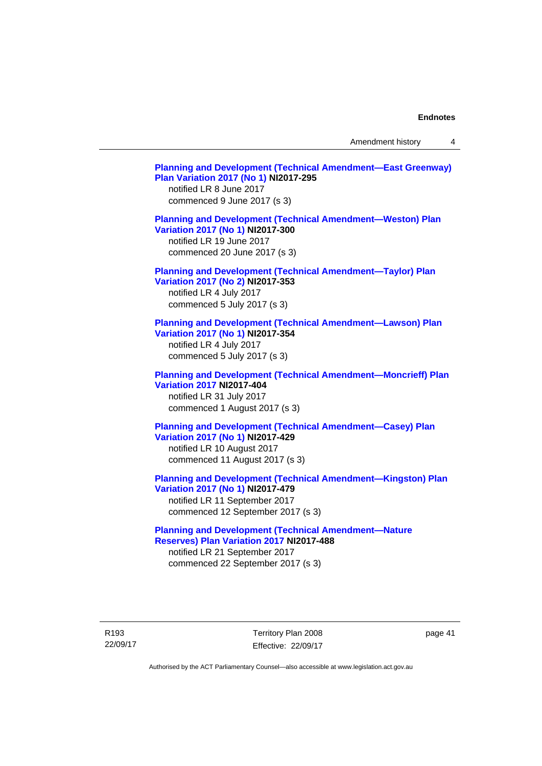Amendment history 4

| <b>Planning and Development (Technical Amendment-East Greenway)</b><br><b>Plan Variation 2017 (No 1) NI2017-295</b><br>notified LR 8 June 2017<br>commenced 9 June 2017 (s 3) |
|-------------------------------------------------------------------------------------------------------------------------------------------------------------------------------|
| <b>Planning and Development (Technical Amendment-Weston) Plan</b><br>Variation 2017 (No 1) NI2017-300<br>notified LR 19 June 2017<br>commenced 20 June 2017 (s 3)             |
| <b>Planning and Development (Technical Amendment-Taylor) Plan</b><br>Variation 2017 (No 2) NI2017-353<br>notified LR 4 July 2017<br>commenced 5 July 2017 (s 3)               |
| <b>Planning and Development (Technical Amendment-Lawson) Plan</b><br>Variation 2017 (No 1) NI2017-354<br>notified LR 4 July 2017<br>commenced 5 July 2017 (s 3)               |
| <b>Planning and Development (Technical Amendment-Moncrieff) Plan</b><br><b>Variation 2017 NI2017-404</b><br>notified LR 31 July 2017<br>commenced 1 August 2017 (s 3)         |
| <b>Planning and Development (Technical Amendment-Casey) Plan</b><br>Variation 2017 (No 1) NI2017-429<br>notified LR 10 August 2017<br>commenced 11 August 2017 (s 3)          |
| <b>Planning and Development (Technical Amendment-Kingston) Plan</b><br>Variation 2017 (No 1) NI2017-479<br>notified LR 11 September 2017<br>commenced 12 September 2017 (s 3) |
| <b>Planning and Development (Technical Amendment-Nature</b><br>Reserves) Plan Variation 2017 NI2017-488<br>notified LR 21 September 2017                                      |
|                                                                                                                                                                               |

page 41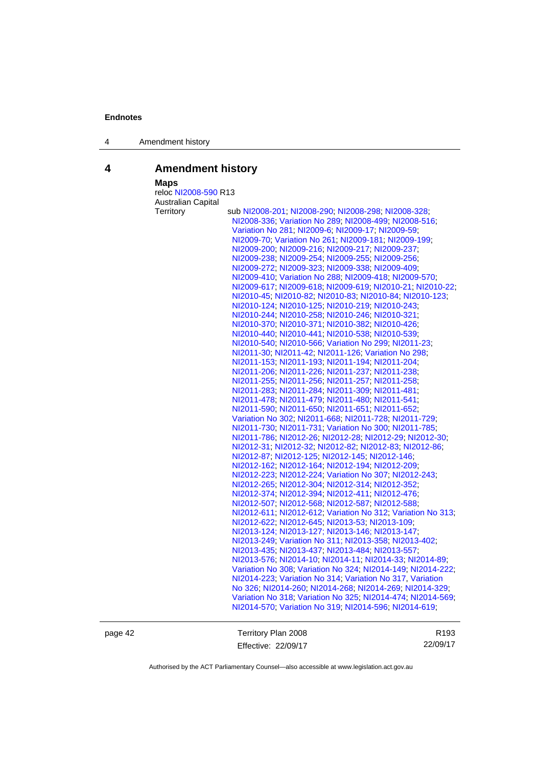4 Amendment history

# **4 Amendment history**

 **Maps** 

| maps                      |                                                             |
|---------------------------|-------------------------------------------------------------|
| reloc NI2008-590 R13      |                                                             |
| <b>Australian Capital</b> |                                                             |
| Territory                 | sub NI2008-201; NI2008-290; NI2008-298; NI2008-328;         |
|                           | NI2008-336; Variation No 289; NI2008-499; NI2008-516;       |
|                           | Variation No 281; NI2009-6; NI2009-17; NI2009-59;           |
|                           | NI2009-70; Variation No 261; NI2009-181; NI2009-199;        |
|                           | NI2009-200; NI2009-216; NI2009-217; NI2009-237;             |
|                           | NI2009-238; NI2009-254; NI2009-255; NI2009-256;             |
|                           | NI2009-272; NI2009-323; NI2009-338; NI2009-409;             |
|                           | NI2009-410; Variation No 288; NI2009-418; NI2009-570;       |
|                           | NI2009-617; NI2009-618; NI2009-619; NI2010-21; NI2010-22;   |
|                           | NI2010-45; NI2010-82; NI2010-83; NI2010-84; NI2010-123;     |
|                           | NI2010-124; NI2010-125; NI2010-219; NI2010-243;             |
|                           | NI2010-244; NI2010-258; NI2010-246; NI2010-321;             |
|                           | NI2010-370, NI2010-371, NI2010-382, NI2010-426,             |
|                           | NI2010-440, NI2010-441, NI2010-538, NI2010-539,             |
|                           | NI2010-540; NI2010-566; Variation No 299; NI2011-23;        |
|                           | NI2011-30; NI2011-42; NI2011-126; Variation No 298;         |
|                           | NI2011-153; NI2011-193; NI2011-194; NI2011-204;             |
|                           | NI2011-206, NI2011-226, NI2011-237, NI2011-238,             |
|                           | NI2011-255; NI2011-256; NI2011-257; NI2011-258;             |
|                           | NI2011-283; NI2011-284; NI2011-309; NI2011-481;             |
|                           | NI2011-478; NI2011-479; NI2011-480; NI2011-541;             |
|                           | NI2011-590; NI2011-650; NI2011-651; NI2011-652;             |
|                           | Variation No 302; NI2011-668; NI2011-728; NI2011-729;       |
|                           | NI2011-730; NI2011-731; Variation No 300; NI2011-785;       |
|                           | NI2011-786, NI2012-26, NI2012-28, NI2012-29, NI2012-30,     |
|                           | NI2012-31, NI2012-32, NI2012-82, NI2012-83, NI2012-86,      |
|                           | NI2012-87; NI2012-125; NI2012-145; NI2012-146;              |
|                           | NI2012-162; NI2012-164; NI2012-194; NI2012-209;             |
|                           | NI2012-223; NI2012-224; Variation No 307; NI2012-243;       |
|                           | NI2012-265, NI2012-304, NI2012-314, NI2012-352;             |
|                           | NI2012-374; NI2012-394; NI2012-411; NI2012-476;             |
|                           | NI2012-507, NI2012-568, NI2012-587, NI2012-588,             |
|                           | NI2012-611; NI2012-612; Variation No 312; Variation No 313; |
|                           | NI2012-622; NI2012-645; NI2013-53; NI2013-109;              |
|                           | NI2013-124; NI2013-127; NI2013-146; NI2013-147;             |
|                           | NI2013-249; Variation No 311; NI2013-358; NI2013-402;       |
|                           | NI2013-435, NI2013-437, NI2013-484, NI2013-557,             |
|                           | NI2013-576, NI2014-10, NI2014-11, NI2014-33, NI2014-89,     |
|                           | Variation No 308; Variation No 324; NI2014-149; NI2014-222; |
|                           | NI2014-223; Variation No 314; Variation No 317, Variation   |
|                           | No 326; NI2014-260; NI2014-268; NI2014-269; NI2014-329;     |
|                           | Variation No 318; Variation No 325; NI2014-474; NI2014-569; |
|                           | NI2014-570; Variation No 319; NI2014-596; NI2014-619;       |
|                           |                                                             |

page 42 Territory Plan 2008 Effective: 22/09/17

R193 22/09/17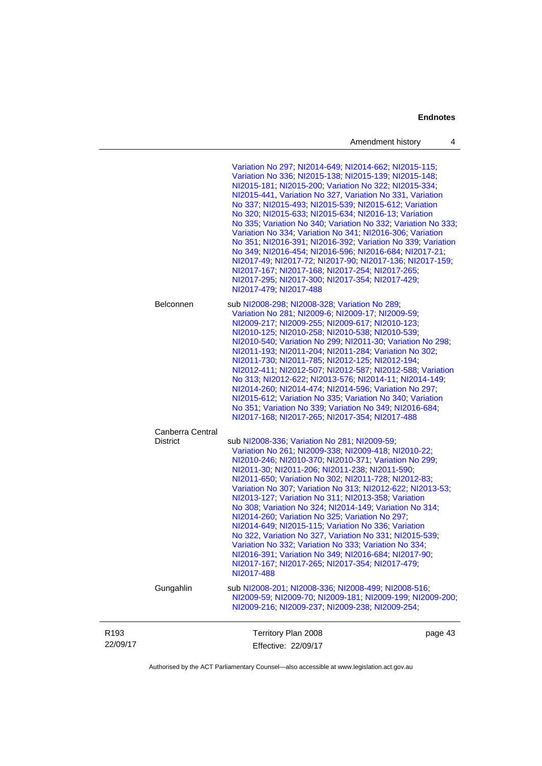| Amendment history |  |  |
|-------------------|--|--|
|-------------------|--|--|

| R <sub>193</sub><br>22/09/17 |                                     | Territory Plan 2008<br>Effective: 22/09/17                                                                                                                                                                                                                                                                                                                                                                                                                                                                                                                                                                                                                                                                                                                                                                     | page 43 |
|------------------------------|-------------------------------------|----------------------------------------------------------------------------------------------------------------------------------------------------------------------------------------------------------------------------------------------------------------------------------------------------------------------------------------------------------------------------------------------------------------------------------------------------------------------------------------------------------------------------------------------------------------------------------------------------------------------------------------------------------------------------------------------------------------------------------------------------------------------------------------------------------------|---------|
|                              | Gungahlin                           | sub NI2008-201; NI2008-336; NI2008-499; NI2008-516;<br>NI2009-59; NI2009-70; NI2009-181; NI2009-199; NI2009-200;<br>NI2009-216, NI2009-237, NI2009-238, NI2009-254,                                                                                                                                                                                                                                                                                                                                                                                                                                                                                                                                                                                                                                            |         |
|                              | Canberra Central<br><b>District</b> | sub NI2008-336; Variation No 281; NI2009-59;<br>Variation No 261, NI2009-338, NI2009-418, NI2010-22,<br>NI2010-246; NI2010-370; NI2010-371; Variation No 299;<br>NI2011-30, NI2011-206, NI2011-238, NI2011-590,<br>NI2011-650; Variation No 302; NI2011-728; NI2012-83;<br>Variation No 307, Variation No 313, NI2012-622, NI2013-53,<br>NI2013-127; Variation No 311; NI2013-358; Variation<br>No 308; Variation No 324; NI2014-149; Variation No 314;<br>NI2014-260; Variation No 325; Variation No 297;<br>NI2014-649; NI2015-115; Variation No 336; Variation<br>No 322, Variation No 327, Variation No 331, NI2015-539,<br>Variation No 332, Variation No 333, Variation No 334;<br>NI2016-391, Variation No 349, NI2016-684, NI2017-90,<br>NI2017-167, NI2017-265, NI2017-354, NI2017-479,<br>NI2017-488 |         |
|                              | Belconnen                           | sub NI2008-298; NI2008-328; Variation No 289;<br>Variation No 281, NI2009-6; NI2009-17; NI2009-59;<br>NI2009-217, NI2009-255; NI2009-617, NI2010-123;<br>NI2010-125, NI2010-258, NI2010-538, NI2010-539,<br>NI2010-540: Variation No 299: NI2011-30: Variation No 298:<br>NI2011-193, NI2011-204, NI2011-284, Variation No 302,<br>NI2011-730, NI2011-785, NI2012-125, NI2012-194,<br>NI2012-411, NI2012-507, NI2012-587, NI2012-588, Variation<br>No 313; NI2012-622; NI2013-576; NI2014-11; NI2014-149;<br>NI2014-260; NI2014-474; NI2014-596; Variation No 297;<br>NI2015-612; Variation No 335; Variation No 340; Variation<br>No 351; Variation No 339; Variation No 349; NI2016-684;<br>NI2017-168; NI2017-265; NI2017-354; NI2017-488                                                                   |         |
|                              |                                     | Variation No 297; NI2014-649; NI2014-662; NI2015-115;<br>Variation No 336; NI2015-138; NI2015-139; NI2015-148;<br>NI2015-181; NI2015-200; Variation No 322; NI2015-334;<br>NI2015-441, Variation No 327, Variation No 331, Variation<br>No 337, NI2015-493, NI2015-539, NI2015-612, Variation<br>No 320; NI2015-633; NI2015-634; NI2016-13; Variation<br>No 335; Variation No 340; Variation No 332; Variation No 333;<br>Variation No 334; Variation No 341; NI2016-306; Variation<br>No 351, NI2016-391, NI2016-392, Variation No 339, Variation<br>No 349; NI2016-454; NI2016-596; NI2016-684; NI2017-21;<br>NI2017-49, NI2017-72, NI2017-90, NI2017-136, NI2017-159,<br>NI2017-167, NI2017-168, NI2017-254, NI2017-265,<br>NI2017-295, NI2017-300, NI2017-354, NI2017-429,<br>NI2017-479; NI2017-488       |         |

Authorised by the ACT Parliamentary Counsel—also accessible at www.legislation.act.gov.au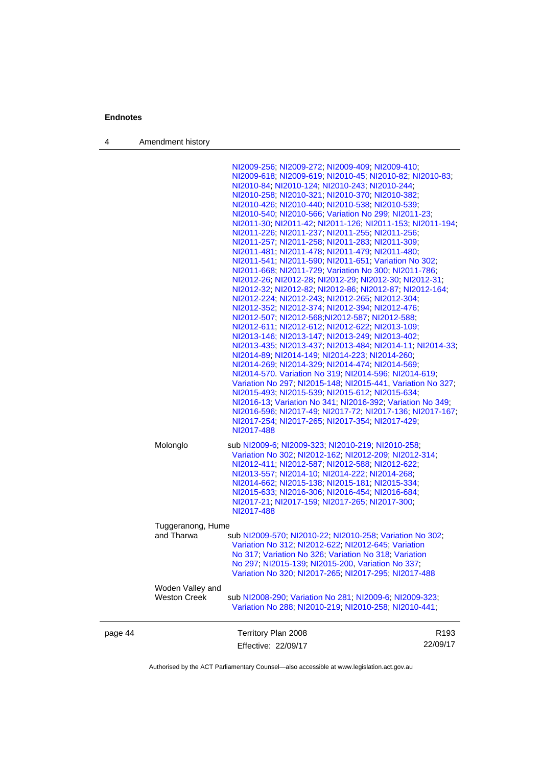4 Amendment history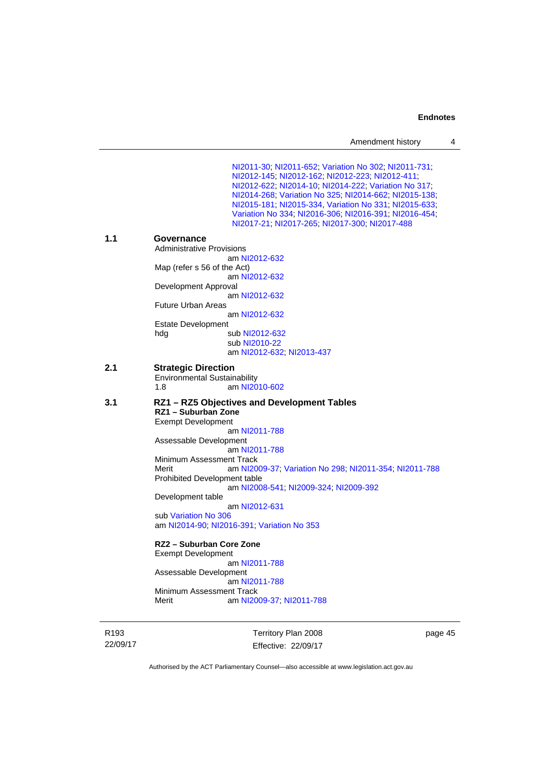| Amendment history |  |
|-------------------|--|
|-------------------|--|

[NI2011-30](http://www.legislation.act.gov.au/ni/2011-30/); [NI2011-652](http://www.legislation.act.gov.au/ni/2011-652/); [Variation No 302](http://www.legislation.act.gov.au/ni/2011-573/); [NI2011-731](http://www.legislation.act.gov.au/ni/2011-731/); [NI2012-145](http://www.legislation.act.gov.au/ni/2012-145/); [NI2012-162](http://www.legislation.act.gov.au/ni/2012-162/); [NI2012-223](http://www.legislation.act.gov.au/ni/2012-223/); [NI2012-411](http://www.legislation.act.gov.au/ni/2012-411/); [NI2012-622](http://www.legislation.act.gov.au/ni/2012-622/default.asp); [NI2014-10](http://www.legislation.act.gov.au/ni/2014-10/default.asp); [NI2014-222](http://www.legislation.act.gov.au/ni/2014-222/default.asp); [Variation No 317](http://www.legislation.act.gov.au/ni/2014-137/default.asp); [NI2014-268](http://www.legislation.act.gov.au/ni/2014-268/default.asp); [Variation No 325](http://www.legislation.act.gov.au/ni/2014-427/default.asp); [NI2014-662](http://www.legislation.act.gov.au/ni/2014-662/default.asp); [NI2015-138](http://www.legislation.act.gov.au/ni/2015-138/default.asp); [NI2015-181](http://www.legislation.act.gov.au/ni/2015-181/default.asp); [NI2015-334](http://www.legislation.act.gov.au/ni/2015-334/default.asp), [Variation No 331](http://www.legislation.act.gov.au/ni/2015-448/default.asp); [NI2015-633](http://www.legislation.act.gov.au/ni/2015-633/default.asp); [Variation No 334](http://www.legislation.act.gov.au/ni/2016-91/default.asp); [NI2016-306](http://www.legislation.act.gov.au/ni/2016-306/default.asp); [NI2016-391](http://www.legislation.act.gov.au/ni/2016-391/default.asp); [NI2016-454](http://www.legislation.act.gov.au/ni/2016-454/default.asp); [NI2017-21](http://www.legislation.act.gov.au/ni/2017-21/default.asp); [NI2017-265](http://www.legislation.act.gov.au/ni/2017-265/default.asp); [NI2017-300](http://www.legislation.act.gov.au/ni/2017-300/default.asp); [NI2017-488](http://www.legislation.act.gov.au/ni/2017-488/default.asp) **1.1 Governance**  Administrative Provisions am [NI2012-632](http://www.legislation.act.gov.au/ni/2012-632/default.asp) Map (refer s 56 of the Act) am [NI2012-632](http://www.legislation.act.gov.au/ni/2012-632/default.asp) Development Approval am [NI2012-632](http://www.legislation.act.gov.au/ni/2012-632/default.asp) Future Urban Areas am [NI2012-632](http://www.legislation.act.gov.au/ni/2012-632/default.asp) Estate Development hdg sub [NI2012-632](http://www.legislation.act.gov.au/ni/2012-632/default.asp) sub [NI2010-22](http://www.legislation.act.gov.au/ni/2010-22/) am [NI2012-632](http://www.legislation.act.gov.au/ni/2012-632/default.asp); [NI2013-437](http://www.legislation.act.gov.au/ni/2013-437/default.asp) **2.1 Strategic Direction**  Environmental Sustainability 1.8 am [NI2010-602](http://www.legislation.act.gov.au/ni/2010-602/) **3.1 RZ1 – RZ5 Objectives and Development Tables RZ1 – Suburban Zone**  Exempt Development am [NI2011-788](http://www.legislation.act.gov.au/ni/2011-788/) Assessable Development am [NI2011-788](http://www.legislation.act.gov.au/ni/2011-788/) Minimum Assessment Track Merit am [NI2009-37](http://www.legislation.act.gov.au/ni/2009-37/); [Variation No 298](http://www.legislation.act.gov.au/ni/2011-152/); [NI2011-354](http://www.legislation.act.gov.au/ni/2011-354/); [NI2011-788](http://www.legislation.act.gov.au/ni/2011-788/) Prohibited Development table am [NI2008-541](http://www.legislation.act.gov.au/ni/2008-541/); [NI2009-324](http://www.legislation.act.gov.au/ni/2009-324/); [NI2009-392](http://www.legislation.act.gov.au/ni/2009-392/) Development table am [NI2012-631](http://www.legislation.act.gov.au/ni/2012-631/default.asp) sub [Variation No 306](http://www.legislation.act.gov.au/ni/2013-93/default.asp) am [NI2014-90](http://www.legislation.act.gov.au/ni/2014-90/default.asp); [NI2016-391](http://www.legislation.act.gov.au/ni/2016-391/default.asp); [Variation No 353](http://www.legislation.act.gov.au/ni/2016-393/default.asp) **RZ2 – Suburban Core Zone**  Exempt Development am [NI2011-788](http://www.legislation.act.gov.au/ni/2011-788/) Assessable Development am [NI2011-788](http://www.legislation.act.gov.au/ni/2011-788/) Minimum Assessment Track Merit **am [NI2009-37](http://www.legislation.act.gov.au/ni/2009-37/); [NI2011-788](http://www.legislation.act.gov.au/ni/2011-788/)** 

R193 22/09/17 Territory Plan 2008 Effective: 22/09/17 page 45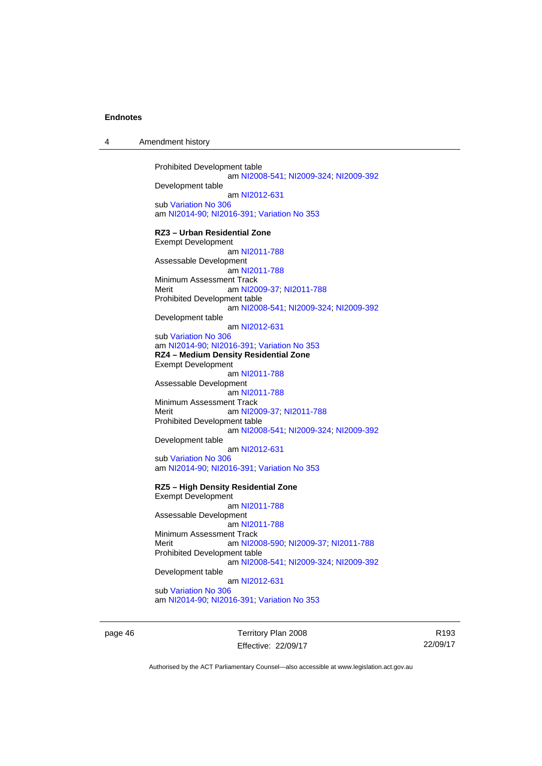| 4 | Amendment history |
|---|-------------------|
|---|-------------------|

Prohibited Development table am [NI2008-541](http://www.legislation.act.gov.au/ni/2008-541/); [NI2009-324](http://www.legislation.act.gov.au/ni/2009-324/); [NI2009-392](http://www.legislation.act.gov.au/ni/2009-392/) Development table am [NI2012-631](http://www.legislation.act.gov.au/ni/2012-631/default.asp) sub [Variation No 306](http://www.legislation.act.gov.au/ni/2013-93/default.asp) am [NI2014-90](http://www.legislation.act.gov.au/ni/2014-90/default.asp); [NI2016-391](http://www.legislation.act.gov.au/ni/2016-391/default.asp); [Variation No 353](http://www.legislation.act.gov.au/ni/2016-393/default.asp) **RZ3 – Urban Residential Zone**  Exempt Development am [NI2011-788](http://www.legislation.act.gov.au/ni/2011-788/) Assessable Development am [NI2011-788](http://www.legislation.act.gov.au/ni/2011-788/) Minimum Assessment Track Merit **am [NI2009-37](http://www.legislation.act.gov.au/ni/2009-37/); [NI2011-788](http://www.legislation.act.gov.au/ni/2011-788/)** Prohibited Development table am [NI2008-541](http://www.legislation.act.gov.au/ni/2008-541/); [NI2009-324](http://www.legislation.act.gov.au/ni/2009-324/); [NI2009-392](http://www.legislation.act.gov.au/ni/2009-392/) Development table am [NI2012-631](http://www.legislation.act.gov.au/ni/2012-631/default.asp) sub [Variation No 306](http://www.legislation.act.gov.au/ni/2013-93/default.asp) am [NI2014-90](http://www.legislation.act.gov.au/ni/2014-90/default.asp); [NI2016-391](http://www.legislation.act.gov.au/ni/2016-391/default.asp); [Variation No 353](http://www.legislation.act.gov.au/ni/2016-393/default.asp) **RZ4 – Medium Density Residential Zone**  Exempt Development am [NI2011-788](http://www.legislation.act.gov.au/ni/2011-788/) Assessable Development am [NI2011-788](http://www.legislation.act.gov.au/ni/2011-788/) Minimum Assessment Track<br>Merit am NI20 am [NI2009-37](http://www.legislation.act.gov.au/ni/2009-37/); [NI2011-788](http://www.legislation.act.gov.au/ni/2011-788/) Prohibited Development table am [NI2008-541](http://www.legislation.act.gov.au/ni/2008-541/); [NI2009-324](http://www.legislation.act.gov.au/ni/2009-324/); [NI2009-392](http://www.legislation.act.gov.au/ni/2009-392/) Development table am [NI2012-631](http://www.legislation.act.gov.au/ni/2012-631/default.asp) sub [Variation No 306](http://www.legislation.act.gov.au/ni/2013-93/default.asp) am [NI2014-90](http://www.legislation.act.gov.au/ni/2014-90/default.asp); [NI2016-391](http://www.legislation.act.gov.au/ni/2016-391/default.asp); [Variation No 353](http://www.legislation.act.gov.au/ni/2016-393/default.asp) **RZ5 – High Density Residential Zone**  Exempt Development am [NI2011-788](http://www.legislation.act.gov.au/ni/2011-788/) Assessable Development am [NI2011-788](http://www.legislation.act.gov.au/ni/2011-788/) Minimum Assessment Track Merit am [NI2008-590](http://www.legislation.act.gov.au/ni/2008-590/default.asp); [NI2009-37](http://www.legislation.act.gov.au/ni/2009-37/); [NI2011-788](http://www.legislation.act.gov.au/ni/2011-788/) Prohibited Development table am [NI2008-541](http://www.legislation.act.gov.au/ni/2008-541/); [NI2009-324](http://www.legislation.act.gov.au/ni/2009-324/); [NI2009-392](http://www.legislation.act.gov.au/ni/2009-392/) Development table am [NI2012-631](http://www.legislation.act.gov.au/ni/2012-631/default.asp) sub [Variation No 306](http://www.legislation.act.gov.au/ni/2013-93/default.asp) am [NI2014-90](http://www.legislation.act.gov.au/ni/2014-90/default.asp); [NI2016-391](http://www.legislation.act.gov.au/ni/2016-391/default.asp); [Variation No 353](http://www.legislation.act.gov.au/ni/2016-393/default.asp)

page 46 Territory Plan 2008 Effective: 22/09/17

R193 22/09/17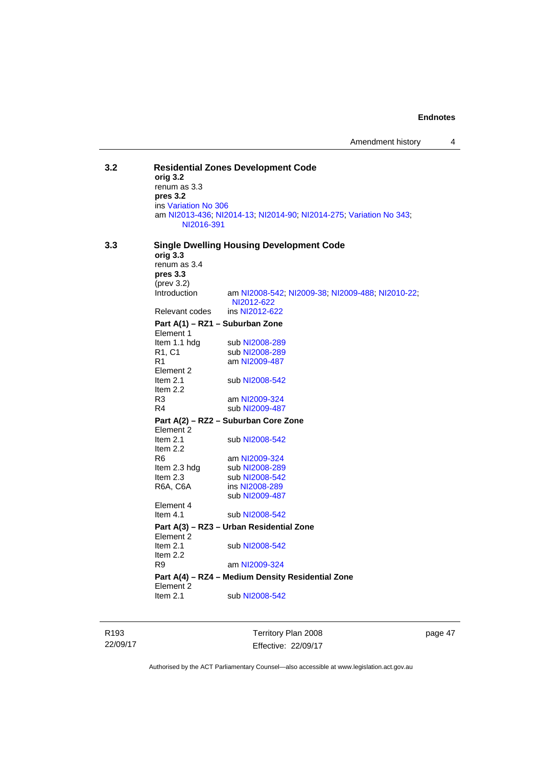Amendment history 4

**3.2 Residential Zones Development Code orig 3.2**  renum as 3.3 **pres 3.2**  ins [Variation No 306](http://www.legislation.act.gov.au/ni/2013-93/default.asp) am [NI2013-436](http://www.legislation.act.gov.au/ni/2013-436/default.asp); [NI2014-13](http://www.legislation.act.gov.au/ni/2014-13/default.asp); [NI2014-90](http://www.legislation.act.gov.au/ni/2014-90/default.asp); [NI2014-275](http://www.legislation.act.gov.au/ni/2014-275/default.asp); [Variation No 343](http://www.legislation.act.gov.au/ni/2015-642/default.asp); [NI2016-391](http://www.legislation.act.gov.au/ni/2016-391/default.asp) **3.3 Single Dwelling Housing Development Code orig 3.3**  renum as 3.4 **pres 3.3**  (prev 3.2) Introduction am [NI2008-542](http://www.legislation.act.gov.au/ni/2008-542/); [NI2009-38](http://www.legislation.act.gov.au/ni/2009-38/); [NI2009-488](http://www.legislation.act.gov.au/ni/2009-488/); [NI2010-22](http://www.legislation.act.gov.au/ni/2010-22/); [NI2012-622](http://www.legislation.act.gov.au/ni/2012-622/default.asp) Relevant codes ins [NI2012-622](http://www.legislation.act.gov.au/ni/2012-622/default.asp) **Part A(1) – RZ1 – Suburban Zone**  Element 1<br>Item 1.1 hdg sub [NI2008-289](http://www.legislation.act.gov.au/ni/2008-289/) R1, C1 sub [NI2008-289](http://www.legislation.act.gov.au/ni/2008-289/)<br>R1 am NI2009-487 am [NI2009-487](http://www.legislation.act.gov.au/ni/2009-487/) Element 2 Item 2.1 sub [NI2008-542](http://www.legislation.act.gov.au/ni/2008-542/) Item 2.2 R3 am [NI2009-324](http://www.legislation.act.gov.au/ni/2009-324/) R4 sub [NI2009-487](http://www.legislation.act.gov.au/ni/2009-487/) **Part A(2) – RZ2 – Suburban Core Zone**  Element 2<br>Item 2.1 sub [NI2008-542](http://www.legislation.act.gov.au/ni/2008-542/) Item 2.2 R6 am [NI2009-324](http://www.legislation.act.gov.au/ni/2009-324/)<br>Item 2.3 hdg sub NI2008-289 sub [NI2008-289](http://www.legislation.act.gov.au/ni/2008-289/) Item 2.3 sub [NI2008-542](http://www.legislation.act.gov.au/ni/2008-542/) R6A, C6A ins [NI2008-289](http://www.legislation.act.gov.au/ni/2008-289/) sub [NI2009-487](http://www.legislation.act.gov.au/ni/2009-487/) Element 4 Item 4.1 sub [NI2008-542](http://www.legislation.act.gov.au/ni/2008-542/) **Part A(3) – RZ3 – Urban Residential Zone**  Element 2 Item 2.1 sub [NI2008-542](http://www.legislation.act.gov.au/ni/2008-542/) Item 2.2<br>R9 am [NI2009-324](http://www.legislation.act.gov.au/ni/2009-324/) **Part A(4) – RZ4 – Medium Density Residential Zone**  Element 2<br>Item 2.1 sub [NI2008-542](http://www.legislation.act.gov.au/ni/2008-542/)

R193 22/09/17 Territory Plan 2008 Effective: 22/09/17

page 47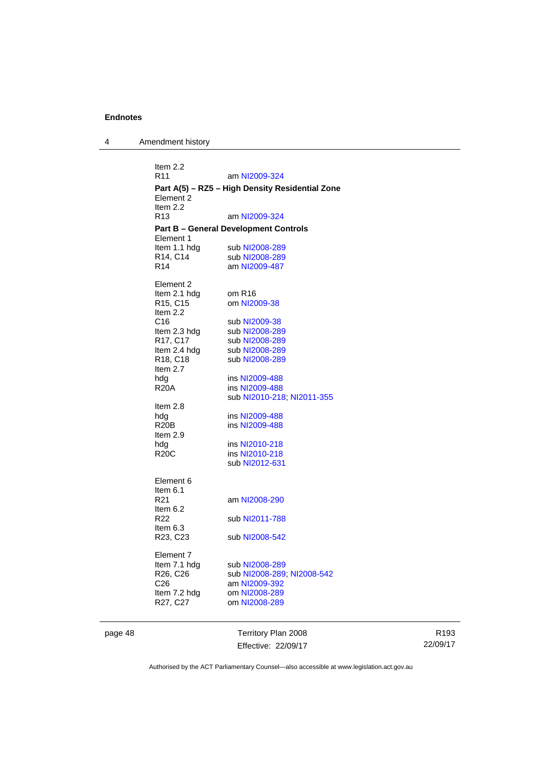4 Amendment history

| Item 2.2<br>R <sub>11</sub>                               | am NI2009-324                    |  |  |  |
|-----------------------------------------------------------|----------------------------------|--|--|--|
| Part A(5) - RZ5 - High Density Residential Zone           |                                  |  |  |  |
| Element 2                                                 |                                  |  |  |  |
| Item $2.2$<br>R <sub>13</sub>                             | am NI2009-324                    |  |  |  |
|                                                           |                                  |  |  |  |
| <b>Part B – General Development Controls</b><br>Element 1 |                                  |  |  |  |
| Item 1.1 hdg                                              | sub NI2008-289                   |  |  |  |
| R14, C14                                                  | sub NI2008-289                   |  |  |  |
| R <sub>14</sub>                                           | am NI2009-487                    |  |  |  |
| Element 2                                                 |                                  |  |  |  |
| Item 2.1 hdg                                              | om R <sub>16</sub>               |  |  |  |
| R15, C15                                                  | om NI2009-38                     |  |  |  |
| Item 2.2<br>C <sub>16</sub>                               | sub NI2009-38                    |  |  |  |
| Item 2.3 hdg                                              | sub NI2008-289                   |  |  |  |
| R17, C17                                                  | sub NI2008-289                   |  |  |  |
| Item 2.4 hdg                                              | sub NI2008-289                   |  |  |  |
| R18, C18                                                  | sub NI2008-289                   |  |  |  |
| Item $2.7$<br>hdg                                         | ins NI2009-488                   |  |  |  |
| <b>R20A</b>                                               | ins NI2009-488                   |  |  |  |
|                                                           | sub NI2010-218; NI2011-355       |  |  |  |
| Item 2.8                                                  |                                  |  |  |  |
| hdg<br><b>R20B</b>                                        | ins NI2009-488<br>ins NI2009-488 |  |  |  |
| Item 2.9                                                  |                                  |  |  |  |
| hdg                                                       | ins NI2010-218                   |  |  |  |
| <b>R20C</b>                                               | ins NI2010-218                   |  |  |  |
|                                                           | sub NI2012-631                   |  |  |  |
| Element 6                                                 |                                  |  |  |  |
| Item 6.1                                                  |                                  |  |  |  |
| R21<br>Item 6.2                                           | am NI2008-290                    |  |  |  |
| R <sub>22</sub>                                           | sub NI2011-788                   |  |  |  |
| Item 6.3                                                  |                                  |  |  |  |
| R23, C23                                                  | sub NI2008-542                   |  |  |  |
| Element 7                                                 |                                  |  |  |  |
| Item 7.1 hdg                                              | sub NI2008-289                   |  |  |  |
| R26, C26                                                  | sub NI2008-289, NI2008-542       |  |  |  |
| C26                                                       | am NI2009-392                    |  |  |  |
| Item 7.2 hdg<br>R27, C27                                  | om NI2008-289<br>om NI2008-289   |  |  |  |
|                                                           |                                  |  |  |  |

page 48 Territory Plan 2008 Effective: 22/09/17

R193 22/09/17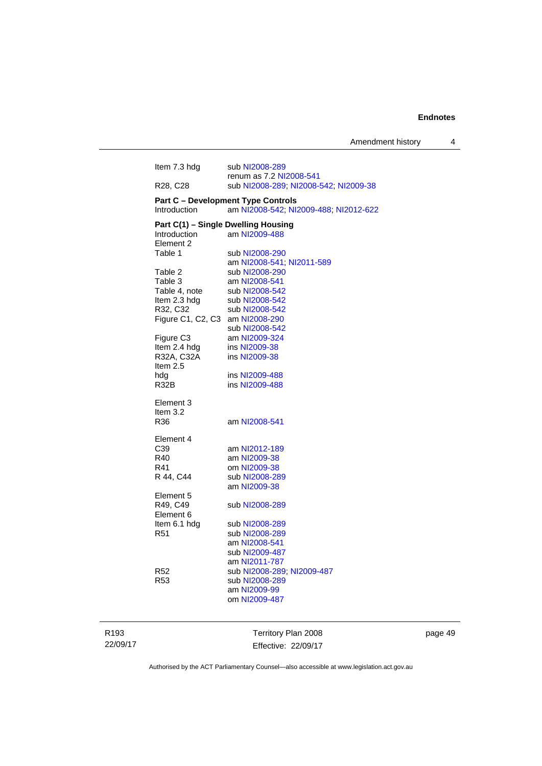| Item 7.3 hdg                        | sub NI2008-289                            |
|-------------------------------------|-------------------------------------------|
|                                     | renum as 7.2 NI2008-541                   |
| R28, C28                            | sub NI2008-289; NI2008-542; NI2009-38     |
|                                     | <b>Part C - Development Type Controls</b> |
| Introduction                        | am NI2008-542; NI2009-488; NI2012-622     |
| Part C(1) - Single Dwelling Housing |                                           |
| <b>Introduction</b>                 | am NI2009-488                             |
| Element 2                           |                                           |
| Table 1                             | sub NI2008-290                            |
|                                     | am NI2008-541; NI2011-589                 |
| Table 2                             | sub NI2008-290                            |
| Table 3                             | am NI2008-541                             |
| Table 4, note                       | sub NI2008-542                            |
| Item 2.3 hdg                        | sub NI2008-542                            |
| R32, C32                            | sub NI2008-542                            |
| Figure C1, C2, C3                   | am NI2008-290                             |
|                                     | sub NI2008-542                            |
| Figure C3                           | am NI2009-324                             |
| Item 2.4 hdg                        | ins NI2009-38                             |
| R32A, C32A                          | ins NI2009-38                             |
| Item $2.5$                          |                                           |
| hdg                                 | ins NI2009-488                            |
| <b>R32B</b>                         | ins NI2009-488                            |
|                                     |                                           |
| Element 3                           |                                           |
| Item $3.2$                          |                                           |
| R36                                 | am NI2008-541                             |
| Element 4                           |                                           |
| C <sub>39</sub>                     | am NI2012-189                             |
| R40                                 | am NI2009-38                              |
| R41                                 | om NI2009-38                              |
| R 44, C44                           | sub NI2008-289                            |
|                                     | am NI2009-38                              |
| Element 5                           |                                           |
| R49, C49                            | sub NI2008-289                            |
| Element 6                           |                                           |
| Item 6.1 hdg                        | sub NI2008-289                            |
| R <sub>51</sub>                     | sub NI2008-289                            |
|                                     | am NI2008-541                             |
|                                     | sub NI2009-487                            |
|                                     | am NI2011-787                             |
| R52                                 | sub NI2008-289; NI2009-487                |
| R <sub>53</sub>                     | sub NI2008-289                            |
|                                     | am NI2009-99                              |
|                                     | om NI2009-487                             |
|                                     |                                           |
|                                     |                                           |
|                                     |                                           |

R193 22/09/17

Territory Plan 2008 Effective: 22/09/17 page 49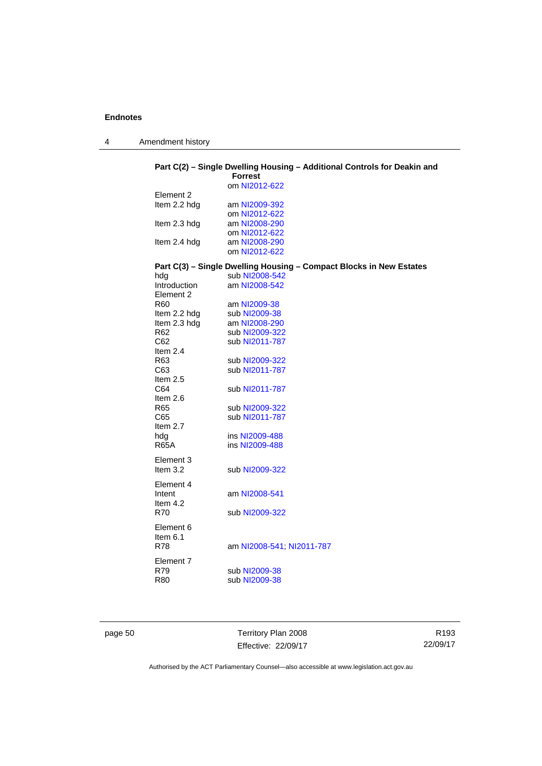4 Amendment history

## **Part C(2) – Single Dwelling Housing – Additional Controls for Deakin and**

|                 | <b>Forrest</b>                                                      |
|-----------------|---------------------------------------------------------------------|
|                 | om NI2012-622                                                       |
| Element 2       |                                                                     |
| Item 2.2 hdg    | am NI2009-392                                                       |
|                 | om NI2012-622                                                       |
| Item 2.3 hdg    | am NI2008-290                                                       |
|                 | om NI2012-622                                                       |
| Item 2.4 hdg    | am NI2008-290                                                       |
|                 | om NI2012-622                                                       |
|                 | Part C(3) - Single Dwelling Housing - Compact Blocks in New Estates |
| hdg             | sub NI2008-542                                                      |
| Introduction    | am NI2008-542                                                       |
| Element 2       |                                                                     |
| R <sub>60</sub> | am NI2009-38                                                        |
| Item 2.2 hdg    | sub NI2009-38                                                       |
| Item 2.3 hdg    | am NI2008-290                                                       |
| R <sub>62</sub> | sub NI2009-322                                                      |
| C62             | sub NI2011-787                                                      |
| Item $2.4$      |                                                                     |
| R63             | sub NI2009-322                                                      |
| C63             | sub NI2011-787                                                      |
| Item $2.5$      |                                                                     |
| C64             | sub NI2011-787                                                      |
| Item $2.6$      |                                                                     |
| R65             | sub NI2009-322                                                      |
| C65             | sub NI2011-787                                                      |
| Item 2.7        |                                                                     |
| hda             | ins NI2009-488                                                      |
| <b>R65A</b>     | ins NI2009-488                                                      |
|                 |                                                                     |
| Element 3       |                                                                     |
| Item $3.2$      | sub NI2009-322                                                      |
| Element 4       |                                                                     |
| Intent          | am NI2008-541                                                       |
| Item $4.2$      |                                                                     |
| <b>R70</b>      | sub NI2009-322                                                      |
|                 |                                                                     |
| Element 6       |                                                                     |
| Item 6.1        |                                                                     |
| <b>R78</b>      | am NI2008-541; NI2011-787                                           |
| Element 7       |                                                                     |
| R79             | sub NI2009-38                                                       |
| <b>R80</b>      | sub NI2009-38                                                       |
|                 |                                                                     |
|                 |                                                                     |

page 50 Territory Plan 2008 Effective: 22/09/17

R193 22/09/17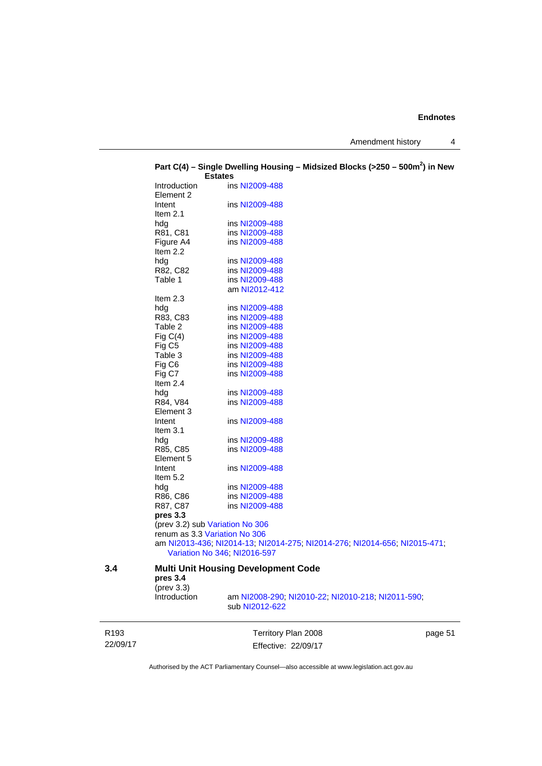Amendment history 4

|     | ו ד <sub>ו</sub> ס וויט ו | onigio pwoning nousing<br><b>Estates</b>                                                                  | סטביק טוסטום וטשונטוויו                           |  |
|-----|---------------------------|-----------------------------------------------------------------------------------------------------------|---------------------------------------------------|--|
|     | <b>Introduction</b>       | ins NI2009-488                                                                                            |                                                   |  |
|     | Element 2                 |                                                                                                           |                                                   |  |
|     | Intent                    | ins NI2009-488                                                                                            |                                                   |  |
|     | Item $2.1$                |                                                                                                           |                                                   |  |
|     | hdg                       | ins NI2009-488                                                                                            |                                                   |  |
|     | R81, C81                  | ins NI2009-488                                                                                            |                                                   |  |
|     | Figure A4                 | ins NI2009-488                                                                                            |                                                   |  |
|     | Item $2.2$                |                                                                                                           |                                                   |  |
|     | hdg                       | ins NI2009-488                                                                                            |                                                   |  |
|     | R82, C82                  | ins NI2009-488                                                                                            |                                                   |  |
|     | Table 1                   | ins NI2009-488                                                                                            |                                                   |  |
|     |                           | am NI2012-412                                                                                             |                                                   |  |
|     | Item $2.3$                |                                                                                                           |                                                   |  |
|     | hdg                       | ins NI2009-488                                                                                            |                                                   |  |
|     | R83, C83                  | ins NI2009-488                                                                                            |                                                   |  |
|     | Table 2                   | ins NI2009-488                                                                                            |                                                   |  |
|     | Fig $C(4)$                | ins NI2009-488                                                                                            |                                                   |  |
|     | Fig C <sub>5</sub>        | ins NI2009-488                                                                                            |                                                   |  |
|     | Table 3                   | ins NI2009-488                                                                                            |                                                   |  |
|     | Fig C6                    | ins NI2009-488                                                                                            |                                                   |  |
|     | Fig C7                    | ins NI2009-488                                                                                            |                                                   |  |
|     | Item $2.4$                |                                                                                                           |                                                   |  |
|     | hdg                       | ins NI2009-488                                                                                            |                                                   |  |
|     | R84, V84                  | ins NI2009-488                                                                                            |                                                   |  |
|     | Element 3                 |                                                                                                           |                                                   |  |
|     | Intent                    | ins NI2009-488                                                                                            |                                                   |  |
|     | Item $3.1$                |                                                                                                           |                                                   |  |
|     | hdg                       | ins NI2009-488                                                                                            |                                                   |  |
|     | R85, C85                  | ins NI2009-488                                                                                            |                                                   |  |
|     | Element 5                 |                                                                                                           |                                                   |  |
|     | Intent                    | ins NI2009-488                                                                                            |                                                   |  |
|     | Item $5.2$                |                                                                                                           |                                                   |  |
|     | hdg                       | ins NI2009-488                                                                                            |                                                   |  |
|     | R86, C86                  | ins NI2009-488                                                                                            |                                                   |  |
|     | R87, C87                  | ins NI2009-488                                                                                            |                                                   |  |
|     | pres 3.3                  |                                                                                                           |                                                   |  |
|     |                           | (prev 3.2) sub Variation No 306                                                                           |                                                   |  |
|     |                           | renum as 3.3 Variation No 306                                                                             |                                                   |  |
|     |                           | am NI2013-436; NI2014-13; NI2014-275; NI2014-276; NI2014-656; NI2015-471;<br>Variation No 346; NI2016-597 |                                                   |  |
| 3.4 |                           | <b>Multi Unit Housing Development Code</b>                                                                |                                                   |  |
|     | pres 3.4                  |                                                                                                           |                                                   |  |
|     | $(\text{prev } 3.3)$      |                                                                                                           |                                                   |  |
|     | Introduction              |                                                                                                           | am NI2008-290; NI2010-22; NI2010-218; NI2011-590; |  |
|     |                           | sub NI2012-622                                                                                            |                                                   |  |

# **Part C(4) – Single Dwelling Housing – Midsized Blocks (>250 – 500m<sup>2</sup> ) in New**

R193 22/09/17

Territory Plan 2008 Effective: 22/09/17 page 51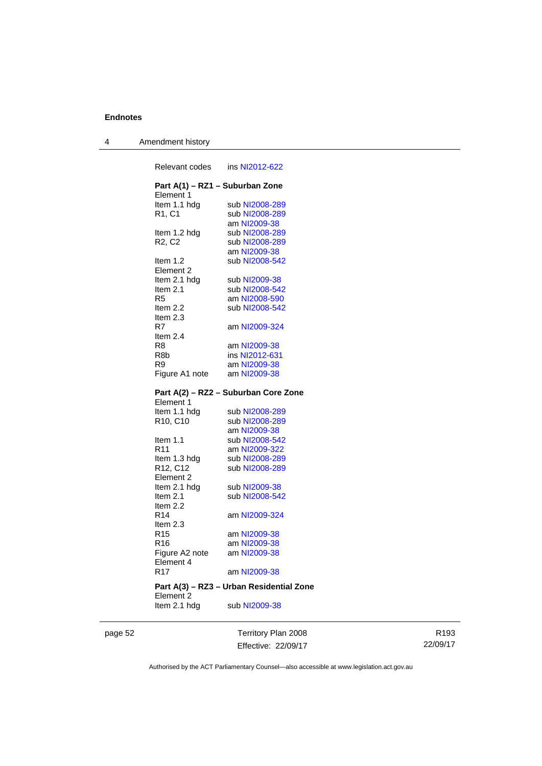| 4 | Amendment history |
|---|-------------------|
|---|-------------------|

| Relevant codes                    |                                          |
|-----------------------------------|------------------------------------------|
| Element 1                         | Part A(1) - RZ1 - Suburban Zone          |
| Item 1.1 hdg                      | sub NI2008-289                           |
| R1, C1                            | sub NI2008-289                           |
|                                   | am NI2009-38                             |
| Item 1.2 hdg                      | sub NI2008-289                           |
| R <sub>2</sub> , C <sub>2</sub>   | sub NI2008-289                           |
|                                   | am NI2009-38                             |
| Item $1.2$                        | sub NI2008-542                           |
| Element 2                         |                                          |
| Item 2.1 hdg                      | sub NI2009-38                            |
| Item 2.1                          | sub NI2008-542                           |
| R5                                | am NI2008-590                            |
| Item 2.2                          | sub NI2008-542                           |
| Item $2.3$                        |                                          |
| R7                                | am NI2009-324                            |
| Item 2.4                          |                                          |
| R8                                | am NI2009-38                             |
| R8b                               | ins NI2012-631                           |
| R9.                               | am NI2009-38                             |
|                                   | Figure A1 note am NI2009-38              |
|                                   |                                          |
|                                   |                                          |
|                                   | Part A(2) - RZ2 - Suburban Core Zone     |
| Element 1                         |                                          |
| Item 1.1 hdg                      | sub NI2008-289                           |
| R <sub>10</sub> , C <sub>10</sub> | sub NI2008-289                           |
|                                   | am NI2009-38                             |
| Item 1.1                          | sub NI2008-542                           |
| R11                               | am NI2009-322                            |
| Item 1.3 hdg                      | sub NI2008-289                           |
| R12, C12                          | sub NI2008-289                           |
| Element 2                         |                                          |
| Item 2.1 hdg                      | sub NI2009-38                            |
| Item 2.1                          | sub NI2008-542                           |
| Item 2.2                          |                                          |
| R14                               | am NI2009-324                            |
| Item 2.3                          |                                          |
| R <sub>15</sub>                   | am NI2009-38                             |
| R16                               | am NI2009-38                             |
| Figure A2 note                    | am NI2009-38                             |
| Element 4                         |                                          |
| R <sub>17</sub>                   | am NI2009-38                             |
|                                   | Part A(3) - RZ3 - Urban Residential Zone |
| Element 2<br>Item 2.1 hdg         | sub NI2009-38                            |

page 52 Territory Plan 2008 Effective: 22/09/17

R193 22/09/17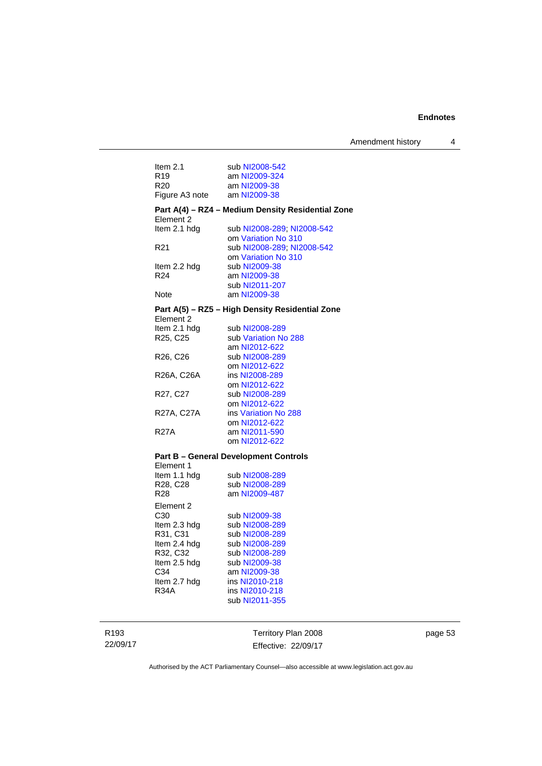| Item $2.1$                        | sub NI2008-542                                    |
|-----------------------------------|---------------------------------------------------|
| R <sub>19</sub>                   | am NI2009-324                                     |
| R20                               | am NI2009-38                                      |
| Figure A3 note                    | am NI2009-38                                      |
| Element 2                         | Part A(4) - RZ4 - Medium Density Residential Zone |
| Item 2.1 hdg                      | sub NI2008-289, NI2008-542                        |
|                                   | om Variation No 310                               |
| R <sub>21</sub>                   | sub NI2008-289, NI2008-542                        |
|                                   | om Variation No 310                               |
| ltem 2.2 hdg                      | sub NI2009-38                                     |
| R24                               | am NI2009-38                                      |
|                                   | sub NI2011-207                                    |
| Note                              | am NI2009-38                                      |
| Element 2                         | Part A(5) - RZ5 - High Density Residential Zone   |
| Item 2.1 hdg                      | sub NI2008-289                                    |
| R <sub>25</sub> , C <sub>25</sub> | sub Variation No 288                              |
|                                   | am NI2012-622                                     |
| R <sub>26</sub> , C <sub>26</sub> | sub NI2008-289                                    |
|                                   | om NI2012-622                                     |
| R26A, C26A                        | ins NI2008-289                                    |
|                                   | om NI2012-622                                     |
| R <sub>27</sub> , C <sub>27</sub> | sub NI2008-289                                    |
|                                   | om NI2012-622                                     |
| R27A, C27A                        | ins Variation No 288                              |
|                                   | om NI2012-622                                     |
| <b>R27A</b>                       | am NI2011-590                                     |
|                                   | om NI2012-622                                     |
| Element 1                         | <b>Part B - General Development Controls</b>      |
| ltem 1.1 hdg                      | sub NI2008-289                                    |
| R28, C28                          | sub NI2008-289                                    |
| <b>R28</b>                        | am NI2009-487                                     |
| Element 2                         |                                                   |
| C <sub>30</sub>                   | sub NI2009-38                                     |
| Item 2.3 hdg                      | sub NI2008-289                                    |
| R31, C31                          | sub NI2008-289                                    |
| ltem 2.4 hdg                      | sub NI2008-289                                    |
| R32, C32                          | sub NI2008-289                                    |
| Item 2.5 hdg                      | sub NI2009-38                                     |
| C34                               | am NI2009-38                                      |
| Item 2.7 hdg                      | ins NI2010-218                                    |
| R34A                              | ins NI2010-218                                    |
|                                   | sub NI2011-355                                    |

R193 22/09/17

Territory Plan 2008 Effective: 22/09/17 page 53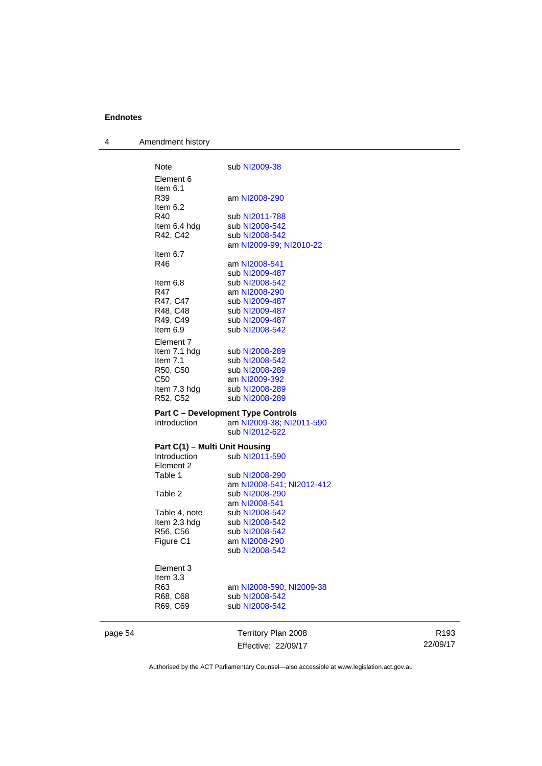| 4       | Amendment history              |                                           |
|---------|--------------------------------|-------------------------------------------|
|         | Note                           | sub NI2009-38                             |
|         | Element 6                      |                                           |
|         | Item 6.1                       |                                           |
|         | R39                            | am NI2008-290                             |
|         | Item $6.2$                     |                                           |
|         | R40                            | sub NI2011-788                            |
|         | Item 6.4 hdg                   | sub NI2008-542                            |
|         | R42, C42                       | sub NI2008-542                            |
|         |                                | am NI2009-99; NI2010-22                   |
|         | Item $6.7$                     |                                           |
|         | R46                            | am NI2008-541                             |
|         |                                | sub NI2009-487                            |
|         | ltem 6.8                       | sub NI2008-542                            |
|         | R47                            | am NI2008-290                             |
|         | R47, C47                       | sub NI2009-487                            |
|         | R48, C48                       | sub NI2009-487                            |
|         | R49, C49                       | sub NI2009-487                            |
|         | Item 6.9                       | sub NI2008-542                            |
|         | Element 7                      |                                           |
|         | Item 7.1 hdg                   | sub NI2008-289                            |
|         | Item 7.1                       | sub NI2008-542                            |
|         | R50, C50                       | sub NI2008-289                            |
|         | C <sub>50</sub>                | am NI2009-392                             |
|         | Item 7.3 hdg                   | sub NI2008-289                            |
|         | R52, C52                       | sub NI2008-289                            |
|         |                                | <b>Part C - Development Type Controls</b> |
|         | Introduction                   | am NI2009-38; NI2011-590                  |
|         |                                | sub NI2012-622                            |
|         | Part C(1) - Multi Unit Housing |                                           |
|         | <b>Introduction</b>            | sub NI2011-590                            |
|         | Element 2                      |                                           |
|         | Table 1                        | sub NI2008-290                            |
|         |                                | am NI2008-541; NI2012-412                 |
|         | Table 2                        | sub NI2008-290                            |
|         |                                | am NI2008-541                             |
|         | Table 4, note                  | sub NI2008-542                            |
|         | Item 2.3 hdg                   | sub NI2008-542                            |
|         | R56, C56                       | sub NI2008-542                            |
|         | Figure C1                      | am NI2008-290                             |
|         |                                | sub NI2008-542                            |
|         | Element 3                      |                                           |
|         | Item 3.3                       |                                           |
|         | R63                            | am NI2008-590; NI2009-38                  |
|         | R68, C68                       | sub NI2008-542                            |
|         | R69, C69                       | sub NI2008-542                            |
|         |                                |                                           |
| page 54 |                                | Territory Plan 2008                       |
|         |                                | Effective: 22/09/17                       |

R193 22/09/17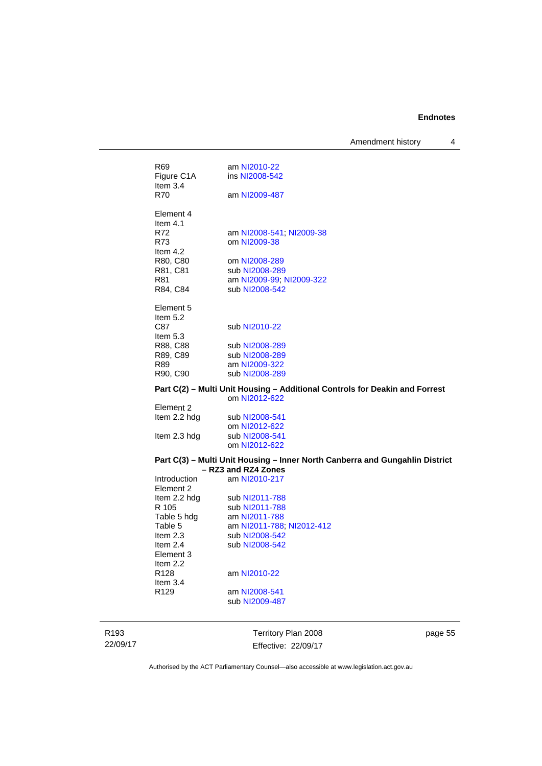Amendment history 4

| Part C(2) - Multi Unit Housing - Additional Controls for Deakin and Forrest<br>om NI2012-622 |                                 |  |
|----------------------------------------------------------------------------------------------|---------------------------------|--|
| R90, C90                                                                                     | sub NI2008-289                  |  |
| R89, C89<br>R89                                                                              | sub NI2008-289<br>am NI2009-322 |  |
| R88, C88                                                                                     | sub NI2008-289                  |  |
| C87<br>Item $5.3$                                                                            | sub NI2010-22                   |  |
| Element 5<br>Item $5.2$                                                                      |                                 |  |
| R84, C84                                                                                     | sub NI2008-542                  |  |
| R81                                                                                          | am NI2009-99; NI2009-322        |  |
| R81, C81                                                                                     | sub NI2008-289                  |  |
| Item $4.2$<br>R80, C80                                                                       | om NI2008-289                   |  |
| R73                                                                                          | om NI2009-38                    |  |
| Flement 4<br>Item $4.1$<br>R72                                                               | am NI2008-541, NI2009-38        |  |
| Item $3.4$<br>R70                                                                            | am NI2009-487                   |  |
| Figure C1A                                                                                   | ins NI2008-542                  |  |
| R <sub>69</sub>                                                                              | am NI2010-22                    |  |
|                                                                                              |                                 |  |

| Element 2    |                |
|--------------|----------------|
| Item 2.2 hdg | sub NI2008-541 |
|              | om NI2012-622  |
| Item 2.3 hdg | sub NI2008-541 |
|              | om NI2012-622  |
|              |                |

#### **Part C(3) – Multi Unit Housing – Inner North Canberra and Gungahlin District – RZ3 and RZ4 Zones**

| Introduction     | am NI2010-217             |
|------------------|---------------------------|
| Element 2        |                           |
| Item 2.2 hdg     | sub NI2011-788            |
| R 105            | sub NI2011-788            |
| Table 5 hdg      | am NI2011-788             |
| Table 5          | am NI2011-788; NI2012-412 |
| Item $2.3$       | sub NI2008-542            |
| Item $2.4$       | sub NI2008-542            |
| Element 3        |                           |
| Item $2.2$       |                           |
| R128             | am NI2010-22              |
| Item $3.4$       |                           |
| R <sub>129</sub> | am NI2008-541             |
|                  | sub NI2009-487            |
|                  |                           |

R193 22/09/17

Territory Plan 2008 Effective: 22/09/17 page 55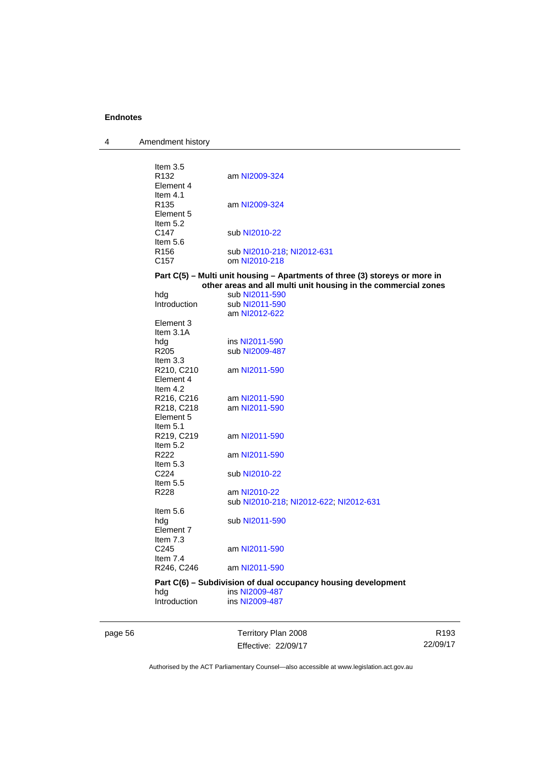| 4 | Amendment history |  |
|---|-------------------|--|
|---|-------------------|--|

| Item $3.5$<br>R <sub>132</sub><br>Element 4             | am NI2009-324                                                                                                                                 |
|---------------------------------------------------------|-----------------------------------------------------------------------------------------------------------------------------------------------|
| Item $4.1$<br>R <sub>135</sub><br>Element 5<br>Item 5.2 | am NI2009-324                                                                                                                                 |
| C147<br>Item $5.6$                                      | sub NI2010-22                                                                                                                                 |
| R <sub>156</sub><br>C <sub>157</sub>                    | sub NI2010-218, NI2012-631<br>om NI2010-218                                                                                                   |
|                                                         | Part C(5) - Multi unit housing - Apartments of three (3) storeys or more in<br>other areas and all multi unit housing in the commercial zones |
|                                                         | sub NI2011-590                                                                                                                                |
| hdg                                                     |                                                                                                                                               |
| Introduction                                            | sub NI2011-590<br>am NI2012-622                                                                                                               |
| Element 3                                               |                                                                                                                                               |
| Item $3.1A$                                             |                                                                                                                                               |
| hdg                                                     | ins NI2011-590                                                                                                                                |
| R205                                                    | sub NI2009-487                                                                                                                                |
| Item 3.3                                                |                                                                                                                                               |
| R210, C210                                              | am NI2011-590                                                                                                                                 |
| Element 4                                               |                                                                                                                                               |
| Item $4.2$                                              |                                                                                                                                               |
| R216, C216                                              | am NI2011-590                                                                                                                                 |
| R218, C218                                              | am NI2011-590                                                                                                                                 |
| Element 5                                               |                                                                                                                                               |
| Item $5.1$                                              |                                                                                                                                               |
| R219, C219                                              | am NI2011-590                                                                                                                                 |
| Item $5.2$                                              |                                                                                                                                               |
|                                                         |                                                                                                                                               |
| R222                                                    | am NI2011-590                                                                                                                                 |
| Item $5.3$                                              |                                                                                                                                               |
| C <sub>224</sub>                                        | sub NI2010-22                                                                                                                                 |
| Item $5.5$                                              |                                                                                                                                               |
| R228                                                    | am NI2010-22                                                                                                                                  |
|                                                         | sub NI2010-218, NI2012-622, NI2012-631                                                                                                        |
| Item $5.6$                                              |                                                                                                                                               |
| hda                                                     | sub NI2011-590                                                                                                                                |
| Element 7                                               |                                                                                                                                               |
| Item 7.3                                                |                                                                                                                                               |
| C <sub>245</sub>                                        | am NI2011-590                                                                                                                                 |
| Item $7.4$                                              |                                                                                                                                               |
| R246, C246                                              | am NI2011-590                                                                                                                                 |
|                                                         | Part C(6) - Subdivision of dual occupancy housing development                                                                                 |
| hdg                                                     | ins NI2009-487                                                                                                                                |
| Introduction                                            | ins NI2009-487                                                                                                                                |
|                                                         |                                                                                                                                               |

page 56 Territory Plan 2008 Effective: 22/09/17

R193 22/09/17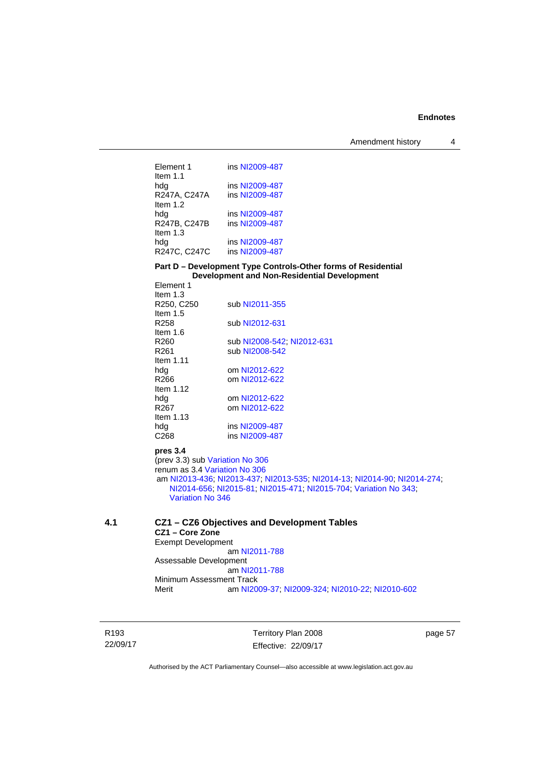Element 1 ins [NI2009-487](http://www.legislation.act.gov.au/ni/2009-487/) Item 1.1 hdg ins [NI2009-487](http://www.legislation.act.gov.au/ni/2009-487/)<br>R247A, C247A ins NI2009-487 R247A, C247A Item 1.2 hdg ins [NI2009-487](http://www.legislation.act.gov.au/ni/2009-487/)<br>R247B, C247B ins NI2009-487 ins [NI2009-487](http://www.legislation.act.gov.au/ni/2009-487/) Item 1.3 hdg ins [NI2009-487](http://www.legislation.act.gov.au/ni/2009-487/)<br>R247C, C247C ins NI2009-487 R247C, C247C

#### **Part D – Development Type Controls-Other forms of Residential Development and Non-Residential Development**

| Element 1                                                        |                                                                          |  |
|------------------------------------------------------------------|--------------------------------------------------------------------------|--|
| Item $1.3$                                                       |                                                                          |  |
| R <sub>250</sub> , C <sub>250</sub>                              | sub NI2011-355                                                           |  |
| Item $1.5$                                                       |                                                                          |  |
| R <sub>258</sub>                                                 | sub NI2012-631                                                           |  |
| Item $1.6$                                                       |                                                                          |  |
| R <sub>260</sub>                                                 | sub NI2008-542, NI2012-631                                               |  |
| R <sub>261</sub>                                                 | sub NI2008-542                                                           |  |
| Item $1.11$                                                      |                                                                          |  |
| hda                                                              | om NI2012-622                                                            |  |
| R <sub>266</sub>                                                 | om NI2012-622                                                            |  |
| Item $1.12$                                                      |                                                                          |  |
| hdg                                                              | om NI2012-622                                                            |  |
| R <sub>267</sub>                                                 | om NI2012-622                                                            |  |
| Item $1.13$                                                      |                                                                          |  |
| hdg                                                              | ins NI2009-487                                                           |  |
| C <sub>268</sub>                                                 | ins NI2009-487                                                           |  |
| pres 3.4                                                         |                                                                          |  |
| (prev 3.3) sub Variation No 306                                  |                                                                          |  |
| renum as 3.4 Variation No 306                                    |                                                                          |  |
|                                                                  | am NI2013-436, NI2013-437, NI2013-535, NI2014-13, NI2014-90, NI2014-274, |  |
| NI2014-656, NI2015-81, NI2015-471, NI2015-704, Variation No 343; |                                                                          |  |
| Variation No 346                                                 |                                                                          |  |
|                                                                  |                                                                          |  |
|                                                                  |                                                                          |  |

#### **4.1 CZ1 – CZ6 Objectives and Development Tables CZ1 – Core Zone**  Exempt Development am [NI2011-788](http://www.legislation.act.gov.au/ni/2011-788/) Assessable Development am [NI2011-788](http://www.legislation.act.gov.au/ni/2011-788/) Minimum Assessment Track Merit am [NI2009-37](http://www.legislation.act.gov.au/ni/2009-37/); [NI2009-324](http://www.legislation.act.gov.au/ni/2009-324/); [NI2010-22](http://www.legislation.act.gov.au/ni/2010-22/); [NI2010-602](http://www.legislation.act.gov.au/ni/2010-602/)

R193 22/09/17 Territory Plan 2008 Effective: 22/09/17 page 57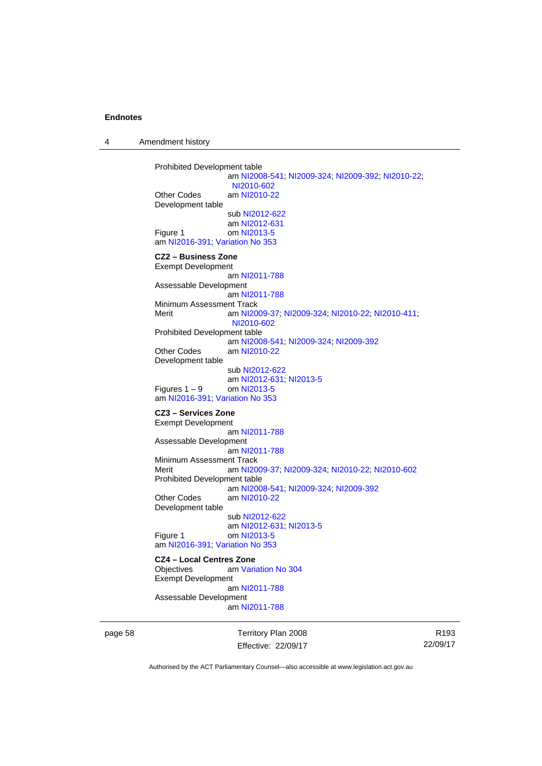4 Amendment history

```
Prohibited Development table 
                  am NI2008-541; NI2009-324; NI2009-392; NI2010-22; 
                  NI2010-602
Other Codes am NI2010-22
Development table 
                  sub NI2012-622
                  am NI2012-631
 NI2013-5
am NI2016-391; Variation No 353
CZ2 – Business Zone 
Exempt Development 
                  am NI2011-788
Assessable Development
                  am NI2011-788
Minimum Assessment Track 
Merit am NI2009-37; NI2009-324; NI2010-22; NI2010-411; 
                  NI2010-602
Prohibited Development table 
                  am NI2008-541; NI2009-324; NI2009-392
Other Codes am NI2010-22
Development table 
                  sub NI2012-622
                  am NI2012-631; NI2013-5
Figures 1 - 9 NI2013-5
am NI2016-391; Variation No 353
CZ3 – Services Zone 
Exempt Development 
                  am NI2011-788
Assessable Development
                  am NI2011-788
Minimum Assessment Track 
Merit am NI2009-37; NI2009-324; NI2010-22; NI2010-602
Prohibited Development table 
                  am NI2008-541; NI2009-324; NI2009-392
Other Codes am NI2010-22
Development table 
                  sub NI2012-622
                  am NI2012-631; NI2013-5
Figure 1 om NI2013-5
am NI2016-391; Variation No 353
CZ4 – Local Centres Zone 
Objectives am Variation No 304
Exempt Development 
                  am NI2011-788
Assessable Development
```
am [NI2011-788](http://www.legislation.act.gov.au/ni/2011-788/)

page 58 Territory Plan 2008 Effective: 22/09/17

R193 22/09/17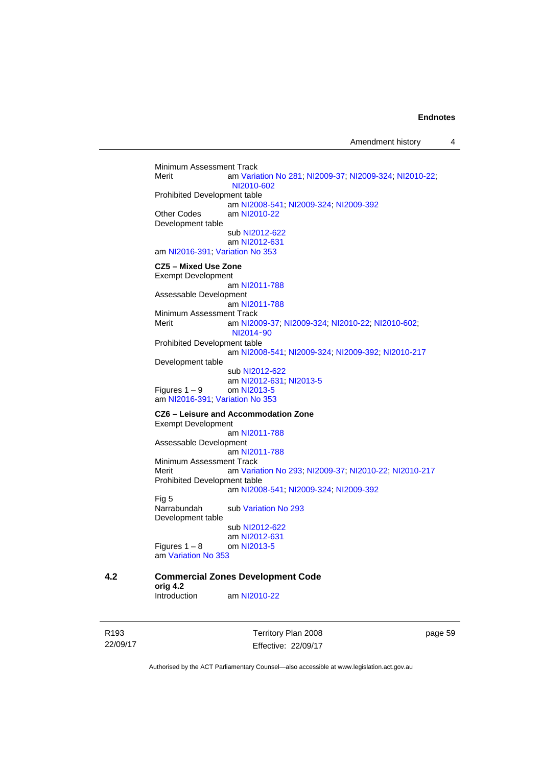Amendment history 4

Minimum Assessment Track<br>Merit am Varia am [Variation No 281](http://www.legislation.act.gov.au/ni/2008-352/); [NI2009-37](http://www.legislation.act.gov.au/ni/2009-37/); [NI2009-324](http://www.legislation.act.gov.au/ni/2009-324/); [NI2010-22](http://www.legislation.act.gov.au/ni/2010-22/); [NI2010-602](http://www.legislation.act.gov.au/ni/2010-602/) Prohibited Development table am [NI2008-541](http://www.legislation.act.gov.au/ni/2008-541/); [NI2009-324](http://www.legislation.act.gov.au/ni/2009-324/); [NI2009-392](http://www.legislation.act.gov.au/ni/2009-392/) Other Codes am [NI2010-22](http://www.legislation.act.gov.au/ni/2010-22/) Development table sub [NI2012-622](http://www.legislation.act.gov.au/ni/2012-622/default.asp) am [NI2012-631](http://www.legislation.act.gov.au/ni/2012-631/default.asp) am [NI2016-391](http://www.legislation.act.gov.au/ni/2016-391/default.asp); [Variation No 353](http://www.legislation.act.gov.au/ni/2016-393/default.asp) **CZ5 – Mixed Use Zone**  Exempt Development am [NI2011-788](http://www.legislation.act.gov.au/ni/2011-788/) Assessable Development am [NI2011-788](http://www.legislation.act.gov.au/ni/2011-788/) Minimum Assessment Track<br>Merit am NI20 am [NI2009-37](http://www.legislation.act.gov.au/ni/2009-37/); [NI2009-324](http://www.legislation.act.gov.au/ni/2009-324/); [NI2010-22](http://www.legislation.act.gov.au/ni/2010-22/); [NI2010-602](http://www.legislation.act.gov.au/ni/2010-602/); [NI2014](http://www.legislation.act.gov.au/ni/2014-90/default.asp)‑90 Prohibited Development table am [NI2008-541](http://www.legislation.act.gov.au/ni/2008-541/); [NI2009-324](http://www.legislation.act.gov.au/ni/2009-324/); [NI2009-392](http://www.legislation.act.gov.au/ni/2009-392/); [NI2010-217](http://www.legislation.act.gov.au/ni/2010-217/) Development table sub [NI2012-622](http://www.legislation.act.gov.au/ni/2012-622/default.asp) am [NI2012-631](http://www.legislation.act.gov.au/ni/2012-631/default.asp); [NI2013-5](http://www.legislation.act.gov.au/ni/2013-5/default.asp) Figures  $1 - 9$  om [NI2013-5](http://www.legislation.act.gov.au/ni/2013-5/default.asp) am [NI2016-391](http://www.legislation.act.gov.au/ni/2016-391/default.asp); [Variation No 353](http://www.legislation.act.gov.au/ni/2016-393/default.asp) **CZ6 – Leisure and Accommodation Zone** Exempt Development am [NI2011-788](http://www.legislation.act.gov.au/ni/2011-788/) Assessable Development am [NI2011-788](http://www.legislation.act.gov.au/ni/2011-788/) Minimum Assessment Track Merit am [Variation No 293](http://www.legislation.act.gov.au/ni/2008-219/); [NI2009-37](http://www.legislation.act.gov.au/ni/2009-37/); [NI2010-22](http://www.legislation.act.gov.au/ni/2010-22/); [NI2010-217](http://www.legislation.act.gov.au/ni/2010-217/) Prohibited Development table am [NI2008-541](http://www.legislation.act.gov.au/ni/2008-541/); [NI2009-324](http://www.legislation.act.gov.au/ni/2009-324/); [NI2009-392](http://www.legislation.act.gov.au/ni/2009-392/) Fig 5 Narrabundah sub [Variation No 293](http://www.legislation.act.gov.au/ni/2008-219/) Development table sub [NI2012-622](http://www.legislation.act.gov.au/ni/2012-622/default.asp) am [NI2012-631](http://www.legislation.act.gov.au/ni/2012-631/default.asp) Figures  $1 - 8$  om [NI2013-5](http://www.legislation.act.gov.au/ni/2013-5/default.asp) am [Variation No 353](http://www.legislation.act.gov.au/ni/2016-393/default.asp) **4.2 Commercial Zones Development Code orig 4.2** 

R193 22/09/17

Territory Plan 2008 Effective: 22/09/17 page 59

Authorised by the ACT Parliamentary Counsel—also accessible at www.legislation.act.gov.au

am [NI2010-22](http://www.legislation.act.gov.au/ni/2010-22/)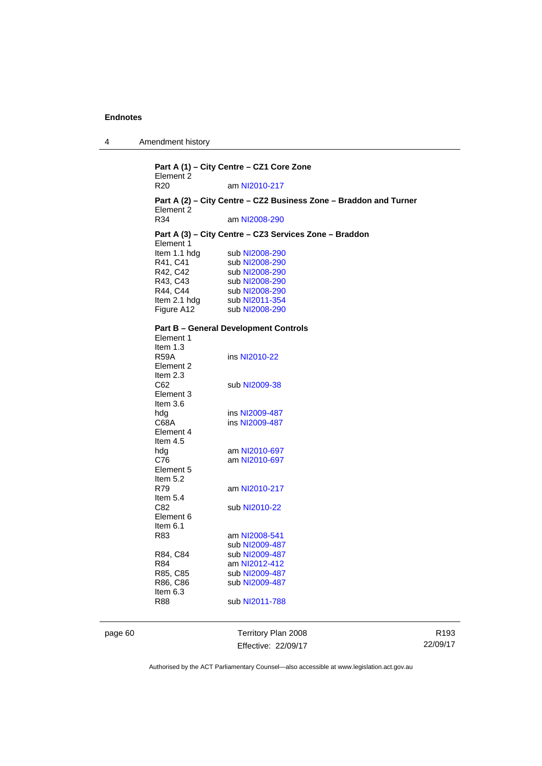| $\overline{4}$ | Amendment history |  |
|----------------|-------------------|--|
|----------------|-------------------|--|

| Part A (1) - City Centre - CZ1 Core Zone<br>Element 2 |                                                                          |  |
|-------------------------------------------------------|--------------------------------------------------------------------------|--|
| R <sub>20</sub>                                       | am NI2010-217                                                            |  |
| Element 2                                             | Part A (2) - City Centre - CZ2 Business Zone - Braddon and Turner        |  |
| R34                                                   | am NI2008-290                                                            |  |
| Element 1<br>Item 1.1 hdg                             | Part A (3) - City Centre - CZ3 Services Zone - Braddon<br>sub NI2008-290 |  |
| R41, C41<br>R42, C42<br>R43, C43                      | sub NI2008-290<br>sub NI2008-290<br>sub NI2008-290                       |  |
| R44, C44<br>Item 2.1 hdg                              | sub NI2008-290<br>sub NI2011-354                                         |  |
| Figure A12                                            | sub NI2008-290                                                           |  |
| Element 1                                             | <b>Part B - General Development Controls</b>                             |  |
| Item $1.3$<br><b>R59A</b><br>Element 2<br>Item $2.3$  | ins NI2010-22                                                            |  |
| C62<br>Element 3<br>Item $3.6$                        | sub NI2009-38                                                            |  |
| hdg<br>C68A<br>Element 4<br>Item $4.5$                | ins NI2009-487<br>ins NI2009-487                                         |  |
| hdg<br>C76<br>Element 5<br>Item $5.2$                 | am NI2010-697<br>am NI2010-697                                           |  |
| R79<br>Item $5.4$                                     | am NI2010-217                                                            |  |
| C82.<br>Element 6<br>Item 6.1                         | sub NI2010-22                                                            |  |
| R83                                                   | am NI2008-541<br>sub NI2009-487                                          |  |
| R84, C84<br>R84                                       | sub NI2009-487<br>am NI2012-412                                          |  |
| R85, C85<br>R86, C86<br>Item $6.3$                    | sub NI2009-487<br>sub NI2009-487                                         |  |
| R88                                                   | sub NI2011-788                                                           |  |

page 60 Territory Plan 2008 Effective: 22/09/17

R193 22/09/17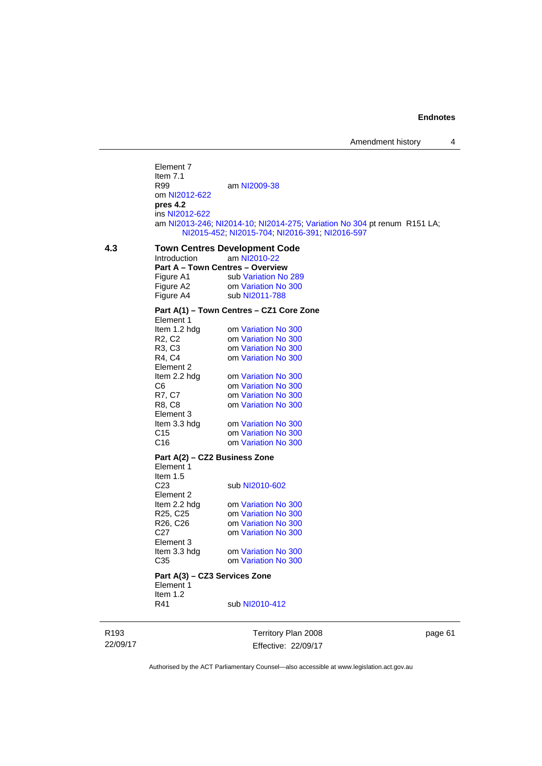Element 7 Item  $7.1$ <br>R99 am [NI2009-38](http://www.legislation.act.gov.au/ni/2009-38/) om [NI2012-622](http://www.legislation.act.gov.au/ni/2012-622/default.asp) **pres 4.2**  ins [NI2012-622](http://www.legislation.act.gov.au/ni/2012-622/default.asp) am [NI2013-246](http://www.legislation.act.gov.au/ni/2013-246/default.asp); [NI2014-10](http://www.legislation.act.gov.au/ni/2014-10/default.asp); [NI2014-275](http://www.legislation.act.gov.au/ni/2014-275/default.asp); [Variation No 304](http://www.legislation.act.gov.au/ni/2015-99/default.asp) pt renum R151 LA; [NI2015-452](http://www.legislation.act.gov.au/ni/2015-452/default.asp); [NI2015-704](http://www.legislation.act.gov.au/ni/2015-704/default.asp); [NI2016-391](http://www.legislation.act.gov.au/ni/2016-391/default.asp); [NI2016-597](http://www.legislation.act.gov.au/ni/2016-597/default.asp) **4.3 Town Centres Development Code**  am [NI2010-22](http://www.legislation.act.gov.au/ni/2010-22/) **Part A – Town Centres – Overview Figure A1** sub Variation No Figure A1 sub [Variation No 289](http://www.legislation.act.gov.au/ni/2008-339/)<br>Figure A2 om Variation No 300 om [Variation No 300](http://www.legislation.act.gov.au/ni/2011-691/) Figure A4 sub [NI2011-788](http://www.legislation.act.gov.au/ni/2011-788/) **Part A(1) – Town Centres – CZ1 Core Zone**  Element 1 Item 1.2 hdg om [Variation No 300](http://www.legislation.act.gov.au/ni/2011-691/) R2, C2 om [Variation No 300](http://www.legislation.act.gov.au/ni/2011-691/)<br>R3, C3 om Variation No 300 R3, C3 om [Variation No 300](http://www.legislation.act.gov.au/ni/2011-691/)<br>R4. C4 om Variation No 300 om [Variation No 300](http://www.legislation.act.gov.au/ni/2011-691/) Element 2<br>Item 2.2 hdg om [Variation No 300](http://www.legislation.act.gov.au/ni/2011-691/) C6 om [Variation No 300](http://www.legislation.act.gov.au/ni/2011-691/) R7, C7 om [Variation No 300](http://www.legislation.act.gov.au/ni/2011-691/)<br>R8, C8 om Variation No 300 om [Variation No 300](http://www.legislation.act.gov.au/ni/2011-691/) Element 3 Item 3.3 hdg om [Variation No 300](http://www.legislation.act.gov.au/ni/2011-691/) C15 om [Variation No 300](http://www.legislation.act.gov.au/ni/2011-691/)<br>C16 om Variation No 300 om [Variation No 300](http://www.legislation.act.gov.au/ni/2011-691/) **Part A(2) – CZ2 Business Zone**  Element 1 Item  $1.5$ <br>C<sub>23</sub> sub [NI2010-602](http://www.legislation.act.gov.au/ni/2010-602/) Element 2<br>Item 2.2 hdg om [Variation No 300](http://www.legislation.act.gov.au/ni/2011-691/) R25, C25 om [Variation No 300](http://www.legislation.act.gov.au/ni/2011-691/) R26, C26 om [Variation No 300](http://www.legislation.act.gov.au/ni/2011-691/) C27 om [Variation No 300](http://www.legislation.act.gov.au/ni/2011-691/) Element 3<br>Item 3.3 hdg om [Variation No 300](http://www.legislation.act.gov.au/ni/2011-691/) C35 om [Variation No 300](http://www.legislation.act.gov.au/ni/2011-691/) **Part A(3) – CZ3 Services Zone**  Element 1 Item 1.2<br>R41

R193 22/09/17 Territory Plan 2008 Effective: 22/09/17

sub [NI2010-412](http://www.legislation.act.gov.au/ni/2010-412/)

page 61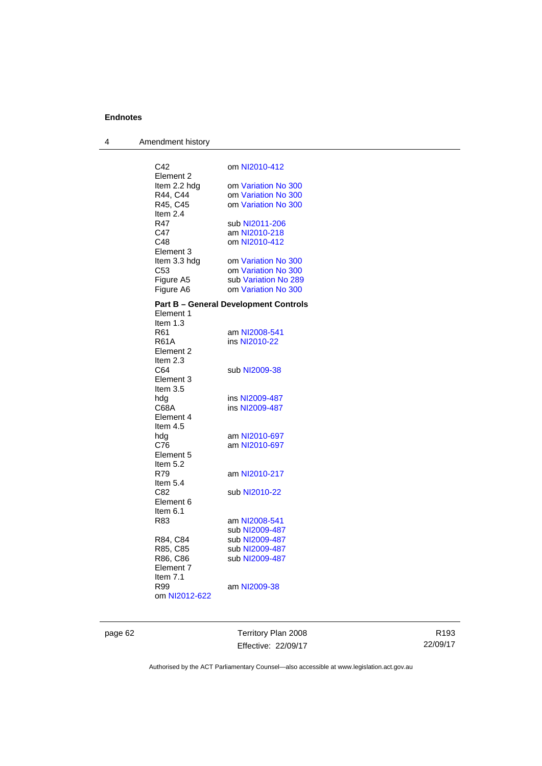| 4 | Amendment history |                                              |
|---|-------------------|----------------------------------------------|
|   |                   |                                              |
|   | C <sub>42</sub>   | om NI2010-412                                |
|   | Element 2         |                                              |
|   | Item 2.2 hdg      | om Variation No 300                          |
|   | R44, C44          | om Variation No 300                          |
|   | R45, C45          | om Variation No 300                          |
|   | Item $2.4$        |                                              |
|   | R47<br>C47        | sub NI2011-206<br>am NI2010-218              |
|   | C48               | om NI2010-412                                |
|   | Element 3         |                                              |
|   | Item 3.3 hdg      | om Variation No 300                          |
|   | C53               | om Variation No 300                          |
|   | Figure A5         | sub Variation No 289                         |
|   | Figure A6         | om Variation No 300                          |
|   |                   |                                              |
|   | Element 1         | <b>Part B – General Development Controls</b> |
|   | Item $1.3$        |                                              |
|   | R61               | am NI2008-541                                |
|   | <b>R61A</b>       | ins NI2010-22                                |
|   | Element 2         |                                              |
|   | Item $2.3$        |                                              |
|   | C64               | sub NI2009-38                                |
|   | Element 3         |                                              |
|   | Item $3.5$        |                                              |
|   | hdg<br>C68A       | ins NI2009-487<br>ins NI2009-487             |
|   | Element 4         |                                              |
|   | Item $4.5$        |                                              |
|   | hdg               | am NI2010-697                                |
|   | C76               | am NI2010-697                                |
|   | Element 5         |                                              |
|   | Item $5.2$        |                                              |
|   | R79               | am NI2010-217                                |
|   | Item $5.4$        |                                              |
|   | C82               | sub NI2010-22                                |
|   | Element 6         |                                              |
|   | Item $6.1$<br>R83 |                                              |
|   |                   | am NI2008-541<br>sub NI2009-487              |
|   | R84, C84          | sub NI2009-487                               |
|   | R85, C85          | sub NI2009-487                               |
|   | R86, C86          |                                              |
|   | Element 7         |                                              |
|   | Item $7.1$        |                                              |
|   | R99               | am NI2009-38                                 |
|   | om NI2012-622     |                                              |
|   |                   |                                              |

page 62 Territory Plan 2008 Effective: 22/09/17

R193 22/09/17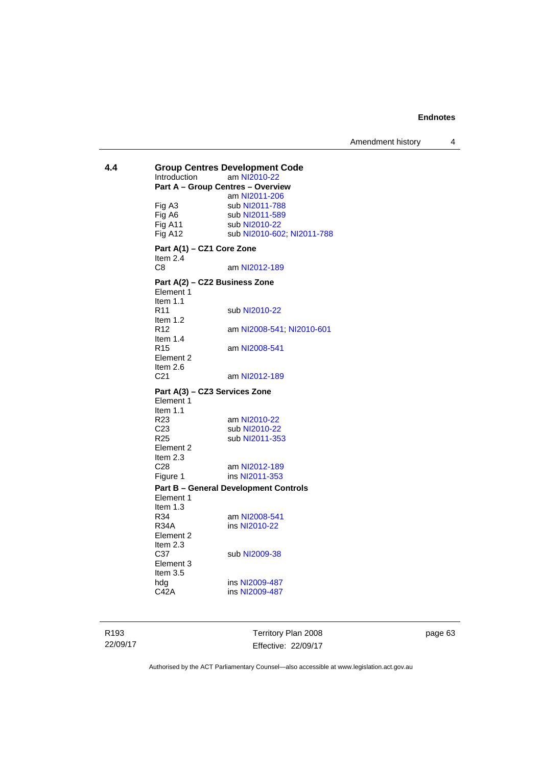**4.4 Group Centres Development Code**<br>Introduction am NI2010-22 am [NI2010-22](http://www.legislation.act.gov.au/ni/2010-22/) **Part A – Group Centres – Overview**  am [NI2011-206](http://www.legislation.act.gov.au/ni/2011-206/) Fig A3 sub [NI2011-788](http://www.legislation.act.gov.au/ni/2011-788/)<br>Fig A6 sub NI2011-589 Fig A6 sub [NI2011-589](http://www.legislation.act.gov.au/ni/2011-589/)<br>Fig A11 sub NI2010-22 Fig A11 sub [NI2010-22](http://www.legislation.act.gov.au/ni/2010-22/)<br>Fig A12 sub NI2010-60 sub [NI2010-602](http://www.legislation.act.gov.au/ni/2010-602/); [NI2011-788](http://www.legislation.act.gov.au/ni/2011-788/) **Part A(1) – CZ1 Core Zone**  Item 2.4 C8 am [NI2012-189](http://www.legislation.act.gov.au/ni/2012-189/) **Part A(2) – CZ2 Business Zone**  Element 1 Item 1.1 R11 sub [NI2010-22](http://www.legislation.act.gov.au/ni/2010-22/) Item 1.2 R12 am [NI2008-541](http://www.legislation.act.gov.au/ni/2008-541/); [NI2010-601](http://www.legislation.act.gov.au/ni/2010-601/) Item  $1.4$ <br>R<sub>15</sub> am [NI2008-541](http://www.legislation.act.gov.au/ni/2008-541/) Element 2 Item  $2.6$ <br> $C<sub>21</sub>$ am [NI2012-189](http://www.legislation.act.gov.au/ni/2012-189/) **Part A(3) – CZ3 Services Zone**  Element 1 Item  $1.1$ <br>R<sub>23</sub> am [NI2010-22](http://www.legislation.act.gov.au/ni/2010-22/) C23 sub [NI2010-22](http://www.legislation.act.gov.au/ni/2010-22/)<br>R25 sub NI2011-35 sub [NI2011-353](http://www.legislation.act.gov.au/ni/2011-353/) Element 2 Item 2.3 C28 am [NI2012-189](http://www.legislation.act.gov.au/ni/2012-189/)<br>Figure 1 ins NI2011-353 ins [NI2011-353](http://www.legislation.act.gov.au/ni/2011-353/) **Part B – General Development Controls**  Element 1 Item 1.3 R34 am [NI2008-541](http://www.legislation.act.gov.au/ni/2008-541/)<br>R34A ins NI2010-22 ins [NI2010-22](http://www.legislation.act.gov.au/ni/2010-22/) Element 2 Item  $2.3$ <br>C37 sub [NI2009-38](http://www.legislation.act.gov.au/ni/2009-38/) Element 3 Item 3.5 hdg ins [NI2009-487](http://www.legislation.act.gov.au/ni/2009-487/)<br>C42A ins NI2009-487 ins [NI2009-487](http://www.legislation.act.gov.au/ni/2009-487/)

R193 22/09/17 Territory Plan 2008 Effective: 22/09/17 page 63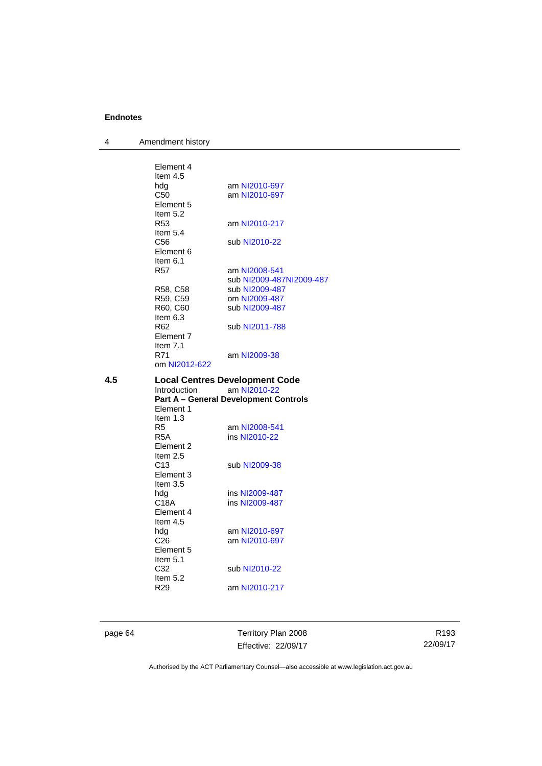4 Amendment history

|     | Element 4<br>Item $4.5$<br>hdg<br>C50<br>Element 5<br>Item $5.2$<br>R53<br>Item $5.4$<br>C <sub>56</sub><br>Element 6<br>Item $6.1$<br>R57<br>R58, C58<br>R59, C59<br>R60, C60<br>Item $6.3$<br>R <sub>62</sub><br>Element 7<br>Item $7.1$<br>R71<br>om NI2012-622             | am NI2010-697<br>am NI2010-697<br>am NI2010-217<br>sub NI2010-22<br>am NI2008-541<br>sub NI2009-487NI2009-487<br>sub NI2009-487<br>om NI2009-487<br>sub NI2009-487<br>sub NI2011-788<br>am NI2009-38                                                             |
|-----|--------------------------------------------------------------------------------------------------------------------------------------------------------------------------------------------------------------------------------------------------------------------------------|------------------------------------------------------------------------------------------------------------------------------------------------------------------------------------------------------------------------------------------------------------------|
| 4.5 | Introduction<br>Element 1<br>Item $1.3$<br>R <sub>5</sub><br>R5A<br>Element 2<br>Item $2.5$<br>C <sub>13</sub><br>Element 3<br>Item $3.5$<br>hdg<br>C18A<br>Element 4<br>Item 4.5<br>hdg<br>C <sub>26</sub><br>Element 5<br>Item $5.1$<br>C32<br>Item $5.2$<br>R <sub>29</sub> | <b>Local Centres Development Code</b><br>am NI2010-22<br><b>Part A - General Development Controls</b><br>am NI2008-541<br>ins NI2010-22<br>sub NI2009-38<br>ins NI2009-487<br>ins NI2009-487<br>am NI2010-697<br>am NI2010-697<br>sub NI2010-22<br>am NI2010-217 |

page 64 Territory Plan 2008 Effective: 22/09/17

R193 22/09/17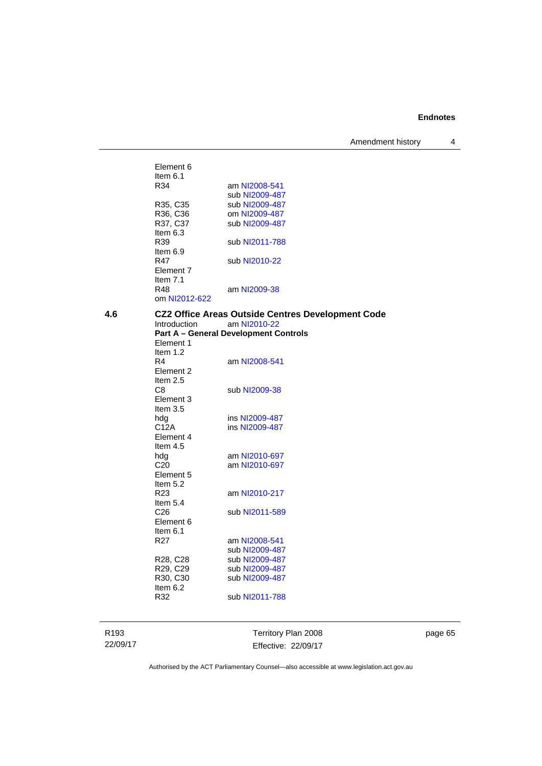Amendment history 4

|     | Element 6                         |                                                          |
|-----|-----------------------------------|----------------------------------------------------------|
|     | Item $6.1$                        |                                                          |
|     | R34                               | am NI2008-541                                            |
|     |                                   | sub NI2009-487                                           |
|     | R35, C35                          | sub NI2009-487                                           |
|     | R36, C36                          | om NI2009-487                                            |
|     | R37, C37                          | sub NI2009-487                                           |
|     | Item $6.3$                        |                                                          |
|     | R39                               | sub NI2011-788                                           |
|     | Item $6.9$                        |                                                          |
|     | R47                               | sub NI2010-22                                            |
|     | Element 7                         |                                                          |
|     | Item $7.1$                        |                                                          |
|     | R48                               | am NI2009-38                                             |
|     | om NI2012-622                     |                                                          |
| 4.6 |                                   | <b>CZ2 Office Areas Outside Centres Development Code</b> |
|     | Introduction                      | am NI2010-22                                             |
|     |                                   | <b>Part A - General Development Controls</b>             |
|     | Element 1                         |                                                          |
|     | Item $1.2$                        |                                                          |
|     | R4                                | am NI2008-541                                            |
|     | Element 2                         |                                                          |
|     | Item $2.5$                        |                                                          |
|     | C8                                | sub NI2009-38                                            |
|     | Element 3                         |                                                          |
|     | Item $3.5$                        |                                                          |
|     | hdg                               | ins NI2009-487                                           |
|     | C <sub>12</sub> A                 | ins NI2009-487                                           |
|     | Element 4                         |                                                          |
|     | Item $4.5$                        |                                                          |
|     | hdg                               | am NI2010-697                                            |
|     | C <sub>20</sub>                   | am NI2010-697                                            |
|     | Element 5                         |                                                          |
|     | Item $5.2$                        |                                                          |
|     | R <sub>23</sub>                   | am NI2010-217                                            |
|     | Item $5.4$                        |                                                          |
|     | C <sub>26</sub>                   | sub NI2011-589                                           |
|     | Element 6                         |                                                          |
|     | Item 6.1                          |                                                          |
|     | R27                               | am NI2008-541                                            |
|     |                                   | sub NI2009-487                                           |
|     | R <sub>28</sub> , C <sub>28</sub> | sub NI2009-487                                           |
|     | R29, C29                          | sub NI2009-487                                           |
|     | R30, C30<br>Item $6.2$            | sub NI2009-487                                           |
|     | R32                               | sub NI2011-788                                           |
|     |                                   |                                                          |
|     |                                   |                                                          |
|     |                                   |                                                          |
|     |                                   |                                                          |

R193 22/09/17

Territory Plan 2008 Effective: 22/09/17 page 65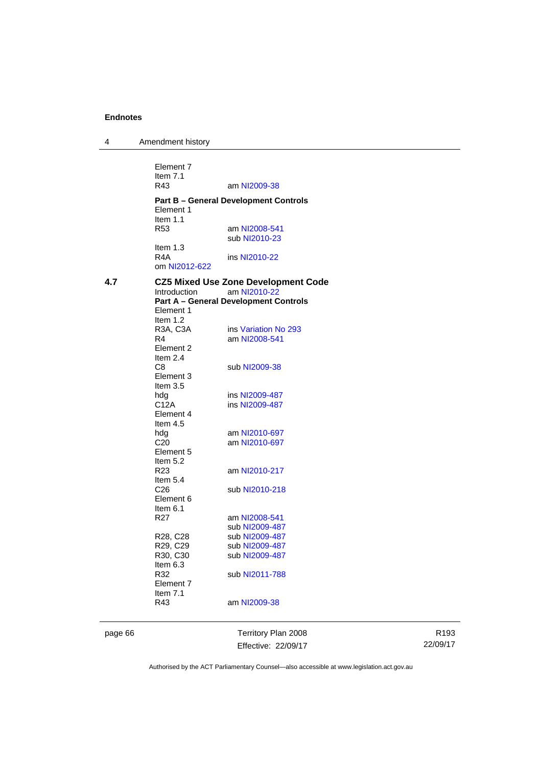4 Amendment history

Element 7 Item 7.1<br>R43 am [NI2009-38](http://www.legislation.act.gov.au/ni/2009-38/) **Part B – General Development Controls**  Element 1 Item 1.1 R53 am [NI2008-541](http://www.legislation.act.gov.au/ni/2008-541/) sub [NI2010-23](http://www.legislation.act.gov.au/ni/2010-23/) Item 1.3<br>R4A ins [NI2010-22](http://www.legislation.act.gov.au/ni/2010-22/) om [NI2012-622](http://www.legislation.act.gov.au/ni/2012-622/default.asp) **4.7 CZ5 Mixed Use Zone Development Code**  Introduction am [NI2010-22](http://www.legislation.act.gov.au/ni/2010-22/) **Part A – General Development Controls**  Element 1 Item 1.2 R3A, C3A ins [Variation No 293](http://www.legislation.act.gov.au/ni/2008-219/) R4 am [NI2008-541](http://www.legislation.act.gov.au/ni/2008-541/) Element 2 Item 2.4 C8 sub [NI2009-38](http://www.legislation.act.gov.au/ni/2009-38/) Element 3 Item 3.5 hdg ins [NI2009-487](http://www.legislation.act.gov.au/ni/2009-487/)<br>C12A ins NI2009-487 ins [NI2009-487](http://www.legislation.act.gov.au/ni/2009-487/) Element 4 Item 4.5<br>hdg hdg am [NI2010-697](http://www.legislation.act.gov.au/ni/2010-697/)<br>C20 am NI2010-697 am [NI2010-697](http://www.legislation.act.gov.au/ni/2010-697/) Element 5 Item  $5.2$ <br>R23 am [NI2010-217](http://www.legislation.act.gov.au/ni/2010-217/) Item 5.4 C26 sub [NI2010-218](http://www.legislation.act.gov.au/ni/2010-218/) Element 6 Item 6.1 R27 am [NI2008-541](http://www.legislation.act.gov.au/ni/2008-541/) sub [NI2009-487](http://www.legislation.act.gov.au/ni/2009-487/)<br>R28, C28 sub NI2009-487 sub [NI2009-487](http://www.legislation.act.gov.au/ni/2009-487/) R29, C29 sub [NI2009-487](http://www.legislation.act.gov.au/ni/2009-487/)<br>R30, C30 sub NI2009-487 sub [NI2009-487](http://www.legislation.act.gov.au/ni/2009-487/) Item  $6.3$ <br>R32 sub [NI2011-788](http://www.legislation.act.gov.au/ni/2011-788/) Element 7 Item 7.1 R43 am [NI2009-38](http://www.legislation.act.gov.au/ni/2009-38/)

page 66 Territory Plan 2008 Effective: 22/09/17

R193 22/09/17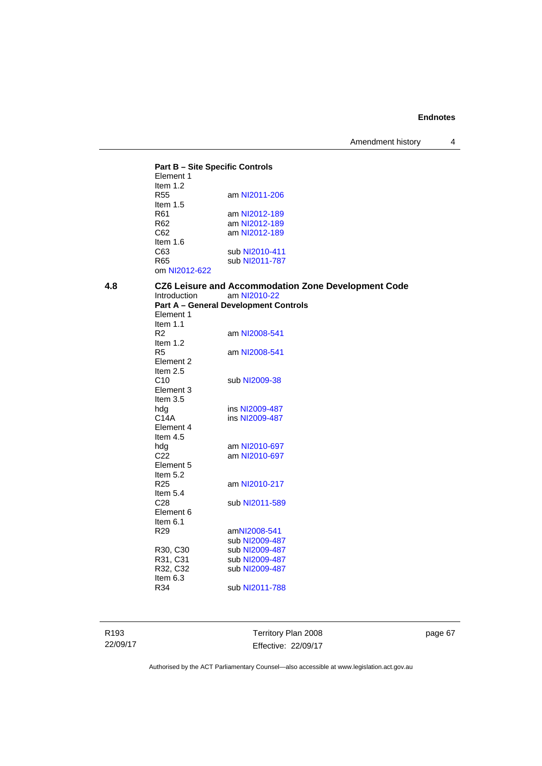## **Part B – Site Specific Controls**

| am NI2011-206  |
|----------------|
|                |
| am NI2012-189  |
| am NI2012-189  |
| am NI2012-189  |
|                |
| sub NI2010-411 |
| sub NI2011-787 |
|                |
|                |

| 4.8 | Introduction    | CZ6 Leisure and Accommodation Zone Development Code<br>am NI2010-22<br><b>Part A - General Development Controls</b> |
|-----|-----------------|---------------------------------------------------------------------------------------------------------------------|
|     | Element 1       |                                                                                                                     |
|     | Item $1.1$      |                                                                                                                     |
|     | R <sub>2</sub>  | am NI2008-541                                                                                                       |
|     | Item $1.2$      |                                                                                                                     |
|     | R <sub>5</sub>  | am NI2008-541                                                                                                       |
|     | Element 2       |                                                                                                                     |
|     | Item $2.5$      |                                                                                                                     |
|     | C10             | sub NI2009-38                                                                                                       |
|     | Element 3       |                                                                                                                     |
|     | Item $3.5$      |                                                                                                                     |
|     | hdg             | ins NI2009-487                                                                                                      |
|     | C14A            | ins NI2009-487                                                                                                      |
|     | Element 4       |                                                                                                                     |
|     | Item $4.5$      |                                                                                                                     |
|     | hdg             | am NI2010-697                                                                                                       |
|     | C <sub>22</sub> | am NI2010-697                                                                                                       |
|     | Element 5       |                                                                                                                     |
|     | Item $5.2$      |                                                                                                                     |
|     | R <sub>25</sub> | am NI2010-217                                                                                                       |
|     | Item $5.4$      |                                                                                                                     |
|     | C <sub>28</sub> | sub NI2011-589                                                                                                      |
|     | Element 6       |                                                                                                                     |
|     | Item $6.1$      |                                                                                                                     |
|     | R <sub>29</sub> | amNI2008-541                                                                                                        |
|     |                 | sub NI2009-487                                                                                                      |
|     | R30, C30        | sub NI2009-487                                                                                                      |
|     | R31, C31        | sub NI2009-487                                                                                                      |
|     | R32, C32        | sub NI2009-487                                                                                                      |
|     | Item $6.3$      |                                                                                                                     |
|     |                 |                                                                                                                     |
|     | R34             | sub NI2011-788                                                                                                      |

R193 22/09/17

Territory Plan 2008 Effective: 22/09/17 page 67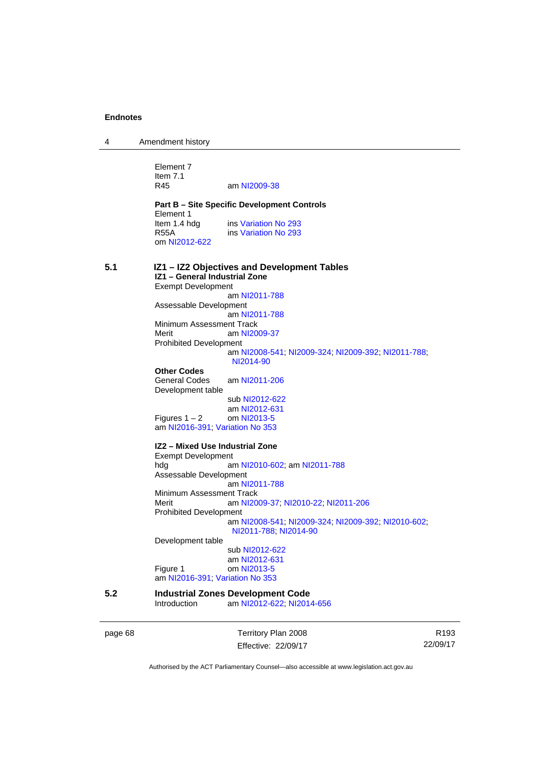| 4 | Amendment history |
|---|-------------------|
|---|-------------------|

Element 7 Item 7.1<br>R45

am [NI2009-38](http://www.legislation.act.gov.au/ni/2009-38/)

**Part B – Site Specific Development Controls**  Element 1<br>Item 1.4 hdg ins [Variation No 293](http://www.legislation.act.gov.au/ni/2008-219/) R55A ins [Variation No 293](http://www.legislation.act.gov.au/ni/2008-219/) om [NI2012-622](http://www.legislation.act.gov.au/ni/2012-622/default.asp)

## **5.1 IZ1 – IZ2 Objectives and Development Tables IZ1 – General Industrial Zone**  Exempt Development am [NI2011-788](http://www.legislation.act.gov.au/ni/2011-788/) Assessable Development am [NI2011-788](http://www.legislation.act.gov.au/ni/2011-788/) Minimum Assessment Track Merit am [NI2009-37](http://www.legislation.act.gov.au/ni/2009-37/) Prohibited Development am [NI2008-541](http://www.legislation.act.gov.au/ni/2008-541/); [NI2009-324](http://www.legislation.act.gov.au/ni/2009-324/); [NI2009-392](http://www.legislation.act.gov.au/ni/2009-392/); [NI2011-788](http://www.legislation.act.gov.au/ni/2011-788/); [NI2014-90](http://www.legislation.act.gov.au/ni/2014-90/default.asp) **Other Codes**  General Codes am [NI2011-206](http://www.legislation.act.gov.au/ni/2011-206/) Development table sub [NI2012-622](http://www.legislation.act.gov.au/ni/2012-622/default.asp) am [NI2012-631](http://www.legislation.act.gov.au/ni/2012-631/default.asp) Figures  $1 - 2$  om [NI2013-5](http://www.legislation.act.gov.au/ni/2013-5/default.asp) am [NI2016-391](http://www.legislation.act.gov.au/ni/2016-391/default.asp); [Variation No 353](http://www.legislation.act.gov.au/ni/2016-393/default.asp) **IZ2 – Mixed Use Industrial Zone**  Exempt Development hdg am [NI2010-602](http://www.legislation.act.gov.au/ni/2010-602/); am [NI2011-788](http://www.legislation.act.gov.au/ni/2011-788/) Assessable Development am [NI2011-788](http://www.legislation.act.gov.au/ni/2011-788/) Minimum Assessment Track Merit am [NI2009-37](http://www.legislation.act.gov.au/ni/2009-37/); [NI2010-22](http://www.legislation.act.gov.au/ni/2010-22/); [NI2011-206](http://www.legislation.act.gov.au/ni/2011-206/) Prohibited Development am [NI2008-541](http://www.legislation.act.gov.au/ni/2008-541/); [NI2009-324](http://www.legislation.act.gov.au/ni/2009-324/); [NI2009-392](http://www.legislation.act.gov.au/ni/2009-392/); [NI2010-602](http://www.legislation.act.gov.au/ni/2010-602/); [NI2011-788](http://www.legislation.act.gov.au/ni/2011-788/); [NI2014-90](http://www.legislation.act.gov.au/ni/2014-90/default.asp) Development table sub [NI2012-622](http://www.legislation.act.gov.au/ni/2012-622/default.asp) am [NI2012-631](http://www.legislation.act.gov.au/ni/2012-631/default.asp) Figure 1 om [NI2013-5](http://www.legislation.act.gov.au/ni/2013-5/default.asp) am [NI2016-391](http://www.legislation.act.gov.au/ni/2016-391/default.asp); [Variation No 353](http://www.legislation.act.gov.au/ni/2016-393/default.asp) **5.2 Industrial Zones Development Code**  am [NI2012-622](http://www.legislation.act.gov.au/ni/2012-622/default.asp); [NI2014-656](http://www.legislation.act.gov.au/ni/2014-656/default.asp)

page 68 Territory Plan 2008 Effective: 22/09/17

R193 22/09/17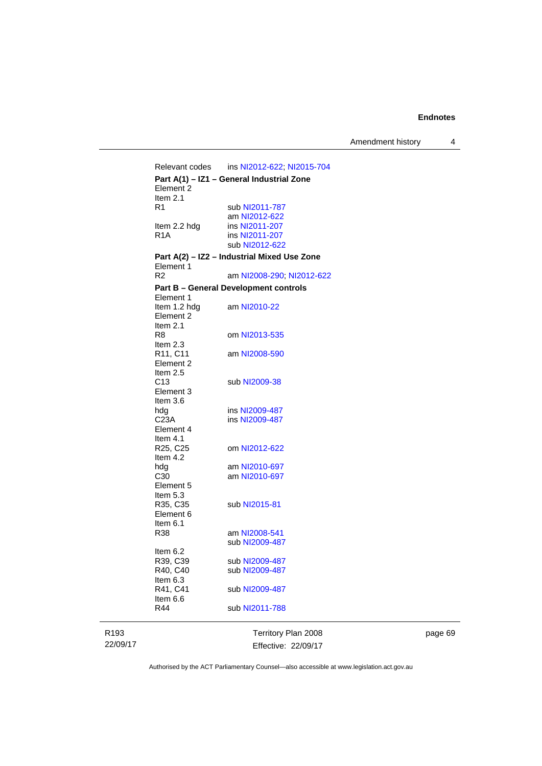Amendment history 4

Relevant codes ins [NI2012-622](http://www.legislation.act.gov.au/ni/2012-622/default.asp); [NI2015-704](http://www.legislation.act.gov.au/ni/2015-704/default.asp) **Part A(1) – IZ1 – General Industrial Zone**  Element 2 Item 2.1<br>R1 sub [NI2011-787](http://www.legislation.act.gov.au/ni/2011-787/) am [NI2012-622](http://www.legislation.act.gov.au/ni/2012-622/default.asp)<br>Item 2.2 hdg ins NI2011-207 Item 2.2 hdg ins [NI2011-207](http://www.legislation.act.gov.au/ni/2011-207/)<br>R1A ins NI2011-207 ins [NI2011-207](http://www.legislation.act.gov.au/ni/2011-207/) sub [NI2012-622](http://www.legislation.act.gov.au/ni/2012-622/default.asp) **Part A(2) – IZ2 – Industrial Mixed Use Zone**  Element 1<br>R2 am [NI2008-290](http://www.legislation.act.gov.au/ni/2008-290/); [NI2012-622](http://www.legislation.act.gov.au/ni/2012-622/default.asp) **Part B – General Development controls**  Element 1<br>Item 1.2 hdg am [NI2010-22](http://www.legislation.act.gov.au/ni/2010-22/) Element 2 Item 2.1<br>R8 om [NI2013-535](http://www.legislation.act.gov.au/ni/2013-535/) Item 2.3<br>R11, C11 am [NI2008-590](http://www.legislation.act.gov.au/ni/2008-590/default.asp) Element 2 Item 2.5 C13 sub [NI2009-38](http://www.legislation.act.gov.au/ni/2009-38/) Element 3 Item 3.6 hdg ins [NI2009-487](http://www.legislation.act.gov.au/ni/2009-487/)<br>C23A ins NI2009-487 ins [NI2009-487](http://www.legislation.act.gov.au/ni/2009-487/) Element 4 Item 4.1<br>R25, C25 om [NI2012-622](http://www.legislation.act.gov.au/ni/2012-622/default.asp) Item 4.2 hdg am [NI2010-697](http://www.legislation.act.gov.au/ni/2010-697/) C30 am [NI2010-697](http://www.legislation.act.gov.au/ni/2010-697/) Element 5 Item 5.3<br>R35, C35 sub [NI2015-81](http://www.legislation.act.gov.au/ni/2015-81/default.asp) Element 6 Item 6.1 R38 am [NI2008-541](http://www.legislation.act.gov.au/ni/2008-541/) sub [NI2009-487](http://www.legislation.act.gov.au/ni/2009-487/) Item 6.2 R39, C39 sub [NI2009-487](http://www.legislation.act.gov.au/ni/2009-487/)<br>R40, C40 sub NI2009-487 sub [NI2009-487](http://www.legislation.act.gov.au/ni/2009-487/) Item 6.3 R41, C41 sub [NI2009-487](http://www.legislation.act.gov.au/ni/2009-487/) Item 6.6<br>R44 sub [NI2011-788](http://www.legislation.act.gov.au/ni/2011-788/)

R193 22/09/17 Territory Plan 2008 Effective: 22/09/17 page 69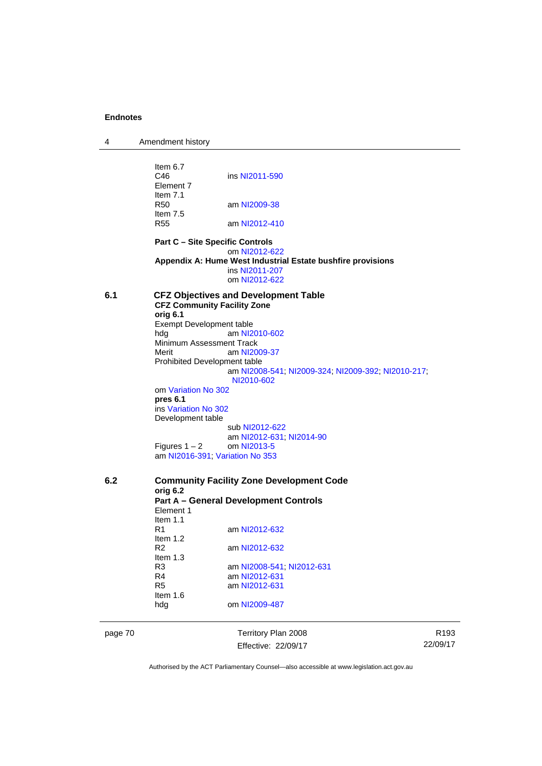4 Amendment history

|     | Item $6.7$<br>C46<br>Element 7<br>Item $7.1$<br>R50<br>Item $7.5$ | ins NI2011-590<br>am NI2009-38                                   |
|-----|-------------------------------------------------------------------|------------------------------------------------------------------|
|     | <b>R55</b>                                                        | am NI2012-410                                                    |
|     | <b>Part C - Site Specific Controls</b>                            | om NI2012-622                                                    |
|     |                                                                   | Appendix A: Hume West Industrial Estate bushfire provisions      |
|     |                                                                   | ins NI2011-207<br>om NI2012-622                                  |
| 6.1 | <b>CFZ Community Facility Zone</b><br>orig 6.1                    | <b>CFZ Objectives and Development Table</b>                      |
|     | Exempt Development table                                          |                                                                  |
|     | hdg                                                               | am NI2010-602                                                    |
|     | Minimum Assessment Track<br>Merit                                 | am NI2009-37                                                     |
|     | Prohibited Development table                                      |                                                                  |
|     |                                                                   | am NI2008-541, NI2009-324, NI2009-392, NI2010-217,<br>NI2010-602 |
|     | om Variation No 302                                               |                                                                  |
|     | pres 6.1                                                          |                                                                  |
|     | ins Variation No 302                                              |                                                                  |
|     | Development table                                                 | sub NI2012-622                                                   |
|     |                                                                   | am NI2012-631; NI2014-90                                         |
|     | Figures 1 – 2                                                     | om NI2013-5                                                      |
|     | am NI2016-391; Variation No 353                                   |                                                                  |
| 6.2 | orig 6.2                                                          | <b>Community Facility Zone Development Code</b>                  |
|     |                                                                   | <b>Part A - General Development Controls</b>                     |
|     | Element 1                                                         |                                                                  |
|     | Item $1.1$<br>R1                                                  | am NI2012-632                                                    |
|     | Item $1.2$                                                        |                                                                  |
|     | R <sub>2</sub>                                                    | am NI2012-632                                                    |
|     | Item $1.3$                                                        |                                                                  |
|     | R <sub>3</sub>                                                    | am NI2008-541, NI2012-631                                        |
|     | R4                                                                | am NI2012-631                                                    |
|     | R <sub>5</sub>                                                    | am NI2012-631                                                    |
|     | Item $1.6$                                                        |                                                                  |
|     | hdg                                                               | om NI2009-487                                                    |
|     |                                                                   |                                                                  |

ı

page 70 **Territory Plan 2008** Effective: 22/09/17

R193 22/09/17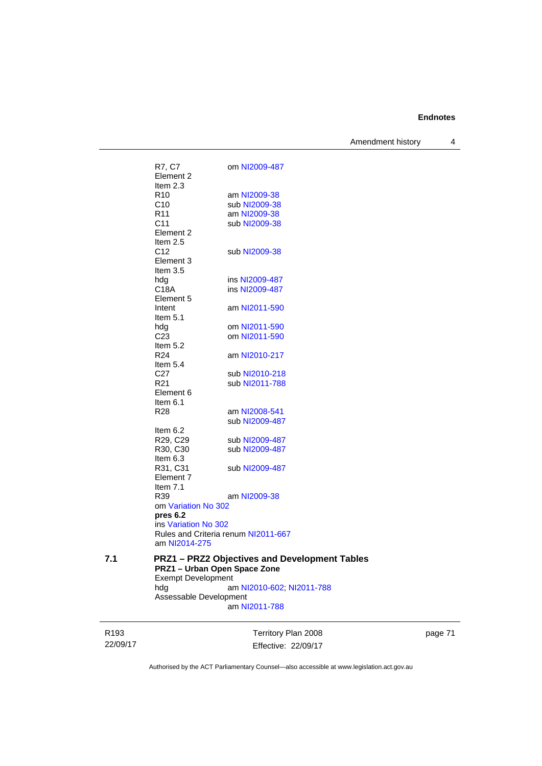Amendment history 4

|     | R7, C7<br>Element 2           | om NI2009-487                                      |
|-----|-------------------------------|----------------------------------------------------|
|     | Item $2.3$                    |                                                    |
|     | R <sub>10</sub>               | am NI2009-38                                       |
|     | C <sub>10</sub>               | sub NI2009-38                                      |
|     | R <sub>11</sub>               | am NI2009-38                                       |
|     | C11                           | sub NI2009-38                                      |
|     | Element 2                     |                                                    |
|     | Item 2.5                      |                                                    |
|     | C <sub>12</sub>               | sub NI2009-38                                      |
|     | Element 3<br>Item $3.5$       |                                                    |
|     | hdg                           | ins NI2009-487                                     |
|     | C18A                          | ins NI2009-487                                     |
|     | Element 5                     |                                                    |
|     | Intent                        | am NI2011-590                                      |
|     | Item 5.1                      |                                                    |
|     | hdg                           | om NI2011-590                                      |
|     | C <sub>23</sub>               | om NI2011-590                                      |
|     | Item 5.2                      |                                                    |
|     | R <sub>24</sub><br>Item $5.4$ | am NI2010-217                                      |
|     | C <sub>27</sub>               | sub NI2010-218                                     |
|     | R <sub>21</sub>               | sub NI2011-788                                     |
|     | Element 6                     |                                                    |
|     | Item 6.1                      |                                                    |
|     | R28                           | am NI2008-541                                      |
|     |                               | sub NI2009-487                                     |
|     | Item 6.2                      |                                                    |
|     | R29, C29                      | sub NI2009-487                                     |
|     | R30, C30                      | sub NI2009-487                                     |
|     | Item 6.3<br>R31, C31          | sub NI2009-487                                     |
|     | Element 7                     |                                                    |
|     | Item $7.1$                    |                                                    |
|     | R39                           | am NI2009-38                                       |
|     | om Variation No 302           |                                                    |
|     | pres 6.2                      |                                                    |
|     | ins Variation No 302          |                                                    |
|     |                               | Rules and Criteria renum NI2011-667                |
|     | am NI2014-275                 |                                                    |
| 7.1 |                               | <b>PRZ1-PRZ2 Objectives and Development Tables</b> |
|     |                               | PRZ1 - Urban Open Space Zone                       |
|     | <b>Exempt Development</b>     |                                                    |
|     | hdg                           | am NI2010-602; NI2011-788                          |
|     | Assessable Development        | am NI2011-788                                      |
|     |                               |                                                    |

R193 22/09/17 Territory Plan 2008 Effective: 22/09/17 page 71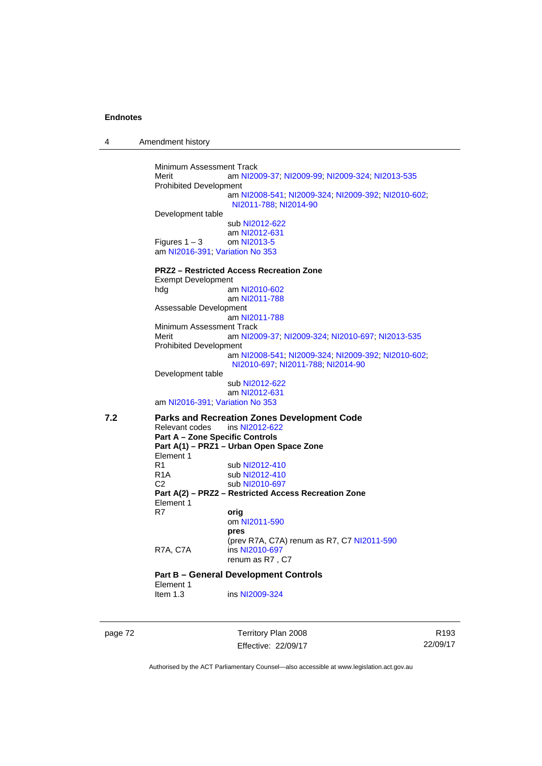4 Amendment history

Minimum Assessment Track Merit am [NI2009-37](http://www.legislation.act.gov.au/ni/2009-37/); [NI2009-99](http://www.legislation.act.gov.au/ni/2009-99/); [NI2009-324](http://www.legislation.act.gov.au/ni/2009-324/); [NI2013-535](http://www.legislation.act.gov.au/ni/2013-535/) Prohibited Development am [NI2008-541](http://www.legislation.act.gov.au/ni/2008-541/); [NI2009-324](http://www.legislation.act.gov.au/ni/2009-324/); [NI2009-392](http://www.legislation.act.gov.au/ni/2009-392/); [NI2010-602](http://www.legislation.act.gov.au/ni/2010-602/); [NI2011-788](http://www.legislation.act.gov.au/ni/2011-788/); [NI2014-90](http://www.legislation.act.gov.au/ni/2014-90/default.asp) Development table sub [NI2012-622](http://www.legislation.act.gov.au/ni/2012-622/default.asp) am [NI2012-631](http://www.legislation.act.gov.au/ni/2012-631/default.asp) Figures  $1 - 3$  om [NI2013-5](http://www.legislation.act.gov.au/ni/2013-5/default.asp) am [NI2016-391](http://www.legislation.act.gov.au/ni/2016-391/default.asp); [Variation No 353](http://www.legislation.act.gov.au/ni/2016-393/default.asp) **PRZ2 – Restricted Access Recreation Zone**  Exempt Development hdg am [NI2010-602](http://www.legislation.act.gov.au/ni/2010-602/) am [NI2011-788](http://www.legislation.act.gov.au/ni/2011-788/) Assessable Development am [NI2011-788](http://www.legislation.act.gov.au/ni/2011-788/) Minimum Assessment Track Merit am [NI2009-37](http://www.legislation.act.gov.au/ni/2009-37/); [NI2009-324](http://www.legislation.act.gov.au/ni/2009-324/); [NI2010-697](http://www.legislation.act.gov.au/ni/2010-697/); [NI2013-535](http://www.legislation.act.gov.au/ni/2013-535/) Prohibited Development am [NI2008-541](http://www.legislation.act.gov.au/ni/2008-541/); [NI2009-324](http://www.legislation.act.gov.au/ni/2009-324/); [NI2009-392](http://www.legislation.act.gov.au/ni/2009-392/); [NI2010-602](http://www.legislation.act.gov.au/ni/2010-602/); [NI2010-697](http://www.legislation.act.gov.au/ni/2010-697/); [NI2011-788](http://www.legislation.act.gov.au/ni/2011-788/); [NI2014-90](http://www.legislation.act.gov.au/ni/2014-90/default.asp) Development table sub [NI2012-622](http://www.legislation.act.gov.au/ni/2012-622/default.asp) am [NI2012-631](http://www.legislation.act.gov.au/ni/2012-631/default.asp) am [NI2016-391](http://www.legislation.act.gov.au/ni/2016-391/default.asp); [Variation No 353](http://www.legislation.act.gov.au/ni/2016-393/default.asp) **7.2 Parks and Recreation Zones Development Code**  Relevant codes **Part A – Zone Specific Controls Part A(1) – PRZ1 – Urban Open Space Zone**  Element 1<br>R<sub>1</sub> R1 sub [NI2012-410](http://www.legislation.act.gov.au/ni/2012-410/)<br>R1A sub NI2012-410 R1A sub [NI2012-410](http://www.legislation.act.gov.au/ni/2012-410/)<br>C2 sub NI2010-697 sub [NI2010-697](http://www.legislation.act.gov.au/ni/2010-697/) **Part A(2) – PRZ2 – Restricted Access Recreation Zone**  Element 1 R7 **orig** om [NI2011-590](http://www.legislation.act.gov.au/ni/2011-590/) **pres** (prev R7A, C7A) renum as R7, C7 [NI2011-590](http://www.legislation.act.gov.au/ni/2011-590/) R7A, C7A ins [NI2010-697](http://www.legislation.act.gov.au/ni/2010-697/) renum as R7 , C7 **Part B – General Development Controls**  Element 1<br>Item 1.3 ins [NI2009-324](http://www.legislation.act.gov.au/ni/2009-324/)

page 72 Territory Plan 2008 Effective: 22/09/17

R193 22/09/17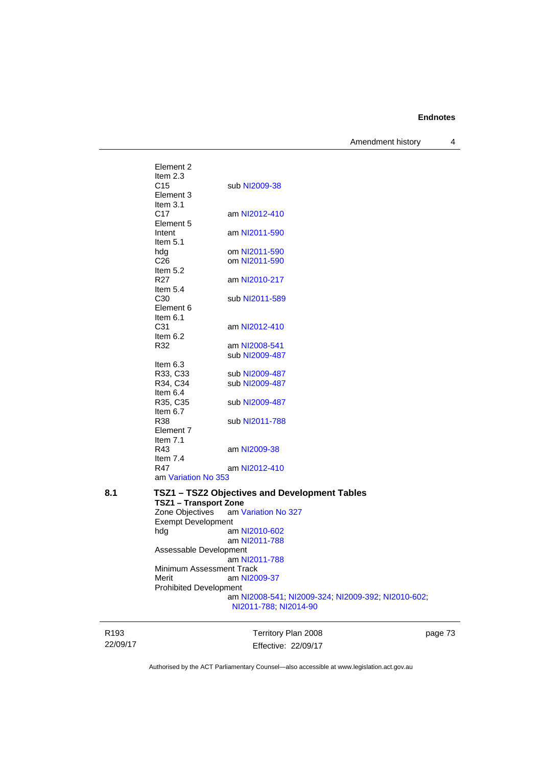Amendment history 4

Element 2 Item 2.3 C15 sub [NI2009-38](http://www.legislation.act.gov.au/ni/2009-38/) Element 3 Item 3.1<br>C17 am [NI2012-410](http://www.legislation.act.gov.au/ni/2012-410/) Element 5 Intent am [NI2011-590](http://www.legislation.act.gov.au/ni/2011-590/) Item 5.1 hdg om [NI2011-590](http://www.legislation.act.gov.au/ni/2011-590/)<br>C26 om NI2011-590 om [NI2011-590](http://www.legislation.act.gov.au/ni/2011-590/) Item 5.2 R27 am [NI2010-217](http://www.legislation.act.gov.au/ni/2010-217/) Item 5.4 C30 sub [NI2011-589](http://www.legislation.act.gov.au/ni/2011-589/) Element 6 Item  $6.1$ <br>C<sub>31</sub> am [NI2012-410](http://www.legislation.act.gov.au/ni/2012-410/) Item  $6.2$ <br>R32 am [NI2008-541](http://www.legislation.act.gov.au/ni/2008-541/) sub [NI2009-487](http://www.legislation.act.gov.au/ni/2009-487/) Item 6.3<br>R33, C33 R33, C33 sub [NI2009-487](http://www.legislation.act.gov.au/ni/2009-487/)<br>R34. C34 sub NI2009-487 sub [NI2009-487](http://www.legislation.act.gov.au/ni/2009-487/) Item 6.4<br>R35, C35 sub [NI2009-487](http://www.legislation.act.gov.au/ni/2009-487/) Item 6.7 R38 sub [NI2011-788](http://www.legislation.act.gov.au/ni/2011-788/) Element 7 Item 7.1 R43 am [NI2009-38](http://www.legislation.act.gov.au/ni/2009-38/) Item 7.4 R47 am [NI2012-410](http://www.legislation.act.gov.au/ni/2012-410/) am [Variation No 353](http://www.legislation.act.gov.au/ni/2016-393/default.asp) **8.1 TSZ1 – TSZ2 Objectives and Development Tables TSZ1 – Transport Zone**<br>Zone Objectives – am V am [Variation No 327](http://www.legislation.act.gov.au/ni/2015-449/default.asp) Exempt Development<br>hdg ar am [NI2010-602](http://www.legislation.act.gov.au/ni/2010-602/) am [NI2011-788](http://www.legislation.act.gov.au/ni/2011-788/) Assessable Development am [NI2011-788](http://www.legislation.act.gov.au/ni/2011-788/) Minimum Assessment Track<br>Merit am NI20 am [NI2009-37](http://www.legislation.act.gov.au/ni/2009-37/) Prohibited Development am [NI2008-541](http://www.legislation.act.gov.au/ni/2008-541/); [NI2009-324](http://www.legislation.act.gov.au/ni/2009-324/); [NI2009-392](http://www.legislation.act.gov.au/ni/2009-392/); [NI2010-602](http://www.legislation.act.gov.au/ni/2010-602/); [NI2011-788](http://www.legislation.act.gov.au/ni/2011-788/); [NI2014-90](http://www.legislation.act.gov.au/ni/2014-90/default.asp)

R193 22/09/17 Territory Plan 2008 Effective: 22/09/17 page 73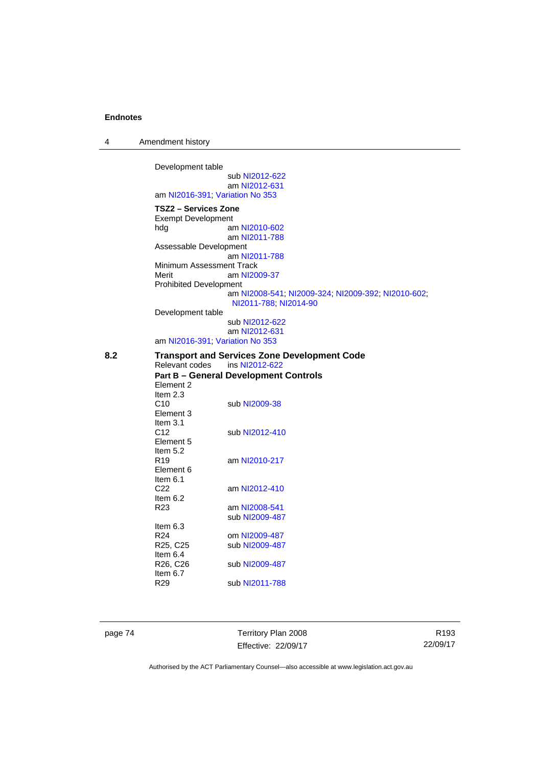| $\overline{A}$ | Amendment history |  |
|----------------|-------------------|--|
|----------------|-------------------|--|

Development table sub [NI2012-622](http://www.legislation.act.gov.au/ni/2012-622/default.asp) am [NI2012-631](http://www.legislation.act.gov.au/ni/2012-631/default.asp) am [NI2016-391](http://www.legislation.act.gov.au/ni/2016-391/default.asp); [Variation No 353](http://www.legislation.act.gov.au/ni/2016-393/default.asp) **TSZ2 – Services Zone**  Exempt Development hdg am [NI2010-602](http://www.legislation.act.gov.au/ni/2010-602/) am [NI2011-788](http://www.legislation.act.gov.au/ni/2011-788/) Assessable Development am [NI2011-788](http://www.legislation.act.gov.au/ni/2011-788/) Minimum Assessment Track Merit am [NI2009-37](http://www.legislation.act.gov.au/ni/2009-37/) Prohibited Development am [NI2008-541](http://www.legislation.act.gov.au/ni/2008-541/); [NI2009-324](http://www.legislation.act.gov.au/ni/2009-324/); [NI2009-392](http://www.legislation.act.gov.au/ni/2009-392/); [NI2010-602](http://www.legislation.act.gov.au/ni/2010-602/); [NI2011-788](http://www.legislation.act.gov.au/ni/2011-788/); [NI2014-90](http://www.legislation.act.gov.au/ni/2014-90/default.asp) Development table sub [NI2012-622](http://www.legislation.act.gov.au/ni/2012-622/default.asp) am [NI2012-631](http://www.legislation.act.gov.au/ni/2012-631/default.asp) am [NI2016-391](http://www.legislation.act.gov.au/ni/2016-391/default.asp); [Variation No 353](http://www.legislation.act.gov.au/ni/2016-393/default.asp)

**8.2 Transport and Services Zone Development Code**  ins [NI2012-622](http://www.legislation.act.gov.au/ni/2012-622/default.asp) **Part B – General Development Controls**  Element 2 Item 2.3<br>C10 sub [NI2009-38](http://www.legislation.act.gov.au/ni/2009-38/) Element 3 Item  $3.1$ <br>C<sub>12</sub> sub [NI2012-410](http://www.legislation.act.gov.au/ni/2012-410/) Element 5 Item  $5.2$ <br>R<sub>19</sub> am [NI2010-217](http://www.legislation.act.gov.au/ni/2010-217/) Element 6 Item  $6.1$ <br>C<sub>22</sub> am [NI2012-410](http://www.legislation.act.gov.au/ni/2012-410/)

Item 6.2 R23 am [NI2008-541](http://www.legislation.act.gov.au/ni/2008-541/) sub [NI2009-487](http://www.legislation.act.gov.au/ni/2009-487/) Item 6.3 R24 om [NI2009-487](http://www.legislation.act.gov.au/ni/2009-487/)<br>R25, C25 sub NI2009-487 sub [NI2009-487](http://www.legislation.act.gov.au/ni/2009-487/) Item 6.4<br>R26, C26 sub [NI2009-487](http://www.legislation.act.gov.au/ni/2009-487/) Item  $6.7$ <br>R29

sub [NI2011-788](http://www.legislation.act.gov.au/ni/2011-788/)

page 74 Territory Plan 2008 Effective: 22/09/17

R193 22/09/17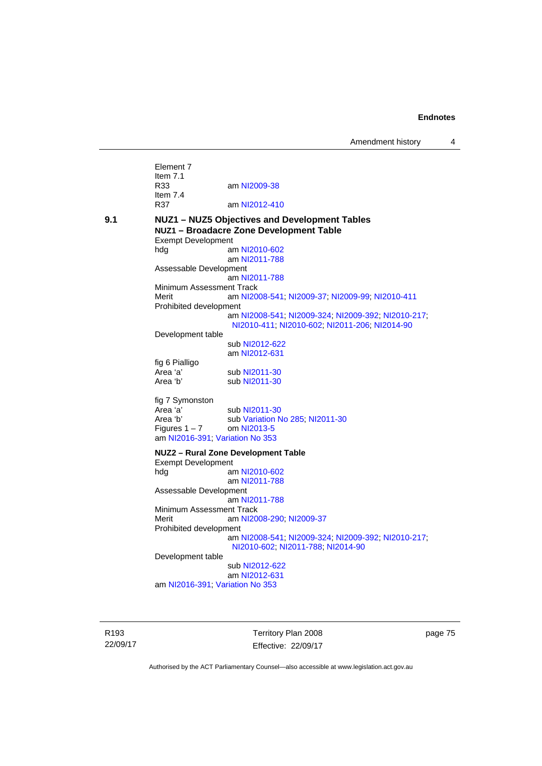Element 7 Item 7.1 R33 am [NI2009-38](http://www.legislation.act.gov.au/ni/2009-38/) Item 7.4<br>R37 am [NI2012-410](http://www.legislation.act.gov.au/ni/2012-410/) **9.1 NUZ1 – NUZ5 Objectives and Development Tables NUZ1 – Broadacre Zone Development Table**  Exempt Development hdg am [NI2010-602](http://www.legislation.act.gov.au/ni/2010-602/) am [NI2011-788](http://www.legislation.act.gov.au/ni/2011-788/default.asp) Assessable Development am [NI2011-788](http://www.legislation.act.gov.au/ni/2011-788/) Minimum Assessment Track Merit am [NI2008-541](http://www.legislation.act.gov.au/ni/2008-541/); [NI2009-37](http://www.legislation.act.gov.au/ni/2009-37/); [NI2009-99](http://www.legislation.act.gov.au/ni/2009-99/); [NI2010-411](http://www.legislation.act.gov.au/ni/2010-411/) Prohibited development am [NI2008-541](http://www.legislation.act.gov.au/ni/2008-541/); [NI2009-324](http://www.legislation.act.gov.au/ni/2009-324/); [NI2009-392](http://www.legislation.act.gov.au/ni/2009-392/); [NI2010-217](http://www.legislation.act.gov.au/ni/2010-217/); [NI2010-411](http://www.legislation.act.gov.au/ni/2010-411/); [NI2010-602](http://www.legislation.act.gov.au/ni/2010-602/); [NI2011-206](http://www.legislation.act.gov.au/ni/2011-206/); [NI2014-90](http://www.legislation.act.gov.au/ni/2014-90/default.asp) Development table sub [NI2012-622](http://www.legislation.act.gov.au/ni/2012-622/default.asp) am [NI2012-631](http://www.legislation.act.gov.au/ni/2012-631/default.asp) fig 6 Pialligo sub [NI2011-30](http://www.legislation.act.gov.au/ni/2011-30/) Area 'b' sub [NI2011-30](http://www.legislation.act.gov.au/ni/2011-30/) fig 7 Symonston Area 'a' sub [NI2011-30](http://www.legislation.act.gov.au/ni/2011-30/)<br>Area 'b' sub Variation N sub [Variation No 285](http://www.legislation.act.gov.au/ni/2008-123/); [NI2011-30](http://www.legislation.act.gov.au/ni/2011-30/) Figures  $1 - 7$  om [NI2013-5](http://www.legislation.act.gov.au/ni/2013-5/default.asp) am [NI2016-391](http://www.legislation.act.gov.au/ni/2016-391/default.asp); [Variation No 353](http://www.legislation.act.gov.au/ni/2016-393/default.asp) **NUZ2 – Rural Zone Development Table**  Exempt Development hdg am [NI2010-602](http://www.legislation.act.gov.au/ni/2010-602/) am [NI2011-788](http://www.legislation.act.gov.au/ni/2011-788/) Assessable Development am [NI2011-788](http://www.legislation.act.gov.au/ni/2011-788/) Minimum Assessment Track Merit **am [NI2008-290](http://www.legislation.act.gov.au/ni/2008-290/); [NI2009-37](http://www.legislation.act.gov.au/ni/2009-37/)** Prohibited development am [NI2008-541](http://www.legislation.act.gov.au/ni/2008-541/); [NI2009-324](http://www.legislation.act.gov.au/ni/2009-324/); [NI2009-392](http://www.legislation.act.gov.au/ni/2009-392/); [NI2010-217](http://www.legislation.act.gov.au/ni/2010-217/); [NI2010-602](http://www.legislation.act.gov.au/ni/2010-602/); [NI2011-788](http://www.legislation.act.gov.au/ni/2011-788/); [NI2014-90](http://www.legislation.act.gov.au/ni/2014-90/default.asp) Development table sub [NI2012-622](http://www.legislation.act.gov.au/ni/2012-622/default.asp) am [NI2012-631](http://www.legislation.act.gov.au/ni/2012-631/default.asp) am [NI2016-391](http://www.legislation.act.gov.au/ni/2016-391/default.asp); [Variation No 353](http://www.legislation.act.gov.au/ni/2016-393/default.asp)

R193 22/09/17 Territory Plan 2008 Effective: 22/09/17 page 75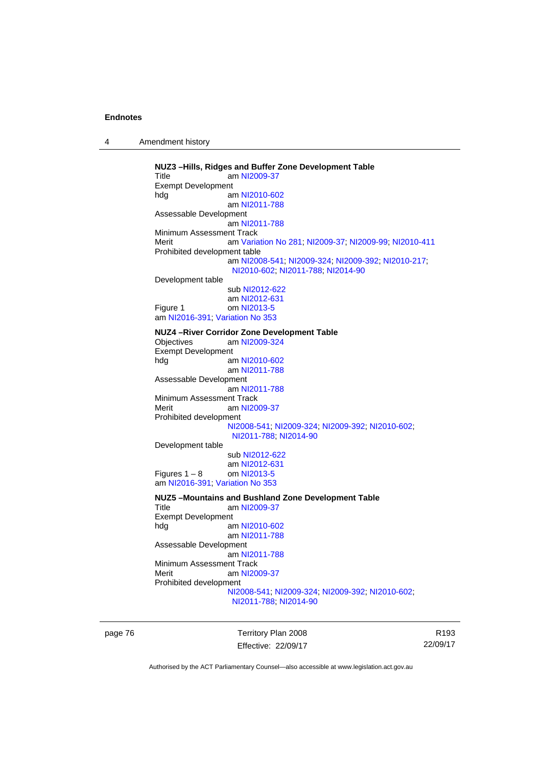4 Amendment history

**NUZ3 –Hills, Ridges and Buffer Zone Development Table**  Title am [NI2009-37](http://www.legislation.act.gov.au/ni/2009-37/) Exempt Development hdg am [NI2010-602](http://www.legislation.act.gov.au/ni/2010-602/) am [NI2011-788](http://www.legislation.act.gov.au/ni/2011-788/) Assessable Development am [NI2011-788](http://www.legislation.act.gov.au/ni/2011-788/) Minimum Assessment Track Merit am [Variation No 281](http://www.legislation.act.gov.au/ni/2008-352/); [NI2009-37](http://www.legislation.act.gov.au/ni/2009-37/); [NI2009-99](http://www.legislation.act.gov.au/ni/2009-99/); [NI2010-411](http://www.legislation.act.gov.au/ni/2010-411/) Prohibited development table am [NI2008-541](http://www.legislation.act.gov.au/ni/2008-541/); [NI2009-324](http://www.legislation.act.gov.au/ni/2009-324/); [NI2009-392](http://www.legislation.act.gov.au/ni/2009-392/); [NI2010-217](http://www.legislation.act.gov.au/ni/2010-217/); [NI2010-602](http://www.legislation.act.gov.au/ni/2010-602/); [NI2011-788](http://www.legislation.act.gov.au/ni/2011-788/); [NI2014-90](http://www.legislation.act.gov.au/ni/2014-90/default.asp) Development table sub [NI2012-622](http://www.legislation.act.gov.au/ni/2012-622/default.asp) am [NI2012-631](http://www.legislation.act.gov.au/ni/2012-631/default.asp) Figure 1 om [NI2013-5](http://www.legislation.act.gov.au/ni/2013-5/default.asp) am [NI2016-391](http://www.legislation.act.gov.au/ni/2016-391/default.asp); [Variation No 353](http://www.legislation.act.gov.au/ni/2016-393/default.asp) **NUZ4 –River Corridor Zone Development Table**  Objectives am [NI2009-324](http://www.legislation.act.gov.au/ni/2009-324/) Exempt Development hdg am [NI2010-602](http://www.legislation.act.gov.au/ni/2010-602/) am [NI2011-788](http://www.legislation.act.gov.au/ni/2011-788/) Assessable Development am [NI2011-788](http://www.legislation.act.gov.au/ni/2011-788/) Minimum Assessment Track Merit am [NI2009-37](http://www.legislation.act.gov.au/ni/2009-37/) Prohibited development [NI2008-541](http://www.legislation.act.gov.au/ni/2008-541/); [NI2009-324](http://www.legislation.act.gov.au/ni/2009-324/); [NI2009-392](http://www.legislation.act.gov.au/ni/2009-392/); [NI2010-602](http://www.legislation.act.gov.au/ni/2010-602/); [NI2011-788](http://www.legislation.act.gov.au/ni/2011-788/); [NI2014-90](http://www.legislation.act.gov.au/ni/2014-90/default.asp) Development table sub [NI2012-622](http://www.legislation.act.gov.au/ni/2012-622/default.asp) am [NI2012-631](http://www.legislation.act.gov.au/ni/2012-631/default.asp)<br>om NI2013-5 Figures  $1 - 8$ am [NI2016-391](http://www.legislation.act.gov.au/ni/2016-391/default.asp); [Variation No 353](http://www.legislation.act.gov.au/ni/2016-393/default.asp) **NUZ5 –Mountains and Bushland Zone Development Table**  Title am [NI2009-37](http://www.legislation.act.gov.au/ni/2009-37/) Exempt Development hdg am [NI2010-602](http://www.legislation.act.gov.au/ni/2010-602/) am [NI2011-788](http://www.legislation.act.gov.au/ni/2011-788/) Assessable Development am [NI2011-788](http://www.legislation.act.gov.au/ni/2011-788/) Minimum Assessment Track Merit **am [NI2009-37](http://www.legislation.act.gov.au/ni/2009-37/)** Prohibited development [NI2008-541](http://www.legislation.act.gov.au/ni/2008-541/); [NI2009-324](http://www.legislation.act.gov.au/ni/2009-324/); [NI2009-392](http://www.legislation.act.gov.au/ni/2009-392/); [NI2010-602](http://www.legislation.act.gov.au/ni/2010-602/); [NI2011-788](http://www.legislation.act.gov.au/ni/2011-788/); [NI2014-90](http://www.legislation.act.gov.au/ni/2014-90/default.asp)

page 76 Territory Plan 2008 Effective: 22/09/17

R193 22/09/17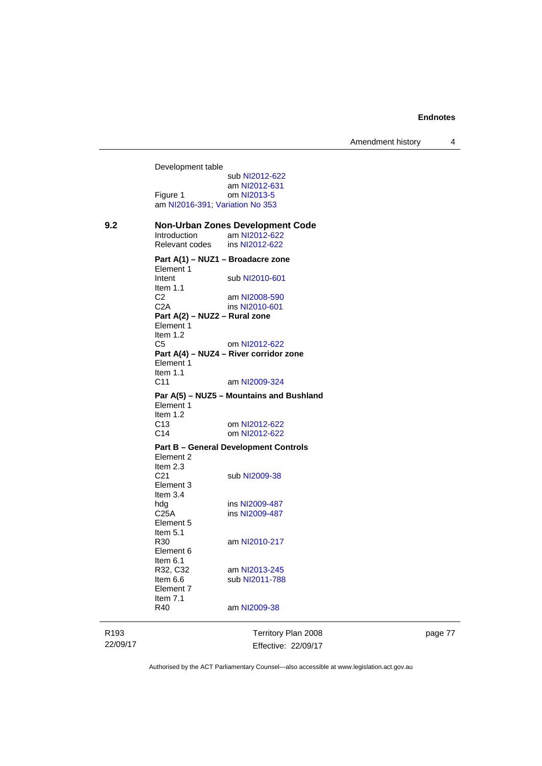Development table sub [NI2012-622](http://www.legislation.act.gov.au/ni/2012-622/default.asp) am [NI2012-631](http://www.legislation.act.gov.au/ni/2012-631/default.asp)<br>Figure 1 com NI2013-5 om [NI2013-5](http://www.legislation.act.gov.au/ni/2013-5/default.asp) am [NI2016-391](http://www.legislation.act.gov.au/ni/2016-391/default.asp); [Variation No 353](http://www.legislation.act.gov.au/ni/2016-393/default.asp) **9.2 Non-Urban Zones Development Code**<br>Introduction **am NI2012-622** am [NI2012-622](http://www.legislation.act.gov.au/ni/2012-622/default.asp)<br>
ins NI2012-622 Relevant codes **Part A(1) – NUZ1 – Broadacre zone**  Element 1 Intent sub [NI2010-601](http://www.legislation.act.gov.au/ni/2010-601/) Item 1.1<br>C<sub>2</sub> C2 am [NI2008-590](http://www.legislation.act.gov.au/ni/2008-590/default.asp)<br>C2A ins NI2010-601 ins [NI2010-601](http://www.legislation.act.gov.au/ni/2010-601/) **Part A(2) – NUZ2 – Rural zone**  Element 1 Item 1.2 C5 om [NI2012-622](http://www.legislation.act.gov.au/ni/2012-622/default.asp) **Part A(4) – NUZ4 – River corridor zone**  Element 1 Item 1.1 C11 am [NI2009-324](http://www.legislation.act.gov.au/ni/2009-324/) **Par A(5) – NUZ5 – Mountains and Bushland**  Element 1 Item 1.2<br>C13 C13 om [NI2012-622](http://www.legislation.act.gov.au/ni/2012-622/default.asp)<br>C14 om NI2012-622 om [NI2012-622](http://www.legislation.act.gov.au/ni/2012-622/default.asp) **Part B – General Development Controls**  Element 2 Item  $2.3$ <br> $C<sub>21</sub>$ sub [NI2009-38](http://www.legislation.act.gov.au/ni/2009-38/) Element 3 Item  $3.4$ hdg ins [NI2009-487](http://www.legislation.act.gov.au/ni/2009-487/)<br>C25A ins NI2009-487 ins [NI2009-487](http://www.legislation.act.gov.au/ni/2009-487/) Element 5 Item  $5.1$ <br>R30 am [NI2010-217](http://www.legislation.act.gov.au/ni/2010-217/) Element 6 Item 6.1<br>R32, C32 am [NI2013-245](http://www.legislation.act.gov.au/ni/2013-245/default.asp) Item 6.6 sub [NI2011-788](http://www.legislation.act.gov.au/ni/2011-788/) Element 7 Item 7.1 R40 am [NI2009-38](http://www.legislation.act.gov.au/ni/2009-38/)

R193 22/09/17 Territory Plan 2008 Effective: 22/09/17 page 77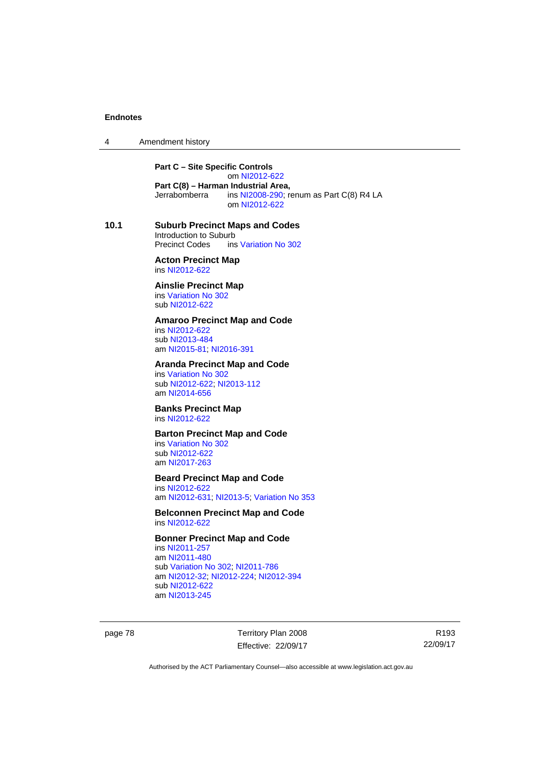4 Amendment history

**Part C – Site Specific Controls**  om [NI2012-622](http://www.legislation.act.gov.au/ni/2012-622/default.asp) **Part C(8) – Harman Industrial Area,**<br>Jerrabomberra ins NI2008-290; re ins  $N$ 12008-290; renum as Part C(8) R4 LA om [NI2012-622](http://www.legislation.act.gov.au/ni/2012-622/default.asp)

**10.1 Suburb Precinct Maps and Codes**  Introduction to Suburb Precinct Codes ins [Variation No 302](http://www.legislation.act.gov.au/ni/2011-573/)

> **Acton Precinct Map**  ins [NI2012-622](http://www.legislation.act.gov.au/ni/2012-622/default.asp)

**Ainslie Precinct Map**  ins [Variation No 302](http://www.legislation.act.gov.au/ni/2011-573/) sub [NI2012-622](http://www.legislation.act.gov.au/ni/2012-622/default.asp)

#### **Amaroo Precinct Map and Code**

ins [NI2012-622](http://www.legislation.act.gov.au/ni/2012-622/default.asp) sub [NI2013-484](http://www.legislation.act.gov.au/ni/2013-484/default.asp) am [NI2015-81](http://www.legislation.act.gov.au/ni/2015-81/default.asp); [NI2016-391](http://www.legislation.act.gov.au/ni/2016-391/default.asp)

### **Aranda Precinct Map and Code**

ins [Variation No 302](http://www.legislation.act.gov.au/ni/2011-573/) sub [NI2012-622](http://www.legislation.act.gov.au/ni/2012-622/default.asp); [NI2013-112](http://www.legislation.act.gov.au/ni/2013-112/default.asp) am [NI2014-656](http://www.legislation.act.gov.au/ni/2014-656/default.asp)

# **Banks Precinct Map**

ins [NI2012-622](http://www.legislation.act.gov.au/ni/2012-622/default.asp)

# **Barton Precinct Map and Code**

ins [Variation No 302](http://www.legislation.act.gov.au/ni/2011-573/) sub [NI2012-622](http://www.legislation.act.gov.au/ni/2012-622/default.asp) am [NI2017-263](http://www.legislation.act.gov.au/ni/2017-263/default.asp)

# **Beard Precinct Map and Code**

ins [NI2012-622](http://www.legislation.act.gov.au/ni/2012-622/default.asp) am [NI2012-631](http://www.legislation.act.gov.au/ni/2012-631/default.asp); [NI2013-5](http://www.legislation.act.gov.au/ni/2013-5/default.asp); [Variation No 353](http://www.legislation.act.gov.au/ni/2016-393/default.asp)

#### **Belconnen Precinct Map and Code**  ins [NI2012-622](http://www.legislation.act.gov.au/ni/2012-622/default.asp)

#### **Bonner Precinct Map and Code**

ins [NI2011-257](http://www.legislation.act.gov.au/ni/2011-257/) am [NI2011-480](http://www.legislation.act.gov.au/ni/2011-480/) sub [Variation No 302](http://www.legislation.act.gov.au/ni/2011-573/); [NI2011-786](http://www.legislation.act.gov.au/ni/2011-786/) am [NI2012-32](http://www.legislation.act.gov.au/ni/2012-32/); [NI2012-224](http://www.legislation.act.gov.au/ni/2012-224/); [NI2012-394](http://www.legislation.act.gov.au/ni/2012-394/) sub [NI2012-622](http://www.legislation.act.gov.au/ni/2012-622/default.asp) am [NI2013-245](http://www.legislation.act.gov.au/ni/2013-245/default.asp)

page 78 Territory Plan 2008 Effective: 22/09/17

R193 22/09/17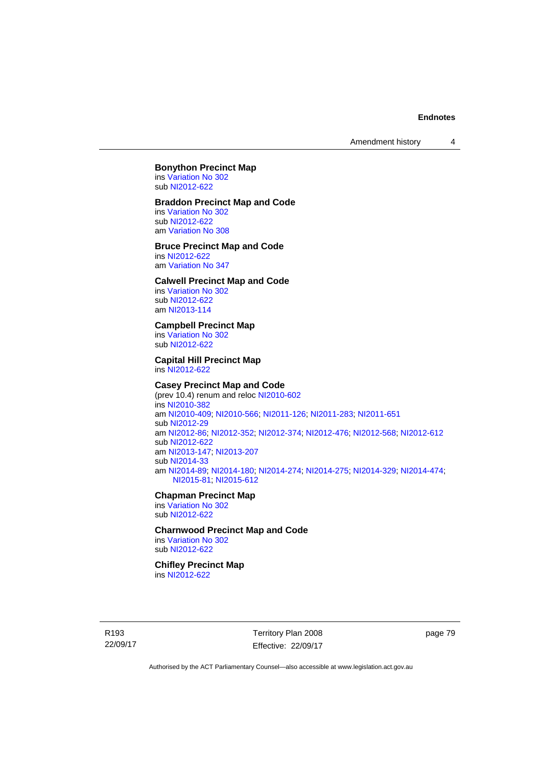Amendment history 4

#### **Bonython Precinct Map**  ins [Variation No 302](http://www.legislation.act.gov.au/ni/2011-573/)

sub [NI2012-622](http://www.legislation.act.gov.au/ni/2012-622/default.asp)

## **Braddon Precinct Map and Code**

ins [Variation No 302](http://www.legislation.act.gov.au/ni/2011-573/) sub [NI2012-622](http://www.legislation.act.gov.au/ni/2012-622/default.asp) am [Variation No 308](http://www.legislation.act.gov.au/ni/2014-60/default.asp)

### **Bruce Precinct Map and Code**

ins [NI2012-622](http://www.legislation.act.gov.au/ni/2012-622/default.asp) am [Variation No 347](http://www.legislation.act.gov.au/ni/2015-449/default.asp)

### **Calwell Precinct Map and Code**

ins [Variation No 302](http://www.legislation.act.gov.au/ni/2011-573/) sub [NI2012-622](http://www.legislation.act.gov.au/ni/2012-622/default.asp) am [NI2013-114](http://www.legislation.act.gov.au/ni/2013-114/default.asp)

### **Campbell Precinct Map**

ins [Variation No 302](http://www.legislation.act.gov.au/ni/2011-573/) sub [NI2012-622](http://www.legislation.act.gov.au/ni/2012-622/default.asp)

#### **Capital Hill Precinct Map**

ins [NI2012-622](http://www.legislation.act.gov.au/ni/2012-622/default.asp)

## **Casey Precinct Map and Code**

(prev 10.4) renum and reloc [NI2010-602](http://www.legislation.act.gov.au/ni/2010-602/) ins [NI2010-382](http://www.legislation.act.gov.au/ni/2010-382/) am [NI2010-409](http://www.legislation.act.gov.au/ni/2010-409/); [NI2010-566](http://www.legislation.act.gov.au/ni/2010-566/); [NI2011-126](http://www.legislation.act.gov.au/ni/2011-126/); [NI2011-283](http://www.legislation.act.gov.au/ni/2011-283/); [NI2011-651](http://www.legislation.act.gov.au/ni/2011-651/) sub [NI2012-29](http://www.legislation.act.gov.au/ni/2012-29/) am [NI2012-86](http://www.legislation.act.gov.au/ni/2012-86/); [NI2012-352](http://www.legislation.act.gov.au/ni/2012-352/); [NI2012-374](http://www.legislation.act.gov.au/ni/2012-374/); [NI2012-476](http://www.legislation.act.gov.au/ni/2012-476/); [NI2012-568](http://www.legislation.act.gov.au/ni/2012-568/default.asp); [NI2012-612](http://www.legislation.act.gov.au/ni/2012-612/default.asp) sub [NI2012-622](http://www.legislation.act.gov.au/ni/2012-622/default.asp) am [NI2013-147](http://www.legislation.act.gov.au/ni/2013-147/default.asp); [NI2013-207](http://www.legislation.act.gov.au/ni/2013-207/default.asp) sub [NI2014-33](http://www.legislation.act.gov.au/ni/2014-33/default.asp) am [NI2014-89](http://www.legislation.act.gov.au/ni/2014-89/default.asp); [NI2014-180](http://www.legislation.act.gov.au/ni/2014-180/default.asp); [NI2014-274](http://www.legislation.act.gov.au/ni/2014-274/default.asp); [NI2014-275](http://www.legislation.act.gov.au/ni/2014-275/default.asp); [NI2014-329](http://www.legislation.act.gov.au/ni/2014-329/default.asp); [NI2014-474](http://www.legislation.act.gov.au/ni/2014-474/default.asp); [NI2015-81;](http://www.legislation.act.gov.au/ni/2015-81/default.asp) [NI2015-612](http://www.legislation.act.gov.au/ni/2015-612/default.asp)

#### **Chapman Precinct Map**

ins [Variation No 302](http://www.legislation.act.gov.au/ni/2011-573/) sub [NI2012-622](http://www.legislation.act.gov.au/ni/2012-622/default.asp)

## **Charnwood Precinct Map and Code**

ins [Variation No 302](http://www.legislation.act.gov.au/ni/2011-573/) sub [NI2012-622](http://www.legislation.act.gov.au/ni/2012-622/default.asp)

# **Chifley Precinct Map**

ins [NI2012-622](http://www.legislation.act.gov.au/ni/2012-622/default.asp)

R193 22/09/17 Territory Plan 2008 Effective: 22/09/17 page 79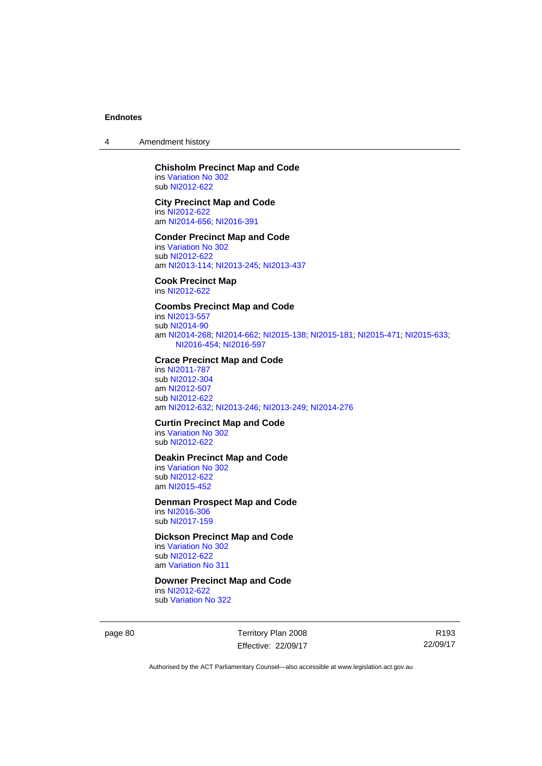4 Amendment history

#### **Chisholm Precinct Map and Code**  ins [Variation No 302](http://www.legislation.act.gov.au/ni/2011-573/)

sub [NI2012-622](http://www.legislation.act.gov.au/ni/2012-622/default.asp)

### **City Precinct Map and Code**

ins [NI2012-622](http://www.legislation.act.gov.au/ni/2012-622/default.asp) am [NI2014-656](http://www.legislation.act.gov.au/ni/2014-656/default.asp); [NI2016-391](http://www.legislation.act.gov.au/ni/2016-391/default.asp)

#### **Conder Precinct Map and Code**

ins [Variation No 302](http://www.legislation.act.gov.au/ni/2011-573/) sub [NI2012-622](http://www.legislation.act.gov.au/ni/2012-622/default.asp) am [NI2013-114](http://www.legislation.act.gov.au/ni/2013-114/default.asp); [NI2013-245](http://www.legislation.act.gov.au/ni/2013-245/default.asp); [NI2013-437](http://www.legislation.act.gov.au/ni/2013-437/default.asp)

#### **Cook Precinct Map**

ins [NI2012-622](http://www.legislation.act.gov.au/ni/2012-622/default.asp)

# **Coombs Precinct Map and Code**

ins [NI2013-557](http://www.legislation.act.gov.au/ni/2013-557/default.asp) sub [NI2014-90](http://www.legislation.act.gov.au/ni/2014-90/default.asp) am [NI2014-268](http://www.legislation.act.gov.au/ni/2014-268/default.asp); [NI2014-662](http://www.legislation.act.gov.au/ni/2014-662/default.asp); [NI2015-138](http://www.legislation.act.gov.au/ni/2015-138/default.asp); [NI2015-181](http://www.legislation.act.gov.au/ni/2015-181/default.asp); [NI2015-471](http://www.legislation.act.gov.au/ni/2015-471/default.asp); [NI2015-633](http://www.legislation.act.gov.au/ni/2015-633/default.asp); [NI2016-454](http://www.legislation.act.gov.au/ni/2016-454/default.asp); [NI2016-597](http://www.legislation.act.gov.au/ni/2016-597/default.asp)

#### **Crace Precinct Map and Code**

ins [NI2011-787](http://www.legislation.act.gov.au/ni/2011-787/) sub [NI2012-304](http://www.legislation.act.gov.au/ni/2012-304/) am [NI2012-507](http://www.legislation.act.gov.au/ni/2012-507/) sub [NI2012-622](http://www.legislation.act.gov.au/ni/2012-622/default.asp) am [NI2012-632](http://www.legislation.act.gov.au/ni/2012-632/default.asp); [NI2013-246](http://www.legislation.act.gov.au/ni/2013-246/default.asp); [NI2013-249](http://www.legislation.act.gov.au/ni/2013-248/default.asp); [NI2014-276](http://www.legislation.act.gov.au/ni/2014-276/default.asp)

#### **Curtin Precinct Map and Code**

ins [Variation No 302](http://www.legislation.act.gov.au/ni/2011-573/) sub [NI2012-622](http://www.legislation.act.gov.au/ni/2012-622/default.asp)

#### **Deakin Precinct Map and Code**

ins [Variation No 302](http://www.legislation.act.gov.au/ni/2011-573/) sub [NI2012-622](http://www.legislation.act.gov.au/ni/2012-622/default.asp) am [NI2015-452](http://www.legislation.act.gov.au/ni/2015-452/default.asp)

## **Denman Prospect Map and Code**

ins [NI2016-306](http://www.legislation.act.gov.au/ni/2016-306/default.asp) sub [NI2017-159](http://www.legislation.act.gov.au/ni/2017-159/default.asp)

# **Dickson Precinct Map and Code**

ins [Variation No 302](http://www.legislation.act.gov.au/ni/2011-573/) sub [NI2012-622](http://www.legislation.act.gov.au/ni/2012-622/default.asp) am [Variation No 311](http://www.legislation.act.gov.au/ni/2013-208/default.asp)

# **Downer Precinct Map and Code**

ins [NI2012-622](http://www.legislation.act.gov.au/ni/2012-622/default.asp) sub [Variation No 322](http://www.legislation.act.gov.au/ni/2015-185/default.asp)

page 80 Territory Plan 2008 Effective: 22/09/17

R193 22/09/17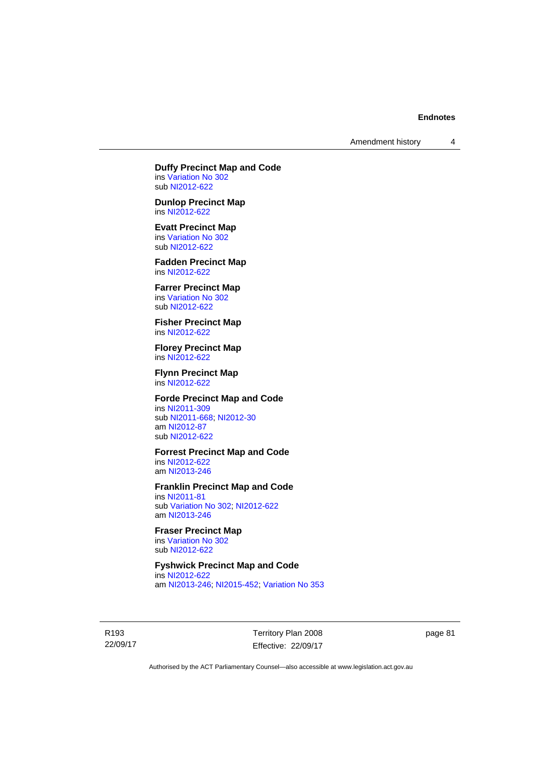Amendment history 4

**Duffy Precinct Map and Code**  ins [Variation No 302](http://www.legislation.act.gov.au/ni/2011-573/)

sub [NI2012-622](http://www.legislation.act.gov.au/ni/2012-622/default.asp) **Dunlop Precinct Map**  ins [NI2012-622](http://www.legislation.act.gov.au/ni/2012-622/default.asp)

**Evatt Precinct Map** 

ins [Variation No 302](http://www.legislation.act.gov.au/ni/2011-573/) sub [NI2012-622](http://www.legislation.act.gov.au/ni/2012-622/default.asp)

**Fadden Precinct Map**  ins [NI2012-622](http://www.legislation.act.gov.au/ni/2012-622/default.asp)

**Farrer Precinct Map**  ins [Variation No 302](http://www.legislation.act.gov.au/ni/2011-573/) sub [NI2012-622](http://www.legislation.act.gov.au/ni/2012-622/default.asp)

**Fisher Precinct Map**  ins [NI2012-622](http://www.legislation.act.gov.au/ni/2012-622/default.asp)

**Florey Precinct Map**  ins [NI2012-622](http://www.legislation.act.gov.au/ni/2012-622/default.asp)

**Flynn Precinct Map**  ins [NI2012-622](http://www.legislation.act.gov.au/ni/2012-622/default.asp)

# **Forde Precinct Map and Code**

ins [NI2011-309](http://www.legislation.act.gov.au/ni/2011-309/) sub [NI2011-668](http://www.legislation.act.gov.au/ni/2011-668/); [NI2012-30](http://www.legislation.act.gov.au/ni/2012-30/) am [NI2012-87](http://www.legislation.act.gov.au/ni/2012-87/) sub [NI2012-622](http://www.legislation.act.gov.au/ni/2012-622/default.asp)

### **Forrest Precinct Map and Code**

ins [NI2012-622](http://www.legislation.act.gov.au/ni/2012-622/default.asp) am [NI2013-246](http://www.legislation.act.gov.au/ni/2013-246/default.asp)

#### **Franklin Precinct Map and Code**

ins [NI2011-81](http://www.legislation.act.gov.au/ni/2011-81/) sub [Variation No 302](http://www.legislation.act.gov.au/ni/2011-573/); [NI2012-622](http://www.legislation.act.gov.au/ni/2012-622/default.asp) am [NI2013-246](http://www.legislation.act.gov.au/ni/2013-246/default.asp)

# **Fraser Precinct Map**

ins [Variation No 302](http://www.legislation.act.gov.au/ni/2011-573/) sub [NI2012-622](http://www.legislation.act.gov.au/ni/2012-622/default.asp)

# **Fyshwick Precinct Map and Code**

ins [NI2012-622](http://www.legislation.act.gov.au/ni/2012-622/default.asp) am [NI2013-246](http://www.legislation.act.gov.au/ni/2013-246/default.asp); [NI2015-452](http://www.legislation.act.gov.au/ni/2015-452/default.asp); [Variation No 353](http://www.legislation.act.gov.au/ni/2016-393/default.asp)

R193 22/09/17 Territory Plan 2008 Effective: 22/09/17 page 81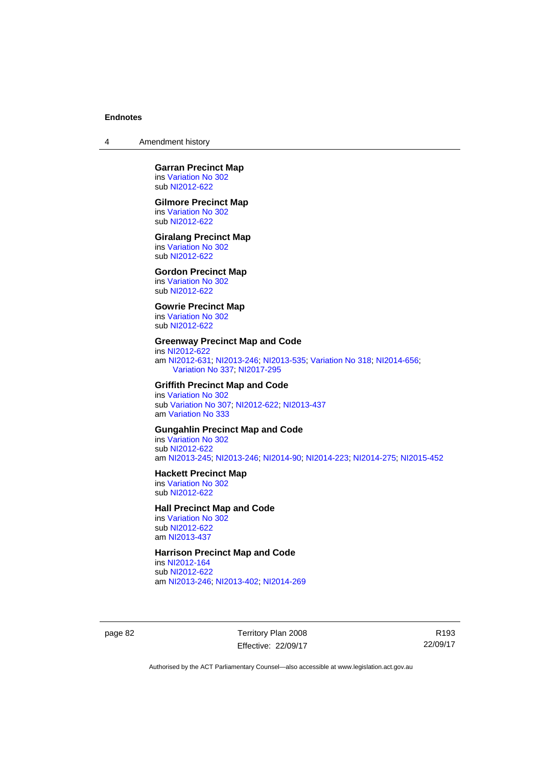4 Amendment history

#### **Garran Precinct Map**  ins [Variation No 302](http://www.legislation.act.gov.au/ni/2011-573/) sub [NI2012-622](http://www.legislation.act.gov.au/ni/2012-622/default.asp)

#### **Gilmore Precinct Map**

ins [Variation No 302](http://www.legislation.act.gov.au/ni/2011-573/) sub [NI2012-622](http://www.legislation.act.gov.au/ni/2012-622/default.asp)

#### **Giralang Precinct Map**

ins [Variation No 302](http://www.legislation.act.gov.au/ni/2011-573/) sub [NI2012-622](http://www.legislation.act.gov.au/ni/2012-622/default.asp)

## **Gordon Precinct Map**

ins [Variation No 302](http://www.legislation.act.gov.au/ni/2011-573/) sub [NI2012-622](http://www.legislation.act.gov.au/ni/2012-622/default.asp)

# **Gowrie Precinct Map**

ins [Variation No 302](http://www.legislation.act.gov.au/ni/2011-573/) sub [NI2012-622](http://www.legislation.act.gov.au/ni/2012-622/default.asp)

### **Greenway Precinct Map and Code**

ins [NI2012-622](http://www.legislation.act.gov.au/ni/2012-622/default.asp) am [NI2012-631](http://www.legislation.act.gov.au/ni/2012-631/default.asp); [NI2013-246](http://www.legislation.act.gov.au/ni/2013-246/default.asp); [NI2013-535](http://www.legislation.act.gov.au/ni/2013-535/); [Variation No 318](http://www.legislation.act.gov.au/ni/2014-294/default.asp); [NI2014-656](http://www.legislation.act.gov.au/ni/2014-656/default.asp); [Variation No 337;](http://www.legislation.act.gov.au/ni/2015-375/default.asp) [NI2017-295](http://www.legislation.act.gov.au/ni/2017-295/default.asp)

# **Griffith Precinct Map and Code**

ins [Variation No 302](http://www.legislation.act.gov.au/ni/2011-573/) sub [Variation No 307](http://www.legislation.act.gov.au/ni/2012-201/); [NI2012-622](http://www.legislation.act.gov.au/ni/2012-622/default.asp); [NI2013-437](http://www.legislation.act.gov.au/ni/2013-437/default.asp) am [Variation No 333](http://www.legislation.act.gov.au/ni/2016-65/default.asp)

# **Gungahlin Precinct Map and Code**

ins [Variation No 302](http://www.legislation.act.gov.au/ni/2011-573/) sub [NI2012-622](http://www.legislation.act.gov.au/ni/2012-622/default.asp) am [NI2013-245](http://www.legislation.act.gov.au/ni/2013-245/default.asp); [NI2013-246](http://www.legislation.act.gov.au/ni/2013-246/default.asp); [NI2014-90](http://www.legislation.act.gov.au/ni/2014-90/default.asp); [NI2014-223](http://www.legislation.act.gov.au/ni/2014-223/default.asp); [NI2014-275](http://www.legislation.act.gov.au/ni/2014-275/default.asp); [NI2015-452](http://www.legislation.act.gov.au/ni/2015-452/default.asp)

#### **Hackett Precinct Map**

ins [Variation No 302](http://www.legislation.act.gov.au/ni/2011-573/) sub [NI2012-622](http://www.legislation.act.gov.au/ni/2012-622/default.asp)

### **Hall Precinct Map and Code**

ins [Variation No 302](http://www.legislation.act.gov.au/ni/2011-573/) sub [NI2012-622](http://www.legislation.act.gov.au/ni/2012-622/default.asp) am [NI2013-437](http://www.legislation.act.gov.au/ni/2013-437/default.asp)

# **Harrison Precinct Map and Code**

ins [NI2012-164](http://www.legislation.act.gov.au/ni/2012-164/) sub [NI2012-622](http://www.legislation.act.gov.au/ni/2012-622/default.asp) am [NI2013-246](http://www.legislation.act.gov.au/ni/2013-246/default.asp); [NI2013-402](http://www.legislation.act.gov.au/ni/2013-402/default.asp); [NI2014-269](http://www.legislation.act.gov.au/ni/2014-269/default.asp)

page 82 Territory Plan 2008 Effective: 22/09/17

R193 22/09/17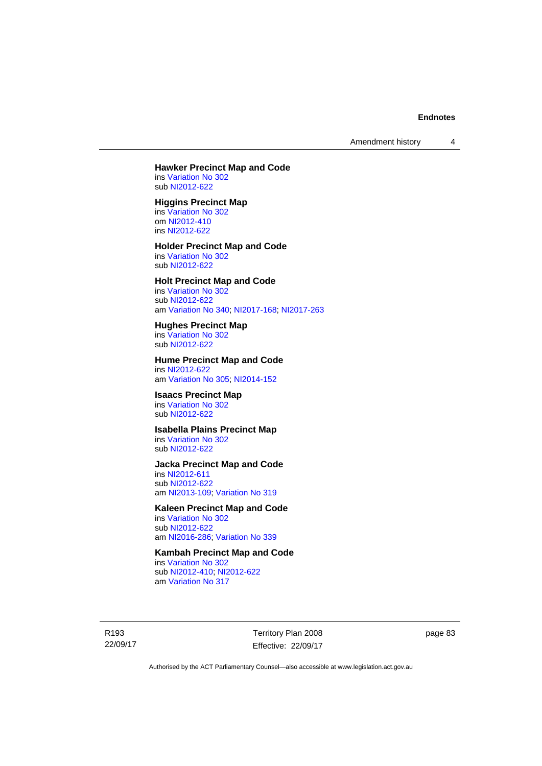Amendment history 4

#### **Hawker Precinct Map and Code**  ins [Variation No 302](http://www.legislation.act.gov.au/ni/2011-573/)

sub [NI2012-622](http://www.legislation.act.gov.au/ni/2012-622/default.asp)

# **Higgins Precinct Map**

ins [Variation No 302](http://www.legislation.act.gov.au/ni/2011-573/) om [NI2012-410](http://www.legislation.act.gov.au/ni/2012-410/) ins [NI2012-622](http://www.legislation.act.gov.au/ni/2012-622/default.asp)

# **Holder Precinct Map and Code**

ins [Variation No 302](http://www.legislation.act.gov.au/ni/2011-573/) sub [NI2012-622](http://www.legislation.act.gov.au/ni/2012-622/default.asp)

## **Holt Precinct Map and Code**

ins [Variation No 302](http://www.legislation.act.gov.au/ni/2011-573/) sub [NI2012-622](http://www.legislation.act.gov.au/ni/2012-622/default.asp) am [Variation No 340](http://www.legislation.act.gov.au/ni/2016-56/default.asp); [NI2017-168](http://www.legislation.act.gov.au/ni/2017-168/default.asp); [NI2017-263](http://www.legislation.act.gov.au/ni/2017-263/default.asp)

### **Hughes Precinct Map**

ins [Variation No 302](http://www.legislation.act.gov.au/ni/2011-573/) sub [NI2012-622](http://www.legislation.act.gov.au/ni/2012-622/default.asp)

#### **Hume Precinct Map and Code**  ins [NI2012-622](http://www.legislation.act.gov.au/ni/2012-622/default.asp)

am [Variation No 305](http://www.legislation.act.gov.au/ni/2013-530/default.asp); [NI2014-152](http://www.legislation.act.gov.au/ni/2014-152/default.asp)

# **Isaacs Precinct Map**

ins [Variation No 302](http://www.legislation.act.gov.au/ni/2011-573/) sub [NI2012-622](http://www.legislation.act.gov.au/ni/2012-622/default.asp)

# **Isabella Plains Precinct Map**

ins [Variation No 302](http://www.legislation.act.gov.au/ni/2011-573/) sub [NI2012-622](http://www.legislation.act.gov.au/ni/2012-622/default.asp)

# **Jacka Precinct Map and Code**

ins [NI2012-611](http://www.legislation.act.gov.au/ni/2012-611/default.asp) sub [NI2012-622](http://www.legislation.act.gov.au/ni/2012-622/default.asp) am [NI2013-109](http://www.legislation.act.gov.au/ni/2013-109/default.asp); [Variation No 319](http://www.legislation.act.gov.au/ni/2014-501/default.asp)

### **Kaleen Precinct Map and Code**

ins [Variation No 302](http://www.legislation.act.gov.au/ni/2011-573/) sub [NI2012-622](http://www.legislation.act.gov.au/ni/2012-622/default.asp) am [NI2016-286](http://www.legislation.act.gov.au/ni/2016-286/default.asp); [Variation No 339](http://www.legislation.act.gov.au/ni/2016-286/default.asp)

# **Kambah Precinct Map and Code**

ins [Variation No 302](http://www.legislation.act.gov.au/ni/2011-573/) sub [NI2012-410](http://www.legislation.act.gov.au/ni/2012-410/); [NI2012-622](http://www.legislation.act.gov.au/ni/2012-622/default.asp) am [Variation No 317](http://www.legislation.act.gov.au/ni/2014-137/default.asp)

R193 22/09/17 Territory Plan 2008 Effective: 22/09/17 page 83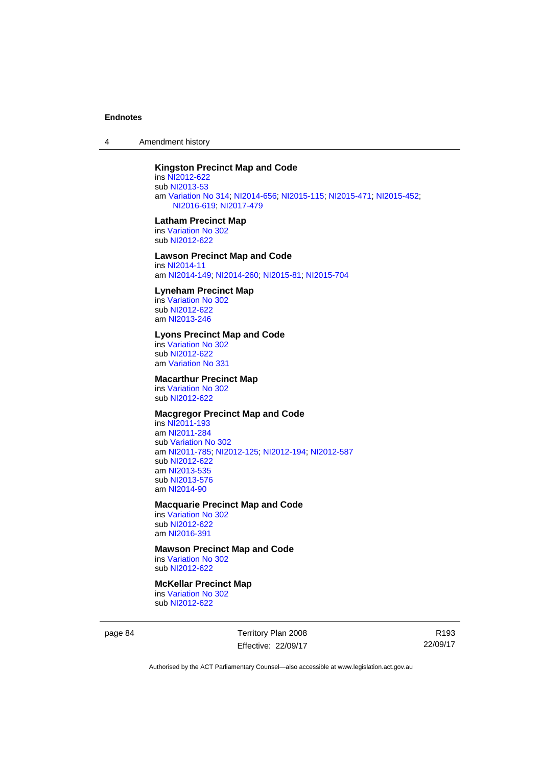4 Amendment history

# **Kingston Precinct Map and Code**

ins [NI2012-622](http://www.legislation.act.gov.au/ni/2012-622/default.asp) sub [NI2013-53](http://www.legislation.act.gov.au/ni/2013-53/default.asp) am [Variation No 314](http://www.legislation.act.gov.au/ni/2014-187/default.asp); [NI2014-656](http://www.legislation.act.gov.au/ni/2014-656/default.asp); [NI2015-115](http://www.legislation.act.gov.au/ni/2015-115/default.asp); [NI2015-471](http://www.legislation.act.gov.au/ni/2015-471/default.asp); [NI2015-452](http://www.legislation.act.gov.au/ni/2015-452/default.asp); [NI2016-619;](http://www.legislation.act.gov.au/ni/2016-619/default.asp) [NI2017-479](http://www.legislation.act.gov.au/ni/2017-479/default.asp)

#### **Latham Precinct Map**

ins [Variation No 302](http://www.legislation.act.gov.au/ni/2011-573/) sub [NI2012-622](http://www.legislation.act.gov.au/ni/2012-622/default.asp)

# **Lawson Precinct Map and Code**

ins [NI2014-11](http://www.legislation.act.gov.au/ni/2014-11/default.asp) am [NI2014-149](http://www.legislation.act.gov.au/ni/2014-149/default.asp); [NI2014-260](http://www.legislation.act.gov.au/ni/2014-260/default.asp); [NI2015-81](http://www.legislation.act.gov.au/ni/2015-81/default.asp); [NI2015-704](http://www.legislation.act.gov.au/ni/2015-704/default.asp)

#### **Lyneham Precinct Map**

ins [Variation No 302](http://www.legislation.act.gov.au/ni/2011-573/) sub [NI2012-622](http://www.legislation.act.gov.au/ni/2012-622/default.asp) am [NI2013-246](http://www.legislation.act.gov.au/ni/2013-246/default.asp)

#### **Lyons Precinct Map and Code**

ins [Variation No 302](http://www.legislation.act.gov.au/ni/2011-573/) sub [NI2012-622](http://www.legislation.act.gov.au/ni/2012-622/default.asp) am [Variation No 331](http://www.legislation.act.gov.au/ni/2015-448/default.asp)

## **Macarthur Precinct Map**

ins [Variation No 302](http://www.legislation.act.gov.au/ni/2011-573/) sub [NI2012-622](http://www.legislation.act.gov.au/ni/2012-622/default.asp)

## **Macgregor Precinct Map and Code**

ins [NI2011-193](http://www.legislation.act.gov.au/ni/2011-193/) am [NI2011-284](http://www.legislation.act.gov.au/ni/2011-284/) sub [Variation No 302](http://www.legislation.act.gov.au/ni/2011-573/) am [NI2011-785](http://www.legislation.act.gov.au/ni/2011-785/); [NI2012-125](http://www.legislation.act.gov.au/ni/2012-125/); [NI2012-194](http://www.legislation.act.gov.au/ni/2012-194/); [NI2012-587](http://www.legislation.act.gov.au/ni/2012-587/default.asp) sub [NI2012-622](http://www.legislation.act.gov.au/ni/2012-622/default.asp) am [NI2013-535](http://www.legislation.act.gov.au/ni/2013-535/) sub [NI2013-576](http://www.legislation.act.gov.au/ni/2013-576/default.asp) am [NI2014-90](http://www.legislation.act.gov.au/ni/2014-90/default.asp)

#### **Macquarie Precinct Map and Code**

ins [Variation No 302](http://www.legislation.act.gov.au/ni/2011-573/) sub [NI2012-622](http://www.legislation.act.gov.au/ni/2012-622/default.asp) am [NI2016-391](http://www.legislation.act.gov.au/ni/2016-391/default.asp)

# **Mawson Precinct Map and Code**

ins [Variation No 302](http://www.legislation.act.gov.au/ni/2011-573/) sub [NI2012-622](http://www.legislation.act.gov.au/ni/2012-622/default.asp)

# **McKellar Precinct Map**

ins [Variation No 302](http://www.legislation.act.gov.au/ni/2011-573/) sub [NI2012-622](http://www.legislation.act.gov.au/ni/2012-622/default.asp)

page 84 Territory Plan 2008 Effective: 22/09/17

R193 22/09/17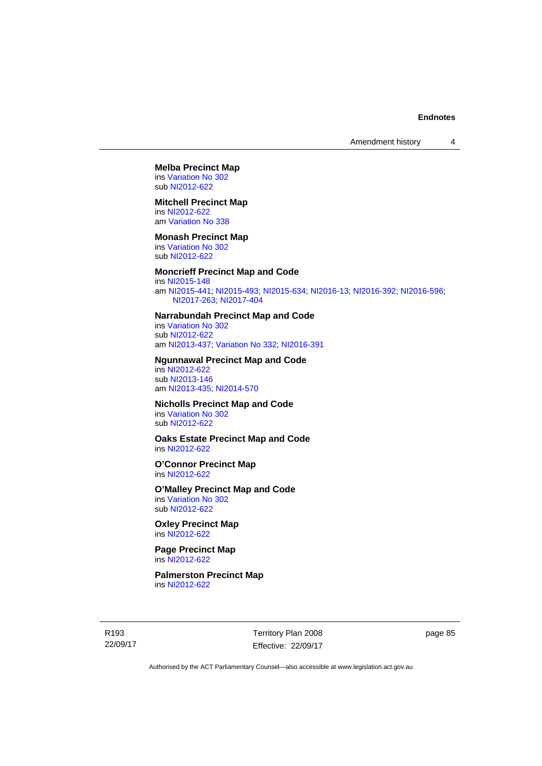# **Melba Precinct Map**

ins [Variation No 302](http://www.legislation.act.gov.au/ni/2011-573/) sub [NI2012-622](http://www.legislation.act.gov.au/ni/2012-622/default.asp)

### **Mitchell Precinct Map**

ins [NI2012-622](http://www.legislation.act.gov.au/ni/2012-622/default.asp) am [Variation No 338](http://www.legislation.act.gov.au/ni/2015-101/default.asp)

#### **Monash Precinct Map**

ins [Variation No 302](http://www.legislation.act.gov.au/ni/2011-573/) sub [NI2012-622](http://www.legislation.act.gov.au/ni/2012-622/default.asp)

# **Moncrieff Precinct Map and Code**

ins [NI2015-148](http://www.legislation.act.gov.au/ni/2015-148/default.asp) am [NI2015-441](http://www.legislation.act.gov.au/ni/2015-441/default.asp); [NI2015-493](http://www.legislation.act.gov.au/ni/2015-493/default.asp); [NI2015-634](http://www.legislation.act.gov.au/ni/2015-634/default.asp); [NI2016-13](http://www.legislation.act.gov.au/ni/2016-13/default.asp); [NI2016-392](http://www.legislation.act.gov.au/ni/2016-392/default.asp); [NI2016-596](http://www.legislation.act.gov.au/ni/2016-596/default.asp); [NI2017-263;](http://www.legislation.act.gov.au/ni/2017-263/default.asp) [NI2017-404](http://www.legislation.act.gov.au/ni/2017-404/default.asp)

#### **Narrabundah Precinct Map and Code**

ins [Variation No 302](http://www.legislation.act.gov.au/ni/2011-573/) sub [NI2012-622](http://www.legislation.act.gov.au/ni/2012-622/default.asp) am [NI2013-437](http://www.legislation.act.gov.au/ni/2013-437/default.asp); [Variation No 332](http://www.legislation.act.gov.au/ni/2016-64/default.asp); [NI2016-391](http://www.legislation.act.gov.au/ni/2016-391/default.asp)

#### **Ngunnawal Precinct Map and Code**

ins [NI2012-622](http://www.legislation.act.gov.au/ni/2012-622/default.asp) sub [NI2013-146](http://www.legislation.act.gov.au/ni/2013-146/default.asp) am [NI2013-435](http://www.legislation.act.gov.au/ni/2013-435/default.asp); [NI2014-570](http://www.legislation.act.gov.au/ni/2014-570/default.asp)

# **Nicholls Precinct Map and Code**

ins [Variation No 302](http://www.legislation.act.gov.au/ni/2011-573/) sub [NI2012-622](http://www.legislation.act.gov.au/ni/2012-622/default.asp)

# **Oaks Estate Precinct Map and Code**

ins [NI2012-622](http://www.legislation.act.gov.au/ni/2012-622/default.asp)

#### **O'Connor Precinct Map**  ins [NI2012-622](http://www.legislation.act.gov.au/ni/2012-622/default.asp)

**O'Malley Precinct Map and Code**  ins [Variation No 302](http://www.legislation.act.gov.au/ni/2011-573/)

sub [NI2012-622](http://www.legislation.act.gov.au/ni/2012-622/default.asp)

#### **Oxley Precinct Map**  ins [NI2012-622](http://www.legislation.act.gov.au/ni/2012-622/default.asp)

**Page Precinct Map**  ins [NI2012-622](http://www.legislation.act.gov.au/ni/2012-622/default.asp)

## **Palmerston Precinct Map**  ins [NI2012-622](http://www.legislation.act.gov.au/ni/2012-622/default.asp)

R193 22/09/17 Territory Plan 2008 Effective: 22/09/17 page 85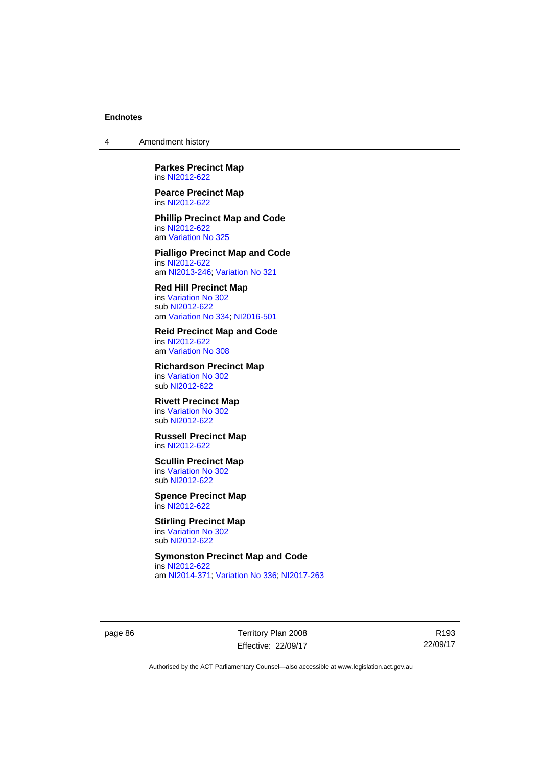4 Amendment history

**Parkes Precinct Map**  ins [NI2012-622](http://www.legislation.act.gov.au/ni/2012-622/default.asp)

**Pearce Precinct Map**  ins [NI2012-622](http://www.legislation.act.gov.au/ni/2012-622/default.asp)

**Phillip Precinct Map and Code**  ins [NI2012-622](http://www.legislation.act.gov.au/ni/2012-622/default.asp) am [Variation No 325](http://www.legislation.act.gov.au/ni/2014-427/default.asp)

**Pialligo Precinct Map and Code**  ins [NI2012-622](http://www.legislation.act.gov.au/ni/2012-622/default.asp) am [NI2013-246](http://www.legislation.act.gov.au/ni/2013-246/default.asp); [Variation No 321](http://www.legislation.act.gov.au/ni/2015-446/default.asp)

**Red Hill Precinct Map**  ins [Variation No 302](http://www.legislation.act.gov.au/ni/2011-573/) sub [NI2012-622](http://www.legislation.act.gov.au/ni/2012-622/default.asp) am [Variation No 334](http://www.legislation.act.gov.au/ni/2016-91/default.asp); [NI2016-501](http://www.legislation.act.gov.au/ni/2016-501/default.asp)

**Reid Precinct Map and Code**  ins [NI2012-622](http://www.legislation.act.gov.au/ni/2012-622/default.asp) am [Variation No 308](http://www.legislation.act.gov.au/ni/2014-60/default.asp)

**Richardson Precinct Map**  ins [Variation No 302](http://www.legislation.act.gov.au/ni/2011-573/) sub [NI2012-622](http://www.legislation.act.gov.au/ni/2012-622/default.asp)

**Rivett Precinct Map**  ins [Variation No 302](http://www.legislation.act.gov.au/ni/2011-573/) sub [NI2012-622](http://www.legislation.act.gov.au/ni/2012-622/default.asp)

**Russell Precinct Map**  ins [NI2012-622](http://www.legislation.act.gov.au/ni/2012-622/default.asp)

**Scullin Precinct Map**  ins [Variation No 302](http://www.legislation.act.gov.au/ni/2011-573/) sub [NI2012-622](http://www.legislation.act.gov.au/ni/2012-622/default.asp)

**Spence Precinct Map**  ins [NI2012-622](http://www.legislation.act.gov.au/ni/2012-622/default.asp)

**Stirling Precinct Map**  ins [Variation No 302](http://www.legislation.act.gov.au/ni/2011-573/) sub [NI2012-622](http://www.legislation.act.gov.au/ni/2012-622/default.asp)

**Symonston Precinct Map and Code**  ins [NI2012-622](http://www.legislation.act.gov.au/ni/2012-622/default.asp) am [NI2014-371](http://www.legislation.act.gov.au/ni/2014-371/default.asp); [Variation No 336](http://www.legislation.act.gov.au/ni/2015-100/default.asp); [NI2017-263](http://www.legislation.act.gov.au/ni/2017-263/default.asp)

page 86 Territory Plan 2008 Effective: 22/09/17

R193 22/09/17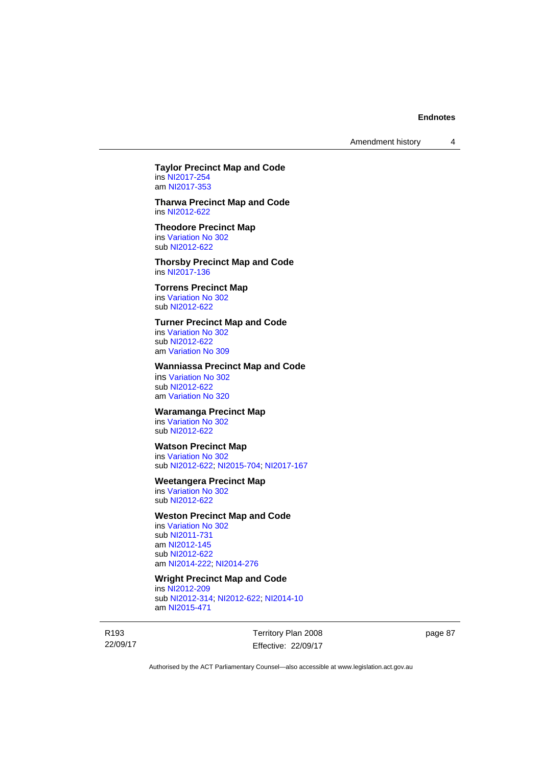Amendment history 4

# **Taylor Precinct Map and Code**

ins [NI2017-254](http://www.legislation.act.gov.au/ni/2017-254/default.asp) am [NI2017-353](http://www.legislation.act.gov.au/ni/2017-353/default.asp)

#### **Tharwa Precinct Map and Code**  ins [NI2012-622](http://www.legislation.act.gov.au/ni/2012-622/default.asp)

#### **Theodore Precinct Map**  ins [Variation No 302](http://www.legislation.act.gov.au/ni/2011-573/) sub [NI2012-622](http://www.legislation.act.gov.au/ni/2012-622/default.asp)

**Thorsby Precinct Map and Code**  ins [NI2017-136](http://www.legislation.act.gov.au/ni/2017-136/default.asp)

# **Torrens Precinct Map**  ins [Variation No 302](http://www.legislation.act.gov.au/ni/2011-573/)

sub [NI2012-622](http://www.legislation.act.gov.au/ni/2012-622/default.asp)

# **Turner Precinct Map and Code**

ins [Variation No 302](http://www.legislation.act.gov.au/ni/2011-573/) sub [NI2012-622](http://www.legislation.act.gov.au/ni/2012-622/default.asp) am [Variation No 309](http://www.legislation.act.gov.au/ni/2015-450/default.asp)

# **Wanniassa Precinct Map and Code**

ins [Variation No 302](http://www.legislation.act.gov.au/ni/2011-573/) sub [NI2012-622](http://www.legislation.act.gov.au/ni/2012-622/default.asp) am [Variation No 320](http://www.legislation.act.gov.au/ni/2015-540/default.asp)

## **Waramanga Precinct Map**

ins [Variation No 302](http://www.legislation.act.gov.au/ni/2011-573/) sub [NI2012-622](http://www.legislation.act.gov.au/ni/2012-622/default.asp)

# **Watson Precinct Map**

ins [Variation No 302](http://www.legislation.act.gov.au/ni/2011-573/) sub [NI2012-622](http://www.legislation.act.gov.au/ni/2012-622/default.asp); [NI2015-704](http://www.legislation.act.gov.au/ni/2015-704/default.asp); [NI2017-167](http://www.legislation.act.gov.au/ni/2017-167/default.asp)

## **Weetangera Precinct Map**

ins [Variation No 302](http://www.legislation.act.gov.au/ni/2011-573/) sub [NI2012-622](http://www.legislation.act.gov.au/ni/2012-622/default.asp)

### **Weston Precinct Map and Code**

ins [Variation No 302](http://www.legislation.act.gov.au/ni/2011-573/) sub [NI2011-731](http://www.legislation.act.gov.au/ni/2011-731/) am [NI2012-145](http://www.legislation.act.gov.au/ni/2012-145/) sub [NI2012-622](http://www.legislation.act.gov.au/ni/2012-622/default.asp) am [NI2014-222](http://www.legislation.act.gov.au/ni/2014-222/default.asp); [NI2014-276](http://www.legislation.act.gov.au/ni/2014-276/default.asp)

#### **Wright Precinct Map and Code**

ins [NI2012-209](http://www.legislation.act.gov.au/ni/2012-209/) sub [NI2012-314](http://www.legislation.act.gov.au/ni/2012-314/); [NI2012-622](http://www.legislation.act.gov.au/ni/2012-622/default.asp); [NI2014-10](http://www.legislation.act.gov.au/ni/2014-10/default.asp) am [NI2015-471](http://www.legislation.act.gov.au/ni/2015-471/default.asp)

R193 22/09/17 Territory Plan 2008 Effective: 22/09/17 page 87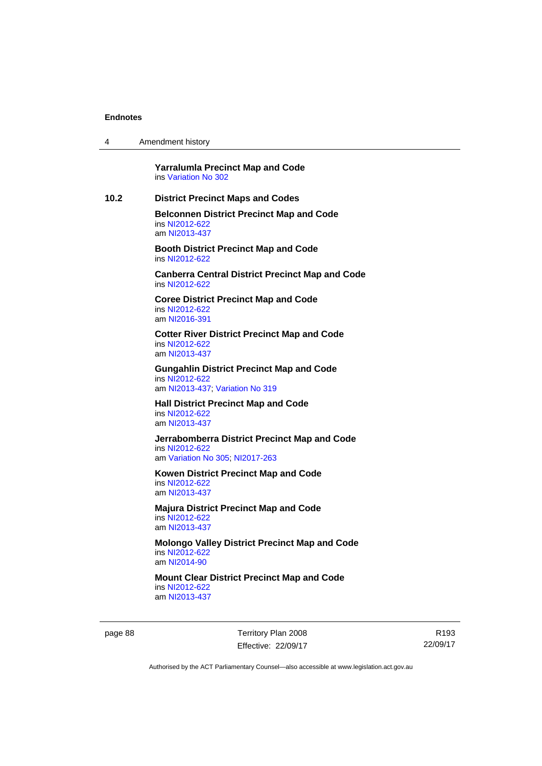| $\overline{4}$ | Amendment history |  |
|----------------|-------------------|--|
|----------------|-------------------|--|

**Yarralumla Precinct Map and Code**  ins [Variation No 302](http://www.legislation.act.gov.au/ni/2011-573/)

## **10.2 District Precinct Maps and Codes**

**Belconnen District Precinct Map and Code**  ins [NI2012-622](http://www.legislation.act.gov.au/ni/2012-622/default.asp) am [NI2013-437](http://www.legislation.act.gov.au/ni/2013-437/default.asp)

**Booth District Precinct Map and Code**  ins [NI2012-622](http://www.legislation.act.gov.au/ni/2012-622/default.asp)

**Canberra Central District Precinct Map and Code**  ins [NI2012-622](http://www.legislation.act.gov.au/ni/2012-622/default.asp)

**Coree District Precinct Map and Code**  ins [NI2012-622](http://www.legislation.act.gov.au/ni/2012-622/default.asp) am [NI2016-391](http://www.legislation.act.gov.au/ni/2016-391/default.asp)

**Cotter River District Precinct Map and Code**  ins [NI2012-622](http://www.legislation.act.gov.au/ni/2012-622/default.asp) am [NI2013-437](http://www.legislation.act.gov.au/ni/2013-437/default.asp)

**Gungahlin District Precinct Map and Code**  ins [NI2012-622](http://www.legislation.act.gov.au/ni/2012-622/default.asp) am [NI2013-437](http://www.legislation.act.gov.au/ni/2013-437/default.asp); [Variation No 319](http://www.legislation.act.gov.au/ni/2014-501/default.asp)

**Hall District Precinct Map and Code**  ins [NI2012-622](http://www.legislation.act.gov.au/ni/2012-622/default.asp) am [NI2013-437](http://www.legislation.act.gov.au/ni/2013-437/default.asp)

**Jerrabomberra District Precinct Map and Code**  ins [NI2012-622](http://www.legislation.act.gov.au/ni/2012-622/default.asp) am [Variation No 305](http://www.legislation.act.gov.au/ni/2013-530/default.asp); [NI2017-263](http://www.legislation.act.gov.au/ni/2017-263/default.asp)

**Kowen District Precinct Map and Code**  ins [NI2012-622](http://www.legislation.act.gov.au/ni/2012-622/default.asp) am [NI2013-437](http://www.legislation.act.gov.au/ni/2013-437/default.asp)

**Majura District Precinct Map and Code**  ins [NI2012-622](http://www.legislation.act.gov.au/ni/2012-622/default.asp) am [NI2013-437](http://www.legislation.act.gov.au/ni/2013-437/default.asp)

**Molongo Valley District Precinct Map and Code**  ins [NI2012-622](http://www.legislation.act.gov.au/ni/2012-622/default.asp) am [NI2014-90](http://www.legislation.act.gov.au/ni/2014-90/default.asp)

**Mount Clear District Precinct Map and Code**  ins [NI2012-622](http://www.legislation.act.gov.au/ni/2012-622/default.asp) am [NI2013-437](http://www.legislation.act.gov.au/ni/2013-437/default.asp)

page 88 Territory Plan 2008 Effective: 22/09/17

R193 22/09/17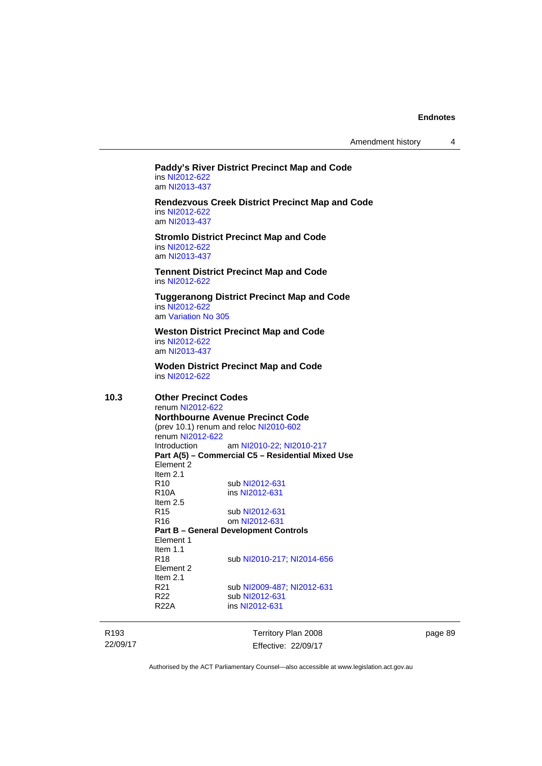Amendment history 4

# **Paddy's River District Precinct Map and Code**  ins [NI2012-622](http://www.legislation.act.gov.au/ni/2012-622/default.asp)

am [NI2013-437](http://www.legislation.act.gov.au/ni/2013-437/default.asp)

**Rendezvous Creek District Precinct Map and Code**  ins [NI2012-622](http://www.legislation.act.gov.au/ni/2012-622/default.asp) am [NI2013-437](http://www.legislation.act.gov.au/ni/2013-437/default.asp)

**Stromlo District Precinct Map and Code**  ins [NI2012-622](http://www.legislation.act.gov.au/ni/2012-622/default.asp) am [NI2013-437](http://www.legislation.act.gov.au/ni/2013-437/default.asp)

**Tennent District Precinct Map and Code**  ins [NI2012-622](http://www.legislation.act.gov.au/ni/2012-622/default.asp)

**Tuggeranong District Precinct Map and Code**  ins [NI2012-622](http://www.legislation.act.gov.au/ni/2012-622/default.asp) am [Variation No 305](http://www.legislation.act.gov.au/ni/2013-530/default.asp)

**Weston District Precinct Map and Code**  ins [NI2012-622](http://www.legislation.act.gov.au/ni/2012-622/default.asp) am [NI2013-437](http://www.legislation.act.gov.au/ni/2013-437/default.asp)

**Woden District Precinct Map and Code**  ins [NI2012-622](http://www.legislation.act.gov.au/ni/2012-622/default.asp)

**10.3 Other Precinct Codes**  renum [NI2012-622](http://www.legislation.act.gov.au/ni/2012-622/default.asp) **Northbourne Avenue Precinct Code**  (prev 10.1) renum and reloc [NI2010-602](http://www.legislation.act.gov.au/ni/2010-602/) renum [NI2012-622](http://www.legislation.act.gov.au/ni/2012-622/default.asp)<br>Introduction am [NI2010-22](http://www.legislation.act.gov.au/ni/2010-22/); [NI2010-217](http://www.legislation.act.gov.au/ni/2010-217/) **Part A(5) – Commercial C5 – Residential Mixed Use**  Element 2 Item  $2.1$ <br>R<sub>10</sub> R10 sub [NI2012-631](http://www.legislation.act.gov.au/ni/2012-631/default.asp)<br>R10A ins NI2012-631 ins [NI2012-631](http://www.legislation.act.gov.au/ni/2012-631/default.asp) Item 2.5 R15 sub [NI2012-631](http://www.legislation.act.gov.au/ni/2012-631/default.asp) R16 om [NI2012-631](http://www.legislation.act.gov.au/ni/2012-631/default.asp) **Part B – General Development Controls**  Element 1 Item 1.1 R18 sub [NI2010-217](http://www.legislation.act.gov.au/ni/2010-217/); [NI2014-656](http://www.legislation.act.gov.au/ni/2014-656/default.asp) Element 2 Item 2.1 R21 sub [NI2009-487](http://www.legislation.act.gov.au/ni/2009-487/); [NI2012-631](http://www.legislation.act.gov.au/ni/2012-631/default.asp) R22 sub [NI2012-631](http://www.legislation.act.gov.au/ni/2012-631/default.asp)<br>R22A ins NI2012-631 ins [NI2012-631](http://www.legislation.act.gov.au/ni/2012-631/default.asp)

R193 22/09/17 Territory Plan 2008 Effective: 22/09/17 page 89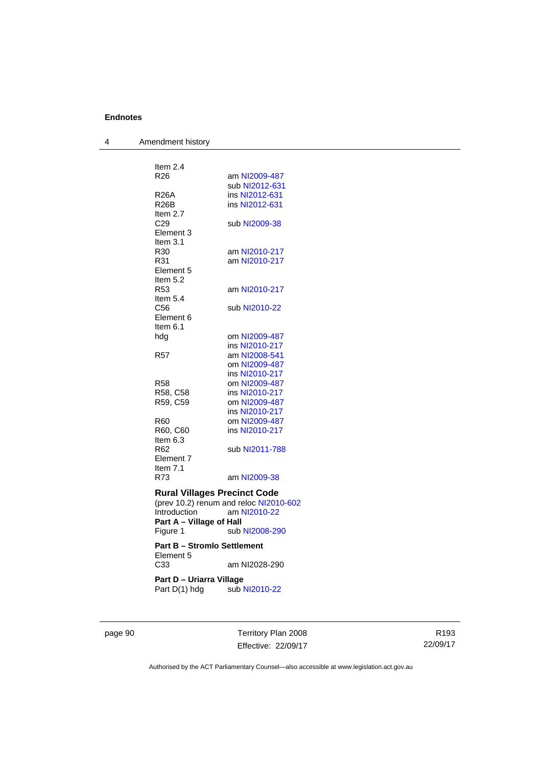4 Amendment history

| Item 2.4                           |                                        |
|------------------------------------|----------------------------------------|
| R26                                | am NI2009-487                          |
|                                    | sub NI2012-631                         |
| R26A                               | ins NI2012-631                         |
| R26B                               | ins NI2012-631                         |
| Item $2.7$                         |                                        |
| C29                                | sub NI2009-38                          |
| Element 3                          |                                        |
| Item $3.1$                         |                                        |
| R30                                | am NI2010-217                          |
| R31                                | am NI2010-217                          |
| Element 5                          |                                        |
| Item $5.2$                         |                                        |
| R53                                | am NI2010-217                          |
| Item 5.4                           |                                        |
| C56                                | sub NI2010-22                          |
| Element 6                          |                                        |
| Item $6.1$                         |                                        |
| hdg                                | om NI2009-487                          |
|                                    | ins NI2010-217                         |
| R57                                | am NI2008-541                          |
|                                    | om NI2009-487                          |
|                                    | ins NI2010-217                         |
| <b>R58</b>                         | om NI2009-487                          |
| R58, C58                           | ins NI2010-217                         |
| R59, C59                           | om NI2009-487                          |
|                                    | ins NI2010-217                         |
| R60                                | om NI2009-487                          |
| R60, C60                           | ins NI2010-217                         |
| Item $6.3$                         |                                        |
| R <sub>62</sub>                    | sub NI2011-788                         |
| Element 7                          |                                        |
| Item $7.1$                         |                                        |
| R73                                | am NI2009-38                           |
|                                    |                                        |
|                                    | <b>Rural Villages Precinct Code</b>    |
|                                    | (prev 10.2) renum and reloc NI2010-602 |
| Introduction                       | am NI2010-22                           |
| Part A - Village of Hall           |                                        |
| Figure 1                           | sub NI2008-290                         |
|                                    |                                        |
| <b>Part B - Stromlo Settlement</b> |                                        |
| Element 5                          |                                        |
| C <sub>33</sub>                    | am NI2028-290                          |
| Part D - Uriarra Village           |                                        |
| Part D(1) hdg                      | sub NI2010-22                          |
|                                    |                                        |

page 90 Territory Plan 2008 Effective: 22/09/17

R193 22/09/17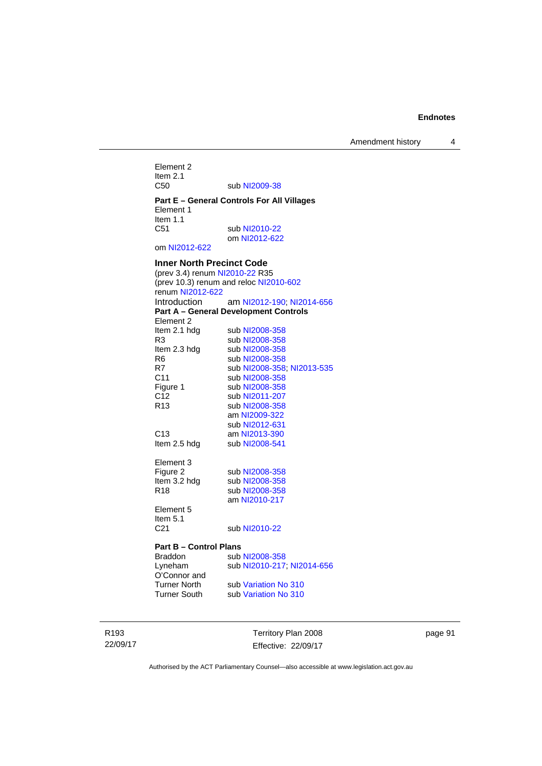Amendment history 4

Element 2 Item  $2.1$ <br>C<sub>50</sub> sub [NI2009-38](http://www.legislation.act.gov.au/ni/2009-38/)

**Part E – General Controls For All Villages**  Element 1 Item 1.1<br>C51 sub [NI2010-22](http://www.legislation.act.gov.au/ni/2010-22/) om [NI2012-622](http://www.legislation.act.gov.au/ni/2012-622/default.asp)

om [NI2012-622](http://www.legislation.act.gov.au/ni/2012-622/default.asp)

### **Inner North Precinct Code**

(prev 3.4) renum [NI2010-22](http://www.legislation.act.gov.au/ni/2010-22/) R35 (prev 10.3) renum and reloc [NI2010-602](http://www.legislation.act.gov.au/ni/2010-602/) renum [NI2012-622](http://www.legislation.act.gov.au/ni/2012-622/default.asp) Introduction am [NI2012-190;](http://www.legislation.act.gov.au/ni/2012-190/) [NI2014-656](http://www.legislation.act.gov.au/ni/2014-656/default.asp) **Part A – General Development Controls**  Element 2<br>Item 2.1 hdg sub [NI2008-358](http://www.legislation.act.gov.au/ni/2008-358/) R3 sub [NI2008-358](http://www.legislation.act.gov.au/ni/2008-358/) Item 2.3 hdg sub [NI2008-358](http://www.legislation.act.gov.au/ni/2008-358/)<br>R6 sub NI2008-358 R6 sub [NI2008-358](http://www.legislation.act.gov.au/ni/2008-358/)<br>R7 sub NI2008-358 sub [NI2008-358](http://www.legislation.act.gov.au/ni/2008-358/); [NI2013-535](http://www.legislation.act.gov.au/ni/2013-535/) C11 sub [NI2008-358](http://www.legislation.act.gov.au/ni/2008-358/) Figure 1 sub [NI2008-358](http://www.legislation.act.gov.au/ni/2008-358/)<br>C12 sub NI2011-207 sub [NI2011-207](http://www.legislation.act.gov.au/ni/2011-207/) R13 sub [NI2008-358](http://www.legislation.act.gov.au/ni/2008-358/) am [NI2009-322](http://www.legislation.act.gov.au/ni/2009-322/) sub [NI2012-631](http://www.legislation.act.gov.au/ni/2012-631/default.asp)<br>C13 **am NI2013-390** C13 am [NI2013-390](http://www.legislation.act.gov.au/ni/2013-390/default.asp)<br>Item 2.5 hdg sub NI2008-541 sub [NI2008-541](http://www.legislation.act.gov.au/ni/2008-541/) Element 3<br>Figure 2 sub [NI2008-358](http://www.legislation.act.gov.au/ni/2008-358/) Item 3.2 hdg sub [NI2008-358](http://www.legislation.act.gov.au/ni/2008-358/) R18 sub [NI2008-358](http://www.legislation.act.gov.au/ni/2008-358/) am [NI2010-217](http://www.legislation.act.gov.au/ni/2010-217/) Element 5 Item 5.1 C21 sub [NI2010-22](http://www.legislation.act.gov.au/ni/2010-22/)

### **Part B – Control Plans**

| Braddon      | sub NI2008-358             |
|--------------|----------------------------|
| Lyneham      | sub NI2010-217, NI2014-656 |
| O'Connor and |                            |
| Turner North | sub Variation No 310       |
| Turner South | sub Variation No 310       |

R193 22/09/17 Territory Plan 2008 Effective: 22/09/17 page 91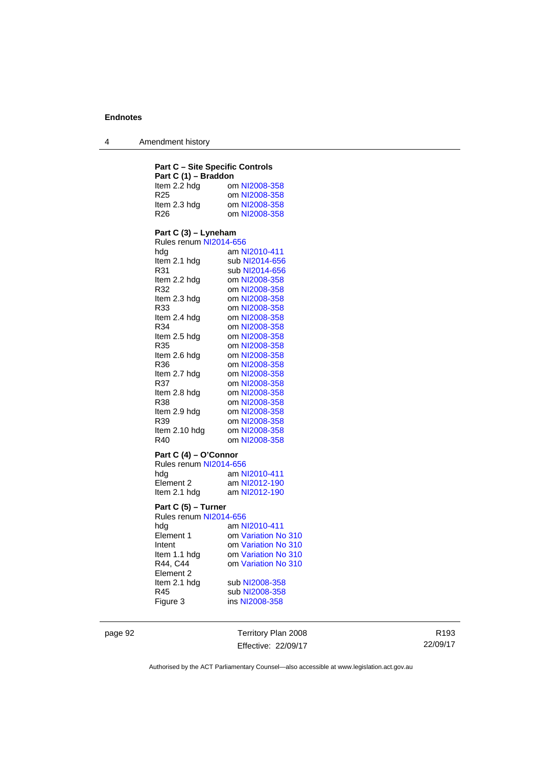4 Amendment history

### **Part C – Site Specific Controls Part C (1) – Braddon**  Item 2.2 hdg om [NI2008-358](http://www.legislation.act.gov.au/ni/2008-358/)<br>R25 om NI2008-358 R25 om [NI2008-358](http://www.legislation.act.gov.au/ni/2008-358/)<br>Item 2.3 hdg om NI2008-358 om [NI2008-358](http://www.legislation.act.gov.au/ni/2008-358/) R26 om [NI2008-358](http://www.legislation.act.gov.au/ni/2008-358/) **Part C (3) – Lyneham**  Rules renum [NI2014-656](http://www.legislation.act.gov.au/ni/2014-656/default.asp) hdg am [NI2010-411](http://www.legislation.act.gov.au/ni/2010-411/) Item 2.1 hdg sub [NI2014-656](http://www.legislation.act.gov.au/ni/2014-656/default.asp) R31 sub [NI2014-656](http://www.legislation.act.gov.au/ni/2014-656/default.asp) Item 2.2 hdg om [NI2008-358](http://www.legislation.act.gov.au/ni/2008-358/) R32 om [NI2008-358](http://www.legislation.act.gov.au/ni/2008-358/) Item 2.3 hdg om [NI2008-358](http://www.legislation.act.gov.au/ni/2008-358/) R33 om [NI2008-358](http://www.legislation.act.gov.au/ni/2008-358/)<br>Item 2.4 hdg om NI2008-358 Item 2.4 hdg om [NI2008-358](http://www.legislation.act.gov.au/ni/2008-358/)<br>R34 om NI2008-358 om [NI2008-358](http://www.legislation.act.gov.au/ni/2008-358/) Item 2.5 hdg om [NI2008-358](http://www.legislation.act.gov.au/ni/2008-358/) R35 om [NI2008-358](http://www.legislation.act.gov.au/ni/2008-358/)<br>Item 2.6 hdg om NI2008-358 om [NI2008-358](http://www.legislation.act.gov.au/ni/2008-358/) R36 om [NI2008-358](http://www.legislation.act.gov.au/ni/2008-358/)<br>Item 2.7 hdg om NI2008-358 Item 2.7 hdg om [NI2008-358](http://www.legislation.act.gov.au/ni/2008-358/)<br>R37 om NI2008-358 R37 om [NI2008-358](http://www.legislation.act.gov.au/ni/2008-358/)<br>Item 2.8 hdg om NI2008-358 om [NI2008-358](http://www.legislation.act.gov.au/ni/2008-358/) R38 om [NI2008-358](http://www.legislation.act.gov.au/ni/2008-358/)<br>Item 2.9 hdg om NI2008-358 om [NI2008-358](http://www.legislation.act.gov.au/ni/2008-358/) R39 om [NI2008-358](http://www.legislation.act.gov.au/ni/2008-358/) Item 2.10 hdg om [NI2008-358](http://www.legislation.act.gov.au/ni/2008-358/) R40 om [NI2008-358](http://www.legislation.act.gov.au/ni/2008-358/) **Part C (4) – O'Connor**

| Rules renum NI2014-656 |               |  |
|------------------------|---------------|--|
| hda                    | am NI2010-411 |  |
| Element 2              | am NI2012-190 |  |
| Item 2.1 hdg           | am NI2012-190 |  |

### **Part C (5) – Turner**

| Rules renum NI2014-656 |                     |
|------------------------|---------------------|
| hdg                    | am NI2010-411       |
| Element 1              | om Variation No 310 |
| Intent                 | om Variation No 310 |
| Item 1.1 hdg           | om Variation No 310 |
| R44, C44               | om Variation No 310 |
| Element 2              |                     |
| Item 2.1 hdg           | sub NI2008-358      |
| R45                    | sub NI2008-358      |
| Figure 3               | ins NI2008-358      |
|                        |                     |

page 92 Territory Plan 2008 Effective: 22/09/17

R193 22/09/17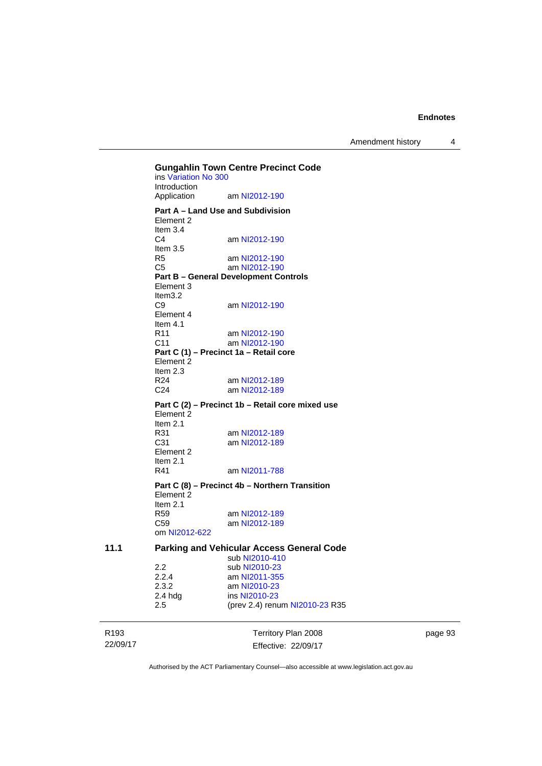Amendment history 4

R193 22/09/17 Territory Plan 2008 Effective: 22/09/17 **Gungahlin Town Centre Precinct Code**  ins [Variation No 300](http://www.legislation.act.gov.au/ni/2011-691/) Introduction<br>Application am [NI2012-190](http://www.legislation.act.gov.au/ni/2012-190/) **Part A – Land Use and Subdivision**  Element 2 Item 3.4<br>C4 am [NI2012-190](http://www.legislation.act.gov.au/ni/2012-190/) Item 3.5<br>R5 am [NI2012-190](http://www.legislation.act.gov.au/ni/2012-190/) C5 am [NI2012-190](http://www.legislation.act.gov.au/ni/2012-190/) **Part B – General Development Controls**  Element 3 Item3.2<br>C9 am [NI2012-190](http://www.legislation.act.gov.au/ni/2012-190/) Element 4 Item 4.1<br>R11 R11 am [NI2012-190](http://www.legislation.act.gov.au/ni/2012-190/)<br>C11 am NI2012-190 am [NI2012-190](http://www.legislation.act.gov.au/ni/2012-190/) **Part C (1) – Precinct 1a – Retail core**  Element 2 Item 2.3 R24 am [NI2012-189](http://www.legislation.act.gov.au/ni/2012-189/) C24 am [NI2012-189](http://www.legislation.act.gov.au/ni/2012-189/) **Part C (2) – Precinct 1b – Retail core mixed use**  Element 2 Item  $2.1$ <br>R $31$ R31 am [NI2012-189](http://www.legislation.act.gov.au/ni/2012-189/)<br>C31 am NI2012-189 am [NI2012-189](http://www.legislation.act.gov.au/ni/2012-189/) Element 2 Item 2.1 R41 am [NI2011-788](http://www.legislation.act.gov.au/ni/2011-788/) **Part C (8) – Precinct 4b – Northern Transition**  Element 2 Item 2.1<br>R59 am [NI2012-189](http://www.legislation.act.gov.au/ni/2012-189/) C59 am [NI2012-189](http://www.legislation.act.gov.au/ni/2012-189/) om [NI2012-622](http://www.legislation.act.gov.au/ni/2012-622/default.asp) **11.1 Parking and Vehicular Access General Code**  sub [NI2010-410](http://www.legislation.act.gov.au/ni/2010-410/) 2.2 sub [NI2010-23](http://www.legislation.act.gov.au/ni/2010-23/)<br>2.2.4 am NI2011-355 2.2.4 am [NI2011-355](http://www.legislation.act.gov.au/ni/2011-355/)<br>2.3.2 am NI2010-23 2.3.2 am [NI2010-23](http://www.legislation.act.gov.au/ni/2010-23/)<br>2.4 hdg ins NI2010-23 ins [NI2010-23](http://www.legislation.act.gov.au/ni/2010-23/) 2.5 (prev 2.4) renum [NI2010-23](http://www.legislation.act.gov.au/ni/2010-23/) R35

page 93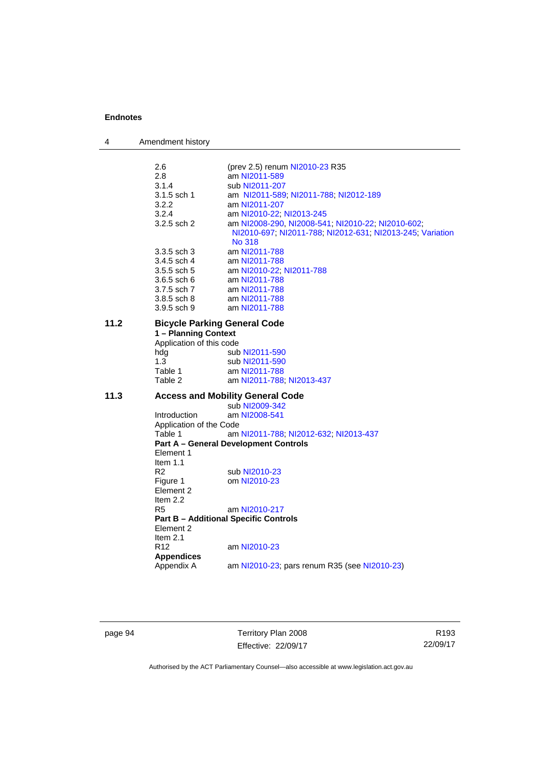| 4    | Amendment history        |                                                                     |
|------|--------------------------|---------------------------------------------------------------------|
|      | 2.6                      | (prev 2.5) renum NI2010-23 R35                                      |
|      | 2.8                      | am NI2011-589                                                       |
|      | 3.1.4                    | sub NI2011-207                                                      |
|      | 3.1.5 sch 1              | am NI2011-589, NI2011-788, NI2012-189                               |
|      | 3.2.2                    | am NI2011-207                                                       |
|      | 3.2.4                    | am NI2010-22; NI2013-245                                            |
|      | 3.2.5 sch 2              | am NI2008-290, NI2008-541, NI2010-22, NI2010-602,                   |
|      |                          | NI2010-697, NI2011-788, NI2012-631, NI2013-245, Variation<br>No 318 |
|      | 3.3.5 sch 3              | am NI2011-788                                                       |
|      | 3.4.5 sch 4              | am NI2011-788                                                       |
|      | 3.5.5 sch 5              | am NI2010-22; NI2011-788                                            |
|      | 3.6.5 sch 6              | am NI2011-788                                                       |
|      | 3.7.5 sch 7              | am NI2011-788                                                       |
|      | 3.8.5 sch 8              | am NI2011-788                                                       |
|      | 3.9.5 sch 9              | am NI2011-788                                                       |
| 11.2 |                          | <b>Bicycle Parking General Code</b>                                 |
|      | 1 - Planning Context     |                                                                     |
|      | Application of this code |                                                                     |
|      | hdg                      | sub NI2011-590                                                      |
|      | 1.3                      | sub NI2011-590                                                      |
|      | Table 1                  | am NI2011-788                                                       |
|      | Table 2                  | am NI2011-788; NI2013-437                                           |
| 11.3 |                          | <b>Access and Mobility General Code</b>                             |
|      |                          | sub NI2009-342                                                      |
|      | Introduction             | am NI2008-541                                                       |
|      | Application of the Code  |                                                                     |
|      | Table 1                  | am NI2011-788; NI2012-632; NI2013-437                               |
|      | Element 1                | <b>Part A - General Development Controls</b>                        |
|      | Item $1.1$               |                                                                     |
|      | R <sub>2</sub>           | sub NI2010-23                                                       |
|      | Figure 1                 | om NI2010-23                                                        |
|      | Element 2                |                                                                     |
|      | Item $2.2$               |                                                                     |
|      | R <sub>5</sub>           | am NI2010-217                                                       |
|      |                          | <b>Part B - Additional Specific Controls</b>                        |
|      | Element 2                |                                                                     |
|      | Item $2.1$               |                                                                     |
|      | R <sub>12</sub>          | am NI2010-23                                                        |
|      | <b>Appendices</b>        |                                                                     |
|      | Appendix A               | am NI2010-23; pars renum R35 (see NI2010-23)                        |
|      |                          |                                                                     |

page 94 Territory Plan 2008 Effective: 22/09/17

R193 22/09/17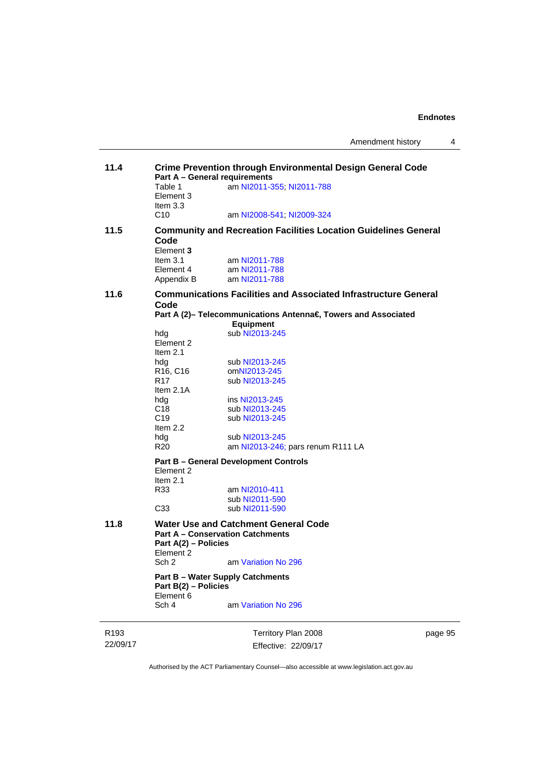| 11.4             |                                   | <b>Crime Prevention through Environmental Design General Code</b><br><b>Part A - General requirements</b> |      |  |  |
|------------------|-----------------------------------|-----------------------------------------------------------------------------------------------------------|------|--|--|
|                  | Table 1                           | am NI2011-355; NI2011-788                                                                                 |      |  |  |
|                  | Element 3                         |                                                                                                           |      |  |  |
|                  | Item $3.3$                        |                                                                                                           |      |  |  |
|                  | C10                               | am NI2008-541; NI2009-324                                                                                 |      |  |  |
| 11.5             | Code                              | <b>Community and Recreation Facilities Location Guidelines General</b>                                    |      |  |  |
|                  | Element 3                         |                                                                                                           |      |  |  |
|                  | Item $3.1$                        | am NI2011-788                                                                                             |      |  |  |
|                  | Element 4                         | am NI2011-788                                                                                             |      |  |  |
|                  | Appendix B                        | am NI2011-788                                                                                             |      |  |  |
| 11.6             | Code                              | <b>Communications Facilities and Associated Infrastructure General</b>                                    |      |  |  |
|                  |                                   | Part A (2)- Telecommunications Antenna€, Towers and Associated<br><b>Equipment</b>                        |      |  |  |
|                  | hdg                               | sub NI2013-245                                                                                            |      |  |  |
|                  | Element 2                         |                                                                                                           |      |  |  |
|                  | Item $2.1$                        |                                                                                                           |      |  |  |
|                  | hdg                               | sub NI2013-245                                                                                            |      |  |  |
|                  | R <sub>16</sub> , C <sub>16</sub> | omNI2013-245                                                                                              |      |  |  |
|                  | R <sub>17</sub>                   | sub NI2013-245                                                                                            |      |  |  |
|                  | Item 2.1A                         |                                                                                                           |      |  |  |
|                  | hdg                               | ins NI2013-245                                                                                            |      |  |  |
|                  | C <sub>18</sub>                   | sub NI2013-245                                                                                            |      |  |  |
|                  | C <sub>19</sub>                   | sub NI2013-245                                                                                            |      |  |  |
|                  | Item 2.2                          |                                                                                                           |      |  |  |
|                  | hdg                               | sub NI2013-245                                                                                            |      |  |  |
|                  | R <sub>20</sub>                   | am NI2013-246; pars renum R111 LA                                                                         |      |  |  |
|                  | Element 2                         | <b>Part B - General Development Controls</b>                                                              |      |  |  |
|                  | Item $2.1$                        |                                                                                                           |      |  |  |
|                  | R33                               | am NI2010-411                                                                                             |      |  |  |
|                  |                                   | sub NI2011-590                                                                                            |      |  |  |
|                  | C <sub>33</sub>                   | sub NI2011-590                                                                                            |      |  |  |
| 11.8             |                                   | <b>Water Use and Catchment General Code</b><br><b>Part A - Conservation Catchments</b>                    |      |  |  |
|                  | Part A(2) - Policies              |                                                                                                           |      |  |  |
|                  | Element 2                         | am Variation No 296                                                                                       |      |  |  |
|                  | Sch <sub>2</sub>                  |                                                                                                           |      |  |  |
|                  | Part B(2) - Policies<br>Element 6 | <b>Part B - Water Supply Catchments</b>                                                                   |      |  |  |
|                  | Sch 4                             | am Variation No 296                                                                                       |      |  |  |
|                  |                                   |                                                                                                           |      |  |  |
| R <sub>193</sub> |                                   | Territory Plan 2008                                                                                       | page |  |  |

22/09/17

Effective: 22/09/17

page 95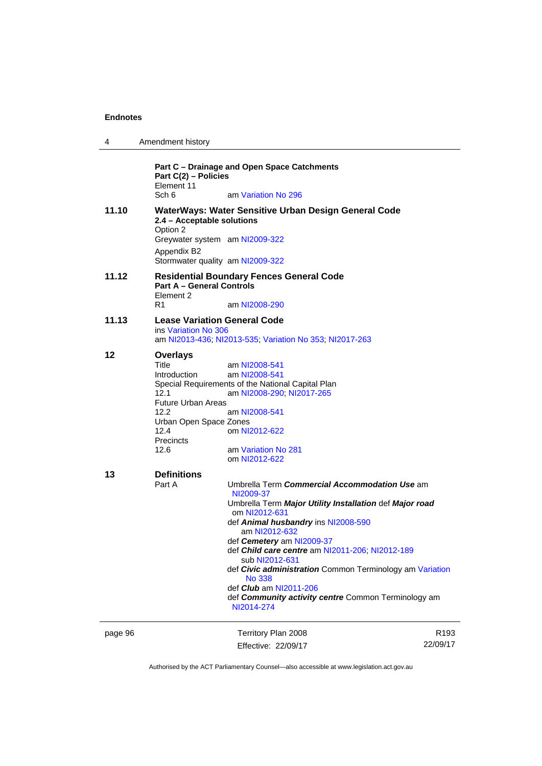| 4       | Amendment history                             |                                                                           |                  |
|---------|-----------------------------------------------|---------------------------------------------------------------------------|------------------|
|         | Part C(2) - Policies<br>Element 11            | Part C - Drainage and Open Space Catchments                               |                  |
|         | Sch 6                                         | am Variation No 296                                                       |                  |
| 11.10   | 2.4 - Acceptable solutions<br>Option 2        | WaterWays: Water Sensitive Urban Design General Code                      |                  |
|         | Greywater system am NI2009-322<br>Appendix B2 |                                                                           |                  |
|         | Stormwater quality am NI2009-322              |                                                                           |                  |
| 11.12   | <b>Part A - General Controls</b><br>Element 2 | <b>Residential Boundary Fences General Code</b>                           |                  |
|         | R1                                            | am NI2008-290                                                             |                  |
| 11.13   | <b>Lease Variation General Code</b>           |                                                                           |                  |
|         | ins Variation No 306                          | am NI2013-436, NI2013-535, Variation No 353, NI2017-263                   |                  |
| 12      | <b>Overlays</b>                               |                                                                           |                  |
|         | Title                                         | am NI2008-541                                                             |                  |
|         | <b>Introduction</b>                           | am NI2008-541                                                             |                  |
|         |                                               | Special Requirements of the National Capital Plan                         |                  |
|         | 12.1                                          | am NI2008-290; NI2017-265                                                 |                  |
|         | <b>Future Urban Areas</b><br>12.2             |                                                                           |                  |
|         | Urban Open Space Zones                        | am NI2008-541                                                             |                  |
|         | 12.4                                          | om NI2012-622                                                             |                  |
|         | Precincts                                     |                                                                           |                  |
|         | 12.6                                          | am Variation No 281                                                       |                  |
|         |                                               | om NI2012-622                                                             |                  |
| 13      | <b>Definitions</b>                            |                                                                           |                  |
|         | Part A                                        | Umbrella Term Commercial Accommodation Use am                             |                  |
|         |                                               | NI2009-37                                                                 |                  |
|         |                                               | Umbrella Term Major Utility Installation def Major road<br>om NI2012-631  |                  |
|         |                                               | def Animal husbandry ins NI2008-590                                       |                  |
|         |                                               | am NI2012-632                                                             |                  |
|         |                                               | def Cemetery am NI2009-37                                                 |                  |
|         |                                               | def <i>Child care centre</i> am NI2011-206; NI2012-189<br>sub NI2012-631  |                  |
|         |                                               | def Civic administration Common Terminology am Variation<br><b>No 338</b> |                  |
|         |                                               | def <i>Club</i> am NI2011-206                                             |                  |
|         |                                               | def Community activity centre Common Terminology am<br>NI2014-274         |                  |
| page 96 |                                               | Territory Plan 2008                                                       | R <sub>193</sub> |
|         |                                               | Effective: 22/09/17                                                       | 22/09/17         |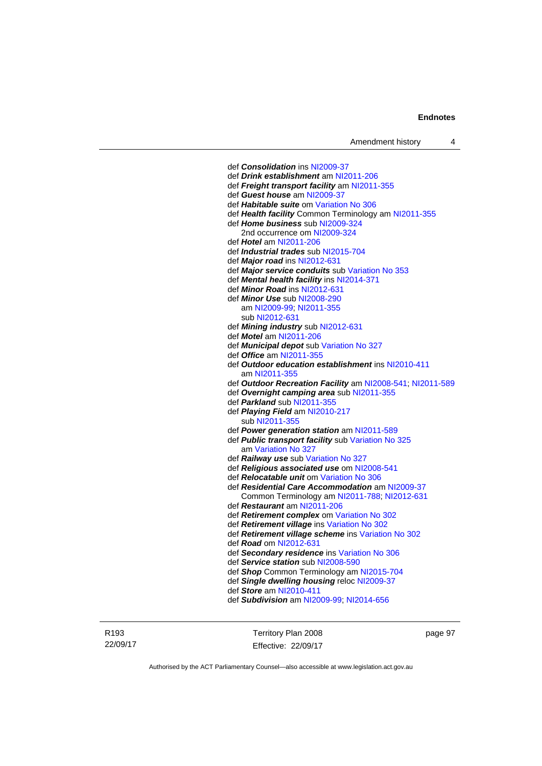def *Consolidation* ins [NI2009-37](http://www.legislation.act.gov.au/ni/2009-37/) def *Drink establishment* am [NI2011-206](http://www.legislation.act.gov.au/ni/2011-206/) def *Freight transport facility* am [NI2011-355](http://www.legislation.act.gov.au/ni/2011-355/) def *Guest house* am [NI2009-37](http://www.legislation.act.gov.au/ni/2009-37/) def *Habitable suite* om [Variation No 306](http://www.legislation.act.gov.au/ni/2013-93/default.asp) def *Health facility* Common Terminology am [NI2011-355](http://www.legislation.act.gov.au/ni/2011-355/) def *Home business* sub [NI2009-324](http://www.legislation.act.gov.au/ni/2009-324/) 2nd occurrence om [NI2009-324](http://www.legislation.act.gov.au/ni/2009-324/) def *Hotel* am [NI2011-206](http://www.legislation.act.gov.au/ni/2011-206/) def *Industrial trades* sub [NI2015-704](http://www.legislation.act.gov.au/ni/2015-704/default.asp) def *Major road* ins [NI2012-631](http://www.legislation.act.gov.au/ni/2012-631/default.asp) def *Major service conduits* sub [Variation No 353](http://www.legislation.act.gov.au/ni/2016-393/default.asp) def *Mental health facility* ins [NI2014-371](http://www.legislation.act.gov.au/ni/2014-371/default.asp) def *Minor Road* ins [NI2012-631](http://www.legislation.act.gov.au/ni/2012-631/default.asp) def *Minor Use* sub [NI2008-290](http://www.legislation.act.gov.au/ni/2008-290/) am [NI2009-99](http://www.legislation.act.gov.au/ni/2009-99/); [NI2011-355](http://www.legislation.act.gov.au/ni/2011-355/) sub [NI2012-631](http://www.legislation.act.gov.au/ni/2012-631/default.asp) def *Mining industry* sub [NI2012-631](http://www.legislation.act.gov.au/ni/2012-631/default.asp) def *Motel* am [NI2011-206](http://www.legislation.act.gov.au/ni/2011-206/) def *Municipal depot* sub [Variation No 327](http://www.legislation.act.gov.au/ni/2015-449/default.asp) def *Office* am [NI2011-355](http://www.legislation.act.gov.au/ni/2011-355/) def *Outdoor education establishment* ins [NI2010-411](http://www.legislation.act.gov.au/ni/2010-411/) am [NI2011-355](http://www.legislation.act.gov.au/ni/2011-355/) def *Outdoor Recreation Facility* am [NI2008-541;](http://www.legislation.act.gov.au/ni/2008-541/) [NI2011-589](http://www.legislation.act.gov.au/ni/2011-589/) def *Overnight camping area* sub [NI2011-355](http://www.legislation.act.gov.au/ni/2011-355/) def *Parkland* sub [NI2011-355](http://www.legislation.act.gov.au/ni/2011-355/) def *Playing Field* am [NI2010-217](http://www.legislation.act.gov.au/ni/2010-217/) sub [NI2011-355](http://www.legislation.act.gov.au/ni/2011-355/) def *Power generation station* am [NI2011-589](http://www.legislation.act.gov.au/ni/2011-589/) def *Public transport facility* sub [Variation No 325](http://www.legislation.act.gov.au/ni/2014-427/default.asp) am [Variation No 327](http://www.legislation.act.gov.au/ni/2015-449/default.asp) def *Railway use* sub [Variation No 327](http://www.legislation.act.gov.au/ni/2015-449/default.asp) def *Religious associated use* om [NI2008-541](http://www.legislation.act.gov.au/ni/2008-541/) def *Relocatable unit* om [Variation No 306](http://www.legislation.act.gov.au/ni/2013-93/default.asp) def *Residential Care Accommodation* am [NI2009-37](http://www.legislation.act.gov.au/ni/2009-37/) Common Terminology am [NI2011-788](http://www.legislation.act.gov.au/ni/2011-788/); [NI2012-631](http://www.legislation.act.gov.au/ni/2012-631/default.asp) def *Restaurant* am [NI2011-206](http://www.legislation.act.gov.au/ni/2011-206/) def *Retirement complex* om [Variation No 302](http://www.legislation.act.gov.au/ni/2011-573/) def *Retirement village* ins [Variation No 302](http://www.legislation.act.gov.au/ni/2011-573/) def *Retirement village scheme* ins [Variation No 302](http://www.legislation.act.gov.au/ni/2011-573/) def *Road* om [NI2012-631](http://www.legislation.act.gov.au/ni/2012-631/default.asp) def *Secondary residence* ins [Variation No 306](http://www.legislation.act.gov.au/ni/2013-93/default.asp) def *Service station* sub [NI2008-590](http://www.legislation.act.gov.au/ni/2008-590/default.asp) def *Shop* Common Terminology am [NI2015-704](http://www.legislation.act.gov.au/ni/2015-704/default.asp) def *Single dwelling housing* reloc [NI2009-37](http://www.legislation.act.gov.au/ni/2009-37/) def *Store* am [NI2010-411](http://www.legislation.act.gov.au/ni/2010-411/) def *Subdivision* am [NI2009-99;](http://www.legislation.act.gov.au/ni/2009-99/) [NI2014-656](http://www.legislation.act.gov.au/ni/2014-656/default.asp)

R193 22/09/17 Territory Plan 2008 Effective: 22/09/17 page 97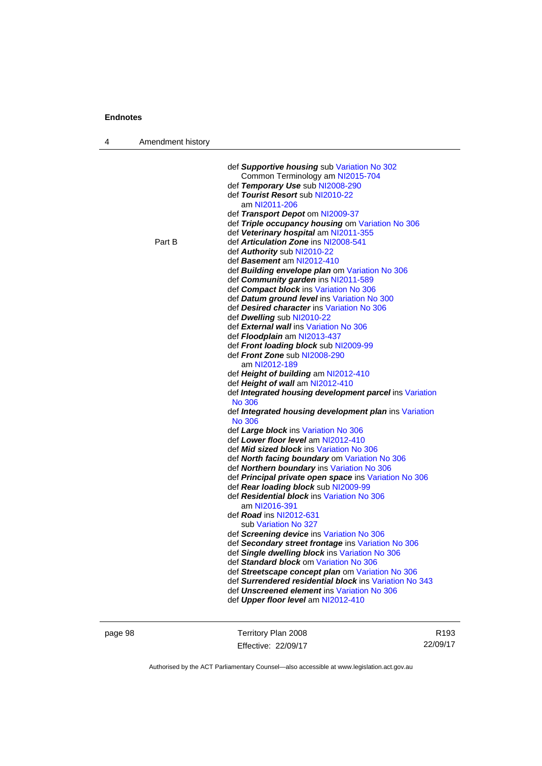| 4 | Amendment history |                                                                               |
|---|-------------------|-------------------------------------------------------------------------------|
|   |                   |                                                                               |
|   |                   | def Supportive housing sub Variation No 302                                   |
|   |                   | Common Terminology am NI2015-704                                              |
|   |                   | def Temporary Use sub NI2008-290                                              |
|   |                   | def Tourist Resort sub NI2010-22                                              |
|   |                   | am NI2011-206                                                                 |
|   |                   | def Transport Depot om NI2009-37                                              |
|   |                   | def Triple occupancy housing om Variation No 306                              |
|   |                   | def Veterinary hospital am NI2011-355                                         |
|   | Part B            | def Articulation Zone ins NI2008-541                                          |
|   |                   | def Authority sub NI2010-22                                                   |
|   |                   | def Basement am NI2012-410                                                    |
|   |                   | def Building envelope plan om Variation No 306                                |
|   |                   | def Community garden ins NI2011-589                                           |
|   |                   | def Compact block ins Variation No 306                                        |
|   |                   | def Datum ground level ins Variation No 300                                   |
|   |                   | def Desired character ins Variation No 306                                    |
|   |                   | def Dwelling sub NI2010-22                                                    |
|   |                   | def External wall ins Variation No 306                                        |
|   |                   | def <i>Floodplain</i> am NI2013-437                                           |
|   |                   | def Front loading block sub NI2009-99                                         |
|   |                   | def Front Zone sub NI2008-290                                                 |
|   |                   | am NI2012-189                                                                 |
|   |                   | def Height of building am NI2012-410                                          |
|   |                   | def Height of wall am NI2012-410                                              |
|   |                   | def Integrated housing development parcel ins Variation                       |
|   |                   | No 306                                                                        |
|   |                   | def <i>Integrated housing development plan</i> ins Variation<br><b>No 306</b> |
|   |                   | def Large block ins Variation No 306                                          |
|   |                   | def Lower floor level am NI2012-410                                           |
|   |                   | def <i>Mid sized block</i> ins Variation No 306                               |
|   |                   | def <b>North facing boundary</b> om Variation No 306                          |
|   |                   | def Northern boundary ins Variation No 306                                    |
|   |                   | def Principal private open space ins Variation No 306                         |
|   |                   | def Rear loading block sub NI2009-99                                          |
|   |                   | def Residential block ins Variation No 306                                    |
|   |                   | am NI2016-391                                                                 |
|   |                   | def Road ins NI2012-631                                                       |
|   |                   | sub Variation No 327                                                          |
|   |                   | def Screening device ins Variation No 306                                     |
|   |                   | def Secondary street frontage ins Variation No 306                            |
|   |                   | def Single dwelling block ins Variation No 306                                |
|   |                   | def Standard block om Variation No 306                                        |
|   |                   | def Streetscape concept plan om Variation No 306                              |
|   |                   | def Surrendered residential block ins Variation No 343                        |
|   |                   | def Unscreened element ins Variation No 306                                   |
|   |                   | def Upper floor level am NI2012-410                                           |
|   |                   |                                                                               |

page 98 Territory Plan 2008 Effective: 22/09/17

R193 22/09/17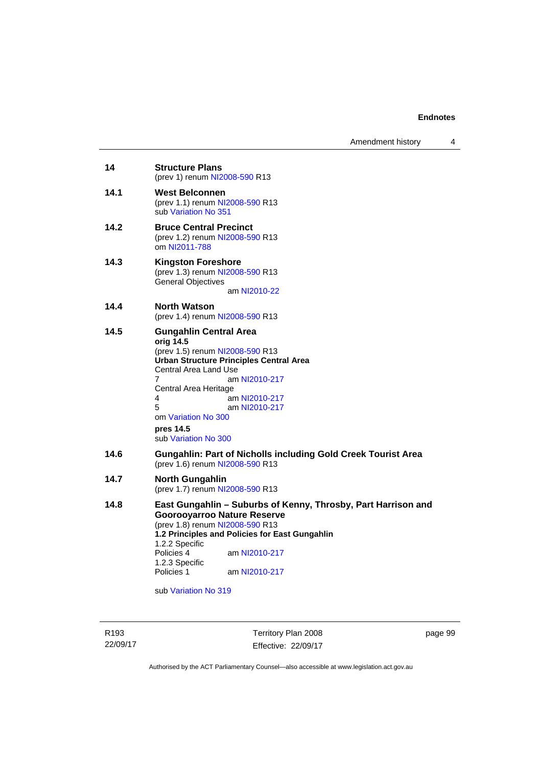| 14<br><b>Structure Plans</b><br>(prev 1) renum NI2008-590 R13<br>14.1<br><b>West Belconnen</b><br>(prev 1.1) renum NI2008-590 R13<br>sub Variation No 351<br>14.2<br><b>Bruce Central Precinct</b><br>(prev 1.2) renum NI2008-590 R13<br>om NI2011-788<br>14.3<br><b>Kingston Foreshore</b><br>(prev 1.3) renum NI2008-590 R13<br><b>General Objectives</b><br>am NI2010-22<br>14.4<br><b>North Watson</b><br>(prev 1.4) renum NI2008-590 R13<br>14.5<br><b>Gungahlin Central Area</b><br>orig 14.5<br>(prev 1.5) renum NI2008-590 R13<br><b>Urban Structure Principles Central Area</b><br>Central Area Land Use<br>7<br>am NI2010-217<br>Central Area Heritage<br>4<br>am NI2010-217<br>5<br>am NI2010-217<br>om Variation No 300<br>pres 14.5<br>sub Variation No 300<br>14.6<br><b>Gungahlin: Part of Nicholls including Gold Creek Tourist Area</b><br>(prev 1.6) renum NI2008-590 R13<br>14.7<br><b>North Gungahlin</b><br>(prev 1.7) renum NI2008-590 R13<br>14.8<br>East Gungahlin - Suburbs of Kenny, Throsby, Part Harrison and<br><b>Goorooyarroo Nature Reserve</b><br>(prev 1.8) renum NI2008-590 R13<br>1.2 Principles and Policies for East Gungahlin<br>1.2.2 Specific<br>Policies 4<br>am NI2010-217<br>1.2.3 Specific<br>Policies 1<br>am NI2010-217 |  |
|------------------------------------------------------------------------------------------------------------------------------------------------------------------------------------------------------------------------------------------------------------------------------------------------------------------------------------------------------------------------------------------------------------------------------------------------------------------------------------------------------------------------------------------------------------------------------------------------------------------------------------------------------------------------------------------------------------------------------------------------------------------------------------------------------------------------------------------------------------------------------------------------------------------------------------------------------------------------------------------------------------------------------------------------------------------------------------------------------------------------------------------------------------------------------------------------------------------------------------------------------------------------|--|
|                                                                                                                                                                                                                                                                                                                                                                                                                                                                                                                                                                                                                                                                                                                                                                                                                                                                                                                                                                                                                                                                                                                                                                                                                                                                        |  |
|                                                                                                                                                                                                                                                                                                                                                                                                                                                                                                                                                                                                                                                                                                                                                                                                                                                                                                                                                                                                                                                                                                                                                                                                                                                                        |  |
|                                                                                                                                                                                                                                                                                                                                                                                                                                                                                                                                                                                                                                                                                                                                                                                                                                                                                                                                                                                                                                                                                                                                                                                                                                                                        |  |
|                                                                                                                                                                                                                                                                                                                                                                                                                                                                                                                                                                                                                                                                                                                                                                                                                                                                                                                                                                                                                                                                                                                                                                                                                                                                        |  |
|                                                                                                                                                                                                                                                                                                                                                                                                                                                                                                                                                                                                                                                                                                                                                                                                                                                                                                                                                                                                                                                                                                                                                                                                                                                                        |  |
|                                                                                                                                                                                                                                                                                                                                                                                                                                                                                                                                                                                                                                                                                                                                                                                                                                                                                                                                                                                                                                                                                                                                                                                                                                                                        |  |
|                                                                                                                                                                                                                                                                                                                                                                                                                                                                                                                                                                                                                                                                                                                                                                                                                                                                                                                                                                                                                                                                                                                                                                                                                                                                        |  |
|                                                                                                                                                                                                                                                                                                                                                                                                                                                                                                                                                                                                                                                                                                                                                                                                                                                                                                                                                                                                                                                                                                                                                                                                                                                                        |  |
|                                                                                                                                                                                                                                                                                                                                                                                                                                                                                                                                                                                                                                                                                                                                                                                                                                                                                                                                                                                                                                                                                                                                                                                                                                                                        |  |

sub [Variation No 319](http://www.legislation.act.gov.au/ni/2014-501/default.asp)

R193 22/09/17

Territory Plan 2008 Effective: 22/09/17 page 99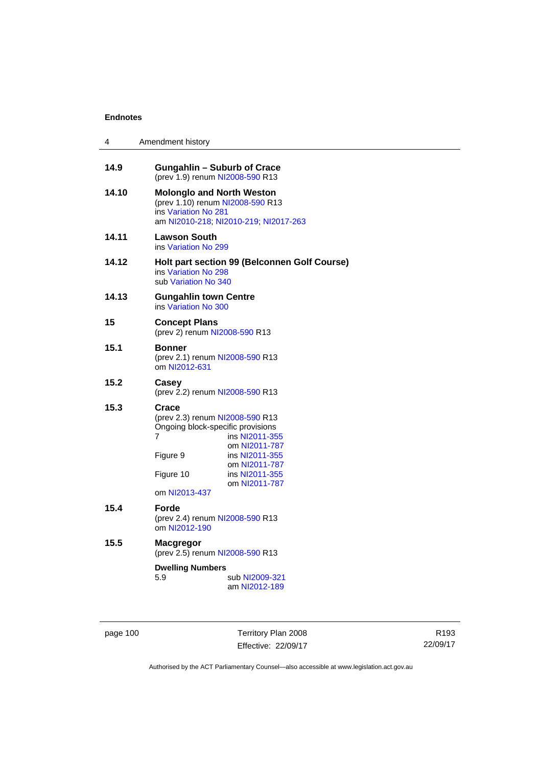| 4     | Amendment history                                                                                                                                                                                                                     |
|-------|---------------------------------------------------------------------------------------------------------------------------------------------------------------------------------------------------------------------------------------|
| 14.9  | <b>Gungahlin - Suburb of Crace</b><br>(prev 1.9) renum NI2008-590 R13                                                                                                                                                                 |
| 14.10 | <b>Molonglo and North Weston</b><br>(prev 1.10) renum NI2008-590 R13<br>ins Variation No 281<br>am NI2010-218; NI2010-219; NI2017-263                                                                                                 |
| 14.11 | <b>Lawson South</b><br>ins Variation No 299                                                                                                                                                                                           |
| 14.12 | Holt part section 99 (Belconnen Golf Course)<br>ins Variation No 298<br>sub Variation No 340                                                                                                                                          |
| 14.13 | Gungahlin town Centre<br>ins Variation No 300                                                                                                                                                                                         |
| 15    | <b>Concept Plans</b><br>(prev 2) renum NI2008-590 R13                                                                                                                                                                                 |
| 15.1  | <b>Bonner</b><br>(prev 2.1) renum NI2008-590 R13<br>om NI2012-631                                                                                                                                                                     |
| 15.2  | Casey<br>(prev 2.2) renum NI2008-590 R13                                                                                                                                                                                              |
| 15.3  | Crace<br>(prev 2.3) renum NI2008-590 R13<br>Ongoing block-specific provisions<br>7<br>ins NI2011-355<br>om NI2011-787<br>Figure 9<br>ins NI2011-355<br>om NI2011-787<br>Figure 10<br>ins NI2011-355<br>om NI2011-787<br>om NI2013-437 |
| 15.4  | Forde<br>(prev 2.4) renum NI2008-590 R13<br>om NI2012-190                                                                                                                                                                             |
| 15.5  | Macgregor<br>(prev 2.5) renum NI2008-590 R13                                                                                                                                                                                          |
|       | <b>Dwelling Numbers</b><br>5.9<br>sub NI2009-321<br>am NI2012-189                                                                                                                                                                     |

page 100 Territory Plan 2008 Effective: 22/09/17

R193 22/09/17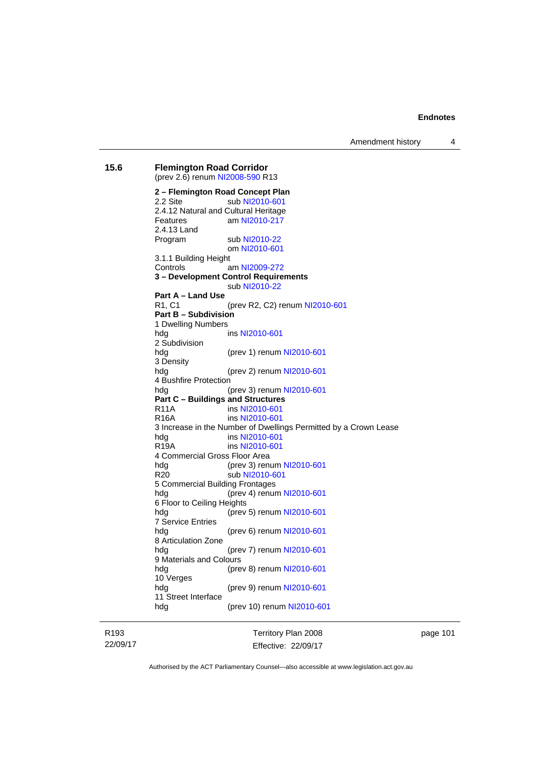Amendment history 4

**15.6 Flemington Road Corridor**  (prev 2.6) renum [NI2008-590](http://www.legislation.act.gov.au/ni/2008-590/default.asp) R13 **2 – Flemington Road Concept Plan**  2.2 Site sub [NI2010-601](http://www.legislation.act.gov.au/ni/2010-601/) 2.4.12 Natural and Cultural Heritage Features am [NI2010-217](http://www.legislation.act.gov.au/ni/2010-217/) 2.4.13 Land Program sub [NI2010-22](http://www.legislation.act.gov.au/ni/2010-22/) om [NI2010-601](http://www.legislation.act.gov.au/ni/2010-601/) 3.1.1 Building Height Controls am [NI2009-272](http://www.legislation.act.gov.au/ni/2009-272/) **3 – Development Control Requirements**  sub [NI2010-22](http://www.legislation.act.gov.au/ni/2010-22/) **Part A – Land Use**  R1, C1 (prev R2, C2) renum [NI2010-601](http://www.legislation.act.gov.au/ni/2010-601/) **Part B – Subdivision**  1 Dwelling Numbers hdg ins [NI2010-601](http://www.legislation.act.gov.au/ni/2010-601/) 2 Subdivision hdg (prev 1) renum [NI2010-601](http://www.legislation.act.gov.au/ni/2010-601/) 3 Density hdg (prev 2) renum [NI2010-601](http://www.legislation.act.gov.au/ni/2010-601/) 4 Bushfire Protection hdg (prev 3) renum [NI2010-601](http://www.legislation.act.gov.au/ni/2010-601/) **Part C – Buildings and Structures**  R11A ins [NI2010-601](http://www.legislation.act.gov.au/ni/2010-601/) R16A ins [NI2010-601](http://www.legislation.act.gov.au/ni/2010-601/) 3 Increase in the Number of Dwellings Permitted by a Crown Lease hdg ins [NI2010-601](http://www.legislation.act.gov.au/ni/2010-601/) R19A ins [NI2010-601](http://www.legislation.act.gov.au/ni/2010-601/) 4 Commercial Gross Floor Area hdg (prev 3) renum [NI2010-601](http://www.legislation.act.gov.au/ni/2010-601/) R20 sub [NI2010-601](http://www.legislation.act.gov.au/ni/2010-601/) 5 Commercial Building Frontages hdg (prev 4) renum [NI2010-601](http://www.legislation.act.gov.au/ni/2010-601/) 6 Floor to Ceiling Heights hdg (prev 5) renum [NI2010-601](http://www.legislation.act.gov.au/ni/2010-601/) 7 Service Entries (prev 6) renum [NI2010-601](http://www.legislation.act.gov.au/ni/2010-601/) 8 Articulation Zone hdg (prev 7) renum [NI2010-601](http://www.legislation.act.gov.au/ni/2010-601/) 9 Materials and Colours hdg (prev 8) renum [NI2010-601](http://www.legislation.act.gov.au/ni/2010-601/) 10 Verges hdg (prev 9) renum [NI2010-601](http://www.legislation.act.gov.au/ni/2010-601/) 11 Street Interface hdg (prev 10) renum [NI2010-601](http://www.legislation.act.gov.au/ni/2010-601/)

R193 22/09/17 Territory Plan 2008 Effective: 22/09/17 page 101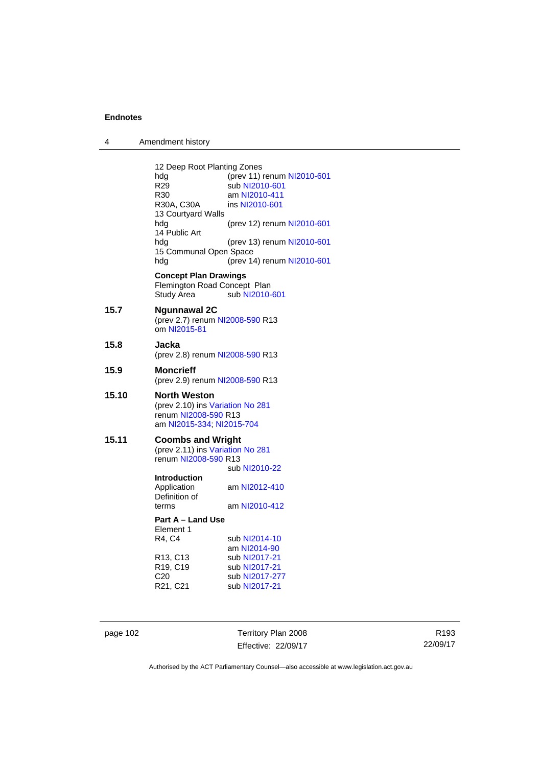| 4 | Amendment history |
|---|-------------------|
|---|-------------------|

12 Deep Root Planting Zones<br>hdg (prev 11) hdg (prev 11) renum [NI2010-601](http://www.legislation.act.gov.au/ni/2010-601/)<br>R29 sub NI2010-601 R29 sub [NI2010-601](http://www.legislation.act.gov.au/ni/2010-601/)<br>R30 am NI2010-411 R30 am [NI2010-411](http://www.legislation.act.gov.au/ni/2010-411/)<br>R30A, C30A ins NI2010-601 ins [NI2010-601](http://www.legislation.act.gov.au/ni/2010-601/) 13 Courtyard Walls hdg (prev 12) renum [NI2010-601](http://www.legislation.act.gov.au/ni/2010-601/) 14 Public Art hdg (prev 13) renum [NI2010-601](http://www.legislation.act.gov.au/ni/2010-601/) 15 Communal Open Space hdg (prev 14) renum [NI2010-601](http://www.legislation.act.gov.au/ni/2010-601/) **Concept Plan Drawings**  Flemington Road Concept Plan<br>Study Area sub NI2010-sub [NI2010-601](http://www.legislation.act.gov.au/ni/2010-601/) **15.7 Ngunnawal 2C**  (prev 2.7) renum [NI2008-590](http://www.legislation.act.gov.au/ni/2008-590/default.asp) R13 om [NI2015-81](http://www.legislation.act.gov.au/ni/2015-81/default.asp) **15.8 Jacka**  (prev 2.8) renum [NI2008-590](http://www.legislation.act.gov.au/ni/2008-590/default.asp) R13 **15.9 Moncrieff**  (prev 2.9) renum [NI2008-590](http://www.legislation.act.gov.au/ni/2008-590/default.asp) R13 **15.10 North Weston**  (prev 2.10) ins [Variation No 281](http://www.legislation.act.gov.au/ni/2008-352/) renum [NI2008-590](http://www.legislation.act.gov.au/ni/2008-590/default.asp) R13 am [NI2015-334](http://www.legislation.act.gov.au/ni/2015-334/default.asp); [NI2015-704](http://www.legislation.act.gov.au/ni/2015-704/default.asp) **15.11 Coombs and Wright**  (prev 2.11) ins [Variation No 281](http://www.legislation.act.gov.au/ni/2008-352/) renum [NI2008-590](http://www.legislation.act.gov.au/ni/2008-590/default.asp) R13 sub [NI2010-22](http://www.legislation.act.gov.au/ni/2010-22/) **Introduction**  Application am [NI2012-410](http://www.legislation.act.gov.au/ni/2012-410/) Definition of terms am [NI2010-412](http://www.legislation.act.gov.au/ni/2010-412/) **Part A – Land Use**  Element 1 R4, C4 sub [NI2014-10](http://www.legislation.act.gov.au/ni/2014-10/default.asp) am [NI2014-90](http://www.legislation.act.gov.au/ni/2014-90/default.asp)<br>R13, C13 sub NI2017-21 R13, C13 sub [NI2017-21](http://www.legislation.act.gov.au/ni/2017-21/default.asp)<br>R19, C19 sub NI2017-21 sub [NI2017-21](http://www.legislation.act.gov.au/ni/2017-21/default.asp) C20 sub [NI2017-277](http://www.legislation.act.gov.au/ni/2017-277/default.asp)<br>R21, C21 sub NI2017-21

page 102 Territory Plan 2008 Effective: 22/09/17

sub [NI2017-21](http://www.legislation.act.gov.au/ni/2017-21/default.asp)

R193 22/09/17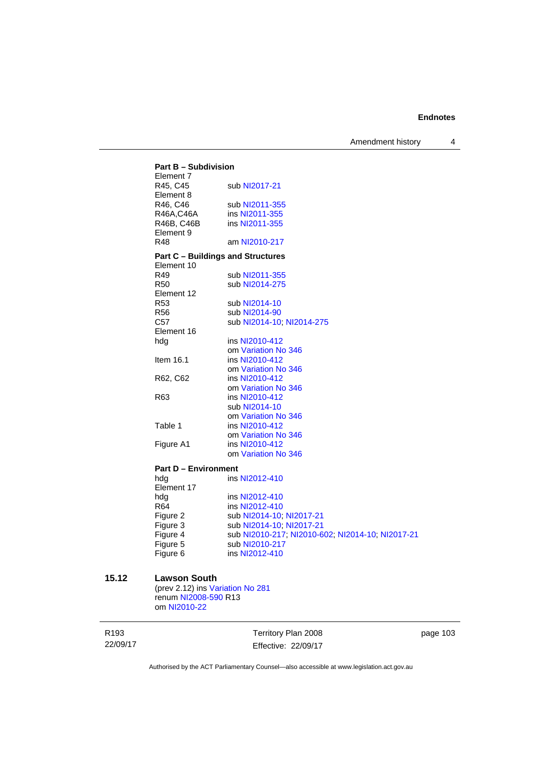Amendment history 4

| <b>Part B - Subdivision</b><br>Element 7 |                                 |  |
|------------------------------------------|---------------------------------|--|
| R45, C45<br>Element 8                    | sub NI2017-21                   |  |
| R46, C46                                 | sub NI2011-355                  |  |
| R46A,C46A                                | ins NI2011-355                  |  |
| R46B, C46B                               | ins NI2011-355                  |  |
| Element 9                                |                                 |  |
| R48                                      | am NI2010-217                   |  |
| <b>Part C - Buildings and Structures</b> |                                 |  |
| Element 10                               |                                 |  |
| R49                                      | sub NI2011-355                  |  |
| <b>R50</b>                               | sub NI2014-275                  |  |
| Element 12                               |                                 |  |
| R <sub>53</sub>                          | sub NI2014-10                   |  |
| <b>R56</b>                               | sub NI2014-90                   |  |
| C <sub>57</sub>                          | sub NI2014-10; NI2014-275       |  |
| Element 16                               |                                 |  |
| hdg                                      | ins NI2010-412                  |  |
|                                          | om Variation No 346             |  |
| Item 16.1                                | ins NI2010-412                  |  |
|                                          | om Variation No 346             |  |
| R62, C62                                 | ins NI2010-412                  |  |
|                                          | om Variation No 346             |  |
| R <sub>63</sub>                          | ins NI2010-412<br>sub NI2014-10 |  |
|                                          | om Variation No 346             |  |
| Table 1                                  | ins NI2010-412                  |  |
|                                          | om Variation No 346             |  |
|                                          | ins NI2010-412                  |  |
| Figure A1                                | om Variation No 346             |  |
|                                          |                                 |  |
| <b>Part D - Environment</b>              |                                 |  |
| hdg                                      | ins NI2012-410                  |  |
| Element 17                               |                                 |  |
| hdg                                      | ins NI2012-410                  |  |
| R64                                      | ins NI2012-410                  |  |
| Figure 2                                 | sub NI2014-10; NI2017-21        |  |
| Figure 3                                 | sub NI2014-10, NI2017-21        |  |

Figure 3<br>Figure 4<br>Figure 6 sub [NI2010-217](http://www.legislation.act.gov.au/ni/2010-217/); [NI2010-602](http://www.legislation.act.gov.au/ni/2010-602/); [NI2014-10](http://www.legislation.act.gov.au/ni/2014-10/default.asp); [NI2017-21](http://www.legislation.act.gov.au/ni/2017-21/default.asp) sub [NI2010-217](http://www.legislation.act.gov.au/ni/2010-217/) ins [NI2012-410](http://www.legislation.act.gov.au/ni/2012-410/)

## **15.12 Lawson South**

(prev 2.12) ins [Variation No 281](http://www.legislation.act.gov.au/ni/2008-352/) renum [NI2008-590](http://www.legislation.act.gov.au/ni/2008-590/default.asp) R13 om [NI2010-22](http://www.legislation.act.gov.au/ni/2010-22/)

R193 22/09/17

Territory Plan 2008 Effective: 22/09/17 page 103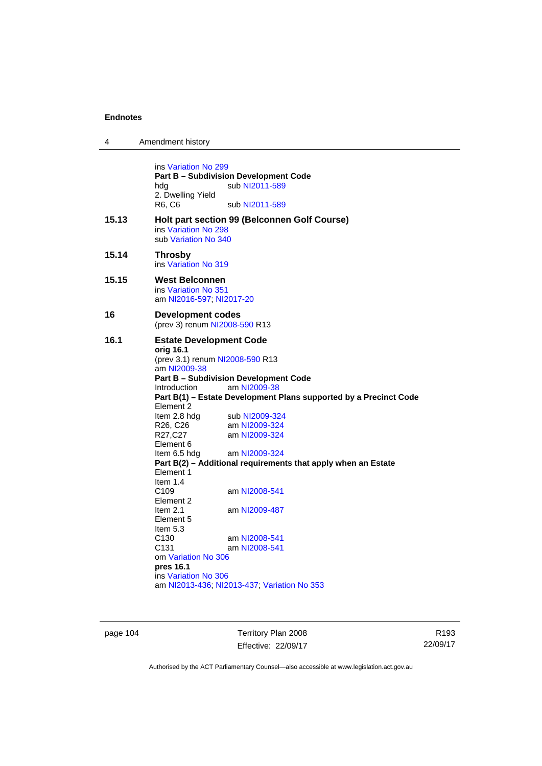$\overline{\phantom{0}}$ 

| Amendment history                                                                                                                                                                                                                                                                                                                   |                                                                                                                                                                                                                                                                                                                                                                                                                                                                 |  |  |
|-------------------------------------------------------------------------------------------------------------------------------------------------------------------------------------------------------------------------------------------------------------------------------------------------------------------------------------|-----------------------------------------------------------------------------------------------------------------------------------------------------------------------------------------------------------------------------------------------------------------------------------------------------------------------------------------------------------------------------------------------------------------------------------------------------------------|--|--|
| ins Variation No 299<br>hda<br>2. Dwelling Yield<br>R6, C6                                                                                                                                                                                                                                                                          | sub NI2011-589<br>sub NI2011-589                                                                                                                                                                                                                                                                                                                                                                                                                                |  |  |
| ins Variation No 298<br>sub Variation No 340                                                                                                                                                                                                                                                                                        | Holt part section 99 (Belconnen Golf Course)                                                                                                                                                                                                                                                                                                                                                                                                                    |  |  |
| <b>Throsby</b><br>ins Variation No 319                                                                                                                                                                                                                                                                                              |                                                                                                                                                                                                                                                                                                                                                                                                                                                                 |  |  |
| <b>West Belconnen</b><br>ins Variation No 351                                                                                                                                                                                                                                                                                       | am NI2016-597, NI2017-20                                                                                                                                                                                                                                                                                                                                                                                                                                        |  |  |
|                                                                                                                                                                                                                                                                                                                                     | <b>Development codes</b><br>(prev 3) renum NI2008-590 R13                                                                                                                                                                                                                                                                                                                                                                                                       |  |  |
| orig 16.1<br>am NI2009-38<br>Introduction<br>Element 2<br>Item 2.8 hdg<br>R26, C26<br>R27,C27<br>Element 6<br>Item 6.5 hdg<br>Element 1<br>Item $1.4$<br>C <sub>109</sub><br>Element 2<br>Item $2.1$<br>Element 5<br>Item $5.3$<br>C <sub>130</sub><br>C <sub>131</sub><br>om Variation No 306<br>pres 16.1<br>ins Variation No 306 | <b>Estate Development Code</b><br>(prev 3.1) renum NI2008-590 R13<br><b>Part B - Subdivision Development Code</b><br>am NI2009-38<br>Part B(1) - Estate Development Plans supported by a Precinct Code<br>sub NI2009-324<br>am NI2009-324<br>am NI2009-324<br>am NI2009-324<br>Part B(2) - Additional requirements that apply when an Estate<br>am NI2008-541<br>am NI2009-487<br>am NI2008-541<br>am NI2008-541<br>am NI2013-436; NI2013-437; Variation No 353 |  |  |
|                                                                                                                                                                                                                                                                                                                                     | <b>Part B - Subdivision Development Code</b>                                                                                                                                                                                                                                                                                                                                                                                                                    |  |  |

page 104 Territory Plan 2008 Effective: 22/09/17

R193 22/09/17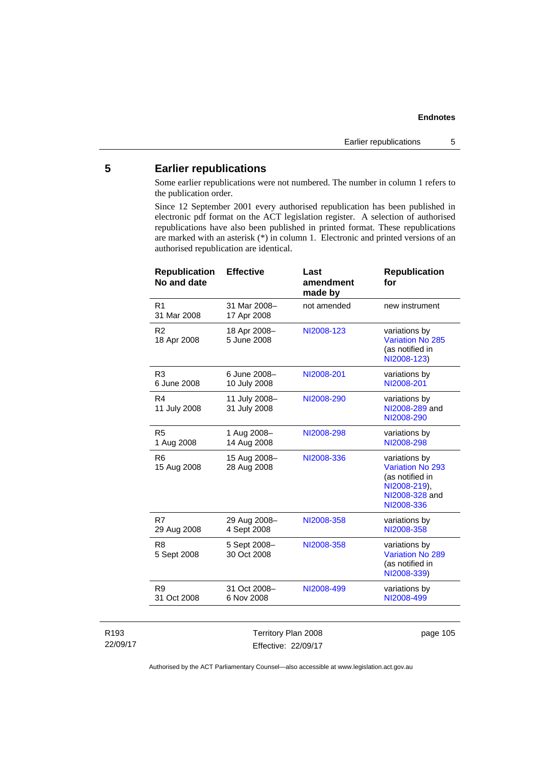# **5 Earlier republications**

Some earlier republications were not numbered. The number in column 1 refers to the publication order.

Since 12 September 2001 every authorised republication has been published in electronic pdf format on the ACT legislation register. A selection of authorised republications have also been published in printed format. These republications are marked with an asterisk (\*) in column 1. Electronic and printed versions of an authorised republication are identical.

| <b>Republication</b><br>No and date | <b>Effective</b>              | Last<br>amendment<br>made by | <b>Republication</b><br>for                                                                          |
|-------------------------------------|-------------------------------|------------------------------|------------------------------------------------------------------------------------------------------|
| R <sub>1</sub><br>31 Mar 2008       | 31 Mar 2008-<br>17 Apr 2008   | not amended                  | new instrument                                                                                       |
| R <sub>2</sub><br>18 Apr 2008       | 18 Apr 2008-<br>5 June 2008   | NI2008-123                   | variations by<br>Variation No 285<br>(as notified in<br>NI2008-123)                                  |
| R <sub>3</sub><br>6 June 2008       | 6 June 2008-<br>10 July 2008  | NI2008-201                   | variations by<br>NI2008-201                                                                          |
| R <sub>4</sub><br>11 July 2008      | 11 July 2008-<br>31 July 2008 | NI2008-290                   | variations by<br>NI2008-289 and<br>NI2008-290                                                        |
| R <sub>5</sub><br>1 Aug 2008        | 1 Aug 2008-<br>14 Aug 2008    | NI2008-298                   | variations by<br>NI2008-298                                                                          |
| R <sub>6</sub><br>15 Aug 2008       | 15 Aug 2008-<br>28 Aug 2008   | NI2008-336                   | variations by<br>Variation No 293<br>(as notified in<br>NI2008-219),<br>NI2008-328 and<br>NI2008-336 |
| R7<br>29 Aug 2008                   | 29 Aug 2008-<br>4 Sept 2008   | NI2008-358                   | variations by<br>NI2008-358                                                                          |
| R <sub>8</sub><br>5 Sept 2008       | 5 Sept 2008-<br>30 Oct 2008   | NI2008-358                   | variations by<br>Variation No 289<br>(as notified in<br>NI2008-339)                                  |
| R <sub>9</sub><br>31 Oct 2008       | 31 Oct 2008-<br>6 Nov 2008    | NI2008-499                   | variations by<br>NI2008-499                                                                          |
|                                     |                               |                              |                                                                                                      |

| R <sub>193</sub> | Territory Plan 2008 | page 105 |
|------------------|---------------------|----------|
| 22/09/17         | Effective: 22/09/17 |          |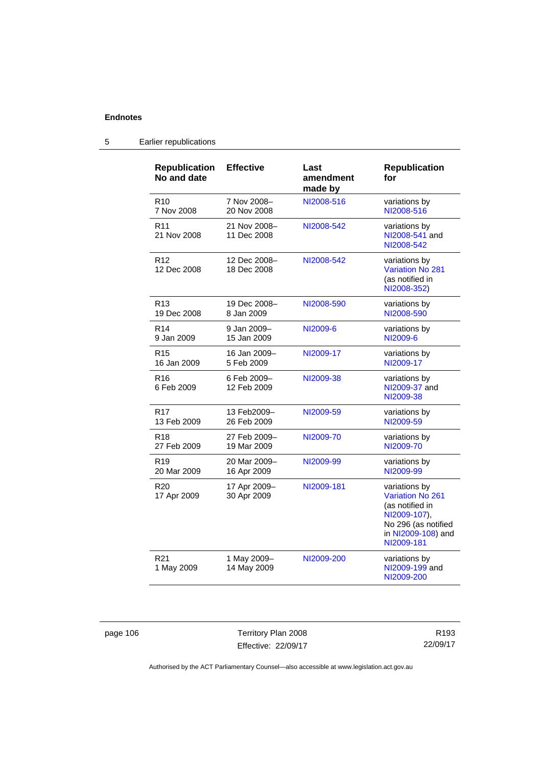| <b>Republication</b><br>No and date | <b>Effective</b>            | Last<br>amendment<br>made by | <b>Republication</b><br>for                                                                                                            |
|-------------------------------------|-----------------------------|------------------------------|----------------------------------------------------------------------------------------------------------------------------------------|
| R <sub>10</sub>                     | 7 Nov 2008-                 | NI2008-516                   | variations by                                                                                                                          |
| 7 Nov 2008                          | 20 Nov 2008                 |                              | NI2008-516                                                                                                                             |
| R <sub>11</sub><br>21 Nov 2008      | 21 Nov 2008-<br>11 Dec 2008 | NI2008-542                   | variations by<br>NI2008-541 and<br>NI2008-542                                                                                          |
| R <sub>12</sub><br>12 Dec 2008      | 12 Dec 2008-<br>18 Dec 2008 | NI2008-542                   | variations by<br><b>Variation No 281</b><br>(as notified in<br>NI2008-352)                                                             |
| R <sub>13</sub>                     | 19 Dec 2008-                | NI2008-590                   | variations by                                                                                                                          |
| 19 Dec 2008                         | 8 Jan 2009                  |                              | NI2008-590                                                                                                                             |
| R <sub>14</sub>                     | 9 Jan 2009-                 | NI2009-6                     | variations by                                                                                                                          |
| 9 Jan 2009                          | 15 Jan 2009                 |                              | NI2009-6                                                                                                                               |
| R <sub>15</sub>                     | 16 Jan 2009-                | NI2009-17                    | variations by                                                                                                                          |
| 16 Jan 2009                         | 5 Feb 2009                  |                              | NI2009-17                                                                                                                              |
| R <sub>16</sub><br>6 Feb 2009       | 6 Feb 2009-<br>12 Feb 2009  | NI2009-38                    | variations by<br>NI2009-37 and<br>NI2009-38                                                                                            |
| R <sub>17</sub>                     | 13 Feb2009-                 | NI2009-59                    | variations by                                                                                                                          |
| 13 Feb 2009                         | 26 Feb 2009                 |                              | NI2009-59                                                                                                                              |
| R <sub>18</sub>                     | 27 Feb 2009-                | NI2009-70                    | variations by                                                                                                                          |
| 27 Feb 2009                         | 19 Mar 2009                 |                              | NI2009-70                                                                                                                              |
| R <sub>19</sub>                     | 20 Mar 2009-                | NI2009-99                    | variations by                                                                                                                          |
| 20 Mar 2009                         | 16 Apr 2009                 |                              | NI2009-99                                                                                                                              |
| R <sub>20</sub><br>17 Apr 2009      | 17 Apr 2009-<br>30 Apr 2009 | NI2009-181                   | variations by<br><b>Variation No 261</b><br>(as notified in<br>NI2009-107),<br>No 296 (as notified<br>in NI2009-108) and<br>NI2009-181 |
| R <sub>21</sub><br>1 May 2009       | 1 May 2009-<br>14 May 2009  | NI2009-200                   | variations by<br>NI2009-199 and<br>NI2009-200                                                                                          |

# 5 Earlier republications

page 106 Territory Plan 2008 Effective: 22/09/17

R193 22/09/17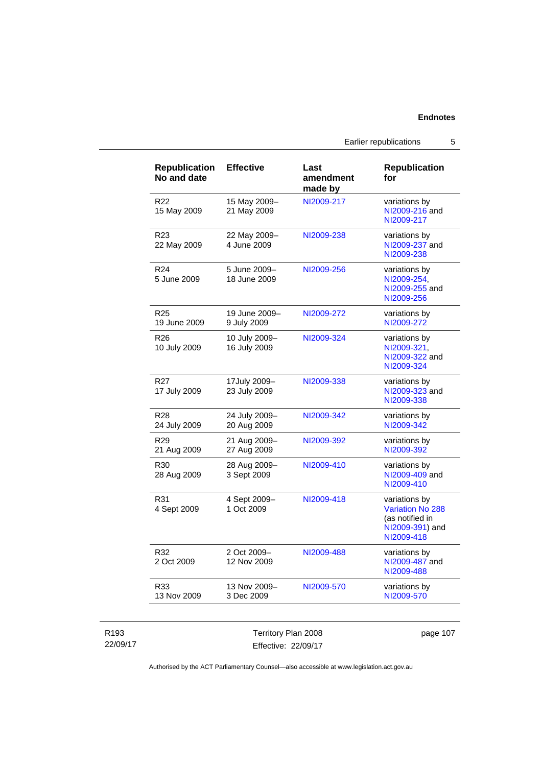Earlier republications 5

| <b>Republication</b><br>No and date | <b>Effective</b>              | Last<br>amendment<br>made by | <b>Republication</b><br>for                                                                  |
|-------------------------------------|-------------------------------|------------------------------|----------------------------------------------------------------------------------------------|
| R22<br>15 May 2009                  | 15 May 2009-<br>21 May 2009   | NI2009-217                   | variations by<br>NI2009-216 and<br>NI2009-217                                                |
| R <sub>23</sub><br>22 May 2009      | 22 May 2009-<br>4 June 2009   | NI2009-238                   | variations by<br>NI2009-237 and<br>NI2009-238                                                |
| R <sub>24</sub><br>5 June 2009      | 5 June 2009-<br>18 June 2009  | NI2009-256                   | variations by<br>NI2009-254,<br>NI2009-255 and<br>NI2009-256                                 |
| R <sub>25</sub><br>19 June 2009     | 19 June 2009-<br>9 July 2009  | NI2009-272                   | variations by<br>NI2009-272                                                                  |
| R <sub>26</sub><br>10 July 2009     | 10 July 2009-<br>16 July 2009 | NI2009-324                   | variations by<br>NI2009-321,<br>NI2009-322 and<br>NI2009-324                                 |
| R <sub>27</sub><br>17 July 2009     | 17July 2009-<br>23 July 2009  | NI2009-338                   | variations by<br>NI2009-323 and<br>NI2009-338                                                |
| R <sub>28</sub><br>24 July 2009     | 24 July 2009-<br>20 Aug 2009  | NI2009-342                   | variations by<br>NI2009-342                                                                  |
| R <sub>29</sub><br>21 Aug 2009      | 21 Aug 2009-<br>27 Aug 2009   | NI2009-392                   | variations by<br>NI2009-392                                                                  |
| R <sub>30</sub><br>28 Aug 2009      | 28 Aug 2009-<br>3 Sept 2009   | NI2009-410                   | variations by<br>NI2009-409 and<br>NI2009-410                                                |
| R31<br>4 Sept 2009                  | 4 Sept 2009-<br>1 Oct 2009    | NI2009-418                   | variations by<br><b>Variation No 288</b><br>(as notified in<br>NI2009-391) and<br>NI2009-418 |
| R32<br>2 Oct 2009                   | 2 Oct 2009-<br>12 Nov 2009    | NI2009-488                   | variations by<br>NI2009-487 and<br>NI2009-488                                                |
| R33<br>13 Nov 2009                  | 13 Nov 2009-<br>3 Dec 2009    | NI2009-570                   | variations by<br>NI2009-570                                                                  |

| R193     |
|----------|
| 22/09/17 |

Territory Plan 2008 Effective: 22/09/17 page 107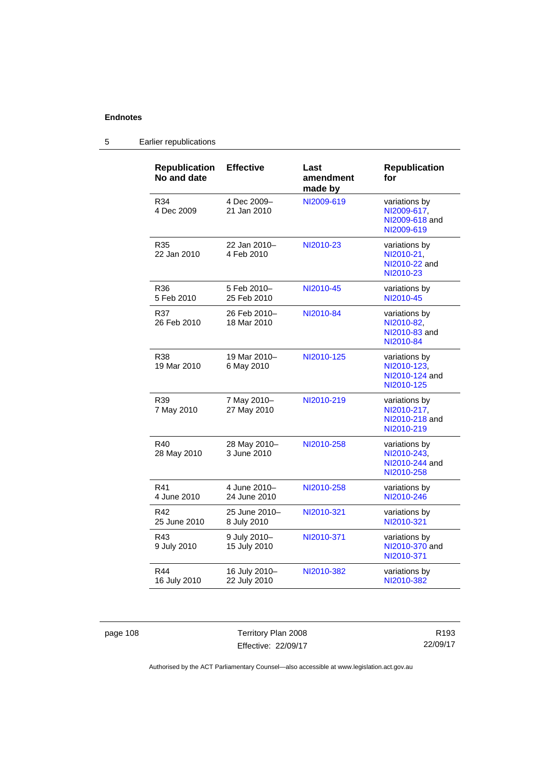| <b>Republication</b> | <b>Effective</b>              | Last                 | <b>Republication</b>                                         |
|----------------------|-------------------------------|----------------------|--------------------------------------------------------------|
| No and date          |                               | amendment<br>made by | for                                                          |
| R34<br>4 Dec 2009    | 4 Dec 2009-<br>21 Jan 2010    | NI2009-619           | variations by<br>NI2009-617,<br>NI2009-618 and<br>NI2009-619 |
| R35<br>22 Jan 2010   | 22 Jan 2010-<br>4 Feb 2010    | NI2010-23            | variations by<br>NI2010-21,<br>NI2010-22 and<br>NI2010-23    |
| R36<br>5 Feb 2010    | 5 Feb 2010-<br>25 Feb 2010    | NI2010-45            | variations by<br>NI2010-45                                   |
| R37<br>26 Feb 2010   | 26 Feb 2010-<br>18 Mar 2010   | NI2010-84            | variations by<br>NI2010-82,<br>NI2010-83 and<br>NI2010-84    |
| R38<br>19 Mar 2010   | 19 Mar 2010-<br>6 May 2010    | NI2010-125           | variations by<br>NI2010-123,<br>NI2010-124 and<br>NI2010-125 |
| R39<br>7 May 2010    | 7 May 2010-<br>27 May 2010    | NI2010-219           | variations by<br>NI2010-217,<br>NI2010-218 and<br>NI2010-219 |
| R40<br>28 May 2010   | 28 May 2010-<br>3 June 2010   | NI2010-258           | variations by<br>NI2010-243,<br>NI2010-244 and<br>NI2010-258 |
| R41<br>4 June 2010   | 4 June 2010-<br>24 June 2010  | NI2010-258           | variations by<br>NI2010-246                                  |
| R42<br>25 June 2010  | 25 June 2010-<br>8 July 2010  | NI2010-321           | variations by<br>NI2010-321                                  |
| R43<br>9 July 2010   | 9 July 2010-<br>15 July 2010  | NI2010-371           | variations by<br>NI2010-370 and<br>NI2010-371                |
| R44<br>16 July 2010  | 16 July 2010-<br>22 July 2010 | NI2010-382           | variations by<br>NI2010-382                                  |

# 5 Earlier republications

page 108 Territory Plan 2008 Effective: 22/09/17

R193 22/09/17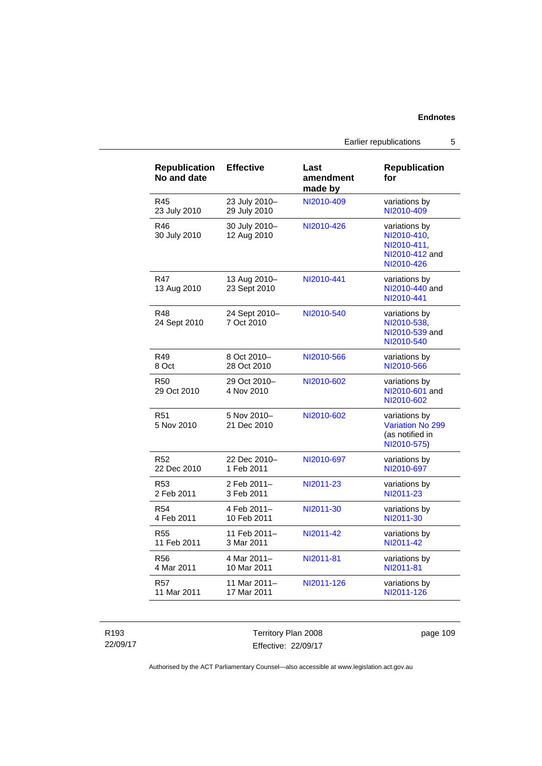| <b>Republication</b><br>No and date | <b>Effective</b>             | Last<br>amendment<br>made by | <b>Republication</b><br>for                                                 |
|-------------------------------------|------------------------------|------------------------------|-----------------------------------------------------------------------------|
| R45                                 | 23 July 2010-                | NI2010-409                   | variations by                                                               |
| 23 July 2010                        | 29 July 2010                 |                              | NI2010-409                                                                  |
| R46<br>30 July 2010                 | 30 July 2010-<br>12 Aug 2010 | NI2010-426                   | variations by<br>NI2010-410.<br>NI2010-411.<br>NI2010-412 and<br>NI2010-426 |
| R47<br>13 Aug 2010                  | 13 Aug 2010-<br>23 Sept 2010 | NI2010-441                   | variations by<br>NI2010-440 and<br>NI2010-441                               |
| R48<br>24 Sept 2010                 | 24 Sept 2010-<br>7 Oct 2010  | NI2010-540                   | variations by<br>NI2010-538.<br>NI2010-539 and<br>NI2010-540                |
| R49                                 | 8 Oct 2010-                  | NI2010-566                   | variations by                                                               |
| 8 Oct                               | 28 Oct 2010                  |                              | NI2010-566                                                                  |
| <b>R50</b><br>29 Oct 2010           | 29 Oct 2010-<br>4 Nov 2010   | NI2010-602                   | variations by<br>NI2010-601 and<br>NI2010-602                               |
| R <sub>51</sub><br>5 Nov 2010       | 5 Nov 2010-<br>21 Dec 2010   | NI2010-602                   | variations by<br><b>Variation No 299</b><br>(as notified in<br>NI2010-575)  |
| R <sub>52</sub>                     | 22 Dec 2010-                 | NI2010-697                   | variations by                                                               |
| 22 Dec 2010                         | 1 Feb 2011                   |                              | NI2010-697                                                                  |
| R <sub>53</sub>                     | 2 Feb 2011-                  | NI2011-23                    | variations by                                                               |
| 2 Feb 2011                          | 3 Feb 2011                   |                              | NI2011-23                                                                   |
| <b>R54</b>                          | 4 Feb 2011-                  | NI2011-30                    | variations by                                                               |
| 4 Feb 2011                          | 10 Feb 2011                  |                              | NI2011-30                                                                   |
| R <sub>55</sub>                     | 11 Feb 2011-                 | NI2011-42                    | variations by                                                               |
| 11 Feb 2011                         | 3 Mar 2011                   |                              | NI2011-42                                                                   |
| <b>R56</b>                          | 4 Mar 2011-                  | NI2011-81                    | variations by                                                               |
| 4 Mar 2011                          | 10 Mar 2011                  |                              | NI2011-81                                                                   |
| <b>R57</b>                          | 11 Mar 2011-                 | NI2011-126                   | variations by                                                               |
| 11 Mar 2011                         | 17 Mar 2011                  |                              | NI2011-126                                                                  |

R193 22/09/17 Territory Plan 2008 Effective: 22/09/17

page 109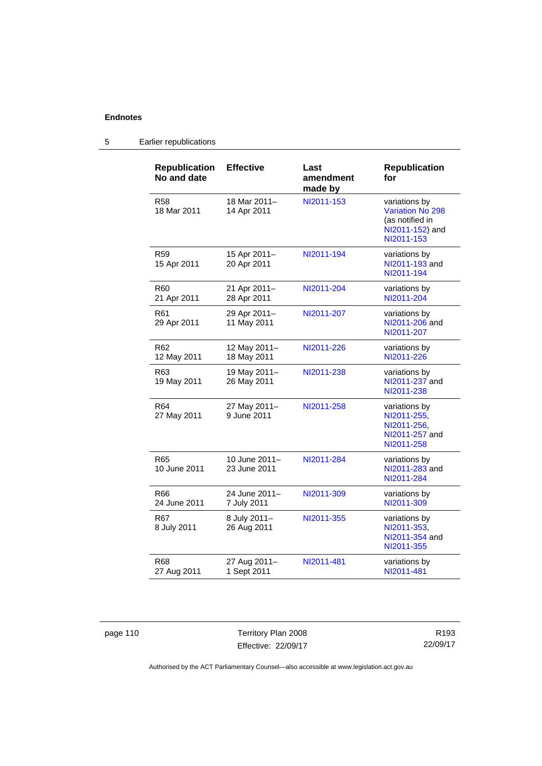# 5 Earlier republications

| <b>Republication</b><br>No and date | <b>Effective</b>              | Last<br>amendment<br>made by | <b>Republication</b><br>for                                                                  |
|-------------------------------------|-------------------------------|------------------------------|----------------------------------------------------------------------------------------------|
| <b>R58</b><br>18 Mar 2011           | 18 Mar 2011-<br>14 Apr 2011   | NI2011-153                   | variations by<br><b>Variation No 298</b><br>(as notified in<br>NI2011-152) and<br>NI2011-153 |
| <b>R59</b><br>15 Apr 2011           | 15 Apr 2011-<br>20 Apr 2011   | NI2011-194                   | variations by<br>NI2011-193 and<br>NI2011-194                                                |
| R <sub>60</sub><br>21 Apr 2011      | 21 Apr 2011-<br>28 Apr 2011   | NI2011-204                   | variations by<br>NI2011-204                                                                  |
| R61<br>29 Apr 2011                  | 29 Apr 2011-<br>11 May 2011   | NI2011-207                   | variations by<br>NI2011-206 and<br>NI2011-207                                                |
| R <sub>62</sub><br>12 May 2011      | 12 May 2011-<br>18 May 2011   | NI2011-226                   | variations by<br>NI2011-226                                                                  |
| R <sub>63</sub><br>19 May 2011      | 19 May 2011-<br>26 May 2011   | NI2011-238                   | variations by<br>NI2011-237 and<br>NI2011-238                                                |
| R <sub>64</sub><br>27 May 2011      | 27 May 2011-<br>9 June 2011   | NI2011-258                   | variations by<br>NI2011-255,<br>NI2011-256,<br>NI2011-257 and<br>NI2011-258                  |
| R65<br>10 June 2011                 | 10 June 2011-<br>23 June 2011 | NI2011-284                   | variations by<br>NI2011-283 and<br>NI2011-284                                                |
| R66<br>24 June 2011                 | 24 June 2011–<br>7 July 2011  | NI2011-309                   | variations by<br>NI2011-309                                                                  |
| R67<br>8 July 2011                  | 8 July 2011-<br>26 Aug 2011   | NI2011-355                   | variations by<br>NI2011-353,<br>NI2011-354 and<br>NI2011-355                                 |
| R68<br>27 Aug 2011                  | 27 Aug 2011-<br>1 Sept 2011   | NI2011-481                   | variations by<br>NI2011-481                                                                  |

page 110 Territory Plan 2008 Effective: 22/09/17

R193 22/09/17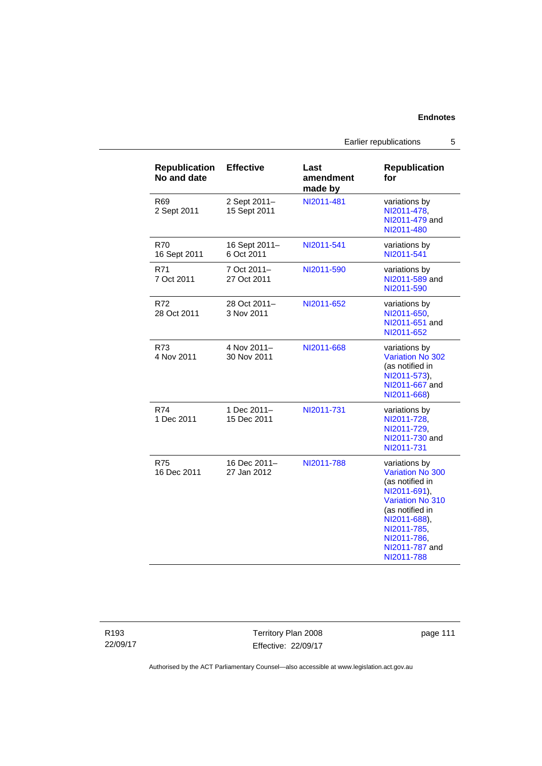Earlier republications 5

| <b>Republication</b><br>No and date | <b>Effective</b>             | Last<br>amendment<br>made by | <b>Republication</b><br>for                                                                                                                                                                      |
|-------------------------------------|------------------------------|------------------------------|--------------------------------------------------------------------------------------------------------------------------------------------------------------------------------------------------|
| R69<br>2 Sept 2011                  | 2 Sept 2011-<br>15 Sept 2011 | NI2011-481                   | variations by<br>NI2011-478,<br>NI2011-479 and<br>NI2011-480                                                                                                                                     |
| R70<br>16 Sept 2011                 | 16 Sept 2011-<br>6 Oct 2011  | NI2011-541                   | variations by<br>NI2011-541                                                                                                                                                                      |
| R71<br>7 Oct 2011                   | 7 Oct 2011-<br>27 Oct 2011   | NI2011-590                   | variations by<br>NI2011-589 and<br>NI2011-590                                                                                                                                                    |
| R72<br>28 Oct 2011                  | 28 Oct 2011-<br>3 Nov 2011   | NI2011-652                   | variations by<br>NI2011-650,<br>NI2011-651 and<br>NI2011-652                                                                                                                                     |
| R73<br>4 Nov 2011                   | 4 Nov 2011-<br>30 Nov 2011   | NI2011-668                   | variations by<br>Variation No 302<br>(as notified in<br>NI2011-573),<br>NI2011-667 and<br>NI2011-668)                                                                                            |
| R74<br>1 Dec 2011                   | 1 Dec 2011-<br>15 Dec 2011   | NI2011-731                   | variations by<br>NI2011-728,<br>NI2011-729.<br>NI2011-730 and<br>NI2011-731                                                                                                                      |
| R75<br>16 Dec 2011                  | 16 Dec 2011-<br>27 Jan 2012  | NI2011-788                   | variations by<br>Variation No 300<br>(as notified in<br>NI2011-691),<br><b>Variation No 310</b><br>(as notified in<br>NI2011-688).<br>NI2011-785,<br>NI2011-786,<br>NI2011-787 and<br>NI2011-788 |

R193 22/09/17 Territory Plan 2008 Effective: 22/09/17

page 111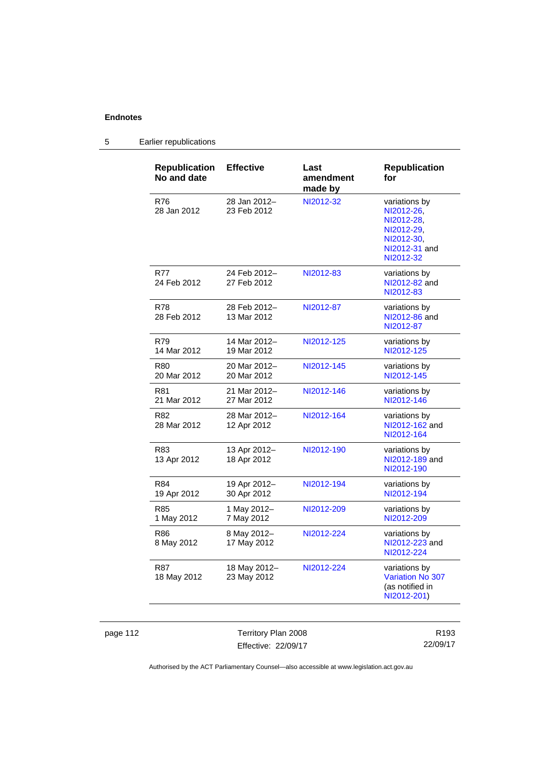# 5 Earlier republications

| <b>Republication</b><br>No and date | <b>Effective</b>            | Last<br>amendment<br>made by | <b>Republication</b><br>for                                                                         |
|-------------------------------------|-----------------------------|------------------------------|-----------------------------------------------------------------------------------------------------|
| R76<br>28 Jan 2012                  | 28 Jan 2012-<br>23 Feb 2012 | NI2012-32                    | variations by<br>NI2012-26.<br>NI2012-28,<br>NI2012-29.<br>NI2012-30,<br>NI2012-31 and<br>NI2012-32 |
| <b>R77</b><br>24 Feb 2012           | 24 Feb 2012-<br>27 Feb 2012 | NI2012-83                    | variations by<br>NI2012-82 and<br>NI2012-83                                                         |
| R78<br>28 Feb 2012                  | 28 Feb 2012-<br>13 Mar 2012 | NI2012-87                    | variations by<br>NI2012-86 and<br>NI2012-87                                                         |
| R79<br>14 Mar 2012                  | 14 Mar 2012-<br>19 Mar 2012 | NI2012-125                   | variations by<br>NI2012-125                                                                         |
| R80<br>20 Mar 2012                  | 20 Mar 2012-<br>20 Mar 2012 | NI2012-145                   | variations by<br>NI2012-145                                                                         |
| <b>R81</b><br>21 Mar 2012           | 21 Mar 2012-<br>27 Mar 2012 | NI2012-146                   | variations by<br>NI2012-146                                                                         |
| R82<br>28 Mar 2012                  | 28 Mar 2012-<br>12 Apr 2012 | NI2012-164                   | variations by<br>NI2012-162 and<br>NI2012-164                                                       |
| R83<br>13 Apr 2012                  | 13 Apr 2012-<br>18 Apr 2012 | NI2012-190                   | variations by<br>NI2012-189 and<br>NI2012-190                                                       |
| R84<br>19 Apr 2012                  | 19 Apr 2012-<br>30 Apr 2012 | NI2012-194                   | variations by<br>NI2012-194                                                                         |
| R85<br>1 May 2012                   | 1 May 2012-<br>7 May 2012   | NI2012-209                   | variations by<br>NI2012-209                                                                         |
| <b>R86</b><br>8 May 2012            | 8 May 2012-<br>17 May 2012  | NI2012-224                   | variations by<br>NI2012-223 and<br>NI2012-224                                                       |
| R87<br>18 May 2012                  | 18 May 2012-<br>23 May 2012 | NI2012-224                   | variations by<br>Variation No 307<br>(as notified in<br>NI2012-201)                                 |

page 112 Territory Plan 2008 Effective: 22/09/17

R193 22/09/17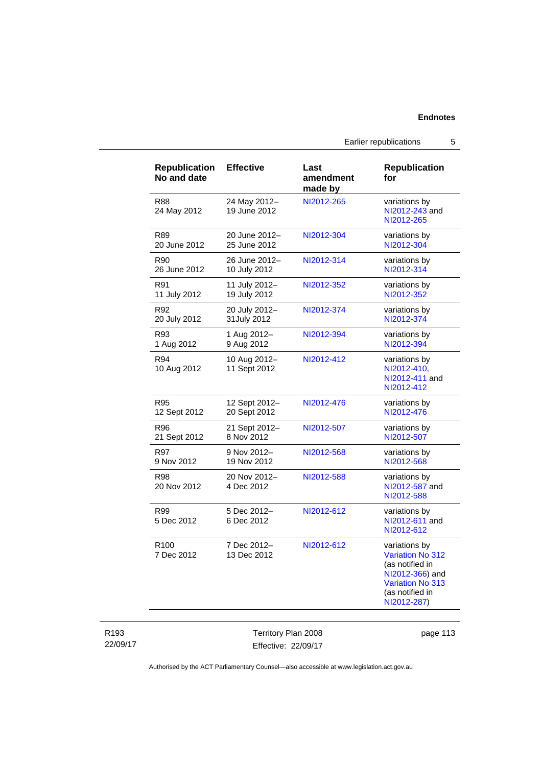Earlier republications 5

| <b>Republication</b><br>No and date | <b>Effective</b>             | Last<br>amendment<br>made by | <b>Republication</b><br>for                                                                                                                 |
|-------------------------------------|------------------------------|------------------------------|---------------------------------------------------------------------------------------------------------------------------------------------|
| <b>R88</b><br>24 May 2012           | 24 May 2012-<br>19 June 2012 | NI2012-265                   | variations by<br>NI2012-243 and<br>NI2012-265                                                                                               |
| R89                                 | 20 June 2012-                | NI2012-304                   | variations by                                                                                                                               |
| 20 June 2012                        | 25 June 2012                 |                              | NI2012-304                                                                                                                                  |
| R90                                 | 26 June 2012-                | NI2012-314                   | variations by                                                                                                                               |
| 26 June 2012                        | 10 July 2012                 |                              | NI2012-314                                                                                                                                  |
| R91                                 | 11 July 2012-                | NI2012-352                   | variations by                                                                                                                               |
| 11 July 2012                        | 19 July 2012                 |                              | NI2012-352                                                                                                                                  |
| R92                                 | 20 July 2012-                | NI2012-374                   | variations by                                                                                                                               |
| 20 July 2012                        | 31July 2012                  |                              | NI2012-374                                                                                                                                  |
| R93                                 | 1 Aug 2012-                  | NI2012-394                   | variations by                                                                                                                               |
| 1 Aug 2012                          | 9 Aug 2012                   |                              | NI2012-394                                                                                                                                  |
| R94<br>10 Aug 2012                  | 10 Aug 2012-<br>11 Sept 2012 | NI2012-412                   | variations by<br>NI2012-410,<br>NI2012-411 and<br>NI2012-412                                                                                |
| <b>R95</b>                          | 12 Sept 2012-                | NI2012-476                   | variations by                                                                                                                               |
| 12 Sept 2012                        | 20 Sept 2012                 |                              | NI2012-476                                                                                                                                  |
| R96                                 | 21 Sept 2012-                | NI2012-507                   | variations by                                                                                                                               |
| 21 Sept 2012                        | 8 Nov 2012                   |                              | NI2012-507                                                                                                                                  |
| R97                                 | 9 Nov 2012-                  | NI2012-568                   | variations by                                                                                                                               |
| 9 Nov 2012                          | 19 Nov 2012                  |                              | NI2012-568                                                                                                                                  |
| R98<br>20 Nov 2012                  | 20 Nov 2012-<br>4 Dec 2012   | NI2012-588                   | variations by<br>NI2012-587 and<br>NI2012-588                                                                                               |
| R99<br>5 Dec 2012                   | 5 Dec 2012-<br>6 Dec 2012    | NI2012-612                   | variations by<br>NI2012-611 and<br>NI2012-612                                                                                               |
| R <sub>100</sub><br>7 Dec 2012      | 7 Dec 2012-<br>13 Dec 2012   | NI2012-612                   | variations by<br><b>Variation No 312</b><br>(as notified in<br>NI2012-366) and<br><b>Variation No 313</b><br>(as notified in<br>NI2012-287) |

Territory Plan 2008 Effective: 22/09/17 page 113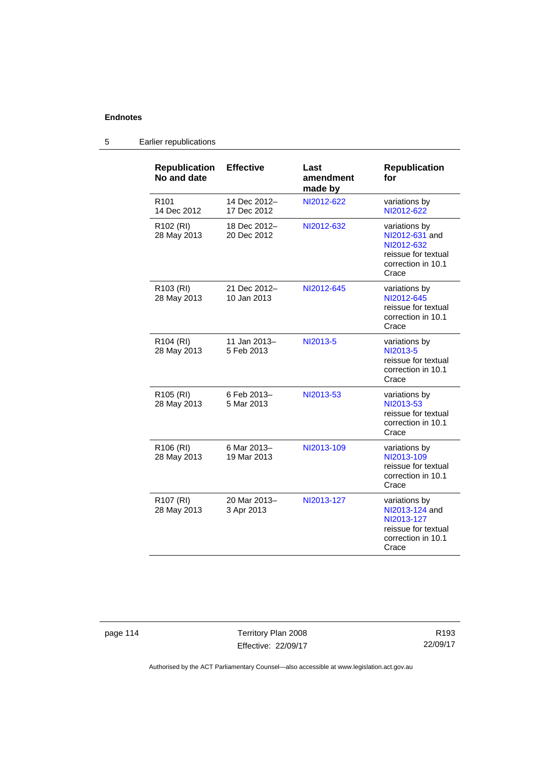| <b>Republication</b><br>No and date  | <b>Effective</b>            | Last<br>amendment<br>made by | <b>Republication</b><br>for                                                                         |
|--------------------------------------|-----------------------------|------------------------------|-----------------------------------------------------------------------------------------------------|
| R <sub>101</sub><br>14 Dec 2012      | 14 Dec 2012-<br>17 Dec 2012 | NI2012-622                   | variations by<br>NI2012-622                                                                         |
| R <sub>102</sub> (RI)<br>28 May 2013 | 18 Dec 2012-<br>20 Dec 2012 | NI2012-632                   | variations by<br>NI2012-631 and<br>NI2012-632<br>reissue for textual<br>correction in 10.1<br>Crace |
| R103 (RI)<br>28 May 2013             | 21 Dec 2012-<br>10 Jan 2013 | NI2012-645                   | variations by<br>NI2012-645<br>reissue for textual<br>correction in 10.1<br>Crace                   |
| R <sub>104</sub> (RI)<br>28 May 2013 | 11 Jan 2013-<br>5 Feb 2013  | NI2013-5                     | variations by<br>NI2013-5<br>reissue for textual<br>correction in 10.1<br>Crace                     |
| R105 (RI)<br>28 May 2013             | 6 Feb 2013-<br>5 Mar 2013   | NI2013-53                    | variations by<br>NI2013-53<br>reissue for textual<br>correction in 10.1<br>Crace                    |
| R <sub>106</sub> (RI)<br>28 May 2013 | 6 Mar 2013-<br>19 Mar 2013  | NI2013-109                   | variations by<br>NI2013-109<br>reissue for textual<br>correction in 10.1<br>Crace                   |
| R <sub>107</sub> (RI)<br>28 May 2013 | 20 Mar 2013-<br>3 Apr 2013  | NI2013-127                   | variations by<br>NI2013-124 and<br>NI2013-127<br>reissue for textual<br>correction in 10.1<br>Crace |

5 Earlier republications

page 114 Territory Plan 2008 Effective: 22/09/17

R193 22/09/17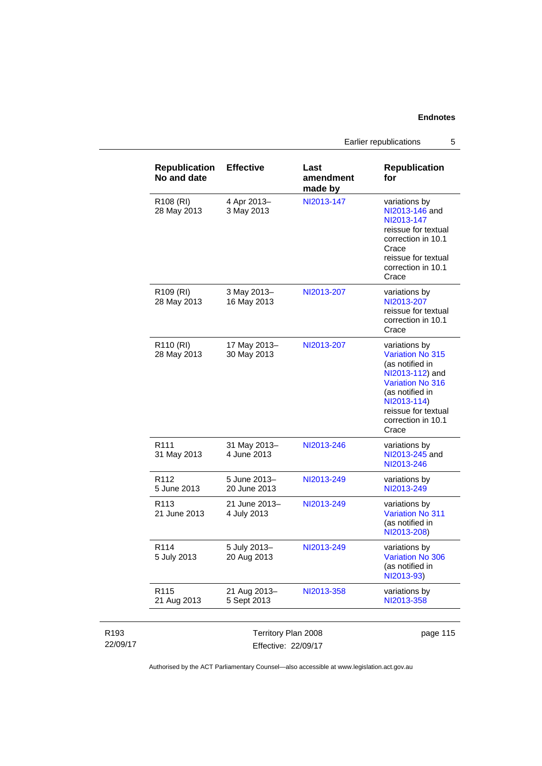Earlier republications 5

|                              | <b>Republication</b><br>No and date  | <b>Effective</b>                           | Last<br>amendment<br>made by | <b>Republication</b><br>for                                                                                                                                                                       |
|------------------------------|--------------------------------------|--------------------------------------------|------------------------------|---------------------------------------------------------------------------------------------------------------------------------------------------------------------------------------------------|
|                              | R108 (RI)<br>28 May 2013             | 4 Apr 2013-<br>3 May 2013                  | NI2013-147                   | variations by<br>NI2013-146 and<br>NI2013-147<br>reissue for textual<br>correction in 10.1<br>Crace<br>reissue for textual<br>correction in 10.1<br>Crace                                         |
|                              | R <sub>109</sub> (RI)<br>28 May 2013 | 3 May 2013-<br>16 May 2013                 | NI2013-207                   | variations by<br>NI2013-207<br>reissue for textual<br>correction in 10.1<br>Crace                                                                                                                 |
|                              | R110 (RI)<br>28 May 2013             | 17 May 2013-<br>30 May 2013                | NI2013-207                   | variations by<br><b>Variation No 315</b><br>(as notified in<br>NI2013-112) and<br><b>Variation No 316</b><br>(as notified in<br>NI2013-114)<br>reissue for textual<br>correction in 10.1<br>Crace |
|                              | R <sub>111</sub><br>31 May 2013      | 31 May 2013-<br>4 June 2013                | NI2013-246                   | variations by<br>NI2013-245 and<br>NI2013-246                                                                                                                                                     |
|                              | R112<br>5 June 2013                  | 5 June 2013-<br>20 June 2013               | NI2013-249                   | variations by<br>NI2013-249                                                                                                                                                                       |
|                              | R <sub>113</sub><br>21 June 2013     | 21 June 2013-<br>4 July 2013               | NI2013-249                   | variations by<br><b>Variation No 311</b><br>(as notified in<br>NI2013-208)                                                                                                                        |
|                              | R <sub>114</sub><br>5 July 2013      | 5 July 2013-<br>20 Aug 2013                | NI2013-249                   | variations by<br><b>Variation No 306</b><br>(as notified in<br>NI2013-93)                                                                                                                         |
|                              | R115<br>21 Aug 2013                  | 21 Aug 2013-<br>5 Sept 2013                | NI2013-358                   | variations by<br>NI2013-358                                                                                                                                                                       |
| R <sub>193</sub><br>22/09/17 |                                      | Territory Plan 2008<br>Effective: 22/09/17 |                              | page 115                                                                                                                                                                                          |

Authorised by the ACT Parliamentary Counsel—also accessible at www.legislation.act.gov.au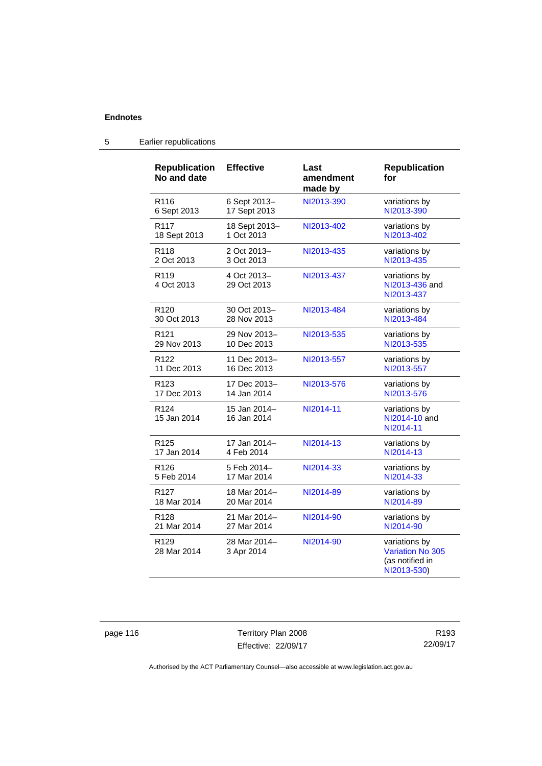| <b>Republication</b><br>No and date | <b>Effective</b>            | Last<br>amendment<br>made by | <b>Republication</b><br>for                                         |
|-------------------------------------|-----------------------------|------------------------------|---------------------------------------------------------------------|
| R <sub>116</sub>                    | 6 Sept 2013-                | NI2013-390                   | variations by                                                       |
| 6 Sept 2013                         | 17 Sept 2013                |                              | NI2013-390                                                          |
| R <sub>117</sub>                    | 18 Sept 2013-               | NI2013-402                   | variations by                                                       |
| 18 Sept 2013                        | 1 Oct 2013                  |                              | NI2013-402                                                          |
| R <sub>118</sub>                    | 2 Oct 2013-                 | NI2013-435                   | variations by                                                       |
| 2 Oct 2013                          | 3 Oct 2013                  |                              | NI2013-435                                                          |
| R <sub>119</sub><br>4 Oct 2013      | 4 Oct 2013-<br>29 Oct 2013  | NI2013-437                   | variations by<br>NI2013-436 and<br>NI2013-437                       |
| R <sub>120</sub>                    | 30 Oct 2013-                | NI2013-484                   | variations by                                                       |
| 30 Oct 2013                         | 28 Nov 2013                 |                              | NI2013-484                                                          |
| R <sub>121</sub>                    | 29 Nov 2013-                | NI2013-535                   | variations by                                                       |
| 29 Nov 2013                         | 10 Dec 2013                 |                              | NI2013-535                                                          |
| R122                                | 11 Dec 2013-                | NI2013-557                   | variations by                                                       |
| 11 Dec 2013                         | 16 Dec 2013                 |                              | NI2013-557                                                          |
| R <sub>123</sub>                    | 17 Dec 2013-                | NI2013-576                   | variations by                                                       |
| 17 Dec 2013                         | 14 Jan 2014                 |                              | NI2013-576                                                          |
| R <sub>124</sub><br>15 Jan 2014     | 15 Jan 2014-<br>16 Jan 2014 | NI2014-11                    | variations by<br>NI2014-10 and<br>NI2014-11                         |
| R <sub>125</sub>                    | 17 Jan 2014-                | NI2014-13                    | variations by                                                       |
| 17 Jan 2014                         | 4 Feb 2014                  |                              | NI2014-13                                                           |
| R <sub>126</sub>                    | 5 Feb 2014-                 | NI2014-33                    | variations by                                                       |
| 5 Feb 2014                          | 17 Mar 2014                 |                              | NI2014-33                                                           |
| R <sub>127</sub>                    | 18 Mar 2014-                | NI2014-89                    | variations by                                                       |
| 18 Mar 2014                         | 20 Mar 2014                 |                              | NI2014-89                                                           |
| R <sub>128</sub>                    | 21 Mar 2014-                | NI2014-90                    | variations by                                                       |
| 21 Mar 2014                         | 27 Mar 2014                 |                              | NI2014-90                                                           |
| R <sub>129</sub><br>28 Mar 2014     | 28 Mar 2014-<br>3 Apr 2014  | NI2014-90                    | variations by<br>Variation No 305<br>(as notified in<br>NI2013-530) |

# 5 Earlier republications

page 116 Territory Plan 2008 Effective: 22/09/17

R193 22/09/17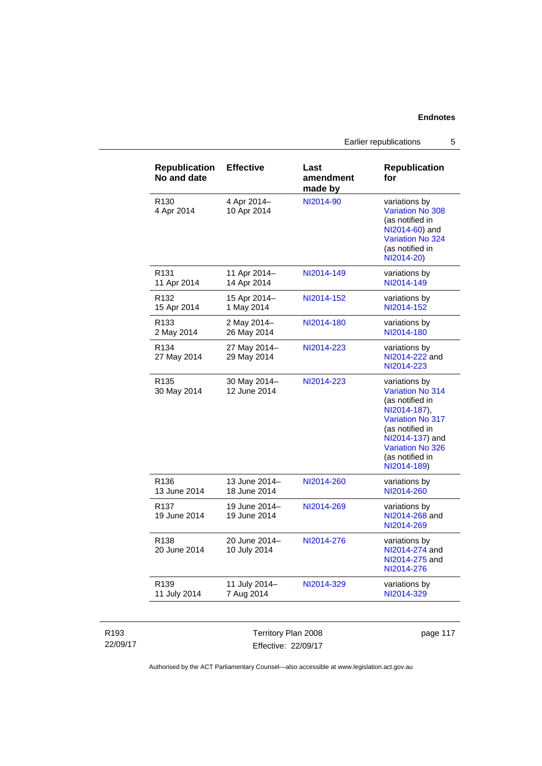Earlier republications 5

| <b>Republication</b><br>No and date | <b>Effective</b>              | Last<br>amendment<br>made by | <b>Republication</b><br>for                                                                                                                                                                               |
|-------------------------------------|-------------------------------|------------------------------|-----------------------------------------------------------------------------------------------------------------------------------------------------------------------------------------------------------|
| R <sub>130</sub><br>4 Apr 2014      | 4 Apr 2014-<br>10 Apr 2014    | NI2014-90                    | variations by<br><b>Variation No 308</b><br>(as notified in<br>NI2014-60) and<br>Variation No 324<br>(as notified in<br>NI2014-20)                                                                        |
| R <sub>131</sub><br>11 Apr 2014     | 11 Apr 2014-<br>14 Apr 2014   | NI2014-149                   | variations by<br>NI2014-149                                                                                                                                                                               |
| R <sub>132</sub><br>15 Apr 2014     | 15 Apr 2014-<br>1 May 2014    | NI2014-152                   | variations by<br>NI2014-152                                                                                                                                                                               |
| R <sub>133</sub><br>2 May 2014      | 2 May 2014-<br>26 May 2014    | NI2014-180                   | variations by<br>NI2014-180                                                                                                                                                                               |
| R <sub>134</sub><br>27 May 2014     | 27 May 2014-<br>29 May 2014   | NI2014-223                   | variations by<br>NI2014-222 and<br>NI2014-223                                                                                                                                                             |
| R <sub>135</sub><br>30 May 2014     | 30 May 2014-<br>12 June 2014  | NI2014-223                   | variations by<br><b>Variation No 314</b><br>(as notified in<br>NI2014-187),<br><b>Variation No 317</b><br>(as notified in<br>NI2014-137) and<br><b>Variation No 326</b><br>(as notified in<br>NI2014-189) |
| R <sub>136</sub><br>13 June 2014    | 13 June 2014-<br>18 June 2014 | NI2014-260                   | variations by<br>NI2014-260                                                                                                                                                                               |
| R <sub>137</sub><br>19 June 2014    | 19 June 2014-<br>19 June 2014 | NI2014-269                   | variations by<br>NI2014-268 and<br>NI2014-269                                                                                                                                                             |
| R <sub>138</sub><br>20 June 2014    | 20 June 2014-<br>10 July 2014 | NI2014-276                   | variations by<br>NI2014-274 and<br>NI2014-275 and<br>NI2014-276                                                                                                                                           |
| R <sub>139</sub><br>11 July 2014    | 11 July 2014-<br>7 Aug 2014   | NI2014-329                   | variations by<br>NI2014-329                                                                                                                                                                               |

#### R193 22/09/17

Territory Plan 2008 Effective: 22/09/17

page 117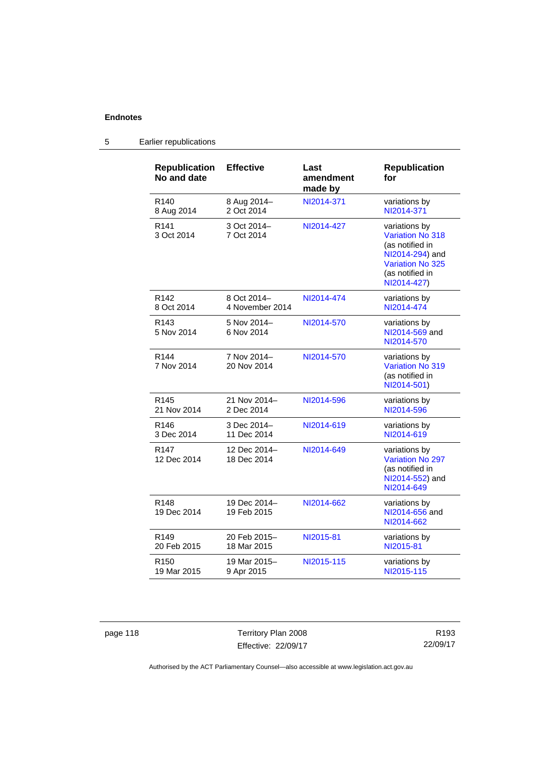| <b>Republication</b><br>No and date | <b>Effective</b>               | Last<br>amendment<br>made by | <b>Republication</b><br>for                                                                                                                 |
|-------------------------------------|--------------------------------|------------------------------|---------------------------------------------------------------------------------------------------------------------------------------------|
| R <sub>140</sub><br>8 Aug 2014      | 8 Aug 2014-<br>2 Oct 2014      | NI2014-371                   | variations by<br>NI2014-371                                                                                                                 |
| R <sub>141</sub><br>3 Oct 2014      | 3 Oct 2014-<br>7 Oct 2014      | NI2014-427                   | variations by<br><b>Variation No 318</b><br>(as notified in<br>NI2014-294) and<br><b>Variation No 325</b><br>(as notified in<br>NI2014-427) |
| R <sub>142</sub><br>8 Oct 2014      | 8 Oct 2014-<br>4 November 2014 | NI2014-474                   | variations by<br>NI2014-474                                                                                                                 |
| R <sub>143</sub><br>5 Nov 2014      | 5 Nov 2014-<br>6 Nov 2014      | NI2014-570                   | variations by<br>NI2014-569 and<br>NI2014-570                                                                                               |
| R <sub>144</sub><br>7 Nov 2014      | 7 Nov 2014-<br>20 Nov 2014     | NI2014-570                   | variations by<br><b>Variation No 319</b><br>(as notified in<br>NI2014-501)                                                                  |
| R <sub>145</sub><br>21 Nov 2014     | 21 Nov 2014-<br>2 Dec 2014     | NI2014-596                   | variations by<br>NI2014-596                                                                                                                 |
| R <sub>146</sub><br>3 Dec 2014      | 3 Dec 2014-<br>11 Dec 2014     | NI2014-619                   | variations by<br>NI2014-619                                                                                                                 |
| R <sub>147</sub><br>12 Dec 2014     | 12 Dec 2014-<br>18 Dec 2014    | NI2014-649                   | variations by<br><b>Variation No 297</b><br>(as notified in<br>NI2014-552) and<br>NI2014-649                                                |
| R <sub>148</sub><br>19 Dec 2014     | 19 Dec 2014-<br>19 Feb 2015    | NI2014-662                   | variations by<br>NI2014-656 and<br>NI2014-662                                                                                               |
| R <sub>149</sub><br>20 Feb 2015     | 20 Feb 2015-<br>18 Mar 2015    | NI2015-81                    | variations by<br>NI2015-81                                                                                                                  |
| R <sub>150</sub><br>19 Mar 2015     | 19 Mar 2015-<br>9 Apr 2015     | NI2015-115                   | variations by<br>NI2015-115                                                                                                                 |

# 5 Earlier republications

page 118 Territory Plan 2008 Effective: 22/09/17

R193 22/09/17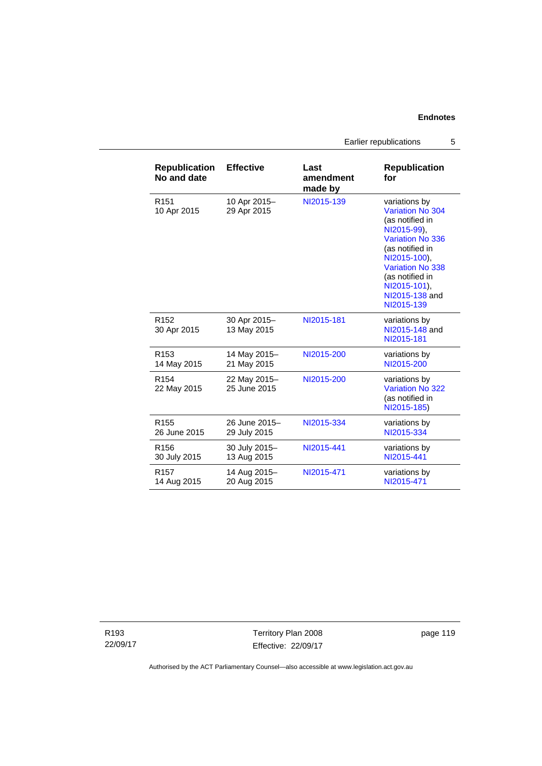Earlier republications 5

| <b>Republication</b><br>No and date | <b>Effective</b>             | Last<br>amendment<br>made by | <b>Republication</b><br>for                                                                                                                                                                                              |
|-------------------------------------|------------------------------|------------------------------|--------------------------------------------------------------------------------------------------------------------------------------------------------------------------------------------------------------------------|
| R <sub>151</sub><br>10 Apr 2015     | 10 Apr 2015-<br>29 Apr 2015  | NI2015-139                   | variations by<br>Variation No 304<br>(as notified in<br>NI2015-99),<br>Variation No 336<br>(as notified in<br>NI2015-100),<br><b>Variation No 338</b><br>(as notified in<br>NI2015-101).<br>NI2015-138 and<br>NI2015-139 |
| R <sub>152</sub><br>30 Apr 2015     | 30 Apr 2015-<br>13 May 2015  | NI2015-181                   | variations by<br>NI2015-148 and<br>NI2015-181                                                                                                                                                                            |
| R <sub>153</sub>                    | 14 May 2015-                 | NI2015-200                   | variations by                                                                                                                                                                                                            |
| 14 May 2015                         | 21 May 2015                  |                              | NI2015-200                                                                                                                                                                                                               |
| R <sub>154</sub><br>22 May 2015     | 22 May 2015-<br>25 June 2015 | NI2015-200                   | variations by<br><b>Variation No 322</b><br>(as notified in<br>NI2015-185)                                                                                                                                               |
| R <sub>155</sub>                    | 26 June 2015-                | NI2015-334                   | variations by                                                                                                                                                                                                            |
| 26 June 2015                        | 29 July 2015                 |                              | NI2015-334                                                                                                                                                                                                               |
| R <sub>156</sub>                    | 30 July 2015-                | NI2015-441                   | variations by                                                                                                                                                                                                            |
| 30 July 2015                        | 13 Aug 2015                  |                              | NI2015-441                                                                                                                                                                                                               |
| R <sub>157</sub>                    | 14 Aug 2015-                 | NI2015-471                   | variations by                                                                                                                                                                                                            |
| 14 Aug 2015                         | 20 Aug 2015                  |                              | NI2015-471                                                                                                                                                                                                               |

R193 22/09/17

Territory Plan 2008 Effective: 22/09/17 page 119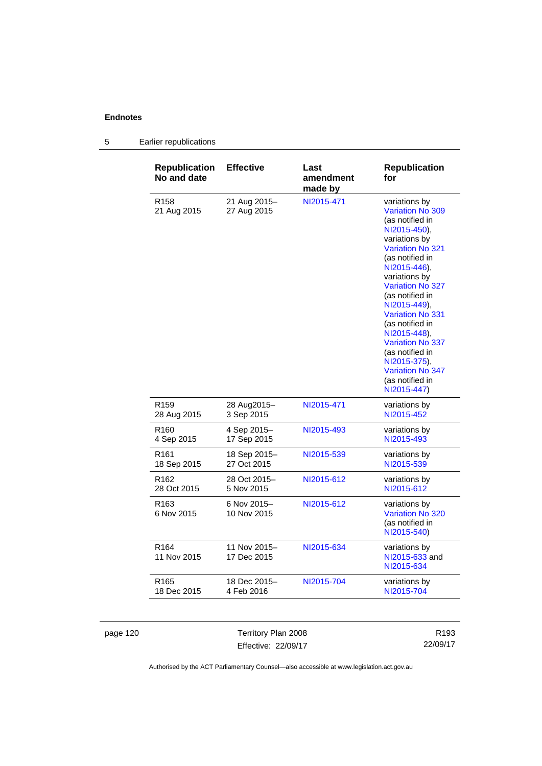| <b>Republication</b><br>No and date | <b>Effective</b>            | Last<br>amendment<br>made by | <b>Republication</b><br>for                                                                                                                                                                                                                                                                                                                                                                                                        |
|-------------------------------------|-----------------------------|------------------------------|------------------------------------------------------------------------------------------------------------------------------------------------------------------------------------------------------------------------------------------------------------------------------------------------------------------------------------------------------------------------------------------------------------------------------------|
| R <sub>158</sub><br>21 Aug 2015     | 21 Aug 2015-<br>27 Aug 2015 | NI2015-471                   | variations by<br><b>Variation No 309</b><br>(as notified in<br>NI2015-450),<br>variations by<br><b>Variation No 321</b><br>(as notified in<br>NI2015-446),<br>variations by<br><b>Variation No 327</b><br>(as notified in<br>NI2015-449).<br><b>Variation No 331</b><br>(as notified in<br>NI2015-448).<br><b>Variation No 337</b><br>(as notified in<br>NI2015-375),<br><b>Variation No 347</b><br>(as notified in<br>NI2015-447) |
| R <sub>159</sub>                    | 28 Aug2015-                 | NI2015-471                   | variations by                                                                                                                                                                                                                                                                                                                                                                                                                      |
| 28 Aug 2015                         | 3 Sep 2015                  |                              | NI2015-452                                                                                                                                                                                                                                                                                                                                                                                                                         |
| R <sub>160</sub>                    | 4 Sep 2015-                 | NI2015-493                   | variations by                                                                                                                                                                                                                                                                                                                                                                                                                      |
| 4 Sep 2015                          | 17 Sep 2015                 |                              | NI2015-493                                                                                                                                                                                                                                                                                                                                                                                                                         |
| R <sub>161</sub>                    | 18 Sep 2015–                | NI2015-539                   | variations by                                                                                                                                                                                                                                                                                                                                                                                                                      |
| 18 Sep 2015                         | 27 Oct 2015                 |                              | NI2015-539                                                                                                                                                                                                                                                                                                                                                                                                                         |
| R <sub>162</sub>                    | 28 Oct 2015-                | NI2015-612                   | variations by                                                                                                                                                                                                                                                                                                                                                                                                                      |
| 28 Oct 2015                         | 5 Nov 2015                  |                              | NI2015-612                                                                                                                                                                                                                                                                                                                                                                                                                         |
| R <sub>163</sub><br>6 Nov 2015      | 6 Nov 2015-<br>10 Nov 2015  | NI2015-612                   | variations by<br>Variation No 320<br>(as notified in<br>NI2015-540)                                                                                                                                                                                                                                                                                                                                                                |
| R <sub>164</sub><br>11 Nov 2015     | 11 Nov 2015-<br>17 Dec 2015 | NI2015-634                   | variations by<br>NI2015-633 and<br>NI2015-634                                                                                                                                                                                                                                                                                                                                                                                      |
| R <sub>165</sub>                    | 18 Dec 2015-                | NI2015-704                   | variations by                                                                                                                                                                                                                                                                                                                                                                                                                      |
| 18 Dec 2015                         | 4 Feb 2016                  |                              | NI2015-704                                                                                                                                                                                                                                                                                                                                                                                                                         |

# 5 Earlier republications

page 120 Territory Plan 2008 Effective: 22/09/17

R193 22/09/17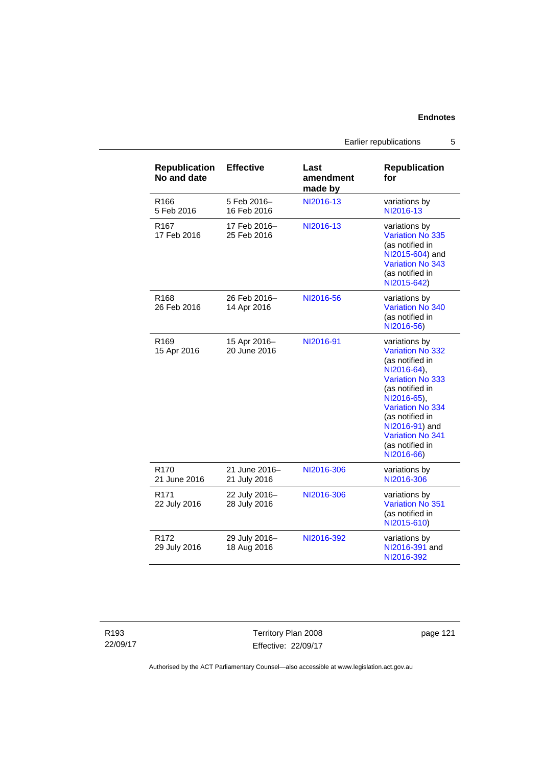| <b>Republication</b><br>No and date | <b>Effective</b>              | Last<br>amendment<br>made by | <b>Republication</b><br>for                                                                                                                                                                                                                    |
|-------------------------------------|-------------------------------|------------------------------|------------------------------------------------------------------------------------------------------------------------------------------------------------------------------------------------------------------------------------------------|
| R <sub>166</sub><br>5 Feb 2016      | 5 Feb 2016-<br>16 Feb 2016    | NI2016-13                    | variations by<br>NI2016-13                                                                                                                                                                                                                     |
| R <sub>167</sub><br>17 Feb 2016     | 17 Feb 2016-<br>25 Feb 2016   | NI2016-13                    | variations by<br>Variation No 335<br>(as notified in<br>NI2015-604) and<br>Variation No 343<br>(as notified in<br>NI2015-642)                                                                                                                  |
| R168<br>26 Feb 2016                 | 26 Feb 2016-<br>14 Apr 2016   | NI2016-56                    | variations by<br>Variation No 340<br>(as notified in<br>NI2016-56)                                                                                                                                                                             |
| R <sub>169</sub><br>15 Apr 2016     | 15 Apr 2016-<br>20 June 2016  | NI2016-91                    | variations by<br>Variation No 332<br>(as notified in<br>NI2016-64),<br><b>Variation No 333</b><br>(as notified in<br>NI2016-65),<br>Variation No 334<br>(as notified in<br>NI2016-91) and<br>Variation No 341<br>(as notified in<br>NI2016-66) |
| R <sub>170</sub><br>21 June 2016    | 21 June 2016-<br>21 July 2016 | NI2016-306                   | variations by<br>NI2016-306                                                                                                                                                                                                                    |
| R <sub>171</sub><br>22 July 2016    | 22 July 2016-<br>28 July 2016 | NI2016-306                   | variations by<br><b>Variation No 351</b><br>(as notified in<br>NI2015-610)                                                                                                                                                                     |
| R <sub>172</sub><br>29 July 2016    | 29 July 2016-<br>18 Aug 2016  | NI2016-392                   | variations by<br>NI2016-391 and<br>NI2016-392                                                                                                                                                                                                  |

Territory Plan 2008 Effective: 22/09/17 page 121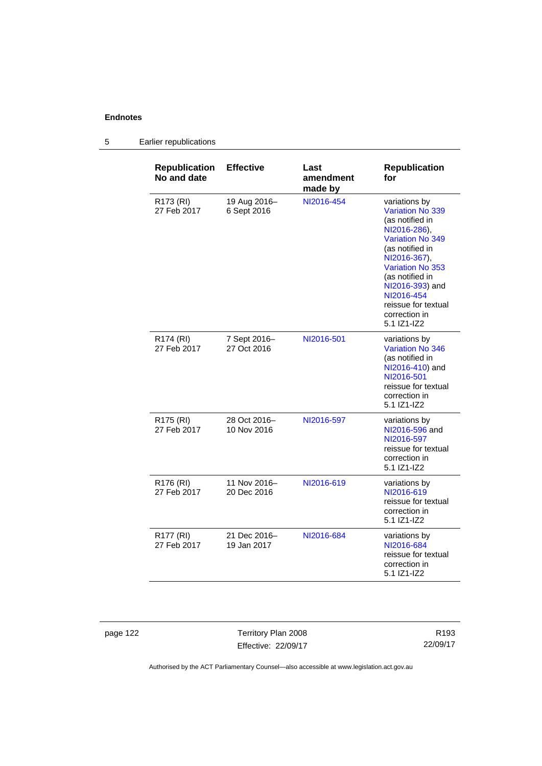| <b>Republication</b><br>No and date  | <b>Effective</b>            | Last<br>amendment<br>made by | <b>Republication</b><br>for                                                                                                                                                                                                                                       |
|--------------------------------------|-----------------------------|------------------------------|-------------------------------------------------------------------------------------------------------------------------------------------------------------------------------------------------------------------------------------------------------------------|
| R173 (RI)<br>27 Feb 2017             | 19 Aug 2016-<br>6 Sept 2016 | NI2016-454                   | variations by<br><b>Variation No 339</b><br>(as notified in<br>NI2016-286),<br>Variation No 349<br>(as notified in<br>NI2016-367),<br>Variation No 353<br>(as notified in<br>NI2016-393) and<br>NI2016-454<br>reissue for textual<br>correction in<br>5.1 IZ1-IZ2 |
| R174 (RI)<br>27 Feb 2017             | 7 Sept 2016-<br>27 Oct 2016 | NI2016-501                   | variations by<br><b>Variation No 346</b><br>(as notified in<br>NI2016-410) and<br>NI2016-501<br>reissue for textual<br>correction in<br>5.1 IZ1-IZ2                                                                                                               |
| R <sub>175</sub> (RI)<br>27 Feb 2017 | 28 Oct 2016-<br>10 Nov 2016 | NI2016-597                   | variations by<br>NI2016-596 and<br>NI2016-597<br>reissue for textual<br>correction in<br>5.1 IZ1-IZ2                                                                                                                                                              |
| R176 (RI)<br>27 Feb 2017             | 11 Nov 2016-<br>20 Dec 2016 | NI2016-619                   | variations by<br>NI2016-619<br>reissue for textual<br>correction in<br>5.1 IZ1-IZ2                                                                                                                                                                                |
| R177 (RI)<br>27 Feb 2017             | 21 Dec 2016-<br>19 Jan 2017 | NI2016-684                   | variations by<br>NI2016-684<br>reissue for textual<br>correction in<br>5.1 IZ1-IZ2                                                                                                                                                                                |

5 Earlier republications

page 122 Territory Plan 2008 Effective: 22/09/17

R193 22/09/17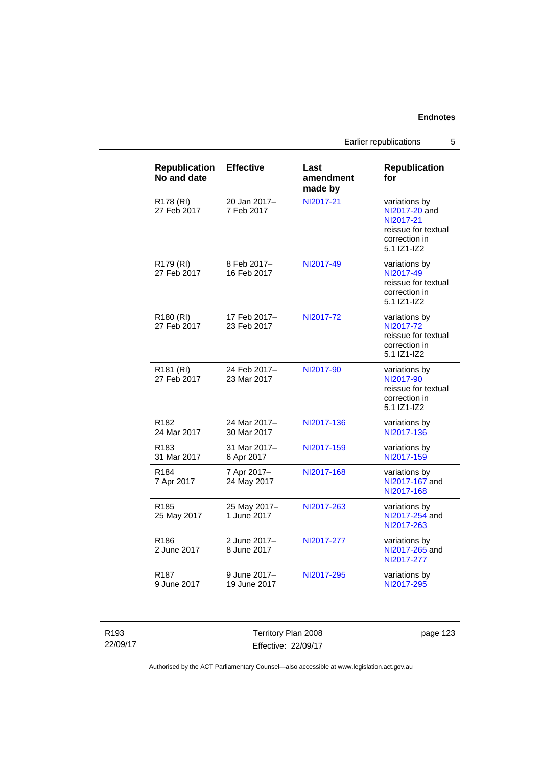Earlier republications 5

| <b>Republication</b><br>No and date  | <b>Effective</b>             | Last<br>amendment<br>made by | <b>Republication</b><br>for                                                                        |
|--------------------------------------|------------------------------|------------------------------|----------------------------------------------------------------------------------------------------|
| R178 (RI)<br>27 Feb 2017             | 20 Jan 2017-<br>7 Feb 2017   | NI2017-21                    | variations by<br>NI2017-20 and<br>NI2017-21<br>reissue for textual<br>correction in<br>5.1 IZ1-IZ2 |
| R179 (RI)<br>27 Feb 2017             | 8 Feb 2017-<br>16 Feb 2017   | NI2017-49                    | variations by<br>NI2017-49<br>reissue for textual<br>correction in<br>5.1 IZ1-IZ2                  |
| R <sub>180</sub> (RI)<br>27 Feb 2017 | 17 Feb 2017-<br>23 Feb 2017  | NI2017-72                    | variations by<br>NI2017-72<br>reissue for textual<br>correction in<br>5.1 IZ1-IZ2                  |
| R <sub>181</sub> (RI)<br>27 Feb 2017 | 24 Feb 2017-<br>23 Mar 2017  | NI2017-90                    | variations by<br>NI2017-90<br>reissue for textual<br>correction in<br>5.1 IZ1-IZ2                  |
| R <sub>182</sub><br>24 Mar 2017      | 24 Mar 2017-<br>30 Mar 2017  | NI2017-136                   | variations by<br>NI2017-136                                                                        |
| R183<br>31 Mar 2017                  | 31 Mar 2017-<br>6 Apr 2017   | NI2017-159                   | variations by<br>NI2017-159                                                                        |
| R <sub>184</sub><br>7 Apr 2017       | 7 Apr 2017-<br>24 May 2017   | NI2017-168                   | variations by<br>NI2017-167 and<br>NI2017-168                                                      |
| R <sub>185</sub><br>25 May 2017      | 25 May 2017-<br>1 June 2017  | NI2017-263                   | variations by<br>NI2017-254 and<br>NI2017-263                                                      |
| R <sub>186</sub><br>2 June 2017      | 2 June 2017-<br>8 June 2017  | NI2017-277                   | variations by<br>NI2017-265 and<br>NI2017-277                                                      |
| R187<br>9 June 2017                  | 9 June 2017-<br>19 June 2017 | NI2017-295                   | variations by<br>NI2017-295                                                                        |

R193 22/09/17 Territory Plan 2008 Effective: 22/09/17

page 123